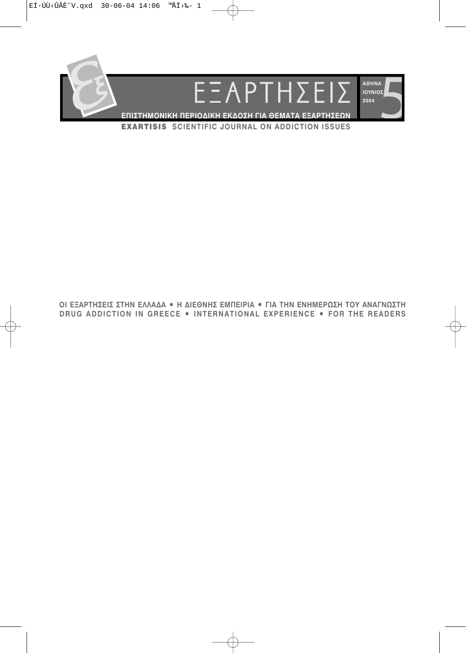

ΟΙ ΕΞΑΡΤΗΣΕΙΣ ΣΤΗΝ ΕΛΛΑΔΑ • Η ΔΙΕΘΝΗΣ ΕΜΠΕΙΡΙΑ • ΓΙΑ ΤΗΝ ΕΝΗΜΕΡΩΣΗ ΤΟΥ ΑΝΑΓΝΩΣΤΗ DRUG ADDICTION IN GREECE . INTERNATIONAL EXPERIENCE . FOR THE READERS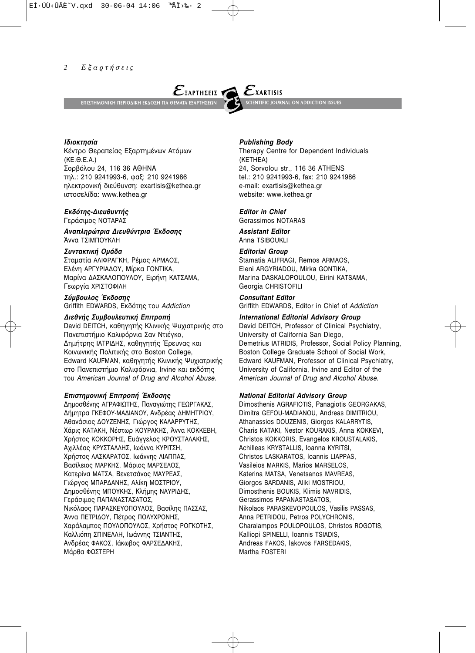

CIENTIFIC JOURNAL ON ADDICTION ISSUES

# Ιδιοκτησία

Κέντρο Θεραπείας Εξαρτημένων Ατόμων  $(KE. \Theta.E.A.)$ Σορβόλου 24, 116 36 ΑΘΗΝΑ τηλ.: 210 9241993-6, φαξ: 210 9241986 ηλεκτρονική διεύθυνση: exartisis@kethea.gr ιστοσελίδα: www.kethea.gr

# Εκδότης-Διευθυντής

Γεράσιμος ΝΟΤΑΡΑΣ

Αναπληρώτρια Διευθύντρια Έκδοσης Άννα ΤΣΙΜΠΟΥΚΛΗ

# Συντακτική Ομάδα

Σταματία ΑΛΙΦΡΑΓΚΗ. Ρέμος ΑΡΜΑΟΣ. Ελένη ΑΡΓΥΡΙΑΔΟΥ, Μίρκα ΓΟΝΤΙΚΑ, Μαρίνα ΔΑΣΚΑΛΟΠΟΥΛΟΥ, Ειρήνη ΚΑΤΣΑΜΑ, Γεωργία ΧΡΙΣΤΟΦΙΛΗ

### Σύμβουλος Έκδοσης Griffith EDWARDS, Εκδότης του Addiction

# Διεθνής Συμβουλευτική Επιτροπή

David DEITCH, καθηγητής Κλινικής Ψυχιατρικής στο Πανεπιστήμιο Καλιφόρνια Σαν Ντιέγκο, Δημήτρης ΙΑΤΡΙΔΗΣ, καθηγητής Έρευνας και Κοινωνικής Πολιτικής στο Boston College, Edward KAUFMAN, καθηγητής Κλινικής Ψυχιατρικής στο Πανεπιστήμιο Καλιφόρνια, Irvine και εκδότης του American Journal of Drug and Alcohol Abuse.

# Επιστημονική Επιτροπή Έκδοσης

Δημοσθένης ΑΓΡΑΦΙΩΤΗΣ, Παναγιώτης ΓΕΩΡΓΑΚΑΣ, Δήμητρα ΓΚΕΦΟΥ-ΜΑΔΙΑΝΟΥ, Ανδρέας ΔΗΜΗΤΡΙΟΥ, Αθανάσιος ΔΟΥΖΕΝΗΣ, Γιώργος ΚΑΛΑΡΡΥΤΗΣ, Χάρις ΚΑΤΑΚΗ. Νέστωρ ΚΟΥΡΑΚΗΣ. Άννα ΚΟΚΚΕΒΗ. Χρήστος ΚΟΚΚΟΡΗΣ, Ευάγγελος ΚΡΟΥΣΤΑΛΑΚΗΣ, Αχιλλέας ΚΡΥΣΤΑΛΛΗΣ, Ιωάννα ΚΥΡΙΤΣΗ, Χρήστος ΛΑΣΚΑΡΑΤΟΣ, Ιωάννης ΛΙΑΠΠΑΣ, Βασίλειος ΜΑΡΚΗΣ, Μάριος ΜΑΡΣΕΛΟΣ, Κατερίνα ΜΑΤΣΑ, Βενετσάνος ΜΑΥΡΕΑΣ, Γιώργος ΜΠΑΡΔΑΝΗΣ, Αλίκη ΜΟΣΤΡΙΟΥ, Δημοσθένης ΜΠΟΥΚΗΣ, Κλήμης ΝΑΥΡΙΔΗΣ, Γεράσιμος ΠΑΠΑΝΑΣΤΑΣΑΤΟΣ, Νικόλαος ΠΑΡΑΣΚΕΥΟΠΟΥΛΟΣ. Βασίλης ΠΑΣΣΑΣ. Άννα ΠΕΤΡΙΔΟΥ, Πέτρος ΠΟΛΥΧΡΟΝΗΣ, Χαράλαμπος ΠΟΥΛΟΠΟΥΛΟΣ, Χρήστος ΡΟΓΚΟΤΗΣ, Καλλιόπη ΣΠΙΝΕΛΛΗ, Ιωάννης ΤΣΙΑΝΤΗΣ, Ανδρέας ΦΑΚΟΣ, Ιάκωβος ΦΑΡΣΕΔΑΚΗΣ, Μάρθα ΦΩΣΤΕΡΗ

# **Publishing Body**

Therapy Centre for Dependent Individuals (KETHEA) 24. Sorvolou str., 116 36 ATHENS tel.: 210 9241993-6, fax: 210 9241986 e-mail: exartisis@kethea.gr website: www.kethea.gr

# **Editor in Chief**

Gerassimos NOTARAS

**Assistant Editor** Anna TSIBOUKLI

# **Editorial Group**

Stamatia ALIFRAGI. Remos ARMAOS. Eleni ARGYRIADOU, Mirka GONTIKA, Marina DASKALOPOULOU, Eirini KATSAMA, Georgia CHRISTOFILI

**Consultant Editor** Griffith EDWARDS. Editor in Chief of Addiction

**International Editorial Advisory Group** David DEITCH, Professor of Clinical Psychiatry, University of California San Diego. Demetrius IATRIDIS, Professor, Social Policy Planning, Boston College Graduate School of Social Work, Edward KAUFMAN, Professor of Clinical Psychiatry, University of California, Irvine and Editor of the American Journal of Drug and Alcohol Abuse.

# **National Editorial Advisory Group**

Dimosthenis AGRAFIOTIS, Panagiotis GEORGAKAS, Dimitra GEFOU-MADIANOU, Andreas DIMITRIOU, Athanassios DOUZENIS, Giorgos KALARRYTIS, Charis KATAKI, Nestor KOURAKIS, Anna KOKKEVI, Christos KOKKORIS, Evangelos KROUSTALAKIS, Achilleas KRYSTALLIS, Ioanna KYRITSI, Christos LASKARATOS, Ioannis LIAPPAS, Vasileios MARKIS, Marios MARSELOS, Katerina MATSA, Venetsanos MAVREAS, Giorgos BARDANIS, Aliki MOSTRIOU. Dimosthenis BOUKIS, Klimis NAVRIDIS, Gerassimos PAPANASTASATOS, Nikolaos PARASKEVOPOULOS. Vasilis PASSAS. Anna PETRIDOU, Petros POLYCHRONIS. Charalampos POULOPOULOS, Christos ROGOTIS, Kalliopi SPINELLI, Ioannis TSIADIS, Andreas FAKOS, lakovos FARSEDAKIS, Martha FOSTERI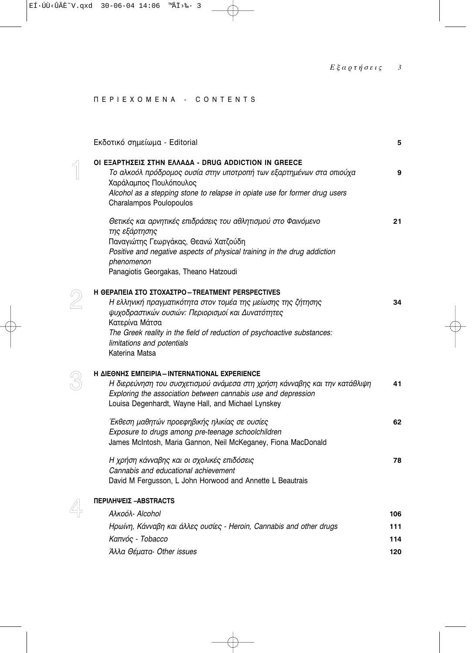# **ΠΕΡΙΕΧΟΜΕΝΑ - CONTENTS**

| Εκδοτικό σημείωμα - Editorial                                                                                                                                                                                                                                                                                       | 5   |
|---------------------------------------------------------------------------------------------------------------------------------------------------------------------------------------------------------------------------------------------------------------------------------------------------------------------|-----|
| ΟΙ ΕΞΑΡΤΗΣΕΙΣ ΣΤΗΝ ΕΛΛΑΔΑ - DRUG ADDICTION IN GREECE<br>Το αλκοόλ πρόδρομος ουσία στην υποτροπή των εξαρτημένων στα οπιούχα<br>Χαράλαμπος Πουλόπουλος<br>Alcohol as a stepping stone to relapse in opiate use for former drug users<br>Charalampos Poulopoulos                                                      | 9   |
| Θετικές και αρνητικές επιδράσεις του αθλητισμού στο Φαινόμενο<br>της εξάρτησης<br>Παναγιώτης Γεωργάκας, Θεανώ Χατζούδη<br>Positive and negative aspects of physical training in the drug addiction<br>phenomenon<br>Panagiotis Georgakas, Theano Hatzoudi                                                           | 21  |
| Η ΘΕΡΑΠΕΙΑ ΣΤΟ ΣΤΟΧΑΣΤΡΟ - TREATMENT PERSPECTIVES<br>Η ελληνική πραγματικότητα στον τομέα της μείωσης της ζήτησης<br>ψυχοδραστικών ουσιών: Περιορισμοί και Δυνατότητες<br>Κατερίνα Μάτσα<br>The Greek reality in the field of reduction of psychoactive substances:<br>limitations and potentials<br>Katerina Matsa | 34  |
| Η ΔΙΕΘΝΗΣ ΕΜΠΕΙΡΙΑ – INTERNATIONAL EXPERIENCE<br>Η διερεύνηση του συσχετισμού ανάμεσα στη χρήση κάνναβης και την κατάθλιψη<br>Exploring the association between cannabis use and depression<br>Louisa Degenhardt, Wayne Hall, and Michael Lynskey                                                                   | 41  |
| Έκθεση μαθητών προεφηβικής ηλικίας σε ουσίες<br>Exposure to drugs among pre-teenage schoolchildren<br>James McIntosh, Maria Gannon, Neil McKeganey, Fiona MacDonald                                                                                                                                                 | 62  |
| Η χρήση κάνναβης και οι σχολικές επιδόσεις<br>Cannabis and educational achievement<br>David M Fergusson, L John Horwood and Annette L Beautrais                                                                                                                                                                     | 78  |
| ΠΕΡΙΛΗΨΕΙΣ - ABSTRACTS                                                                                                                                                                                                                                                                                              |     |
| Αλκοόλ- Alcohol                                                                                                                                                                                                                                                                                                     | 106 |
| Ηρωίνη, Κάνναβη και άλλες ουσίες - Heroin, Cannabis and other drugs                                                                                                                                                                                                                                                 | 111 |
| Καπνός - Tobacco                                                                                                                                                                                                                                                                                                    | 114 |
| Άλλα Θέματα- Other issues                                                                                                                                                                                                                                                                                           | 120 |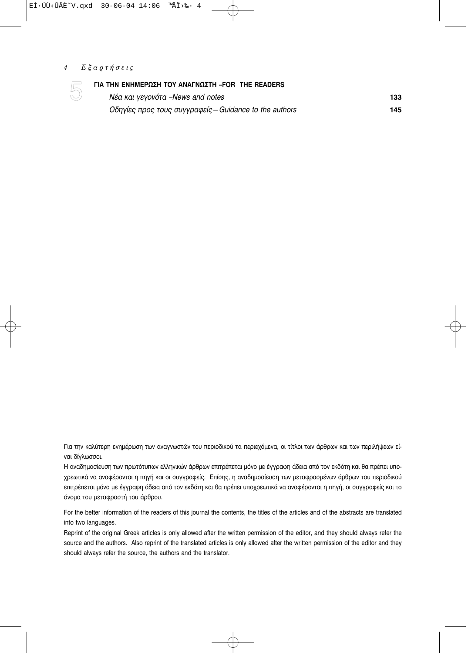#### Εξαρτήσεις  $\overline{4}$



## ΓΙΑ ΤΗΝ ΕΝΗΜΕΡΩΣΗ ΤΟΥ ΑΝΑΓΝΩΣΤΗ -FOR THE READERS

| Νέα και γεγονότα –News and notes                       | 133 |
|--------------------------------------------------------|-----|
| Οδηγίες προς τους συγγραφείς – Guidance to the authors | 145 |

Για την καλύτερη ενημέρωση των αναγνωστών του περιοδικού τα περιεχόμενα, οι τίτλοι των άρθρων και των περιλήψεων είναι δίγλωσσοι.

Η αναδημοσίευση των πρωτότυπων ελληνικών άρθρων επιτρέπεται μόνο με έγγραφη άδεια από τον εκδότη και θα πρέπει υποχρεωτικά να αναφέρονται η πηγή και οι συγγραφείς. Επίσης, η αναδημοσίευση των μεταφρασμένων άρθρων του περιοδικού επιτρέπεται μόνο με έγγραφη άδεια από τον εκδότη και θα πρέπει υποχρεωτικά να αναφέρονται η πηγή, οι συγγραφείς και το όνομα του μεταφραστή του άρθρου.

For the better information of the readers of this journal the contents, the titles of the articles and of the abstracts are translated into two languages.

Reprint of the original Greek articles is only allowed after the written permission of the editor, and they should always refer the source and the authors. Also reprint of the translated articles is only allowed after the written permission of the editor and they should always refer the source, the authors and the translator.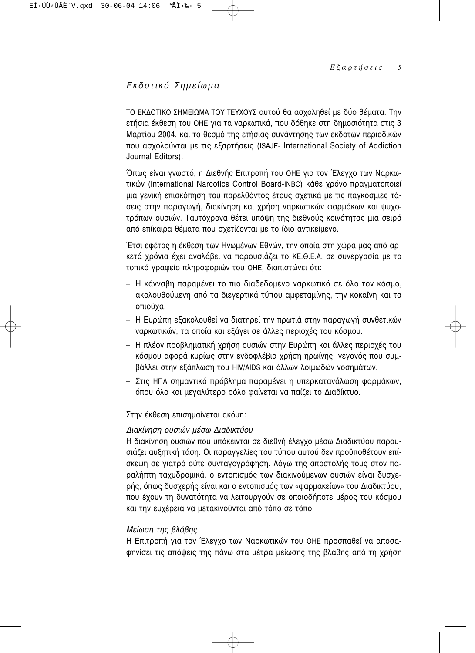# Εκδοτικό Σημείωμα

ΤΟ ΕΚΔΟΤΙΚΟ ΣΗΜΕΙΩΜΑ ΤΟΥ ΤΕΥΧΟΥΣ αυτού θα ασχοληθεί με δύο θέματα. Την ετήσια έκθεση του ΟΗΕ για τα ναρκωτικά, που δόθηκε στη δημοσιότητα στις 3 Μαρτίου 2004, και το θεσμό της ετήσιας συνάντησης των εκδοτών περιοδικών που ασχολούνται με τις εξαρτήσεις (ISAJE- International Society of Addiction Journal Editors).

Όπως είναι ννωστό, η Διεθνής Επιτροπή του ΟΗΕ νια τον Έλενχο των Ναρκωτικών (International Narcotics Control Board-INBC) κάθε χρόνο πραγματοποιεί μια γενική επισκόπηση του παρελθόντος έτους σχετικά με τις παγκόσμιες τάσεις στην παραγωγή, διακίνηση και χρήση ναρκωτικών φαρμάκων και ψυχοτρόπων ουσιών. Ταυτόχρονα θέτει υπόψη της διεθνούς κοινότητας μια σειρά από επίκαιρα θέματα που σχετίζονται με το ίδιο αντικείμενο.

Έτσι εφέτος η έκθεση των Ηνωμένων Εθνών, την οποία στη χώρα μας από αρκετά χρόνια έχει αναλάβει να παρουσιάζει το ΚΕ.Θ.Ε.Α. σε συνεργασία με το τοπικό γραφείο πληροφοριών του ΟΗΕ, διαπιστώνει ότι:

- Η κάνναβη παραμένει το πιο διαδεδομένο ναρκωτικό σε όλο τον κόσμο. ακολουθούμενη από τα διεγερτικά τύπου αμφεταμίνης, την κοκαΐνη και τα οπιούχα.
- Η Ευρώπη εξακολουθεί να διατηρεί την πρωτιά στην παραγωγή συνθετικών ναρκωτικών, τα οποία και εξάγει σε άλλες περιοχές του κόσμου.
- Η πλέον προβληματική χρήση ουσιών στην Ευρώπη και άλλες περιοχές του κόσμου αφορά κυρίως στην ενδοφλέβια χρήση ηρωίνης, γεγονός που συμβάλλει στην εξάπλωση του HIV/AIDS και άλλων λοιμωδών νοσημάτων.
- Στις ΗΠΑ σημαντικό πρόβλημα παραμένει η υπερκατανάλωση φαρμάκων, όπου όλο και μεγαλύτερο ρόλο φαίνεται να παίζει το Διαδίκτυο.

# Στην έκθεση επισημαίνεται ακόμη:

# Διακίνηση ουσιών μέσω Διαδικτύου

Η διακίνηση ουσιών που υπόκεινται σε διεθνή έλεγχο μέσω Διαδικτύου παρουσιάζει αυξητική τάση. Οι παραγγελίες του τύπου αυτού δεν προϋποθέτουν επίσκεψη σε γιατρό ούτε συνταγογράφηση. Λόγω της αποστολής τους στον παραλήπτη ταχυδρομικά, ο εντοπισμός των διακινούμενων ουσιών είναι δυσχερής, όπως δυσχερής είναι και ο εντοπισμός των «φαρμακείων» του Διαδικτύου, που έχουν τη δυνατότητα να λειτουργούν σε οποιοδήποτε μέρος του κόσμου και την ευχέρεια να μετακινούνται από τόπο σε τόπο.

# Μείωση της βλάβης

Η Επιτροπή για τον Έλεγχο των Ναρκωτικών του ΟΗΕ προσπαθεί να αποσαφηνίσει τις απόψεις της πάνω στα μέτρα μείωσης της βλάβης από τη χρήση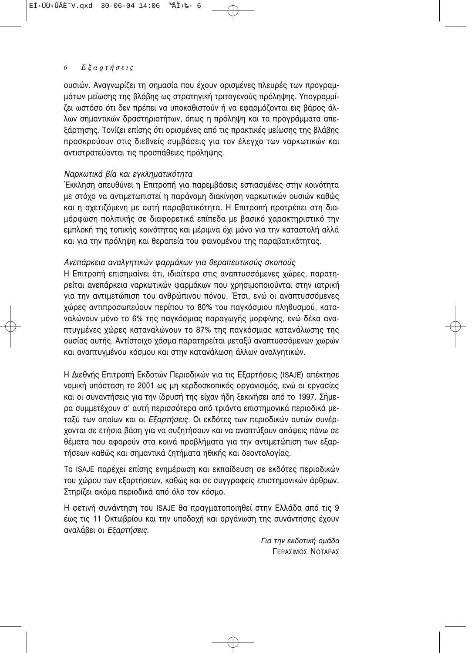#### Εξαρτήσεις 6

ουσιών. Αναγνωρίζει τη σημασία που έχουν ορισμένες πλευρές των προγραμμάτων μείωσης της βλάβης ως στρατηγική τριτογενούς πρόληψης. Υπογραμμίζει ωστόσο ότι δεν πρέπει να υποκαθιστούν ή να εφαρμόζονται εις βάρος άλλων σημαντικών δραστηριοτήτων, όπως η πρόληψη και τα προγράμματα απεξάρτησης. Τονίζει επίσης ότι ορισμένες από τις πρακτικές μείωσης της βλάβης προσκρούουν στις διεθνείς συμβάσεις για τον έλεγχο των ναρκωτικών και αντιστρατεύονται τις προσπάθειες πρόληψης.

# Ναρκωτικά βία και εγκληματικότητα

Έκκληση απευθύνει η Επιτροπή για παρεμβάσεις εστιασμένες στην κοινότητα με στόχο να αντιμετωπιστεί η παράνομη διακίνηση ναρκωτικών ουσιών καθώς και η σχετιζόμενη με αυτή παραβατικότητα. Η Επιτροπή προτρέπει στη διαμόρφωση πολιτικής σε διαφορετικά επίπεδα με βασικό χαρακτηριστικό την εμπλοκή της τοπικής κοινότητας και μέριμνα όχι μόνο για την καταστολή αλλά και για την πρόληψη και θεραπεία του φαινομένου της παραβατικότητας.

# Ανεπάρκεια αναλγητικών φαρμάκων για θεραπευτικούς σκοπούς

Η Επιτροπή επισημαίνει ότι, ιδιαίτερα στις αναπτυσσόμενες χώρες, παρατηρείται ανεπάρκεια ναρκωτικών φαρμάκων που χρησιμοποιούνται στην ιατρική για την αντιμετώπιση του ανθρώπινου πόνου. Έτσι, ενώ οι αναπτυσσόμενες χώρες αντιπροσωπεύουν περίπου το 80% του παγκόσμιου πληθυσμού, καταναλώνουν μόνο το 6% της παγκόσμιας παραγωγής μορφίνης, ενώ δέκα αναπτυγμένες χώρες καταναλώνουν το 87% της παγκόσμιας κατανάλωσης της ουσίας αυτής. Αντίστοιχο χάσμα παρατηρείται μεταξύ αναπτυσσόμενων χωρών και αναπτυγμένου κόσμου και στην κατανάλωση άλλων αναλγητικών.

Η Διεθνής Επιτροπή Εκδοτών Περιοδικών για τις Εξαρτήσεις (ISAJE) απέκτησε νομική υπόσταση το 2001 ως μη κερδοσκοπικός οργανισμός, ενώ οι εργασίες και οι συναντήσεις για την ίδρυσή της είχαν ήδη ξεκινήσει από το 1997. Σήμερα συμμετέχουν σ' αυτή περισσότερα από τριάντα επιστημονικά περιοδικά μεταξύ των οποίων και οι Εξαρτήσεις. Οι εκδότες των περιοδικών αυτών συνέρχονται σε ετήσια βάση για να συζητήσουν και να αναπτύξουν απόψεις πάνω σε θέματα που αφορούν στα κοινά προβλήματα για την αντιμετώπιση των εξαρτήσεων καθώς και σημαντικά ζητήματα ηθικής και δεοντολογίας.

To ISAJE παρέχει επίσης ενημέρωση και εκπαίδευση σε εκδότες περιοδικών του χώρου των εξαρτήσεων, καθώς και σε συγγραφείς επιστημονικών άρθρων. Στηρίζει ακόμα περιοδικά από όλο τον κόσμο.

Η φετινή συνάντηση του ISAJE θα πραγματοποιηθεί στην Ελλάδα από τις 9 έως τις 11 Οκτωβρίου και την υποδοχή και οργάνωση της συνάντησης έχουν αναλάβει οι Εξαρτήσεις.

> Για την εκδοτική ομάδα ΓΕΡΑΣΙΜΩΣ ΝΩΤΑΡΑΣ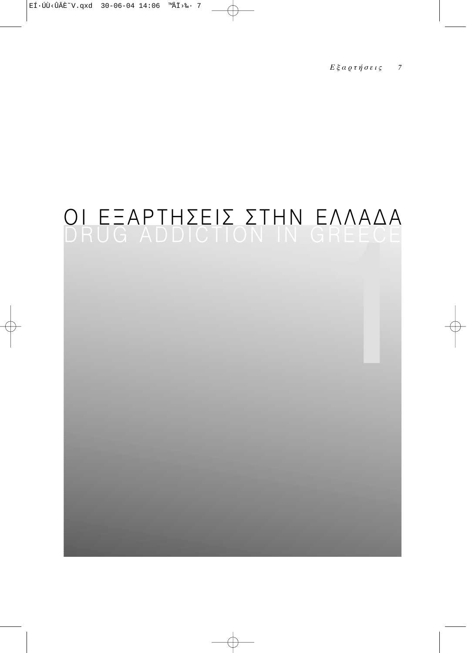# **OL EEAPTHEEIX STHN EAAAAA**<br>Drug addiction in greece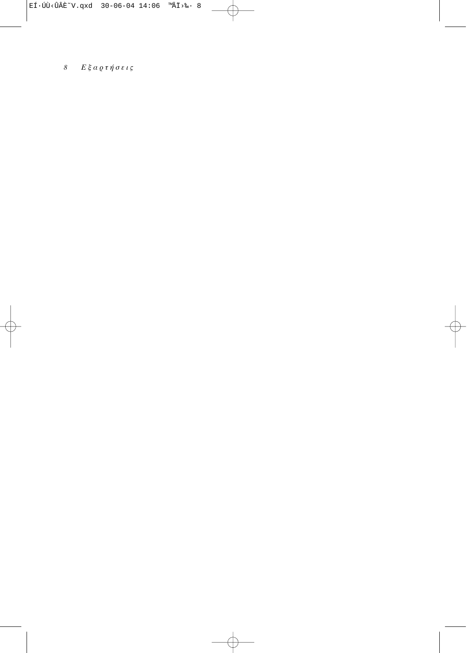#### *Εξαρτήσεις*  $\mathcal{S}$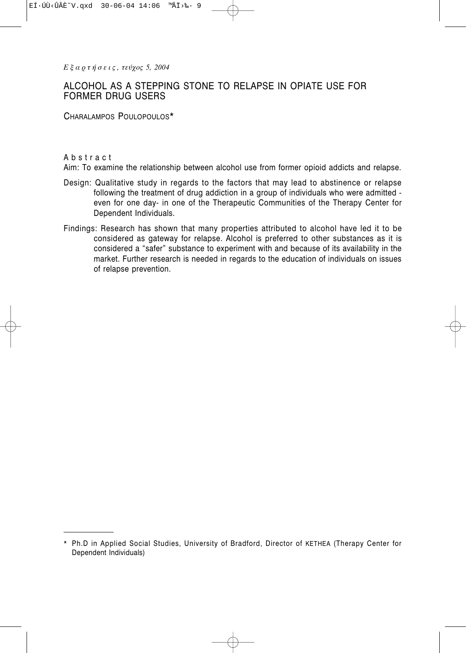Εξαρτήσεις, τεύχος 5, 2004

# ALCOHOL AS A STEPPING STONE TO RELAPSE IN OPIATE USE FOR **FORMER DRUG USERS**

CHARALAMPOS POULOPOULOS\*

# Abstract

Aim: To examine the relationship between alcohol use from former opioid addicts and relapse.

- Design: Qualitative study in regards to the factors that may lead to abstinence or relapse following the treatment of drug addiction in a group of individuals who were admitted even for one day- in one of the Therapeutic Communities of the Therapy Center for Dependent Individuals.
- Findings: Research has shown that many properties attributed to alcohol have led it to be considered as gateway for relapse. Alcohol is preferred to other substances as it is considered a "safer" substance to experiment with and because of its availability in the market. Further research is needed in regards to the education of individuals on issues of relapse prevention.

<sup>\*</sup> Ph.D in Applied Social Studies, University of Bradford, Director of KETHEA (Therapy Center for Dependent Individuals)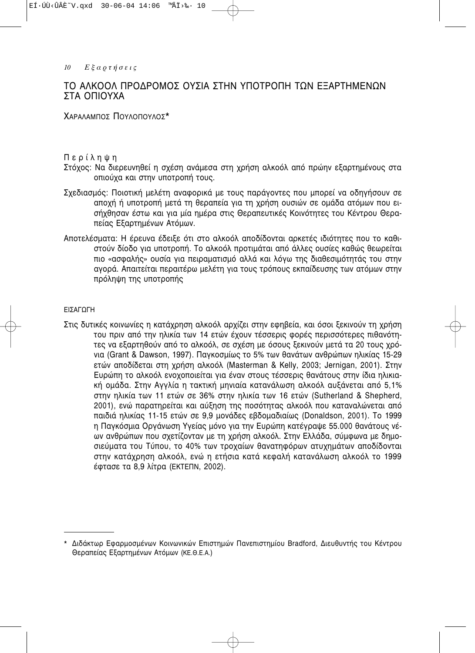# ΤΟ ΑΛΚΟΟΛ ΠΡΟΛΡΟΜΟΣ ΟΥΣΙΑ ΣΤΗΝ ΥΠΟΤΡΟΠΗ ΤΟΝ ΕΞΑΡΤΗΜΕΝΟΝ ΣΤΑ ΟΠΙΟΥΧΑ

ΧΑΡΑΛΑΜΠΟΣ ΠΟΥΛΟΠΟΥΛΟΣ\*

# Περίληψη

- Στόχος: Να διερευνηθεί η σχέση ανάμεσα στη χρήση αλκοόλ από πρώην εξαρτημένους στα οπιούχα και στην υποτροπή τους.
- Σχεδιασμός: Ποιοτική μελέτη αναφορικά με τους παράγοντες που μπορεί να οδηγήσουν σε αποχή ή υποτροπή μετά τη θεραπεία για τη χρήση ουσιών σε ομάδα ατόμων που εισήχθησαν έστω και για μία ημέρα στις Θεραπευτικές Κοινότητες του Κέντρου Θεραπείας Εξαρτημένων Ατόμων.
- Αποτελέσματα: Η έρευνα έδειξε ότι στο αλκοόλ αποδίδονται αρκετές ιδιότητες που το καθιστούν δίοδο για υποτροπή. Το αλκοόλ προτιμάται από άλλες ουσίες καθώς θεωρείται πιο «ασφαλής» ουσία για πειραματισμό αλλά και λόγω της διαθεσιμότητάς του στην αγορά. Απαιτείται περαιτέρω μελέτη για τους τρόπους εκπαίδευσης των ατόμων στην πρόληψη της υποτροπής

# **FITALOLH**

Στις δυτικές κοινωνίες η κατάχρηση αλκοόλ αρχίζει στην εφηβεία, και όσοι ξεκινούν τη χρήση του πριν από την ηλικία των 14 ετών έχουν τέσσερις φορές περισσότερες πιθανότητες να εξαρτηθούν από το αλκοόλ, σε σχέση με όσους ξεκινούν μετά τα 20 τους χρόνια (Grant & Dawson, 1997). Παγκοσμίως το 5% των θανάτων ανθρώπων ηλικίας 15-29 ετών αποδίδεται στη χρήση αλκοόλ (Masterman & Kelly, 2003; Jernigan, 2001). Στην Ευρώπη το αλκοόλ ενοχοποιείται για έναν στους τέσσερις θανάτους στην ίδια ηλικιακή ομάδα. Στην Αγγλία η τακτική μηνιαία κατανάλωση αλκοόλ αυξάνεται από 5,1% στην ηλικία των 11 ετών σε 36% στην ηλικία των 16 ετών (Sutherland & Shepherd, 2001), ενώ παρατηρείται και αύξηση της ποσότητας αλκοόλ που καταναλώνεται από παιδιά ηλικίας 11-15 ετών σε 9.9 μονάδες εβδομαδιαίως (Donaldson, 2001). Το 1999 η Παγκόσμια Οργάνωση Υγείας μόνο για την Ευρώπη κατέγραψε 55.000 θανάτους γέων ανθρώπων που σχετίζονταν με τη χρήση αλκοόλ. Στην Ελλάδα, σύμφωνα με δημοσιεύματα του Τύπου, το 40% των τροχαίων θανατηφόρων ατυχημάτων αποδίδονται στην κατάχρηση αλκοόλ, ενώ η ετήσια κατά κεφαλή κατανάλωση αλκοόλ το 1999 έφτασε τα 8,9 λίτρα (ΕΚΤΕΠΝ, 2002).

<sup>\*</sup> Διδάκτωρ Εφαρμοσμένων Κοινωνικών Επιστημών Πανεπιστημίου Bradford, Διευθυντής του Κέντρου Θεραπείας Εξαρτημένων Ατόμων (ΚΕ.Θ.Ε.Α.)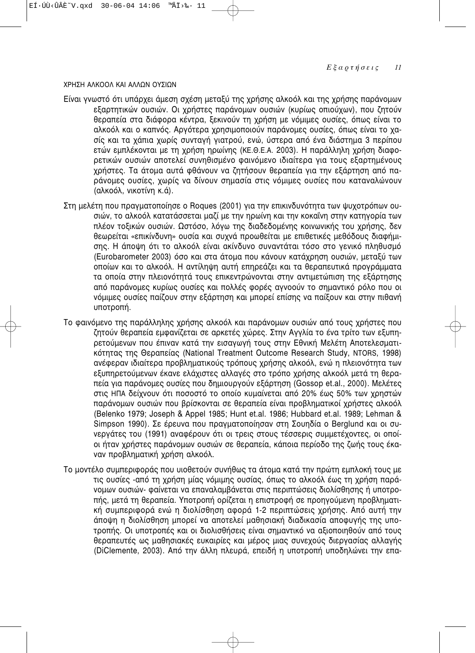# ΧΡΗΣΗ ΑΛΚΟΟΛ ΚΑΙ ΑΛΛΩΝ ΟΥΣΙΩΝ

- Είναι γνωστό ότι υπάρχει άμεση σχέση μεταξύ της χρήσης αλκοόλ και της χρήσης παράνομων εξαρτητικών ουσιών. Οι χρήστες παράνομων ουσιών (κυρίως οπιούχων), που ζητούν θεραπεία στα διάφορα κέντρα, ξεκινούν τη χρήση με νόμιμες ουσίες, όπως είναι το αλκοόλ και ο καπνός. Αργότερα χρησιμοποιούν παράνομες ουσίες, όπως είναι το χασίς και τα χάπια χωρίς συντανή γιατρού, ενώ, ύστερα από ένα διάστημα 3 περίπου ετών εμπλέκονται με τη χρήση ηρωίνης (ΚΕ.Θ.Ε.Α. 2003). Η παράλληλη χρήση διαφορετικών ουσιών αποτελεί συνηθισμένο φαινόμενο ιδιαίτερα για τους εξαρτημένους χρήστες. Τα άτομα αυτά φθάνουν να ζητήσουν θεραπεία νια την εξάρτηση από παράνομες ουσίες, χωρίς να δίνουν σημασία στις νόμιμες ουσίες που καταναλώνουν (αλκοόλ, νικοτίνη κ.ά).
- Στη μελέτη που πραγματοποίησε ο Roques (2001) για την επικινδυνότητα των ψυχοτρόπων ουσιών, το αλκοόλ κατατάσσεται μαζί με την ηρωίνη και την κοκαΐνη στην κατηγορία των πλέον τοξικών ουσιών. Ωστόσο, λόγω της διαδεδομένης κοινωνικής του χρήσης, δεν θεωρείται «επικίνδυνη» ουσία και συχνά προωθείται με επιθετικές μεθόδους διαφήμισης. Η άποψη ότι το αλκοόλ είναι ακίνδυνο συναντάται τόσο στο γενικό πληθυσμό (Eurobarometer 2003) όσο και στα άτομα που κάνουν κατάχρηση ουσιών, μεταξύ των οποίων και το αλκοόλ. Η αντίληψη αυτή επηρεάζει και τα θεραπευτικά προγράμματα τα οποία στην πλειονότητά τους επικεντρώνονται στην αντιμετώπιση της εξάρτησης από παράνομες κυρίως ουσίες και πολλές φορές αγνοούν το σημαντικό ρόλο που οι νόμιμες ουσίες παίζουν στην εξάρτηση και μπορεί επίσης να παίξουν και στην πιθανή υποτροπή.
- Το φαινόμενο της παράλληλης χρήσης αλκοόλ και παράνομων ουσιών από τους χρήστες που ζητούν θεραπεία εμφανίζεται σε αρκετές χώρες. Στην Αγγλία το ένα τρίτο των εξυπηρετούμενων που έπιναν κατά την εισαγωγή τους στην Εθνική Μελέτη Αποτελεσματι-Kότητας της Θεραπείας (National Treatment Outcome Research Study, NTORS, 1998) ανέφεραν ιδιαίτερα προβληματικούς τρόπους χρήσης αλκοόλ, ενώ η πλειονότητα των εξυπηρετούμενων έκανε ελάχιστες αλλαγές στο τρόπο χρήσης αλκοόλ μετά τη θεραπεία για παράνομες ουσίες που δημιουργούν εξάρτηση (Gossop et.al., 2000). Μελέτες στις ΗΠΑ δείχνουν ότι ποσοστό το οποίο κυμαίνεται από 20% έως 50% των χρηστών παράνομων ουσιών που βρίσκονται σε θεραπεία είναι προβληματικοί χρήστες αλκοόλ (Belenko 1979; Joseph & Appel 1985; Hunt et.al. 1986; Hubbard et.al. 1989; Lehman & Simpson 1990). Σε έρευνα που πρανματοποίησαν στη Σουηδία ο Berglund και οι συ-Vεργάτες του (1991) αναφέρουν ότι οι τρεις στους τέσσερις συμμετέχοντες, οι οποίοι ήταν χρήστες παράνομων ουσιών σε θεραπεία, κάποια περίοδο της ζωής τους έκαναν προβληματική χρήση αλκοόλ.
- Το μοντέλο συμπεριφοράς που υιοθετούν συνήθως τα άτομα κατά την πρώτη εμπλοκή τους με τις ουσίες -από τη χρήση μίας νόμιμης ουσίας, όπως το αλκοόλ έως τη χρήση παράνομων ουσιών- φαίνεται να επαναλαμβάνεται στις περιπτώσεις διολίσθησης ή υποτροπής, μετά τη θεραπεία. Υποτροπή ορίζεται η επιστροφή σε προηγούμενη προβληματική συμπεριφορά ενώ η διολίσθηση αφορά 1-2 περιπτώσεις χρήσης. Από αυτή την άποψη η διολίσθηση μπορεί να αποτελεί μαθησιακή διαδικασία αποφυγής της υποτροπής. Οι υποτροπές και οι διολισθήσεις είναι σημαντικό να αξιοποιηθούν από τους θεραπευτές ως μαθησιακές ευκαιρίες και μέρος μιας συνεχούς διεργασίας αλλαγής (DiClemente, 2003). Από την άλλη πλευρά, επειδή η υποτροπή υποδηλώνει την επα-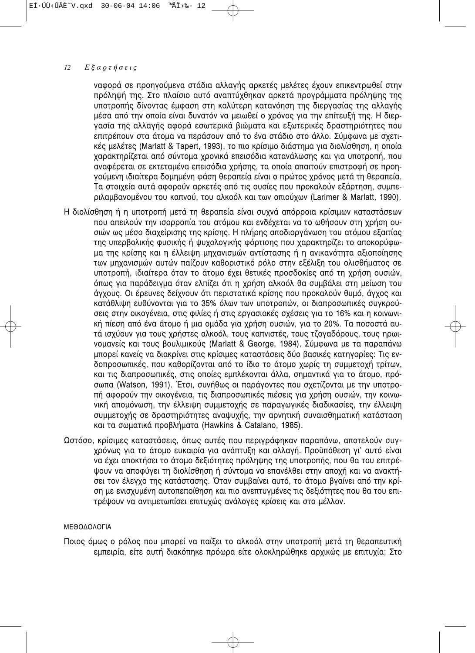# *12 <i>Eξαρτήσεις*

ναφορά σε προηγούμενα στάδια αλλαγής αρκετές μελέτες έχουν επικεντρωθεί στην πρόληψή της. Στο πλαίσιο αυτό αναπτύχθηκαν αρκετά προγράμματα πρόληψης της υποτροπής δίνοντας έμφαση στη καλύτερη κατανόηση της διερνασίας της αλλανής μέσα από την οποία είναι δυνατόν να μειωθεί ο χρόνος για την επίτευξή της. Η διερνασία της αλλανής αφορά εσωτερικά βιώματα και εξωτερικές δραστηριότητες που επιτρέπουν στα άτομα να περάσουν από το ένα στάδιο στο άλλο. Σύμφωνα με σχετι-Κές μελέτες (Marlatt & Tapert, 1993), το πιο κρίσιμο διάστημα για διολίσθηση, η οποία χαρακτηρίζεται από σύντομα χρονικά επεισόδια κατανάλωσης και για υποτροπή, που αναφέρεται σε εκτεταμένα επεισόδια χρήσης, τα οποία απαιτούν επιστροφή σε προηγούμενη ιδιαίτερα δομημένη φάση θεραπεία είναι ο πρώτος χρόνος μετά τη θεραπεία. Τα στοιχεία αυτά αφορούν αρκετές από τις ουσίες που προκαλούν εξάρτηση, συμπεpιλαμβανομένου του καπνού, του αλκοόλ και των οπιούχων (Larimer & Marlatt, 1990).

- Η διολίσθηση ή η υποτροπή μετά τη θεραπεία είναι συχνά απόρροια κρίσιμων καταστάσεων που απειλούν την ισορροπία του ατόμου και ενδέχεται να το ωθήσουν στη χρήση ουσιών ως μέσο διαχείρισης της κρίσης. Η πλήρης αποδιοργάνωση του ατόμου εξαιτίας της υπερβολικής φυσικής ή ψυχολογικής φόρτισης που χαρακτηρίζει το αποκορύφωμα της κρίσης και η έλλειψη μηχανισμών αντίστασης ή η ανικανότητα αξιοποίησης των μηχανισμών αυτών παίζουν καθοριστικό ρόλο στην εξέλιξη του ολισθήματος σε υποτροπή, ιδιαίτερα όταν το άτομο έχει θετικές προσδοκίες από τη χρήση ουσιών, όπως για παράδειγμα όταν ελπίζει ότι η χρήση αλκοόλ θα συμβάλει στη μείωση του άγχους. Οι έρευνες δείχνουν ότι περιστατικά κρίσης που προκαλούν θυμό, άγχος και κατάθλιψη ευθύνονται για το 35% όλων των υποτροπών, οι διαπροσωπικές συγκρούσεις στην οικογένεια, στις φιλίες ή στις εργασιακές σχέσεις για το 16% και η κοινωνική πίεση από ένα άτομο ή μια ομάδα για χρήση ουσιών, για το 20%. Τα ποσοστά αυτά ισχύουν για τους χρήστες αλκοόλ, τους καπνιστές, τους τζογαδόρους, τους ηρωιvομανείς και τους βουλιμικούς (Marlatt & George, 1984). Σύμφωνα με τα παραπάνω μπορεί κανείς να διακρίνει στις κρίσιμες καταστάσεις δύο βασικές κατηγορίες: Τις ενδοπροσωπικές, που καθορίζονται από το ίδιο το άτομο χωρίς τη συμμετοχή τρίτων. και τις διαπροσωπικές, στις οποίες εμπλέκονται άλλα, σημαντικά για το άτομο, πρόσωπα (Watson, 1991). Έτσι, συνήθως οι παράγοντες που σχετίζονται με την υποτροπή αφορούν την οικογένεια, τις διαπροσωπικές πιέσεις για χρήση ουσιών, την κοινωνική απομόνωση, την έλλειψη συμμετοχής σε παραγωγικές διαδικασίες, την έλλειψη συμμετοχής σε δραστηριότητες αναψυχής, την αρνητική συναισθηματική κατάσταση και τα σωματικά προβλήματα (Hawkins & Catalano, 1985).
- Ωστόσο, κρίσιμες καταστάσεις, όπως αυτές που περιγράφηκαν παραπάνω, αποτελούν συγχρόνως για το άτομο ευκαιρία για ανάπτυξη και αλλαγή. Προϋπόθεση γι' αυτό είναι να έχει αποκτήσει το άτομο δεξιότητες πρόληψης της υποτροπής, που θα του επιτρέψουν να αποφύγει τη διολίσθηση ή σύντομα να επανέλθει στην αποχή και να ανακτήσει τον έλεγχο της κατάστασης. Όταν συμβαίνει αυτό, το άτομο βγαίνει από την κρίση με ενισχυμένη αυτοπεποίθηση και πιο ανεπτυγμένες τις δεξιότητες που θα του επιτρέψουν να αντιμετωπίσει επιτυχώς ανάλογες κρίσεις και στο μέλλον.

# ΜΕΘΟΔΟΛΟΓΙΑ

Ποιος όμως ο ρόλος που μπορεί να παίξει το αλκοόλ στην υποτροπή μετά τη θεραπευτική εμπειρία, είτε αυτή διακόπηκε πρόωρα είτε ολοκληρώθηκε αρχικώς με επιτυχία; Στο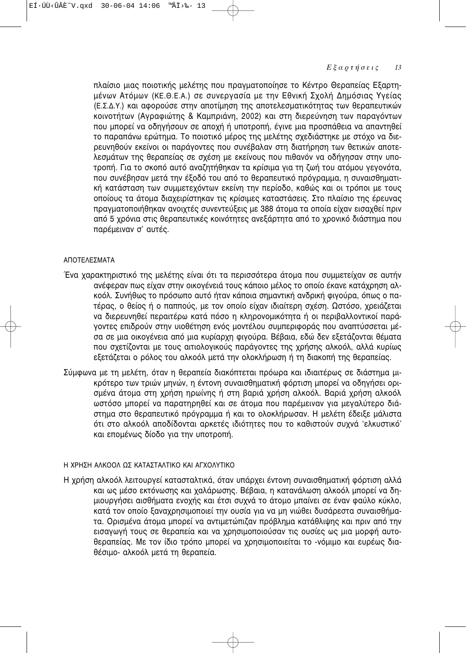πλαίσιο μιας ποιοτικής μελέτης που πραγματοποίησε το Κέντρο Θεραπείας Εξαρτημένων Ατόμων (ΚΕ.Θ.Ε.Α.) σε συνεργασία με την Εθνική Σχολή Δημόσιας Υγείας (Ε.Σ.Δ.Υ.) και αφορούσε στην αποτίμηση της αποτελεσματικότητας των θεραπευτικών κοινοτήτων (Αγραφιώτης & Καμπριάνη, 2002) και στη διερεύνηση των παραγόντων που μπορεί να οδηγήσουν σε αποχή ή υποτροπή, έγινε μια προσπάθεια να απαντηθεί το παραπάνω ερώτημα. Το ποιοτικό μέρος της μελέτης σχεδιάστηκε με στόχο να διερευνηθούν εκείνοι οι παράγοντες που συνέβαλαν στη διατήρηση των θετικών αποτελεσμάτων της θεραπείας σε σχέση με εκείνους που πιθανόν να οδήγησαν στην υποτροπή. Για το σκοπό αυτό αναζητήθηκαν τα κρίσιμα για τη ζωή του ατόμου γεγονότα, που συνέβησαν μετά την έξοδό του από το θεραπευτικό πρόγραμμα, η συναισθηματική κατάσταση των συμμετεχόντων εκείνη την περίοδο, καθώς και οι τρόποι με τους οποίους τα άτομα διαχειρίστηκαν τις κρίσιμες καταστάσεις. Στο πλαίσιο της έρευνας πραγματοποιήθηκαν ανοιχτές συνεντεύξεις με 388 άτομα τα οποία είχαν εισαχθεί πριν από 5 χρόνια στις θεραπευτικές κοινότητες ανεξάρτητα από το χρονικό διάστημα που παρέμειναν σ' αυτές.

# ∞¶OTE§E™MATA

- Ένα χαρακτηριστικό της μελέτης είναι ότι τα περισσότερα άτομα που συμμετείχαν σε αυτήν ανέφεραν πως είχαν στην οικογένειά τους κάποιο μέλος το οποίο έκανε κατάχρηση αλ-Κοόλ. Συνήθως το πρόσωπο αυτό ήταν κάποια σημαντική ανδρική φιγούρα, όπως ο πατέρας, ο θείος ή ο παππούς, με τον οποίο είχαν ιδιαίτερη σχέση. Ωστόσο, χρειάζεται να διερευνηθεί περαιτέρω κατά πόσο η κληρονομικότητα ή οι περιβαλλοντικοί παράγοντες επιδρούν στην υιοθέτηση ενός μοντέλου συμπεριφοράς που αναπτύσσεται μέσα σε μια οικογένεια από μια κυρίαρχη φιγούρα. Βέβαια, εδώ δεν εξετάζονται θέματα που σχετίζονται με τους αιτιολογικούς παράγοντες της χρήσης αλκοόλ, αλλά κυρίως εξετάζεται ο ρόλος του αλκοόλ μετά την ολοκλήρωση ή τη διακοπή της θεραπείας.
- Σύμφωνα με τη μελέτη, όταν η θεραπεία διακόπτεται πρόωρα και ιδιαιτέρως σε διάστημα μι-Κρότερο των τριών μηνών, η έντονη συναισθηματική φόρτιση μπορεί να οδηγήσει ορισμένα άτομα στη χρήση ηρωίνης ή στη βαριά χρήση αλκοόλ. Βαριά χρήση αλκοόλ ωστόσο μπορεί να παρατηρηθεί και σε άτομα που παρέμειναν για μεγαλύτερο διάστημα στο θεραπευτικό πρόγραμμα ή και το ολοκλήρωσαν. Η μελέτη έδειξε μάλιστα ότι στο αλκοόλ αποδίδονται αρκετές ιδιότητες που το καθιστούν συχνά 'ελκυστικό' και επομένως δίοδο για την υποτροπή.

# Η ΧΡΗΣΗ ΑΛΚΟΟΛ ΩΣ ΚΑΤΑΣΤΑΛΤΙΚΟ ΚΑΙ ΑΓΧΟΛΥΤΙΚΟ

Η χρήση αλκοόλ λειτουργεί κατασταλτικά, όταν υπάρχει έντονη συναισθηματική φόρτιση αλλά και ως μέσο εκτόνωσης και χαλάρωσης. Βέβαια, η κατανάλωση αλκοόλ μπορεί να δημιουργήσει αισθήματα ενοχής και έτσι συχνά το άτομο μπαίνει σε έναν φαύλο κύκλο, κατά τον οποίο ξαναχρησιμοποιεί την ουσία για να μη νιώθει δυσάρεστα συναισθήματα. Ορισμένα άτομα μπορεί να αντιμετώπιζαν πρόβλημα κατάθλιψης και πριν από την εισαγωγή τους σε θεραπεία και να χρησιμοποιούσαν τις ουσίες ως μια μορφή αυτοθεραπείας. Με τον ίδιο τρόπο μπορεί να χρησιμοποιείται το -νόμιμο και ευρέως διαθέσιμο- αλκοόλ μετά τη θεραπεία.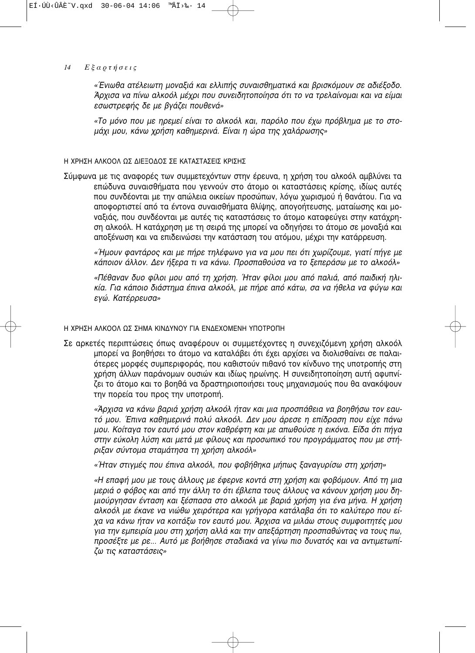# $14$   $E \xi a \varrho \tau \eta \sigma \varepsilon \iota \varsigma$

«Ένιωθα ατέλειωτη μοναξιά και ελλιπής συναισθηματικά και βρισκόμουν σε αδιέξοδο. Άρχισα να πίνω αλκοόλ μέχρι που συνειδητοποίησα ότι το να τρελαίνομαι και να είμαι εσωστρεφής δε με βνάζει πουθενά»

«Το μόνο που με ηρεμεί είναι το αλκοόλ και, παρόλο που έχω πρόβλημα με το στομάχι μου, κάνω χρήση καθημερινά. Είναι η ώρα της χαλάρωσης»

# Η ΧΡΗΣΗ ΑΛΚΩΩΛ ΩΣ ΛΙΕΞΩΛΩΣ ΣΕ ΚΑΤΑΣΤΑΣΕΙΣ ΚΡΙΣΗΣ

Σύμφωνα με τις αναφορές των συμμετεχόντων στην έρευνα, η χρήση του αλκοόλ αμβλύνει τα επώδυνα συναισθήματα που γεννούν στο άτομο οι καταστάσεις κρίσης, ιδίως αυτές που συνδέονται με την απώλεια οικείων προσώπων, λόγω χωρισμού ή θανάτου. Για να αποφορτιστεί από τα έντονα συναισθήματα θλίψης, απογοήτευσης, ματαίωσης και μοναξιάς, που συνδέονται με αυτές τις καταστάσεις το άτομο καταφεύγει στην κατάχρηση αλκοόλ. Η κατάχρηση με τη σειρά της μπορεί να οδηγήσει το άτομο σε μοναξιά και αποξένωση και να επιδεινώσει την κατάσταση του ατόμου, μέχρι την κατάρρευση.

«Ήμουν φαντάρος και με πήρε τηλέφωνο για να μου πει ότι χωρίζουμε, γιατί πήγε με κάποιον άλλον. Δεν ήξερα τι να κάνω. Προσπαθούσα να το ξεπεράσω με το αλκοόλ»

«Πέθαναν δυο φίλοι μου από τη χρήση. Ήταν φίλοι μου από παλιά, από παιδική ηλικία. Για κάποιο διάστημα έπινα αλκοόλ, με πήρε από κάτω, σα να ήθελα να φύγω και εγώ. Κατέρρευσα»

# Η ΧΡΗΣΗ ΑΛΚΟΟΛ ΩΣ ΣΗΜΑ ΚΙΝΔΥΝΟΥ ΓΙΑ ΕΝΔΕΧΟΜΕΝΗ ΥΠΟΤΡΟΠΗ

Σε αρκετές περιπτώσεις όπως αναφέρουν οι συμμετέχοντες η συνεχιζόμενη χρήση αλκοόλ μπορεί να βοηθήσει το άτομο να καταλάβει ότι έχει αρχίσει να διολισθαίνει σε παλαιότερες μορφές συμπεριφοράς, που καθιστούν πιθανό τον κίνδυνο της υποτροπής στη χρήση άλλων παράνομων ουσιών και ιδίως ηρωίνης. Η συνειδητοποίηση αυτή αφυπνίζει το άτομο και το βοηθά να δραστηριοποιήσει τους μηχανισμούς που θα ανακόψουν την πορεία του προς την υποτροπή.

«Άρχισα να κάνω βαριά χρήση αλκοόλ ήταν και μια προσπάθεια να βοηθήσω τον εαυτό μου. Έπινα καθημερινά πολύ αλκοόλ. Δεν μου άρεσε η επίδραση που είχε πάνω μου. Κοίταγα τον εαυτό μου στον καθρέφτη και με απωθούσε η εικόνα. Είδα ότι πήγα στην εύκολη λύση και μετά με φίλους και προσωπικό του προγράμματος που με στήριξαν σύντομα σταμάτησα τη χρήση αλκοόλ»

«Ήταν στιγμές που έπινα αλκοόλ, που φοβήθηκα μήπως ξαναγυρίσω στη χρήση»

«Η επαφή μου με τους άλλους με έφερνε κοντά στη χρήση και φοβόμουν. Από τη μια μεριά ο φόβος και από την άλλη το ότι έβλεπα τους άλλους να κάνουν χρήση μου δημιούργησαν ένταση και ξέσπασα στο αλκοόλ με βαριά χρήση για ένα μήνα. Η χρήση αλκοόλ με έκανε να νιώθω χειρότερα και γρήγορα κατάλαβα ότι το καλύτερο που είχα να κάνω ήταν να κοιτάξω τον εαυτό μου. Άρχισα να μιλάω στους συμφοιτητές μου για την εμπειρία μου στη χρήση αλλά και την απεξάρτηση προσπαθώντας να τους πω, προσέξτε με ρε... Αυτό με βοήθησε σταδιακά να γίνω πιο δυνατός και να αντιμετωπίζω τις καταστάσεις»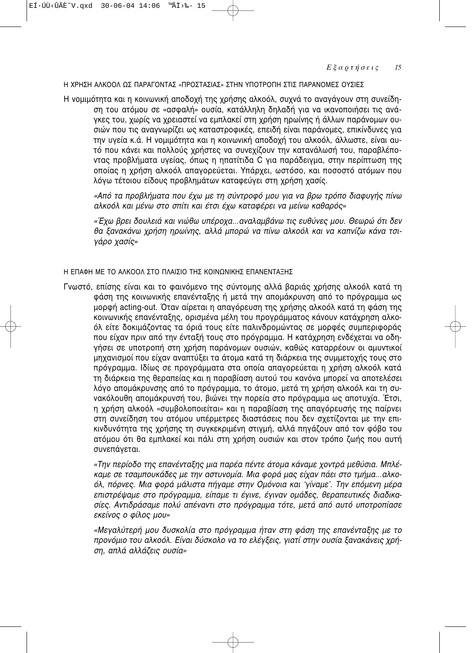# Η ΧΡΗΣΗ ΑΛΚΟΟΛ ΩΣ ΠΑΡΑΓΟΝΤΑΣ «ΠΡΟΣΤΑΣΙΑΣ» ΣΤΗΝ ΥΠΟΤΡΟΠΗ ΣΤΙΣ ΠΑΡΑΝΟΜΕΣ ΟΥΣΙΕΣ

Η νομιμότητα και η κοινωνική αποδοχή της χρήσης αλκοόλ, συχνά το αναγάγουν στη συνείδηση του ατόμου σε «ασφαλή» ουσία, κατάλληλη δηλαδή για να ικανοποιήσει τις ανάγκες του, χωρίς να χρειαστεί να εμπλακεί στη χρήση ηρωίνης ή άλλων παράνομων ουσιών που τις αναγνωρίζει ως καταστροφικές, επειδή είναι παράνομες, επικίνδυνες για την υνεία κ.ά. Η νομιμότητα και η κοινωνική αποδοχή του αλκοόλ, άλλωστε, είναι αυτό που κάνει και πολλούς χρήστες να συνεχίζουν την κατανάλωσή του, παραβλέποντας προβλήματα υγείας, όπως η ηπατίτιδα C για παράδειγμα, στην περίπτωση της οποίας η χρήση αλκοόλ απανορεύεται. Υπάρχει, ωστόσο, και ποσοστό ατόμων που λόγω τέτοιου είδους προβλημάτων καταφεύγει στη χρήση χασίς.

«Από τα προβλήματα που έχω με τη σύντροφό μου για να βρω τρόπο διαφυγής πίνω αλκοόλ και μένω στο σπίτι και έτσι έχω καταφέρει να μείνω καθαρός»

«Έχω βρει δουλειά και νιώθω υπέροχα...αναλαμβάνω τις ευθύνες μου. Θεωρώ ότι δεν θα ξανακάνω χρήση ηρωίνης, αλλά μπορώ να πίνω αλκοόλ και να καπνίζω κάνα τσιγάρο χασίς»

# Η ΕΠΑΦΗ ΜΕ ΤΟ ΑΛΚΟΟΛ ΣΤΟ ΠΛΑΙΣΙΟ ΤΗΣ ΚΟΙΝΩΝΙΚΗΣ ΕΠΑΝΕΝΤΑΞΗΣ

Γνωστό, επίσης είναι και το φαινόμενο της σύντομης αλλά βαριάς χρήσης αλκοόλ κατά τη φάση της κοινωνικής επανένταξης ή μετά την απομάκρυνση από το πρόγραμμα ως μορφή acting-out. Όταν αίρεται η απαγόρευση της χρήσης αλκοόλ κατά τη φάση της κοινωνικής επανένταξης, ορισμένα μέλη του προγράμματος κάνουν κατάχρηση αλκοόλ είτε δοκιμάζοντας τα όριά τους είτε παλινδρομώντας σε μορφές συμπεριφοράς που είχαν πριν από την ένταξή τους στο πρόγραμμα. Η κατάχρηση ενδέχεται να οδηγήσει σε υποτροπή στη χρήση παράνομων ουσιών, καθώς καταρρέουν οι αμυντικοί μηχανισμοί που είχαν αναπτύξει τα άτομα κατά τη διάρκεια της συμμετοχής τους στο πρόγραμμα. Ιδίως σε προγράμματα στα οποία απαγορεύεται η χρήση αλκοόλ κατά τη διάρκεια της θεραπείας και η παραβίαση αυτού του κανόνα μπορεί να αποτελέσει λόγο απομάκρυνσης από το πρόγραμμα, το άτομο, μετά τη χρήση αλκοόλ και τη συνακόλουθη απομάκρυνσή του, βιώνει την πορεία στο πρόγραμμα ως αποτυχία. Έτσι, η χρήση αλκοόλ «συμβολοποιείται» και η παραβίαση της απαγόρευσής της παίρνει στη συνείδηση του ατόμου υπέρμετρες διαστάσεις που δεν σχετίζονται με την επικινδυνότητα της χρήσης τη συγκεκριμένη στιγμή, αλλά πηγάζουν από τον φόβο του ατόμου ότι θα εμπλακεί και πάλι στη χρήση ουσιών και στον τρόπο ζωής που αυτή συνεπάνεται.

«Την περίοδο της επανένταξης μια παρέα πέντε άτομα κάναμε χοντρά μεθύσια. Μπλέκαμε σε τσαμπουκάδες με την αστυνομία. Μια φορά μας είχαν πάει στο τμήμα...αλκοόλ, πόρνες. Μια φορά μάλιστα πήγαμε στην Ομόνοια και 'γίναμε'. Την επόμενη μέρα επιστρέψαμε στο πρόγραμμα, είπαμε τι έγινε, έγιναν ομάδες, θεραπευτικές διαδικασίες. Αντιδράσαμε πολύ απέναντι στο πρόγραμμα τότε, μετά από αυτό υποτροπίασε εκείνος ο φίλος μου»

«Μεγαλύτερή μου δυσκολία στο πρόγραμμα ήταν στη φάση της επανένταξης με το προνόμιο του αλκοόλ. Είναι δύσκολο να το ελέγξεις, γιατί στην ουσία ξανακάνεις χρήση, απλά αλλάζεις ουσία»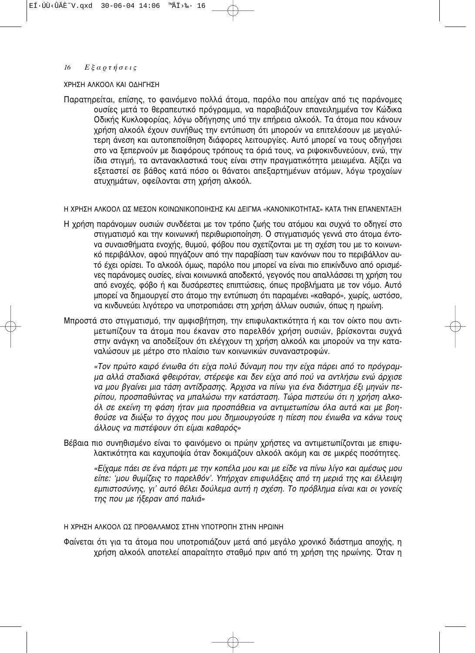# *16 <i>Eξαρτήσεις*

# ΧΡΗΣΗ ΑΛΚΟΟΛ ΚΑΙ ΟΔΗΓΗΣΗ

Παρατηρείται, επίσης, το φαινόμενο πολλά άτομα, παρόλο που απείχαν από τις παράνομες ουσίες μετά το θεραπευτικό πρόγραμμα, να παραβιάζουν επανειλημμένα τον Κώδικα Οδικής Κυκλοφορίας, λόγω οδήγησης υπό την επήρεια αλκοόλ. Τα άτομα που κάνουν χρήση αλκοόλ έχουν συνήθως την εντύπωση ότι μπορούν να επιτελέσουν με μεγαλύ- $\widetilde{\cdot}$ έρη άνεση και αυτοπεποίθηση διάφορες λειτουργίες. Αυτό μπορεί να τους οδηγήσει στο να ξεπερνούν με διαφόρους τρόπους τα όριά τους, να ριψοκινδυνεύουν, ενώ, την ίδια στινμή, τα αντανακλαστικά τους είναι στην πραγματικότητα μειωμένα. Αξίζει να εξεταστεί σε βάθος κατά πόσο οι θάνατοι απεξαρτημένων ατόμων, λόγω τροχαίων ατυχημάτων, οφείλονται στη χρήση αλκοόλ.

# Η ΧΡΗΣΗ ΑΛΚΟΟΛ ΩΣ ΜΕΣΟΝ ΚΟΙΝΩΝΙΚΟΠΟΙΗΣΗΣ ΚΑΙ ΔΕΙΓΜΑ «ΚΑΝΟΝΙΚΟΤΗΤΑΣ» ΚΑΤΑ ΤΗΝ ΕΠΑΝΕΝΤΑΞΗ

- Η χρήση παράνομων ουσιών συνδέεται με τον τρόπο ζωής του ατόμου και συχνά το οδηγεί στο .<br>Ο Τιγματισμό και την κοινωνική περιθωριοποίηση. Ο στιγματισμός γεννά στο άτομα έντονα συναισθήματα ενοχής, θυμού, φόβου που σχετίζονται με τη σχέση του με το κοινωνικό περιβάλλον, αφού πηγάζουν από την παραβίαση των κανόνων που το περιβάλλον αυτό έχει ορίσει. Το αλκοόλ όμως, παρόλο που μπορεί να είναι πιο επικίνδυνο από ορισμένες παράνομες ουσίες, είναι κοινωνικά αποδεκτό, γεγονός που απαλλάσσει τη χρήση του από ενοχές, φόβο ή και δυσάρεστες επιπτώσεις, όπως προβλήματα με τον νόμο. Αυτό μπορεί να δημιουργεί στο άτομο την εντύπωση ότι παραμένει «καθαρό», χωρίς, ωστόσο, να κινδυνεύει λιγότερο να υποτροπιάσει στη χρήση άλλων ουσιών, όπως η ηρωίνη.
- Μπροστά στο στιγματισμό, την αμφισβήτηση, την επιφυλακτικότητα ή και τον οίκτο που αντιμετωπίζουν τα άτομα που έκαναν στο παρελθόν χρήση ουσιών, βρίσκονται συχνά στην ανάγκη να αποδείξουν ότι ελέγχουν τη χρήση αλκοόλ και μπορούν να την καταναλώσουν με μέτρο στο πλαίσιο των κοινωνικών συναναστροφών.

«Τον πρώτο καιρό ένιωθα ότι είχα πολύ δύναμη που την είχα πάρει από το πρόγραμμα αλλά σταδιακά φθειρόταν, στέρεψε και δεν είχα από πού να αντλήσω ενώ άρχισε να μου βγαίνει μια τάση αντίδρασης. Άρχισα να πίνω για ένα διάστημα έξι μηνών περίπου, προσπαθώντας να μπαλώσω την κατάσταση. Τώρα πιστεύω ότι η χρήση αλκοόλ σε εκείνη τη φάση ήταν μια προσπάθεια να αντιμετωπίσω όλα αυτά και με βοηθούσε να διώξω το άγχος που μου δημιουργούσε η πίεση που ένιωθα να κάνω τους  $d\lambda\lambda$ ους να πιστέψουν ότι είμαι καθαρός»

Bέβαια πιο συνηθισμένο είναι το φαινόμενο οι πρώην χρήστες να αντιμετωπίζονται με επιφυλακτικότητα και καχυποψία όταν δοκιμάζουν αλκοόλ ακόμη και σε μικρές ποσότητες.

«Είχαμε πάει σε ένα πάρτι με την κοπέλα μου και με είδε να πίνω λίγο και αμέσως μου είπε: 'μου θυμίζεις το παρελθόν'. Υπήρχαν επιφυλάξεις από τη μεριά της και έλλειψη εμπιστοσύνης, γι' αυτό θέλει δούλεμα αυτή η σχέση. Το πρόβλημα είναι και οι γονείς της που με ήξεραν από παλιά»

# Η ΧΡΗΣΗ ΑΛΚΟΟΛ ΩΣ ΠΡΟΘΑΛΑΜΟΣ ΣΤΗΝ ΥΠΟΤΡΟΠΗ ΣΤΗΝ ΗΡΩΙΝΗ

Φαίνεται ότι για τα άτομα που υποτροπιάζουν μετά από μεγάλο χρονικό διάστημα αποχής, η χρήση αλκοόλ αποτελεί απαραίτητο σταθμό πριν από τη χρήση της ηρωίνης. Όταν η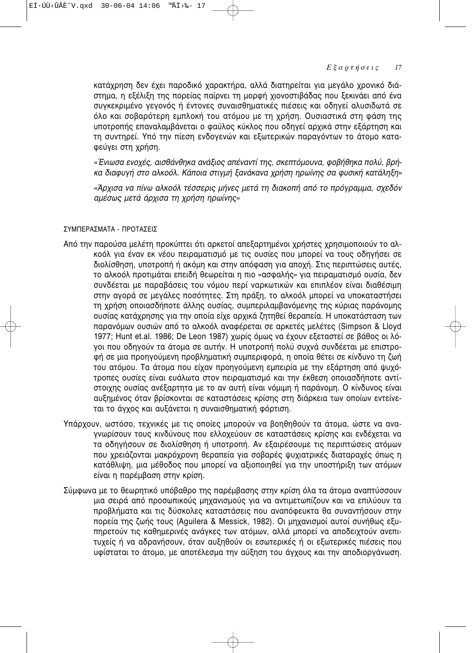κατάχρηση δεν έχει παροδικό χαρακτήρα, αλλά διατηρείται για μεγάλο χρονικό διάστημα, η εξέλιξη της πορείας παίρνει τη μορφή χιονοστιβάδας που ξεκινάει από ένα συγκεκριμένο γεγονός ή έντονες συναισθηματικές πιέσεις και οδηγεί αλυσιδωτά σε όλο και σοβαρότερη εμπλοκή του ατόμου με τη χρήση. Ουσιαστικά στη φάση της υποτροπής επαναλαμβάνεται ο φαύλος κύκλος που οδηγεί αρχικά στην εξάρτηση και τη συντηρεί. Υπό την πίεση ενδονενών και εξωτερικών παρανόντων το άτομο καταφεύγει στη χρήση.

«Ένιωσα ενοχές, αισθάνθηκα ανάξιος απέναντί της, σκεπτόμουνα, φοβήθηκα πολύ, βρήκα διαφυνή στο αλκοόλ. Κάποια στιγμή ξανάκανα χρήση ηρωίνης σα φυσική κατάληξη»

«Άρχισα να πίνω αλκοόλ τέσσερις μήνες μετά τη διακοπή από το πρόγραμμα, σχεδόν αμέσως μετά άρχισα τη χρήση ηρωίνης»

# ΣΥΜΠΕΡΑΣΜΑΤΑ - ΠΡΟΤΑΣΕΙΣ

- Από την παρούσα μελέτη προκύπτει ότι αρκετοί απεξαρτημένοι χρήστες χρησιμοποιούν το αλκοόλ για έναν εκ νέου πειραματισμό με τις ουσίες που μπορεί να τους οδηγήσει σε διολίσθηση, υποτροπή ή ακόμη και στην απόφαση για αποχή. Στις περιπτώσεις αυτές, το αλκοόλ προτιμάται επειδή θεωρείται η πιο «ασφαλής» για πειραματισμό ουσία, δεν συνδέεται με παραβάσεις του νόμου περί ναρκωτικών και επιπλέον είναι διαθέσιμη στην αγορά σε μεγάλες ποσότητες. Στη πράξη, το αλκοόλ μπορεί να υποκαταστήσει τη χρήση οποιασδήποτε άλλης ουσίας, συμπεριλαμβανόμενης της κύριας παράνομης ουσίας κατάχρησης για την οποία είχε αρχικά ζητηθεί θεραπεία. Η υποκατάσταση των παρανόμων ουσιών από το αλκοόλ αναφέρεται σε αρκετές μελέτες (Simpson & Lloyd 1977; Hunt et.al. 1986; De Leon 1987) χωρίς όμως να έχουν εξεταστεί σε βάθος οι λόγοι που οδηγούν τα άτομα σε αυτήν. Η υποτροπή πολύ συχνά συνδέεται με επιστροφή σε μια προηγούμενη προβληματική συμπεριφορά, η οποία θέτει σε κίνδυνο τη ζωή του ατόμου. Τα άτομα που είχαν προηγούμενη εμπειρία με την εξάρτηση από ψυχότροπες ουσίες είναι ευάλωτα στον πειραματισμό και την έκθεση οποιασδήποτε αντίστοιχης ουσίας ανέξαρτητα με το αν αυτή είναι νόμιμη ή παράνομη. Ο κίνδυνος είναι αυξημένος όταν βρίσκονται σε καταστάσεις κρίσης στη διάρκεια των οποίων εντείνεται το άγχος και αυξάνεται η συναισθηματική φόρτιση.
- Υπάρχουν, ωστόσο, τεχνικές με τις οποίες μπορούν να βοηθηθούν τα άτομα, ώστε να αναγνωρίσουν τους κινδύνους που ελλοχεύουν σε καταστάσεις κρίσης και ενδέχεται να τα οδηγήσουν σε διολίσθηση ή υποτροπή. Αν εξαιρέσουμε τις περιπτώσεις ατόμων που χρειάζονται μακρόχρονη θεραπεία για σοβαρές ψυχιατρικές διαταραχές όπως η κατάθλιψη, μια μέθοδος που μπορεί να αξιοποιηθεί για την υποστήριξη των ατόμων είναι η παρέμβαση στην κρίση.
- Σύμφωνα με το θεωρητικό υπόβαθρο της παρέμβασης στην κρίση όλα τα άτομα αναπτύσσουν μια σειρά από προσωπικούς μηχανισμούς για να αντιμετωπίζουν και να επιλύουν τα προβλήματα και τις δύσκολες καταστάσεις που αναπόφευκτα θα συναντήσουν στην πορεία της ζωής τους (Aguilera & Messick, 1982). Οι μηχανισμοί αυτοί συνήθως εξυπηρετούν τις καθημερινές ανάγκες των ατόμων, αλλά μπορεί να αποδειχτούν ανεπιτυχείς ή να αδρανήσουν, όταν αυξηθούν οι εσωτερικές ή οι εξωτερικές πιέσεις που υφίσταται το άτομο, με αποτέλεσμα την αύξηση του άγχους και την αποδιοργάνωση.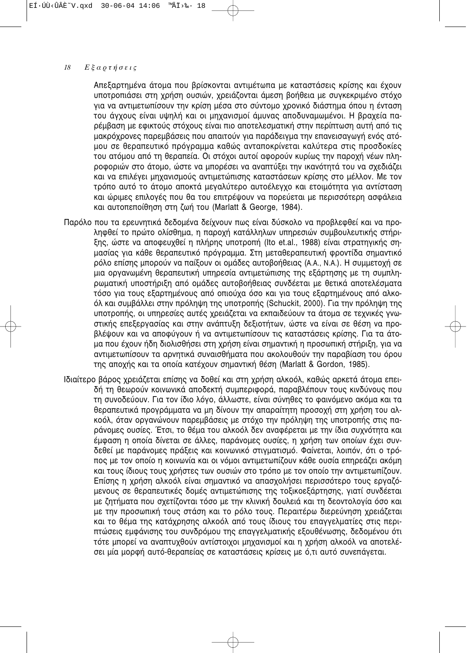# *18 <i>Eξαρτήσεις*

Απεξαρτημένα άτομα που βρίσκονται αντιμέτωπα με καταστάσεις κρίσης και έχουν υποτροπιάσει στη χρήση ουσιών, χρειάζονται άμεση βοήθεια με συγκεκριμένο στόχο vια να αντιμετωπίσουν την κρίση μέσα στο σύντομο χρονικό διάστημα όπου η ένταση του άνχους είναι υψηλή και οι μηχανισμοί άμυνας αποδυναμωμένοι. Η βραχεία παρέμβαση με εφικτούς στόχους είναι πιο αποτελεσματική στην περίπτωση αυτή από τις μακρόχρονες παρεμβάσεις που απαιτούν για παράδειγμα την επανεισαγωγή ενός ατόμου σε θεραπευτικό πρόγραμμα καθώς ανταποκρίνεται καλύτερα στις προσδοκίες του ατόμου από τη θεραπεία. Οι στόχοι αυτοί αφορούν κυρίως την παροχή νέων πληροφοριών στο άτομο, ώστε να μπορέσει να αναπτύξει την ικανότητά του να σχεδιάζει και να επιλέγει μηχανισμούς αντιμετώπισης καταστάσεων κρίσης στο μέλλον. Με τον τρόπο αυτό το άτομο αποκτά μεγαλύτερο αυτοέλεγχο και ετοιμότητα για αντίσταση και ώριμες επιλογές που θα του επιτρέψουν να πορεύεται με περισσότερη ασφάλεια και αυτοπεποίθηση στη ζωή του (Marlatt & George, 1984).

- Παρόλο που τα ερευνητικά δεδομένα δείχνουν πως είναι δύσκολο να προβλεφθεί και να προληφθεί το πρώτο ολίσθημα, η παροχή κατάλληλων υπηρεσιών συμβουλευτικής στήριξης, ώστε να αποφευχθεί η πλήρης υποτροπή (Ito et.al., 1988) είναι στρατηγικής σημασίας για κάθε θεραπευτικό πρόγραμμα. Στη μεταθεραπευτική φροντίδα σημαντικό ρόλο επίσης μπορούν να παίξουν οι ομάδες αυτοβοήθειας (A.A., N.A.). Η συμμετοχή σε μια οργανωμένη θεραπευτική υπηρεσία αντιμετώπισης της εξάρτησης με τη συμπληρωματική υποστήριξη από ομάδες αυτοβοήθειας συνδέεται με θετικά αποτελέσματα τόσο για τους εξαρτημένους από οπιούχα όσο και για τους εξαρτημένους από αλκοόλ και συμβάλλει στην πρόληψη της υποτροπής (Schuckit, 2000). Για την πρόληψη της υποτροπής, οι υπηρεσίες αυτές χρειάζεται να εκπαιδεύουν τα άτομα σε τεχνικές γνωστικής επεξεργασίας και στην ανάπτυξη δεξιοτήτων, ώστε να είναι σε θέση να προβλέψουν και να αποφύνουν ή να αντιμετωπίσουν τις καταστάσεις κρίσης. Για τα άτομα που έχουν ήδη διολισθήσει στη χρήση είναι σημαντική η προσωπική στήριξη, για να αντιμετωπίσουν τα αρνητικά συναισθήματα που ακολουθούν την παραβίαση του όρου της αποχής και τα οποία κατέχουν σημαντική θέση (Marlatt & Gordon, 1985).
- Ιδιαίτερο βάρος χρειάζεται επίσης να δοθεί και στη χρήση αλκοόλ, καθώς αρκετά άτομα επειδή τη θεωρούν κοινωνικά αποδεκτή συμπεριφορά, παραβλέπουν τους κινδύνους που τη συνοδεύουν. Για τον ίδιο λόγο, άλλωστε, είναι σύνηθες το φαινόμενο ακόμα και τα θεραπευτικά προγράμματα να μη δίνουν την απαραίτητη προσοχή στη χρήση του αλκοόλ, όταν οργανώνουν παρεμβάσεις με στόχο την πρόληψη της υποτροπής στις παράνομες ουσίες. Έτσι, το θέμα του αλκοόλ δεν αναφέρεται με την ίδια συχνότητα και έμφαση η οποία δίνεται σε άλλες, παράνομες ουσίες, η χρήση των οποίων έχει συνδεθεί με παράνομες πράξεις και κοινωνικό στιγματισμό. Φαίνεται, λοιπόν, ότι ο τρόπος με τον οποίο η κοινωνία και οι νόμοι αντιμετωπίζουν κάθε ουσία επηρεάζει ακόμη και τους ίδιους τους χρήστες των ουσιών στο τρόπο με τον οποίο την αντιμετωπίζουν. Επίσης η χρήση αλκοόλ είναι σημαντικό να απασχολήσει περισσότερο τους εργαζόμενους σε θεραπευτικές δομές αντιμετώπισης της τοξικοεξάρτησης, γιατί συνδέεται με ζητήματα που σχετίζονται τόσο με την κλινική δουλειά και τη δεοντολογία όσο και με την προσωπική τους στάση και το ρόλο τους. Περαιτέρω διερεύνηση χρειάζεται και το θέμα της κατάχρησης αλκοόλ από τους ίδιους του επαγγελματίες στις περιπτώσεις εμφάνισης του συνδρόμου της επαγγελματικής εξουθένωσης, δεδομένου ότι τότε μπορεί να αναπτυχθούν αντίστοιχοι μηχανισμοί και η χρήση αλκοόλ να αποτελέσει μία μορφή αυτό-θεραπείας σε καταστάσεις κρίσεις με ό,τι αυτό συνεπάγεται.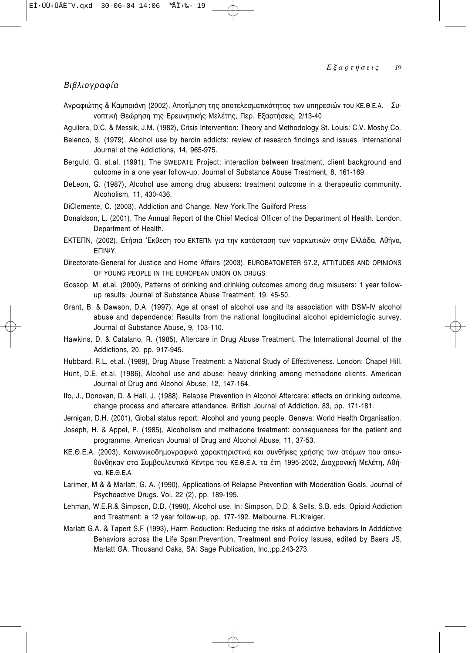Αγραφιώτης & Καμπριάνη (2002), Αποτίμηση της αποτελεσματικότητας των υπηρεσιών του ΚΕ.Θ.Ε.Α. - Συνοπτική Θεώρηση της Ερευνητικής Μελέτης, Περ. Εξαρτήσεις, 2/13-40

Aguilera, D.C. & Messik, J.M. (1982), Crisis Intervention: Theory and Methodology St. Louis: C.V. Mosby Co.

- Belenco, S. (1979), Alcohol use by heroin addicts: review of research findings and issues. International Journal of the Addictions, 14, 965-975.
- Berguld, G. et.al. (1991). The SWEDATE Project: interaction between treatment, client background and outcome in a one year follow-up. Journal of Substance Abuse Treatment, 8, 161-169.
- DeLeon, G. (1987), Alcohol use among drug abusers: treatment outcome in a therapeutic community. Alcoholism, 11, 430-436.
- DiClemente, C. (2003). Addiction and Change. New York. The Guilford Press
- Donaldson, L. (2001), The Annual Report of the Chief Medical Officer of the Department of Health. London. Department of Health.
- ΕΚΤΕΠΝ, (2002), Ετήσια Έκθεση του ΕΚΤΕΠΝ για την κατάσταση των ναρκωτικών στην Ελλάδα, Αθήνα, ΕΠΙΨΥ.
- Directorate-General for Justice and Home Affairs (2003), EUROBATOMETER 57.2, ATTITUDES AND OPINIONS OF YOUNG PEOPLE IN THE EUROPEAN UNION ON DRUGS.
- Gossop, M. et.al. (2000), Patterns of drinking and drinking outcomes among drug misusers: 1 year followup results. Journal of Substance Abuse Treatment, 19, 45-50.
- Grant, B. & Dawson, D.A. (1997). Age at onset of alcohol use and its association with DSM-IV alcohol abuse and dependence: Results from the national longitudinal alcohol epidemiologic survey. Journal of Substance Abuse, 9, 103-110.
- Hawkins, D. & Catalano, R. (1985), Aftercare in Drug Abuse Treatment. The International Journal of the Addictions, 20, pp. 917-945.
- Hubbard, R.L. et.al. (1989), Drug Abuse Treatment: a National Study of Effectiveness. London: Chapel Hill.
- Hunt, D.E. et.al. (1986), Alcohol use and abuse: heavy drinking among methadone clients. American Journal of Drug and Alcohol Abuse, 12, 147-164.
- Ito, J., Donovan, D. & Hall, J. (1988), Relapse Prevention in Alcohol Aftercare: effects on drinking outcome, change process and aftercare attendance. British Journal of Addiction. 83, pp. 171-181.
- Jernigan, D.H. (2001), Global status report: Alcohol and young people. Geneva: World Health Organisation.
- Joseph, H. & Appel, P. (1985), Alcoholism and methadone treatment: consequences for the patient and programme. American Journal of Drug and Alcohol Abuse, 11, 37-53.
- ΚΕ.Θ.Ε.Α. (2003), Κοινωνικοδημογραφικά χαρακτηριστικά και συνθήκες χρήσης των ατόμων που απευθύνθηκαν στα Συμβουλευτικά Κέντρα του ΚΕ.Θ.Ε.Α. τα έτη 1995-2002, Διαχρονική Μελέτη, Αθήνα. *ΚΕ.Θ.Ε.Α.*
- Larimer, M & & Marlatt, G. A. (1990), Applications of Relapse Prevention with Moderation Goals. Journal of Psychoactive Drugs. Vol. 22 (2), pp. 189-195.
- Lehman, W.E.R.& Simpson, D.D. (1990), Alcohol use. In: Simpson, D.D. & Sells, S.B. eds. Opioid Addiction and Treatment: a 12 year follow-up, pp. 177-192. Melbourne. FL:Kreiger.
- Marlatt G.A. & Tapert S.F (1993), Harm Reduction: Reducing the risks of addictive behaviors In Adddictive Behaviors across the Life Span: Prevention, Treatment and Policy Issues, edited by Baers JS, Marlatt GA. Thousand Oaks, SA: Sage Publication, Inc.,pp.243-273.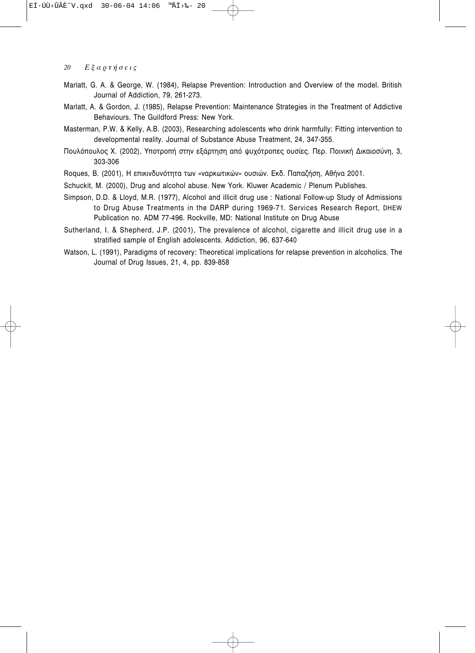- Marlatt, G. A. & George, W. (1984), Relapse Prevention: Introduction and Overview of the model. British Journal of Addiction, 79, 261-273.
- Marlatt, A. & Gordon, J. (1985), Relapse Prevention: Maintenance Strategies in the Treatment of Addictive Behaviours. The Guildford Press: New York.
- Masterman, P.W. & Kelly, A.B. (2003), Researching adolescents who drink harmfully: Fitting intervention to developmental reality. Journal of Substance Abuse Treatment, 24, 347-355.
- Πουλόπουλος Χ. (2002), Υποτροπή στην εξάρτηση από ψυχότροπες ουσίες. Περ. Ποινική Δικαιοσύνη, 3, 303-306
- Roques, B. (2001), Η επικινδυνότητα των «ναρκωτικών» ουσιών. Εκδ. Παπαζήση, Αθήνα 2001.
- Schuckit, M. (2000), Drug and alcohol abuse. New York. Kluwer Academic / Plenum Publishes.
- Simpson, D.D. & Lloyd, M.R. (1977), Alcohol and illicit drug use: National Follow-up Study of Admissions to Drug Abuse Treatments in the DARP during 1969-71, Services Research Report, DHEW Publication no. ADM 77-496. Rockville, MD: National Institute on Drug Abuse
- Sutherland, I. & Shepherd, J.P. (2001). The prevalence of alcohol, cigarette and illicit drug use in a stratified sample of English adolescents. Addiction, 96, 637-640
- Watson, L. (1991). Paradigms of recovery: Theoretical implications for relapse prevention in alcoholics. The Journal of Drug Issues, 21, 4, pp. 839-858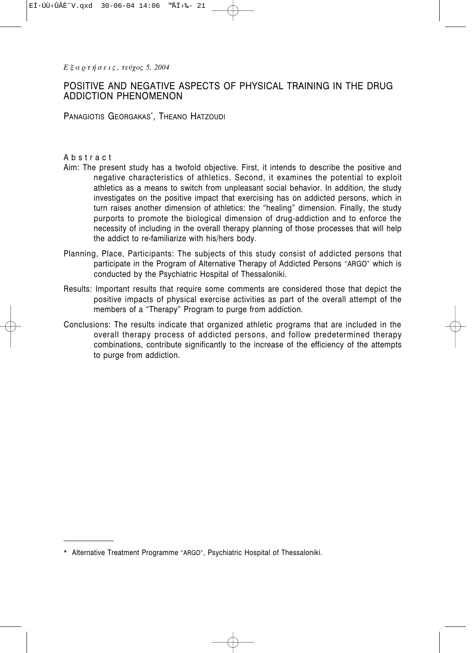# POSITIVE AND NEGATIVE ASPECTS OF PHYSICAL TRAINING IN THE DRUG ADDICTION PHENOMENON

PANAGIOTIS GEORGAKAS\* , THEANO HATZOUDI

# Abstract

- Aim: The present study has a twofold objective. First, it intends to describe the positive and negative characteristics of athletics. Second, it examines the potential to exploit athletics as a means to switch from unpleasant social behavior. In addition, the study investigates on the positive impact that exercising has on addicted persons, which in turn raises another dimension of athletics: the "healing" dimension. Finally, the study purports to promote the biological dimension of drug-addiction and to enforce the necessity of including in the overall therapy planning of those processes that will help the addict to re-familiarize with his/hers body.
- Planning, Place, Participants: The subjects of this study consist of addicted persons that participate in the Program of Alternative Therapy of Addicted Persons "ARGO" which is conducted by the Psychiatric Hospital of Thessaloniki.
- Results: Important results that require some comments are considered those that depict the positive impacts of physical exercise activities as part of the overall attempt of the members of a "Therapy" Program to purge from addiction.
- Conclusions: The results indicate that organized athletic programs that are included in the overall therapy process of addicted persons, and follow predetermined therapy combinations, contribute significantly to the increase of the efficiency of the attempts to purge from addiction.

<sup>\*</sup> Alternative Treatment Programme "ARGO", Psychiatric Hospital of Thessaloniki.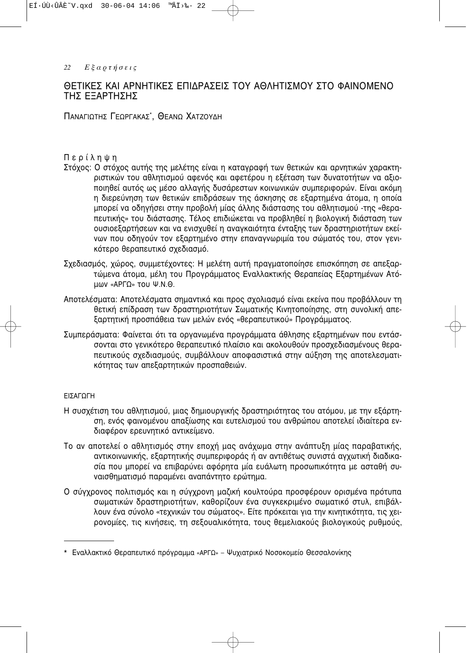# ΘΕΤΙΚΕΣ ΚΑΙ ΑΡΝΗΤΙΚΕΣ ΕΠΙΛΡΑΣΕΙΣ ΤΟΥ ΑΘΛΗΤΙΣΜΟΥ ΣΤΟ ΦΑΙΝΟΜΕΝΟ ΤΗΣ ΕΞΑΡΤΗΣΗΣ

ΠΑΝΑΓΙΩΤΗΣ ΓΕΩΡΓΑΚΑΣ', ΘΕΑΝΩ ΧΑΤΖΟΥΔΗ

# Περίληψη

- Στόχος: Ο στόχος αυτής της μελέτης είναι η καταγραφή των θετικών και αρνητικών χαρακτηριστικών του αθλητισμού αφενός και αφετέρου η εξέταση των δυνατοτήτων να αξιοποιηθεί αυτός ως μέσο αλλαγής δυσάρεστων κοινωνικών συμπεριφορών. Είναι ακόμη η διερεύνηση των θετικών επιδράσεων της άσκησης σε εξαρτημένα άτομα, η οποία μπορεί να οδηγήσει στην προβολή μίας άλλης διάστασης του αθλητισμού -της «θεραπευτικής» του διάστασης. Τέλος επιδιώκεται να προβληθεί η βιολογική διάσταση των ουσιοεξαρτήσεων και να ενισχυθεί η αναγκαιότητα ένταξης των δραστηριοτήτων εκείνων που οδηγούν τον εξαρτημένο στην επαναγνωριμία του σώματός του, στον γενικότερο θεραπευτικό σχεδιασμό.
- Σχεδιασμός, χώρος, συμμετέχοντες: Η μελέτη αυτή πραγματοποίησε επισκόπηση σε απεξαρτώμενα άτομα, μέλη του Προγράμματος Εναλλακτικής Θεραπείας Εξαρτημένων Ατόμων «ΑΡΓΩ» του Ψ.Ν.Θ.
- Αποτελέσματα: Αποτελέσματα σημαντικά και προς σχολιασμό είναι εκείνα που προβάλλουν τη θετική επίδραση των δραστηριοτήτων Σωματικής Κινητοποίησης, στη συνολική απεξαρτητική προσπάθεια των μελών ενός «θεραπευτικού» Προγράμματος.
- Συμπεράσματα: Φαίνεται ότι τα οργανωμένα προγράμματα άθλησης εξαρτημένων που εντάσσονται στο γενικότερο θεραπευτικό πλαίσιο και ακολουθούν προσχεδιασμένους θεραπευτικούς σχεδιασμούς, συμβάλλουν αποφασιστικά στην αύξηση της αποτελεσματικότητας των απεξαρτητικών προσπαθειών.

# ΕΙΣΑΓΩΓΗ

- Η συσχέτιση του αθλητισμού, μιας δημιουργικής δραστηριότητας του ατόμου, με την εξάρτηση, ενός φαινομένου απαξίωσης και ευτελισμού του ανθρώπου αποτελεί ιδιαίτερα ενδιαφέρον ερευνητικό αντικείμενο.
- Το αν αποτελεί ο αθλητισμός στην εποχή μας ανάχωμα στην ανάπτυξη μίας παραβατικής, αντικοινωνικής, εξαρτητικής συμπεριφοράς ή αν αντιθέτως συνιστά αγχωτική διαδικασία που μπορεί να επιβαρύνει αφόρητα μία ευάλωτη προσωπικότητα με ασταθή συναισθηματισμό παραμένει αναπάντητο ερώτημα.
- Ο σύγχρονος πολιτισμός και η σύγχρονη μαζική κουλτούρα προσφέρουν ορισμένα πρότυπα σωματικών δραστηριοτήτων, καθορίζουν ένα συγκεκριμένο σωματικό στυλ, επιβάλλουν ένα σύνολο «τεχνικών του σώματος». Είτε πρόκειται για την κινητικότητα, τις χειρονομίες, τις κινήσεις, τη σεξουαλικότητα, τους θεμελιακούς βιολογικούς ρυθμούς,

<sup>\*</sup> Εναλλακτικό Θεραπευτικό πρόγραμμα «ΑΡΓΩ» - Ψυχιατρικό Νοσοκομείο Θεσσαλονίκης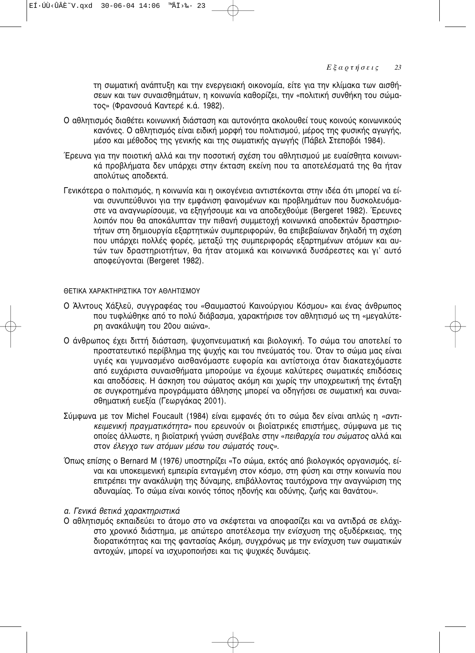τη σωματική ανάπτυξη και την ενεργειακή οικονομία, είτε για την κλίμακα των αισθήσεων και των συναισθημάτων, η κοινωνία καθορίζει, την «πολιτική συνθήκη του σώματος» (Φρανσουά Καντερέ κ.ά. 1982).

- Ο αθλητισμός διαθέτει κοινωνική διάσταση και αυτονόητα ακολουθεί τους κοινούς κοινωνικούς κανόνες. Ο αθλητισμός είναι ειδική μορφή του πολιτισμού, μέρος της φυσικής ανωνής. μέσο και μέθοδος της νενικής και της σωματικής ανωνής (Πάβελ Στεποβόι 1984).
- Έρευνα για την ποιοτική αλλά και την ποσοτική σχέση του αθλητισμού με ευαίσθητα κοινωνικά προβλήματα δεν υπάρχει στην έκταση εκείνη που τα αποτελέσματά της θα ήταν απολύτως αποδεκτά.
- Γενικότερα ο πολιτισμός, η κοινωνία και η οικογένεια αντιστέκονται στην ιδέα ότι μπορεί να είναι συνυπεύθυνοι για την εμφάνιση φαινομένων και προβλημάτων που δυσκολευόμαστε να αναγνωρίσουμε, να εξηγήσουμε και να αποδεχθούμε (Bergeret 1982). Έρευνες λοιπόν που θα αποκάλυπταν την πιθανή συμμετοχή κοινωνικά αποδεκτών δραστηριοτήτων στη δημιουργία εξαρτητικών συμπεριφορών, θα επιβεβαίωναν δηλαδή τη σχέση που υπάρχει πολλές φορές, μεταξύ της συμπεριφοράς εξαρτημένων ατόμων και αυτών των δραστηριοτήτων, θα ήταν ατομικά και κοινωνικά δυσάρεστες και γι' αυτό αποφεύγονται (Bergeret 1982).

# ΘΕΤΙΚΑ ΧΑΡΑΚΤΗΡΙΣΤΙΚΑ ΤΟΥ ΑΘΛΗΤΙΣΜΟΥ

- Ο Άλντους Χάξλεϋ, συγγραφέας του «Θαυμαστού Καινούργιου Κόσμου» και ένας άνθρωπος που τυφλώθηκε από το πολύ διάβασμα, χαρακτήρισε τον αθλητισμό ως τη «μεγαλύτερη ανακάλυψη του 20ου αιώνα».
- Ο άνθρωπος έχει διττή διάσταση, ψυχοπνευματική και βιολογική. Το σώμα του αποτελεί το προστατευτικό περίβλημα της ψυχής και του πνεύματός του. Όταν το σώμα μας είναι υγιές και γυμνασμένο αισθανόμαστε ευφορία και αντίστοιχα όταν διακατεχόμαστε από ευχάριστα συναισθήματα μπορούμε να έχουμε καλύτερες σωματικές επιδόσεις και αποδόσεις. Η άσκηση του σώματος ακόμη και χωρίς την υποχρεωτική της ένταξη σε συγκροτημένα προγράμματα άθλησης μπορεί να οδηγήσει σε σωματική και συναισθηματική ευεξία (Γεωργάκας 2001).
- Σύμφωνα με τον Michel Foucault (1984) είναι εμφανές ότι το σώμα δεν είναι απλώς η «αντι-*Κειμενική πραγματικότητα»* που ερευνούν οι βιοϊατρικές επιστήμες, σύμφωνα με τις οποίες άλλωστε, η βιοϊατρική γνώση συνέβαλε στην «*πειθαρχία του σώματος* αλλά και στον έλεγχο των ατόμων μέσω του σώματός τους».
- Όπως επίσης ο Bernard M (1976) υποστηρίζει «Το σώμα, εκτός από βιολογικός οργανισμός, είναι και υποκειμενική εμπειρία ενταγμένη στον κόσμο, στη φύση και στην κοινωνία που επιτρέπει την ανακάλυψη της δύναμης, επιβάλλοντας ταυτόχρονα την αναγνώριση της αδυναμίας. Το σώμα είναι κοινός τόπος ηδονής και οδύνης. ζωής και θανάτου».
- *a. Γενικά θετικά χαρακτηριστικά*
- Ο αθλητισμός εκπαιδεύει το άτομο στο να σκέφτεται να αποφασίζει και να αντιδρά σε ελάχιστο χρονικό διάστημα, με απώτερο αποτέλεσμα την ενίσχυση της οξυδέρκειας, της διορατικότητας και της φαντασίας Ακόμη, συγχρόνως με την ενίσχυση των σωματικών αντοχών, μπορεί να ισχυροποιήσει και τις ψυχικές δυνάμεις.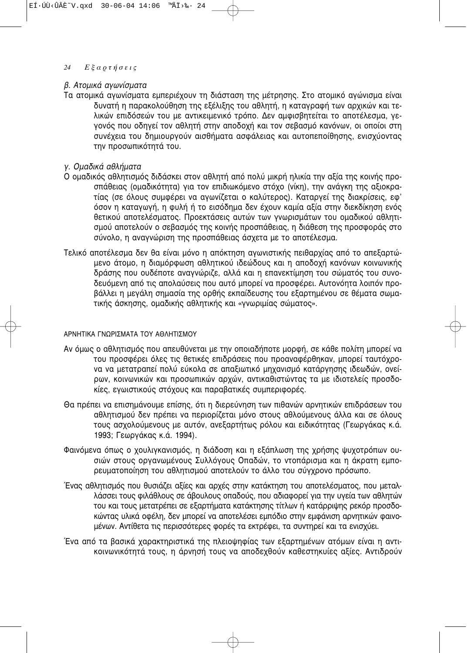#### $24$ Εξαρτήσεις

# β. Ατομικά ανωνίσματα

- Τα ατομικά αγωνίσματα εμπεριέχουν τη διάσταση της μέτρησης. Στο ατομικό αγώνισμα είναι δυνατή η παρακολούθηση της εξέλιξης του αθλητή, η καταγραφή των αρχικών και τελικών επιδόσεών του με αντικειμενικό τρόπο. Δεν αμφισβητείται το αποτέλεσμα, νεγονός που οδηγεί τον αθλητή στην αποδοχή και τον σεβασμό κανόνων, οι οποίοι στη συνέχεια του δημιουργούν αισθήματα ασφάλειας και αυτοπεποίθησης, ενισχύοντας την προσωπικότητά του.
- ν. Ομαδικά αθλήματα
- Ο ομαδικός αθλητισμός διδάσκει στον αθλητή από πολύ μικρή ηλικία την αξία της κοινής προσπάθειας (ομαδικότητα) για τον επιδιωκόμενο στόχο (νίκη), την ανάγκη της αξιοκρατίας (σε όλους συμφέρει να αγωνίζεται ο καλύτερος). Καταργεί της διακρίσεις, εφ' όσον η καταγωγή, η φυλή ή το εισόδημα δεν έχουν καμία αξία στην διεκδίκηση ενός θετικού αποτελέσματος. Προεκτάσεις αυτών των γνωρισμάτων του ομαδικού αθλητισμού αποτελούν ο σεβασμός της κοινής προσπάθειας, η διάθεση της προσφοράς στο σύνολο, η αναγνώριση της προσπάθειας άσχετα με το αποτέλεσμα.
- Τελικό αποτέλεσμα δεν θα είναι μόνο η απόκτηση αγωνιστικής πειθαρχίας από το απεξαρτώμενο άτομο, η διαμόρφωση αθλητικού ιδεώδους και η αποδοχή κανόνων κοινωνικής δράσης που ουδέποτε αναγνώριζε, αλλά και η επανεκτίμηση του σώματός του συνοδευόμενη από τις απολαύσεις που αυτό μπορεί να προσφέρει. Αυτονόητα λοιπόν προβάλλει η μεγάλη σημασία της ορθής εκπαίδευσης του εξαρτημένου σε θέματα σωματικής άσκησης, ομαδικής αθλητικής και «γνωριμίας σώματος».

# ΑΡΝΗΤΙΚΑ ΓΝΩΡΙΣΜΑΤΑ ΤΟΥ ΑΘΛΗΤΙΣΜΟΥ

- Αν όμως ο αθλητισμός που απευθύνεται με την οποιαδήποτε μορφή, σε κάθε πολίτη μπορεί να του προσφέρει όλες τις θετικές επιδράσεις που προαναφέρθηκαν, μπορεί ταυτόχρονα να μετατραπεί πολύ εύκολα σε απαξιωτικό μηχανισμό κατάργησης ιδεωδών, ονείρων, κοινωνικών και προσωπικών αρχών, αντικαθιστώντας τα με ιδιοτελείς προσδοκίες, εγωιστικούς στόχους και παραβατικές συμπεριφορές.
- Θα πρέπει να επισημάνουμε επίσης, ότι η διερεύνηση των πιθανών αρνητικών επιδράσεων του αθλητισμού δεν πρέπει να περιορίζεται μόνο στους αθλούμενους άλλα και σε όλους τους ασχολούμενους με αυτόν, ανεξαρτήτως ρόλου και ειδικότητας (Γεωργάκας κ.ά. 1993; Γεωργάκας κ.ά. 1994).
- Φαινόμενα όπως ο χουλιγκανισμός, η διάδοση και η εξάπλωση της χρήσης ψυχοτρόπων ουσιών στους οργανωμένους Συλλόγους Οπαδών, το ντοπάρισμα και η άκρατη εμπορευματοποίηση του αθλητισμού αποτελούν το άλλο του σύγχρονο πρόσωπο.
- Ένας αθλητισμός που θυσιάζει αξίες και αρχές στην κατάκτηση του αποτελέσματος, που μεταλλάσσει τους φιλάθλους σε άβουλους οπαδούς, που αδιαφορεί για την υγεία των αθλητών του και τους μετατρέπει σε εξαρτήματα κατάκτησης τίτλων ή κατάρριψης ρεκόρ προσδοκώντας υλικά οφέλη, δεν μπορεί να αποτελέσει εμπόδιο στην εμφάνιση αρνητικών φαινομένων. Αντίθετα τις περισσότερες φορές τα εκτρέφει, τα συντηρεί και τα ενισχύει.
- Ένα από τα βασικά χαρακτηριστικά της πλειοψηφίας των εξαρτημένων ατόμων είναι η αντικοινωνικότητά τους, η άρνησή τους να αποδεχθούν καθεστηκυίες αξίες. Αντιδρούν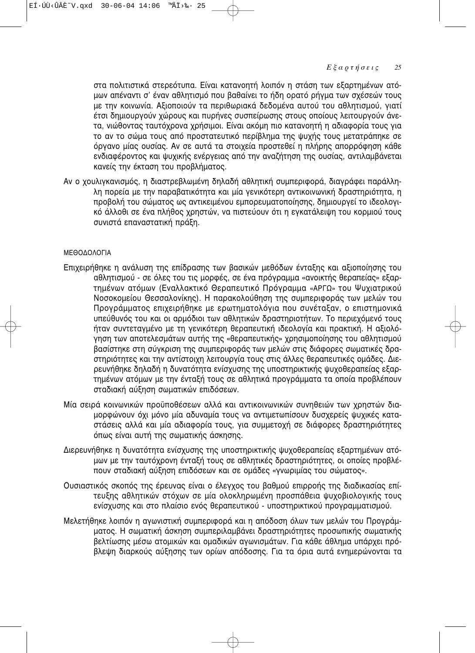στα πολιτιστικά στερεότυπα. Είναι κατανοητή λοιπόν η στάση των εξαρτημένων ατόμων απέναντι σ' έναν αθλητισμό που βαθαίνει το ήδη ορατό ρήγμα των σχέσεών τους με την κοινωνία. Αξιοποιούν τα περιθωριακά δεδομένα αυτού του αθλητισμού, γιατί έτσι δημιουργούν χώρους και πυρήνες συσπείρωσης στους οποίους λειτουργούν άνετα, νιώθοντας ταυτόχρονα χρήσιμοι. Είναι ακόμη πιο κατανοητή η αδιαφορία τους για το αν το σώμα τους από προστατευτικό περίβλημα της ψυχής τους μετατράπηκε σε όργανο μίας ουσίας. Αν σε αυτά τα στοιχεία προστεθεί η πλήρης απορρόφηση κάθε ενδιαφέροντος και ψυχικής ενέργειας από την αναζήτηση της ουσίας, αντιλαμβάνεται κανείς την έκταση του προβλήματος.

Αν ο χουλιγκανισμός, η διαστρεβλωμένη δηλαδή αθλητική συμπεριφορά, διαγράφει παράλληλη πορεία με την παραβατικότητα και μία γενικότερη αντικοινωνική δραστηριότητα, η προβολή του σώματος ως αντικειμένου εμπορευματοποίησης, δημιουργεί το ιδεολογικό άλλοθι σε ένα πλήθος χρηστών, να πιστεύουν ότι η εγκατάλειψη του κορμιού τους συνιστά επαναστατική πράξη.

# ΜΕΘΩΛΩΛΟΓΙΑ

- Επιχειρήθηκε η ανάλυση της επίδρασης των βασικών μεθόδων ένταξης και αξιοποίησης του αθλητισμού - σε όλες του τις μορφές, σε ένα πρόνραμμα «ανοικτής θεραπείας» εξαρτημένων ατόμων (Εναλλακτικό Θεραπευτικό Πρόγραμμα «ΑΡΓΩ» του Ψυχιατρικού Νοσοκομείου Θεσσαλονίκης). Η παρακολούθηση της συμπεριφοράς των μελών του Προγράμματος επιχειρήθηκε με ερωτηματολόγια που συνέταξαν, ο επιστημονικά υπεύθυνός του και οι αρμόδιοι των αθλητικών δραστηριοτήτων. Το περιεχόμενό τους ήταν συντεταγμένο με τη γενικότερη θεραπευτική ιδεολογία και πρακτική. Η αξιολόγηση των αποτελεσμάτων αυτής της «θεραπευτικής» χρησιμοποίησης του αθλητισμού βασίστηκε στη σύγκριση της συμπεριφοράς των μελών στις διάφορες σωματικές δραστηριότητες και την αντίστοιχη λειτουργία τους στις άλλες θεραπευτικές ομάδες. Διερευνήθηκε δηλαδή η δυνατότητα ενίσχυσης της υποστηρικτικής ψυχοθεραπείας εξαρτημένων ατόμων με την ένταξή τους σε αθλητικά προγράμματα τα οποία προβλέπουν σταδιακή αύξηση σωματικών επιδόσεων.
- Μία σειρά κοινωνικών προϋποθέσεων αλλά και αντικοινωνικών συνηθειών των χρηστών διαμορφώνουν όχι μόνο μία αδυναμία τους να αντιμετωπίσουν δυσχερείς ψυχικές καταστάσεις αλλά και μία αδιαφορία τους, για συμμετοχή σε διάφορες δραστηριότητες όπως είναι αυτή της σωματικής άσκησης.
- Διερευνήθηκε η δυνατότητα ενίσχυσης της υποστηρικτικής ψυχοθεραπείας εξαρτημένων ατόμων με την ταυτόχρονη ένταξή τους σε αθλητικές δραστηριότητες, οι οποίες προβλέπουν σταδιακή αύξηση επιδόσεων και σε ομάδες «γνωριμίας του σώματος».
- Ουσιαστικός σκοπός της έρευνας είναι ο έλεγχος του βαθμού επιρροής της διαδικασίας επίτευξης αθλητικών στόχων σε μία ολοκληρωμένη προσπάθεια ψυχοβιολογικής τους ενίσχυσης και στο πλαίσιο ενός θεραπευτικού - υποστηρικτικού προνραμματισμού,
- Μελετήθηκε λοιπόν η αγωνιστική συμπεριφορά και η απόδοση όλων των μελών του Προγράμματος. Η σωματική άσκηση συμπεριλαμβάνει δραστηριότητες προσωπικής σωματικής βελτίωσης μέσω ατομικών και ομαδικών αγωνισμάτων. Για κάθε άθλημα υπάρχει πρόβλεψη διαρκούς αύξησης των ορίων απόδοσης. Για τα όρια αυτά ενημερώνονται τα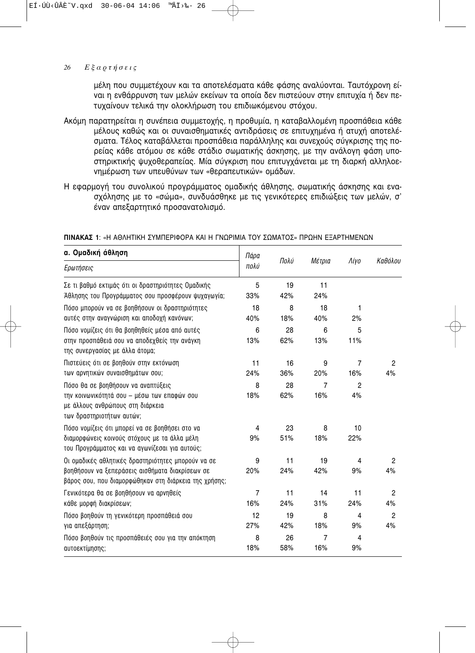#### $26$ Εξαρτήσεις

μέλη που συμμετέχουν και τα αποτελέσματα κάθε φάσης αναλύονται. Ταυτόχρονη είναι η ενθάρρυνση των μελών εκείνων τα οποία δεν πιστεύουν στην επιτυχία ή δεν πετυχαίνουν τελικά την ολοκλήρωση του επιδιωκόμενου στόχου.

- Ακόμη παρατηρείται η συνέπεια συμμετοχής, η προθυμία, η καταβαλλομένη προσπάθεια κάθε μέλους καθώς και οι συναισθηματικές αντιδράσεις σε επιτυχημένα ή ατυχή αποτελέσματα. Τέλος καταβάλλεται προσπάθεια παράλληλης και συνεχούς σύγκρισης της πορείας κάθε ατόμου σε κάθε στάδιο σωματικής άσκησης, με την ανάλογη φάση υποστηρικτικής ψυχοθεραπείας. Μία σύγκριση που επιτυγχάνεται με τη διαρκή αλληλοενημέρωση των υπευθύνων των «θεραπευτικών» ομάδων.
- Η εφαρμογή του συνολικού προγράμματος ομαδικής άθλησης, σωματικής άσκησης και ενασχόλησης με το «σώμα», συνδυάσθηκε με τις γενικότερες επιδιώξεις των μελών, σ' έναν απεξαρτητικό προσανατολισμό.

| α. Ομαδική άθληση<br>Ερωτήσεις                                                                                                                                 |                       | Πολύ      | Μέτρια    | Λίγο                 | Καθόλου              |
|----------------------------------------------------------------------------------------------------------------------------------------------------------------|-----------------------|-----------|-----------|----------------------|----------------------|
|                                                                                                                                                                |                       |           |           |                      |                      |
| Πόσο μπορούν να σε βοηθήσουν οι δραστηριότητες<br>αυτές στην αναγνώριση και αποδοχή κανόνων;                                                                   | 18<br>40%             | 8<br>18%  | 18<br>40% | 1<br>2%              |                      |
| Πόσο νομίζεις ότι θα βοηθηθείς μέσα από αυτές<br>στην προσπάθειά σου να αποδεχθείς την ανάγκη<br>της συνεργασίας με άλλα άτομα;                                | 6<br>13%              | 28<br>62% | 6<br>13%  | 5<br>11%             |                      |
| Πιστεύεις ότι σε βοηθούν στην εκτόνωση<br>των αρνητικών συναισθημάτων σου;                                                                                     | 11<br>24%             | 16<br>36% | 9<br>20%  | 7<br>16%             | $\overline{2}$<br>4% |
| Πόσο θα σε βοηθήσουν να αναπτύξεις<br>την κοινωνικότητά σου - μέσω των επαφών σου<br>με άλλους ανθρώπους στη διάρκεια<br>των δραστηριοτήτων αυτών;             | 8<br>18%              | 28<br>62% | 7<br>16%  | $\overline{c}$<br>4% |                      |
| Πόσο νομίζεις ότι μπορεί να σε βοηθήσει στο να<br>διαμορφώνεις κοινούς στόχους με τα άλλα μέλη<br>του Προγράμματος και να αγωνίζεσαι για αυτούς;               | 4<br>9%               | 23<br>51% | 8<br>18%  | 10<br>22%            |                      |
| Οι ομαδικές αθλητικές δραστηριότητες μπορούν να σε<br>βοηθήσουν να ξεπεράσεις αισθήματα διακρίσεων σε<br>βάρος σου, που διαμορφώθηκαν στη διάρκεια της χρήσης; | 9<br>20%              | 11<br>24% | 19<br>42% | 4<br>9%              | $\overline{2}$<br>4% |
| Γενικότερα θα σε βοηθήσουν να αρνηθείς<br>κάθε μορφή διακρίσεων;                                                                                               | $\overline{7}$<br>16% | 11<br>24% | 14<br>31% | 11<br>24%            | $\overline{2}$<br>4% |
| Πόσο βοηθούν τη γενικότερη προσπάθειά σου<br>για απεξάρτηση;                                                                                                   | 12<br>27%             | 19<br>42% | 8<br>18%  | 4<br>9%              | $\overline{2}$<br>4% |
| Πόσο βοηθούν τις προσπάθειές σου για την απόκτηση<br>αυτοεκτίμησης;                                                                                            | 8<br>18%              | 26<br>58% | 7<br>16%  | 4<br>9%              |                      |

# ΠΙΝΑΚΑΣ 1: «Η ΑΘΛΗΤΙΚΗ ΣΥΜΠΕΡΙΦΟΡΑ ΚΑΙ Η ΓΝΟΡΙΜΙΑ ΤΟΥ ΣΟΜΑΤΟΣ» ΠΡΟΗΝ ΕΞΑΡΤΗΜΕΝΟΝ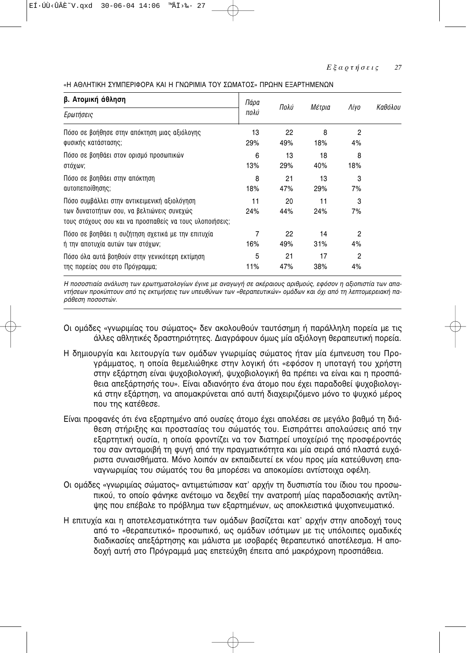| β. Ατομική άθληση                                                                                                                                     | Πάρα<br>πολύ | Πολύ      | Μέτρια    | Λίγο    | Καθόλου |
|-------------------------------------------------------------------------------------------------------------------------------------------------------|--------------|-----------|-----------|---------|---------|
| Ερωτήσεις                                                                                                                                             |              |           |           |         |         |
| Πόσο σε βοήθησε στην απόκτηση μιας αξιόλογης                                                                                                          | 13           | 22        | 8         | 2       |         |
| φυσικής κατάστασης;                                                                                                                                   | 29%          | 49%       | 18%       | 4%      |         |
| Πόσο σε βοηθάει στον ορισμό προσωπικών                                                                                                                | 6            | 13        | 18        | 8       |         |
| στόχων;                                                                                                                                               | 13%          | 29%       | 40%       | 18%     |         |
| Πόσο σε βοηθάει στην απόκτηση                                                                                                                         | 8            | 21        | 13        | 3       |         |
| αυτοπεποίθησης:                                                                                                                                       | 18%          | 47%       | 29%       | 7%      |         |
| Πόσο συμβάλλει στην αντικειμενική αξιολόγηση<br>των δυνατοτήτων σου, να βελτιώνεις συνεχώς<br>τους στόχους σου και να προσπαθείς να τους υλοποιήσεις; | 11<br>24%    | 20<br>44% | 11<br>24% | 3<br>7% |         |
| Πόσο σε βοηθάει η συζήτηση σχετικά με την επιτυχία                                                                                                    | 7            | 22        | 14        | 2       |         |
| ή την αποτυχία αυτών των στόχων;                                                                                                                      | 16%          | 49%       | 31%       | 4%      |         |
| Πόσο όλα αυτά βοηθούν στην γενικότερη εκτίμηση                                                                                                        | 5            | 21        | 17        | 2       |         |
| της πορείας σου στο Πρόγραμμα;                                                                                                                        | 11%          | 47%       | 38%       | 4%      |         |

«Η ΑΘΛΗΤΙΚΗ ΣΥΜΠΕΡΙΦΟΡΑ ΚΑΙ Η ΓΝΩΡΙΜΙΑ ΤΟΥ ΣΩΜΑΤΟΣ» ΠΡΩΗΝ ΕΞΑΡΤΗΜΕΝΩΝ

*Η ποσοστιαία ανάλυση των ερωτηματολογίων έγινε με αναγωγή σε ακέραιους αριθμούς, εφόσον η αξιοπιστία των απα-ÓÙ‹ÛÂˆÓ ÚÔ·ÙÔ˘Ó ·fi ÙȘ ÂÎÙÈÌ‹ÛÂȘ ÙˆÓ ˘Â˘ı‡ÓˆÓ ÙˆÓ «ıÂڷ¢ÙÈÎÒÓ» ÔÌ¿‰ˆÓ Î·È fi¯È ·fi ÙË ÏÂÙÔÌÂÚÂȷ΋ ·-*  $\overline{\rho}$ *άθεση ποσοστών.* 

- Οι ομάδες «γνωριμίας του σώματος» δεν ακολουθούν ταυτόσημη ή παράλληλη πορεία με τις άλλες αθλητικές δραστηριότητες. Διαγράφουν όμως μία αξιόλογη θεραπευτική πορεία.
- Η δημιουργία και λειτουργία των ομάδων γνωριμίας σώματος ήταν μία έμπνευση του Προγράμματος, η οποία θεμελιώθηκε στην λογική ότι «εφόσον η υποταγή του χρήστη στην εξάρτηση είναι ψυχοβιολογική, ψυχοβιολογική θα πρέπει να είναι και η προσπάθεια απεξάρτησής του». Είναι αδιανόητο ένα άτομο που έχει παραδοθεί ψυχοβιολογικά στην εξάρτηση, να απομακρύνεται από αυτή διαχειριζόμενο μόνο το ψυχικό μέρος που της κατέθεσε.
- Είναι προφανές ότι ένα εξαρτημένο από ουσίες άτομο έχει απολέσει σε μεγάλο βαθμό τη διάθεση στήριξης και προστασίας του σώματός του. Εισπράττει απολαύσεις από την εξαρτητική ουσία, η οποία φροντίζει να τον διατηρεί υποχείριό της προσφέροντάς του σαν ανταμοιβή τη φυγή από την πραγματικότητα και μία σειρά από πλαστά ευχάριστα συναισθήματα. Μόνο λοιπόν αν εκπαιδευτεί εκ νέου προς μία κατεύθυνση επαvαγνωριμίας του σώματός του θα μπορέσει να αποκομίσει αντίστοιχα οφέλη.
- Οι ομάδες «γνωριμίας σώματος» αντιμετώπισαν κατ' αρχήν τη δυσπιστία του ίδιου του προσωπικού, το οποίο φάνηκε ανέτοιμο να δεχθεί την ανατροπή μίας παραδοσιακής αντίληψης που επέβαλε το πρόβλημα των εξαρτημένων, ως αποκλειστικά ψυχοπνευματικό.
- Η επιτυχία και η αποτελεσματικότητα των ομάδων βασίζεται κατ' αρχήν στην αποδοχή τους από το «θεραπευτικό» προσωπικό, ως ομάδων ισότιμων με τις υπόλοιπες ομαδικές διαδικασίες απεξάρτησης και μάλιστα με ισοβαρές θεραπευτικό αποτέλεσμα. Η αποδοχή αυτή στο Πρόγραμμά μας επετεύχθη έπειτα από μακρόχρονη προσπάθεια.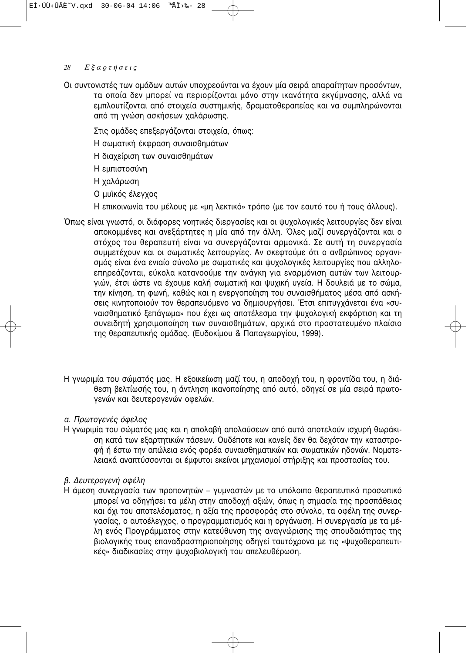#### 28 Εξαρτήσεις

Οι συντονιστές των ομάδων αυτών υποχρεούνται να έχουν μία σειρά απαραίτητων προσόντων, τα οποία δεν μπορεί να περιορίζονται μόνο στην ικανότητα εκγύμνασης, αλλά να εμπλουτίζονται από στοιχεία συστημικής. δραματοθεραπείας και να συμπληρώνονται από τη γνώση ασκήσεων χαλάρωσης.

Στις ομάδες επεξεργάζονται στοιχεία, όπως:

- Η σωματική έκφραση συναισθημάτων
- Η διαχείριση των συναισθημάτων

Η εμπιστοσύνη

Η χαλάρωση

- Ο μυϊκός έλεγχος
- Η επικοινωνία του μέλους με «μη λεκτικό» τρόπο (με τον εαυτό του ή τους άλλους).
- Όπως είναι γνωστό, οι διάφορες νοητικές διεργασίες και οι ψυχολογικές λειτουργίες δεν είναι αποκομμένες και ανεξάρτητες η μία από την άλλη. Όλες μαζί συνεργάζονται και ο στόχος του θεραπευτή είναι να συνεργάζονται αρμονικά. Σε αυτή τη συνεργασία συμμετέχουν και οι σωματικές λειτουργίες. Αν σκεφτούμε ότι ο ανθρώπινος οργανισμός είναι ένα ενιαίο σύνολο με σωματικές και ψυχολογικές λειτουργίες που αλληλοεπηρεάζονται, εύκολα κατανοούμε την ανάγκη για εναρμόνιση αυτών των λειτουργιών, έτσι ώστε να έχουμε καλή σωματική και ψυχική υγεία. Η δουλειά με το σώμα, την κίνηση, τη φωνή, καθώς και η ενεργοποίηση του συναισθήματος μέσα από ασκήσεις κινητοποιούν τον θεραπευόμενο να δημιουργήσει. Έτσι επιτυγχάνεται ένα «συναισθηματικό ξεπάγωμα» που έχει ως αποτέλεσμα την ψυχολογική εκφόρτιση και τη συνειδητή χρησιμοποίηση των συναισθημάτων, αρχικά στο προστατευμένο πλαίσιο της θεραπευτικής ομάδας. (Ευδοκίμου & Παπαγεωργίου, 1999).
- Η γνωριμία του σώματός μας. Η εξοικείωση μαζί του, η αποδοχή του, η φροντίδα του, η διάθεση βελτίωσής του, η άντληση ικανοποίησης από αυτό, οδηγεί σε μία σειρά πρωτογενών και δευτερογενών οφελών.
- α. Πρωτογενές όφελος
- Η γνωριμία του σώματός μας και η απολαβή απολαύσεων από αυτό αποτελούν ισχυρή θωράκιση κατά των εξαρτητικών τάσεων. Ουδέποτε και κανείς δεν θα δεχόταν την καταστροφή ή έστω την απώλεια ενός φορέα συναισθηματικών και σωματικών ηδονών. Νομοτελειακά αναπτύσσονται οι έμφυτοι εκείνοι μηχανισμοί στήριξης και προστασίας του.

# β. Δευτερογενή οφέλη

Η άμεση συνεργασία των προπονητών - γυμναστών με το υπόλοιπο θεραπευτικό προσωπικό μπορεί να οδηγήσει τα μέλη στην αποδοχή αξιών, όπως η σημασία της προσπάθειας και όχι του αποτελέσματος, η αξία της προσφοράς στο σύνολο, τα οφέλη της συνεργασίας, ο αυτοέλεγχος, ο προγραμματισμός και η οργάνωση. Η συνεργασία με τα μέλη ενός Προγράμματος στην κατεύθυνση της αναγνώρισης της σπουδαιότητας της βιολογικής τους επαναδραστηριοποίησης οδηγεί ταυτόχρονα με τις «ψυχοθεραπευτικές» διαδικασίες στην ψυχοβιολογική του απελευθέρωση.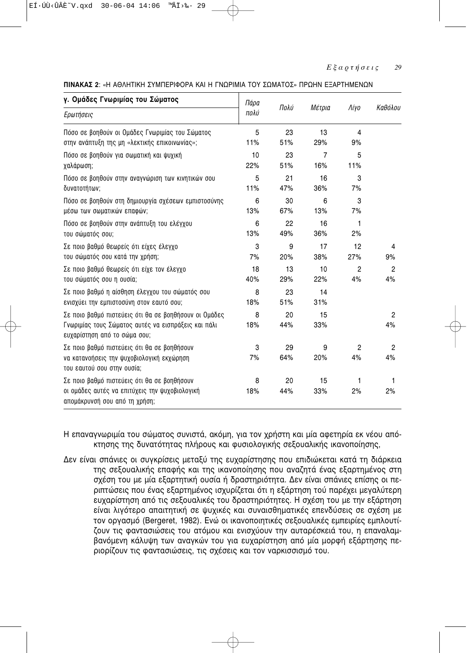| γ. Ομάδες Γνωριμίας του Σώματος<br>Ερωτήσεις                                                                                                 |          | Πολύ      | Μέτρια    | Λίγο                 | Καθόλου              |
|----------------------------------------------------------------------------------------------------------------------------------------------|----------|-----------|-----------|----------------------|----------------------|
|                                                                                                                                              |          |           |           |                      |                      |
| στην ανάπτυξη της μη «λεκτικής επικοινωνίας»;                                                                                                | 11%      | 51%       | 29%       | 9%                   |                      |
| Πόσο σε βοηθούν για σωματική και ψυχική                                                                                                      | 10       | 23        | 7         | 5                    |                      |
| χαλάρωση;                                                                                                                                    | 22%      | 51%       | 16%       | 11%                  |                      |
| Πόσο σε βοηθούν στην αναγνώριση των κινητικών σου                                                                                            | 5        | 21        | 16        | 3                    |                      |
| δυνατοτήτων;                                                                                                                                 | 11%      | 47%       | 36%       | 7%                   |                      |
| Πόσο σε βοηθούν στη δημιουργία σχέσεων εμπιστοσύνης                                                                                          | 6        | 30        | 6         | 3                    |                      |
| μέσω των σωματικών επαφών;                                                                                                                   | 13%      | 67%       | 13%       | 7%                   |                      |
| Πόσο σε βοηθούν στην ανάπτυξη του ελέγχου                                                                                                    | 6        | 22        | 16        | 1                    |                      |
| του σώματός σου;                                                                                                                             | 13%      | 49%       | 36%       | 2%                   |                      |
| Σε ποιο βαθμό θεωρείς ότι είχες έλεγχο                                                                                                       | 3        | 9         | 17        | 12                   | 4                    |
| του σώματός σου κατά την χρήση;                                                                                                              | 7%       | 20%       | 38%       | 27%                  | 9%                   |
| Σε ποιο βαθμό θεωρείς ότι είχε τον έλεγχο                                                                                                    | 18       | 13        | 10        | $\overline{2}$       | $\overline{2}$       |
| του σώματός σου η ουσία;                                                                                                                     | 40%      | 29%       | 22%       | 4%                   | 4%                   |
| Σε ποιο βαθμό η αίσθηση έλεγχου του σώματός σου<br>ενισχύει την εμπιστοσύνη στον εαυτό σου;                                                  | 8<br>18% | 23<br>51% | 14<br>31% |                      |                      |
| Σε ποιο βαθμό πιστεύεις ότι θα σε βοηθήσουν οι Ομάδες<br>Γνωριμίας τους Σώματος αυτές να εισπράξεις και πάλι<br>ευχαρίστηση από το σώμα σου; | 8<br>18% | 20<br>44% | 15<br>33% |                      | $\overline{2}$<br>4% |
| Σε ποιο βαθμό πιστεύεις ότι θα σε βοηθήσουν<br>να κατανοήσεις την ψυχοβιολογική εκχώρηση<br>του εαυτού σου στην ουσία;                       | 3<br>7%  | 29<br>64% | 9<br>20%  | $\overline{c}$<br>4% | $\overline{2}$<br>4% |
| Σε ποιο βαθμό πιστεύεις ότι θα σε βοηθήσουν<br>οι ομάδες αυτές να επιτύχεις την ψυχοβιολογική<br>απομάκρυνσή σου από τη χρήση;               | 8<br>18% | 20<br>44% | 15<br>33% | 1<br>2%              | 1<br>2%              |

Η επαναγνωριμία του σώματος συνιστά, ακόμη, για τον χρήστη και μία αφετηρία εκ νέου απόκτησης της δυνατότητας πλήρους και φυσιολογικής σεξουαλικής ικανοποίησης,

Δεν είναι σπάνιες οι συγκρίσεις μεταξύ της ευχαρίστησης που επιδιώκεται κατά τη διάρκεια της σεξουαλικής επαφής και της ικανοποίησης που αναζητά ένας εξαρτημένος στη σχέση του με μία εξαρτητική ουσία ή δραστηριότητα. Δεν είναι σπάνιες επίσης οι περιπτώσεις που ένας εξαρτημένος ισχυρίζεται ότι η εξάρτηση τού παρέχει μεγαλύτερη ευχαρίστηση από τις σεξουαλικές του δραστηριότητες. Η σχέση του με την εξάρτηση είναι λιγότερο απαιτητική σε ψυχικές και συναισθηματικές επενδύσεις σε σχέση με τον οργασμό (Bergeret, 1982). Ενώ οι ικανοποιητικές σεξουαλικές εμπειρίες εμπλουτίζουν τις φαντασιώσεις του ατόμου και ενισχύουν την αυταρέσκειά του, η επαναλαμβανόμενη κάλυψη των αναγκών του για ευχαρίστηση από μία μορφή εξάρτησης περιορίζουν τις φαντασιώσεις, τις σχέσεις και τον ναρκισσισμό του.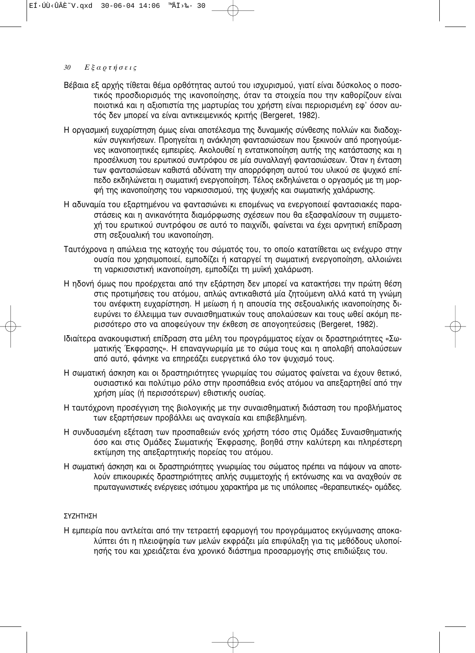# 30 *Eξαρτήσεις*

- Bέβαια εξ αρχής τίθεται θέμα ορθότητας αυτού του ισχυρισμού, γιατί είναι δύσκολος ο ποσοτικός προσδιορισμός της ικανοποίησης, όταν τα στοιχεία που την καθορίζουν είναι ποιοτικά και η αξιοπιστία της μαρτυρίας του χρήστη είναι περιορισμένη εφ' όσον αυτός δεν μπορεί να είναι αντικειμενικός κριτής (Bergeret, 1982).
- Η οργασμική ευχαρίστηση όμως είναι αποτέλεσμα της δυναμικής σύνθεσης πολλών και διαδοχικών συγκινήσεων. Προηγείται η ανάκληση φαντασιώσεων που ξεκινούν από προηγούμε-VEC ΙΚανοποιητικές εμπειρίες. Ακολουθεί η εντατικοποίηση αυτής της κατάστασης και η προσέλκυση του ερωτικού συντρόφου σε μία συναλλαγή φαντασιώσεων. Όταν η ένταση των φαντασιώσεων καθιστά αδύνατη την απορρόφηση αυτού του υλικού σε ψυχικό επίπεδο εκδηλώνεται η σωματική ενεργοποίηση. Τέλος εκδηλώνεται ο οργασμός με τη μορ-**Φή της ικανοποίησης του ναρκισσισμού, της ψυχικής και σωματικής χαλάρωσης.**
- Η αδυναμία του εξαρτημένου να φαντασιώνει κι επομένως να ενεργοποιεί φαντασιακές παραστάσεις και η ανικανότητα διαμόρφωσης σχέσεων που θα εξασφαλίσουν τη συμμετοχή του ερωτικού συντρόφου σε αυτό το παιχνίδι, φαίνεται να έχει αρνητική επίδραση στη σεξουαλική του ικανοποίηση.
- Ταυτόχρονα η απώλεια της κατοχής του σώματός του, το οποίο κατατίθεται ως ενέχυρο στην ουσία που χρησιμοποιεί, εμποδίζει ή καταργεί τη σωματική ενεργοποίηση, αλλοιώνει τη ναρκισσιστική ικανοποίηση, εμποδίζει τη μυϊκή χαλάρωση.
- Η ηδονή όμως που προέρχεται από την εξάρτηση δεν μπορεί να κατακτήσει την πρώτη θέση στις προτιμήσεις του ατόμου, απλώς αντικαθιστά μία ζητούμενη αλλά κατά τη γνώμη του ανέφικτη ευχαρίστηση. Η μείωση ή η απουσία της σεξουαλικής ικανοποίησης διευρύνει το έλλειμμα των συναισθηματικών τους απολαύσεων και τους ωθεί ακόμη περισσότερο στο να αποφεύγουν την έκθεση σε απογοητεύσεις (Bergeret, 1982).
- Ιδιαίτερα ανακουφιστική επίδραση στα μέλη του προγράμματος είχαν οι δραστηριότητες «Σωματικής Έκφρασης». Η επαναγνωριμία με το σώμα τους και η απολαβή απολαύσεων από αυτό, φάνηκε να επηρεάζει ευεργετικά όλο τον ψυχισμό τους.
- Η σωματική άσκηση και οι δραστηριότητες γνωριμίας του σώματος φαίνεται να έχουν θετικό, ουσιαστικό και πολύτιμο ρόλο στην προσπάθεια ενός ατόμου να απεξαρτηθεί από την χρήση μίας (ή περισσότερων) εθιστικής ουσίας.
- Η ταυτόχρονη προσέγγιση της βιολογικής με την συναισθηματική διάσταση του προβλήματος των εξαρτήσεων προβάλλει ως αναγκαία και επιβεβλημένη.
- Η συνδυασμένη εξέταση των προσπαθειών ενός χρήστη τόσο στις Ομάδες Συναισθηματικής όσο και στις Ομάδες Σωματικής Έκφρασης, βοηθά στην καλύτερη και πληρέστερη εκτίμηση της απεξαρτητικής πορείας του ατόμου.
- Η σωματική άσκηση και οι δραστηριότητες γνωριμίας του σώματος πρέπει να πάψουν να αποτελούν επικουρικές δραστηριότητες απλής συμμετοχής ή εκτόνωσης και να αναχθούν σε πρωταγωνιστικές ενέργειες ισότιμου χαρακτήρα με τις υπόλοιπες «θεραπευτικές» ομάδες.

# ΣΥΖΗΤΗΣΗ

Η εμπειρία που αντλείται από την τετραετή εφαρμογή του προγράμματος εκγύμνασης αποκαλύπτει ότι η πλειοψηφία των μελών εκφράζει μία επιφύλαξη για τις μεθόδους υλοποίησής του και χρειάζεται ένα χρονικό διάστημα προσαρμογής στις επιδιώξεις του.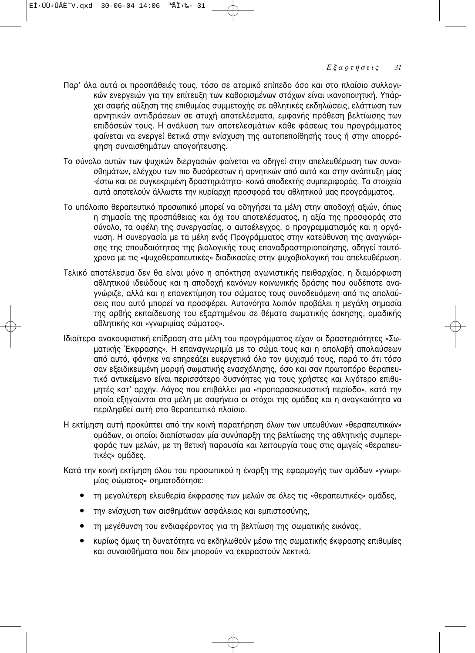- Παρ' όλα αυτά οι προσπάθειές τους, τόσο σε ατομικό επίπεδο όσο και στο πλαίσιο συλλογικών ενεργειών για την επίτευξη των καθορισμένων στόχων είναι ικανοποιητική. Υπάρχει σαφής αύξηση της επιθυμίας συμμετοχής σε αθλητικές εκδηλώσεις, ελάττωση των αρνητικών αντιδράσεων σε ατυχή αποτελέσματα, εμφανής πρόθεση βελτίωσης των επιδόσεών τους. Η ανάλυση των αποτελεσμάτων κάθε φάσεως του προγράμματος Φαίνεται να ενεργεί θετικά στην ενίσχυση της αυτοπεποίθησής τους ή στην απορρόοηση συναισθημάτων απονοήτευσης.
- Το σύνολο αυτών των ψυχικών διεργασιών φαίνεται να οδηγεί στην απελευθέρωση των συναισθημάτων, ελέγχου των πιο δυσάρεστων ή αρνητικών από αυτά και στην ανάπτυξη μίας -έστω και σε συγκεκριμένη δραστηριότητα- κοινά αποδεκτής συμπεριφοράς. Τα στοιχεία αυτά αποτελούν άλλωστε την κυρίαρχη προσφορά του αθλητικού μας προνράμματος.
- Το υπόλοιπο θεραπευτικό προσωπικό μπορεί να οδηγήσει τα μέλη στην αποδοχή αξιών, όπως η σημασία της προσπάθειας και όχι του αποτελέσματος, η αξία της προσφοράς στο σύνολο, τα οφέλη της συνεργασίας, ο αυτοέλεγχος, ο προγραμματισμός και η οργάνωση. Η συνεργασία με τα μέλη ενός Προγράμματος στην κατεύθυνση της αναγνώρισης της σπουδαιότητας της βιολογικής τους επαναδραστηριοποίησης, οδηγεί ταυτόγρονα με τις «ψυχοθεραπευτικές» διαδικασίες στην ψυχοβιολογική του απελευθέρωση.
- Τελικό αποτέλεσμα δεν θα είναι μόνο η απόκτηση αγωνιστικής πειθαρχίας, η διαμόρφωση αθλητικού ιδεώδους και η αποδοχή κανόνων κοινωνικής δράσης που ουδέποτε αναγνώριζε, αλλά και η επανεκτίμηση του σώματος τους συνοδευόμενη από τις απολαύσεις που αυτό μπορεί να προσφέρει. Αυτονόητα λοιπόν προβάλει η μεγάλη σημασία της ορθής εκπαίδευσης του εξαρτημένου σε θέματα σωματικής άσκησης, ομαδικής αθλητικής και «γνωριμίας σώματος».
- Ιδιαίτερα ανακουφιστική επίδραση στα μέλη του προγράμματος είχαν οι δραστηριότητες «Σωματικής Έκφρασης». Η επαναγνωριμία με το σώμα τους και η απολαβή απολαύσεων από αυτό, φάνηκε να επηρεάζει ευεργετικά όλο τον ψυχισμό τους, παρά το ότι τόσο σαν εξειδικευμένη μορφή σωματικής ενασχόλησης, όσο και σαν πρωτοπόρο θεραπευτικό αντικείμενο είναι περισσότερο δυσνόητες για τους χρήστες και λιγότερο επιθυμητές κατ' αρχήν. Λόγος που επιβάλλει μια «προπαρασκευαστική περίοδο», κατά την οποία εξηγούνται στα μέλη με σαφήνεια οι στόχοι της ομάδας και η αναγκαιότητα να περιληφθεί αυτή στο θεραπευτικό πλαίσιο.
- Η εκτίμηση αυτή προκύπτει από την κοινή παρατήρηση όλων των υπευθύνων «θεραπευτικών» ομάδων, οι οποίοι διαπίστωσαν μία συνύπαρξη της βελτίωσης της αθλητικής συμπεριφοράς των μελών, με τη θετική παρουσία και λειτουργία τους στις αμιγείς «θεραπευτικές» ομάδες.
- Κατά την κοινή εκτίμηση όλου του προσωπικού η έναρξη της εφαρμογής των ομάδων «γνωριμίας σώματος» σηματοδότησε:
	- τη μεγαλύτερη ελευθερία έκφρασης των μελών σε όλες τις «θεραπευτικές» ομάδες,
	- την ενίσχυση των αισθημάτων ασφάλειας και εμπιστοσύνης,
	- τη μεγέθυνση του ενδιαφέροντος για τη βελτίωση της σωματικής εικόνας,
	- κυρίως όμως τη δυνατότητα να εκδηλωθούν μέσω της σωματικής έκφρασης επιθυμίες και συναισθήματα που δεν μπορούν να εκφραστούν λεκτικά.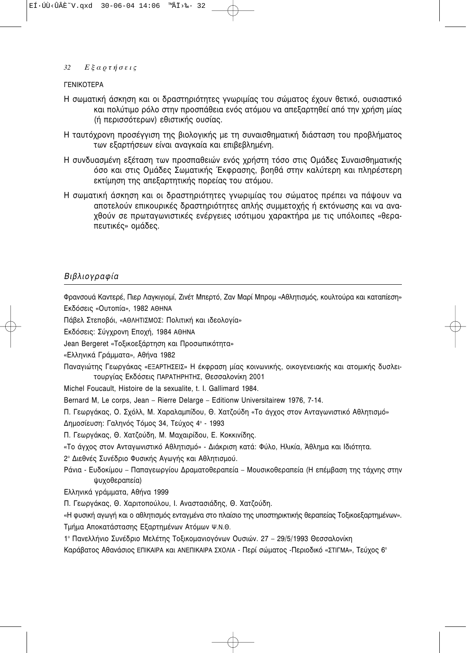# 32 *Eξαρτήσεις*

# *FENIKOTEPA*

- Η σωματική άσκηση και οι δραστηριότητες γνωριμίας του σώματος έχουν θετικό, ουσιαστικό και πολύτιμο ρόλο στην προσπάθεια ενός ατόμου να απεξαρτηθεί από την χρήση μίας (ή περισσότερων) εθιστικής ουσίας.
- Η ταυτόχρονη προσέγγιση της βιολογικής με τη συναισθηματική διάσταση του προβλήματος των εξαρτήσεων είναι αναγκαία και επιβεβλημένη.
- Η συνδυασμένη εξέταση των προσπαθειών ενός χρήστη τόσο στις Ομάδες Συναισθηματικής όσο και στις Ομάδες Σωματικής Έκφρασης, βοηθά στην καλύτερη και πληρέστερη εκτίμηση της απεξαρτητικής πορείας του ατόμου.
- Η σωματική άσκηση και οι δραστηριότητες γνωριμίας του σώματος πρέπει να πάψουν να αποτελούν επικουρικές δραστηριότητες απλής συμμετοχής ή εκτόνωσης και να αναχθούν σε πρωταγωνιστικές ενέργειες ισότιμου χαρακτήρα με τις υπόλοιπες «θεραπευτικές» ομάδες.

# $B$ *ιβλιογραφία*

Φρανσουά Καντερέ, Πιερ Λαγκιγιομί, Ζινέτ Μπερτό, Ζαν Μαρί Μπρομ «Αθλητισμός, κουλτούρα και καταπίεση» Εκδόσεις «Ουτοπία», 1982 ΑΘΗΝΑ

Πάβελ Στεποβόι, «ΑΘΛΗΤΙΣΜΟΣ: Πολιτική και ιδεολογία»

Εκδόσεις: Σύγχρονη Εποχή, 1984 ΑΘΗΝΑ

Jean Bergeret «Τοξικοεξάρτηση και Προσωπικότητα»

«Ελληνικά Γράμματα», Αθήνα 1982

Παναγιώτης Γεωργάκας «ΕΞΑΡΤΗΣΕΙΣ» Η έκφραση μίας κοινωνικής, οικογενειακής και ατομικής δυσλειτουργίας Εκδόσεις ΠΑΡΑΤΗΡΗΤΗΣ, Θεσσαλονίκη 2001

Michel Foucault, Histoire de la sexualite, t. I. Gallimard 1984.

Bernard M, Le corps, Jean – Rierre Delarge – Editionw Universitairew 1976, 7-14.

Π. Γεωργάκας, Ο. Σχόλλ, Μ. Χαραλαμπίδου, Θ. Χατζούδη «Το άγχος στον Ανταγωνιστικό Αθλητισμό»

Δημοσίευση: Γαληνός Τόμος 34, Τεύχος 4° - 1993

Π. Γεωργάκας, Θ. Χατζούδη, Μ. Μαχαιρίδου, Ε. Κοκκινίδης.

«Το άγχος στον Ανταγωνιστικό Αθλητισμό» - Διάκριση κατά: Φύλο, Ηλικία, Άθλημα και Ιδιότητα.

- 2<sup>°</sup> Διεθνές Συνέδριο Φυσικής Αγωγής και Αθλητισμού.
- Ράνια Ευδοκίμου Παπαγεωργίου Δραματοθεραπεία Μουσικοθεραπεία (Η επέμβαση της τάχνης στην ψυχοθεραπεία)
- Ελληνικά γράμματα, Αθήνα 1999
- Π. Γεωργάκας, Θ. Χαριτοπούλου, Ι. Αναστασιάδης, Θ. Χατζούδη.

«Η φυσική αγωγή και ο αθλητισμός ενταγμένα στο πλαίσιο της υποστηρικτικής θεραπείας Τοξικοεξαρτημένων».

Τμήμα Αποκατάστασης Εξαρτημένων Ατόμων Ψ.Ν.Θ.

- 1° Πανελλήνιο Συνέδριο Μελέτης Τοξικομανιογόνων Ουσιών. 27 29/5/1993 Θεσσαλονίκη
- Καράβατος Αθανάσιος ΕΠΙΚΑΙΡΑ και ΑΝΕΠΙΚΑΙΡΑ ΣΧΟΛΙΑ Περί σώματος -Περιοδικό «ΣΤΙΓΜΑ», Τεύχος 6°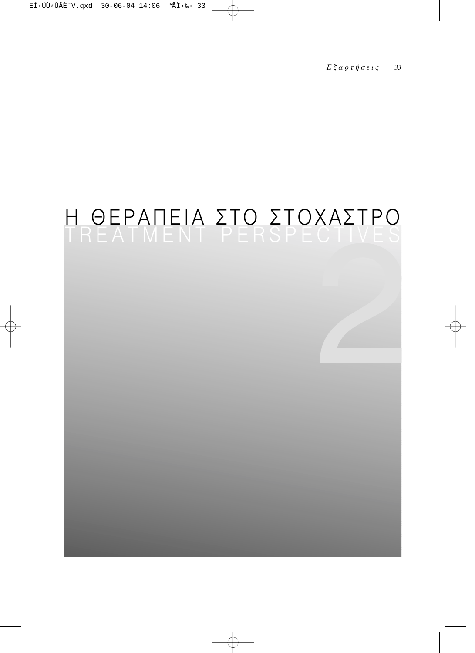# Η ΘΕΡΑΠΕΙΑ ΣΤΟ ΣΤΟΧΑΣΤΡΟ <u>TREATMENT PERSPECTIV</u>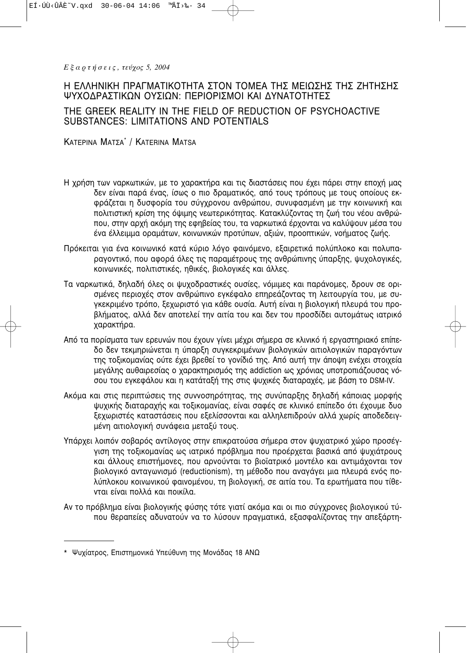# Η ΕΛΛΗΝΙΚΗ ΠΡΑΓΜΑΤΙΚΟΤΗΤΑ ΣΤΟΝ ΤΟΜΕΑ ΤΗΣ ΜΕΙΩΣΗΣ ΤΗΣ ΖΗΤΗΣΗΣ ΨΥΧΟΔΡΑΣΤΙΚΩΝ ΟΥΣΙΩΝ: ΠΕΡΙΟΡΙΣΜΟΙ ΚΑΙ ΔΥΝΑΤΟΤΗΤΕΣ

# THE GREEK REALITY IN THE FIELD OF REDUCTION OF PSYCHOACTIVE **SUBSTANCES: LIMITATIONS AND POTENTIALS**

**KATEPINA MATZA<sup>\*</sup> / KATERINA MATSA** 

- Η χρήση των ναρκωτικών, με το χαρακτήρα και τις διαστάσεις που έχει πάρει στην εποχή μας δεν είναι παρά ένας, ίσως ο πιο δραματικός, από τους τρόπους με τους οποίους εκφράζεται η δυσφορία του σύγχρονου ανθρώπου, συνυφασμένη με την κοινωνική και πολιτιστική κρίση της όψιμης νεωτερικότητας. Κατακλύζοντας τη ζωή του νέου ανθρώπου, στην αρχή ακόμη της εφηβείας του, τα ναρκωτικά έρχονται να καλύψουν μέσα του ένα έλλειμμα οραμάτων, κοινωνικών προτύπων, αξιών, προοπτικών, νοήματος ζωής.
- Πρόκειται για ένα κοινωνικό κατά κύριο λόγο φαινόμενο, εξαιρετικά πολύπλοκο και πολυπαραγοντικό, που αφορά όλες τις παραμέτρους της ανθρώπινης ύπαρξης, ψυχολογικές, κοινωνικές, πολιτιστικές, ηθικές, βιολογικές και άλλες.
- Τα ναρκωτικά, δηλαδή όλες οι ψυχοδραστικές ουσίες, νόμιμες και παράνομες, δρουν σε ορισμένες περιοχές στον ανθρώπινο ενκέφαλο επηρεάζοντας τη λειτουργία του, με συγκεκριμένο τρόπο, ξεχωριστό για κάθε ουσία. Αυτή είναι η βιολογική πλευρά του προβλήματος, αλλά δεν αποτελεί την αιτία του και δεν του προσδίδει αυτομάτως ιατρικό χαρακτήρα.
- Από τα πορίσματα των ερευνών που έχουν γίνει μέχρι σήμερα σε κλινικό ή εργαστηριακό επίπεδο δεν τεκμηριώνεται η ύπαρξη συνκεκριμένων βιολονικών αιτιολονικών παρανόντων της τοξικομανίας ούτε έχει βρεθεί το γονίδιό της. Από αυτή την άποψη ενέχει στοιχεία μεγάλης αυθαιρεσίας ο χαρακτηρισμός της addiction ως χρόνιας υποτροπιάζουσας νόσου του εγκεφάλου και η κατάταξή της στις ψυχικές διαταραχές, με βάση το DSM-IV.
- Ακόμα και στις περιπτώσεις της συννοσηρότητας, της συνύπαρξης δηλαδή κάποιας μορφής ψυχικής διαταραχής και τοξικομανίας, είναι σαφές σε κλινικό επίπεδο ότι έχουμε δυο ξεχωριστές καταστάσεις που εξελίσσονται και αλληλεπιδρούν αλλά χωρίς αποδεδειγμένη αιτιολονική συνάφεια μεταξύ τους.
- Υπάρχει λοιπόν σοβαρός αντίλογος στην επικρατούσα σήμερα στον ψυχιατρικό χώρο προσέγγιση της τοξικομανίας ως ιατρικό πρόβλημα που προέρχεται βασικά από ψυχιάτρους και άλλους επιστήμονες, που αρνούνται το βιοϊατρικό μοντέλο και αντιμάχονται τον βιολογικό ανταγωνισμό (reductionism), τη μέθοδο που αναγάγει μια πλευρά ενός πολύπλοκου κοινωνικού φαινομένου, τη βιολογική, σε αιτία του. Τα ερωτήματα που τίθενται είναι πολλά και ποικίλα
- Αν το πρόβλημα είναι βιολογικής φύσης τότε γιατί ακόμα και οι πιο σύγχρονες βιολογικού τύπου θεραπείες αδυνατούν να το λύσουν πραγματικά, εξασφαλίζοντας την απεξάρτη-

<sup>\*</sup> Ψυχίατρος, Επιστημονικά Υπεύθυνη της Μονάδας 18 ΑΝΩ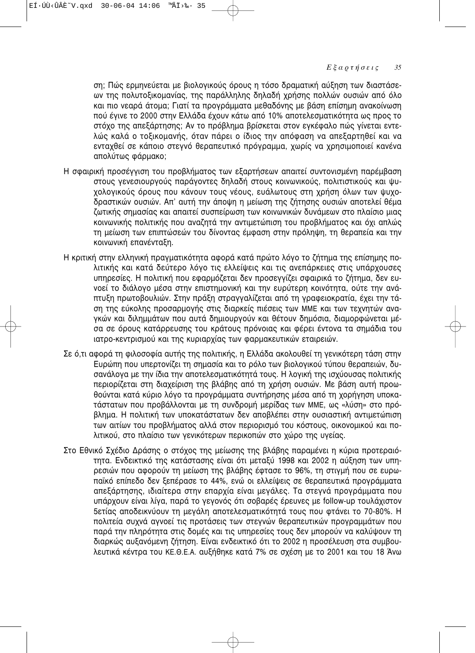ση; Πώς ερμηνεύεται με βιολογικούς όρους η τόσο δραματική αύξηση των διαστάσεων της πολυτοξικομανίας, της παράλληλης δηλαδή χρήσης πολλών ουσιών από όλο και πιο νεαρά άτομα: Γιατί τα προγράμματα μεθαδόνης με βάση επίσημη ανακοίνωση πού έγινε το 2000 στην Ελλάδα έχουν κάτω από 10% αποτελεσματικότητα ως προς το στόχο της απεξάρτησης: Αν το πρόβλημα βρίσκεται στον ενκέφαλο πώς νίνεται εντελώς καλά ο τοξικομανής, όταν πάρει ο ίδιος την απόφαση να απεξαρτηθεί και να ενταχθεί σε κάποιο στεννό θεραπευτικό πρόνραμμα, χωρίς να χρησιμοποιεί κανένα απολύτως φάρμακο;

- Η σφαιρική προσέγγιση του προβλήματος των εξαρτήσεων απαιτεί συντονισμένη παρέμβαση στους γενεσιουργούς παράγοντες δηλαδή στους κοινωνικούς, πολιτιστικούς και ψυχολογικούς όρους που κάνουν τους νέους, ευάλωτους στη χρήση όλων των ψυχο-.<br>δραστικών ουσιών. Απ' αυτή την άποψη η μείωση της ζήτησης ουσιών αποτελεί θέμα ζωτικής σημασίας και απαιτεί συσπείρωση των κοινωνικών δυνάμεων στο πλαίσιο μιας ΚΟΙΥΦΥΙΚής πολιτικής που αναζητά την αντιμετώπιση του προβλήματος και όχι απλώς τη μείωση των επιπτώσεών του δίνοντας έμφαση στην πρόληψη, τη θεραπεία και την κοινωνική επανένταξη.
- Η κριτική στην ελληνική πραγματικότητα αφορά κατά πρώτο λόγο το ζήτημα της επίσημης πολιτικής και κατά δεύτερο λόνο τις ελλείψεις και τις ανεπάρκειες στις υπάρχουσες υπηρεσίες. Η πολιτική που εφαρμόζεται δεν προσεννίζει σφαιρικά το ζήτημα. δεν ευνοεί το διάλογο μέσα στην επιστημονική και την ευρύτερη κοινότητα, ούτε την ανάπτυξη πρωτοβουλιών. Στην πράξη στραγγαλίζεται από τη γραφειοκρατία, έχει την τάση της εύκολης προσαρμογής στις διαρκείς πιέσεις των ΜΜΕ και των τεχνητών αναγκών και διλημμάτων που αυτά δημιουργούν και θέτουν δημόσια, διαμορφώνεται μέσα σε όρους κατάρρευσης του κράτους πρόνοιας και φέρει έντονα τα σημάδια του ιατρο-κεντρισμού και της κυριαρχίας των φαρμακευτικών εταιρειών.
- Σε ό,τι αφορά τη φιλοσοφία αυτής της πολιτικής, η Ελλάδα ακολουθεί τη γενικότερη τάση στην Ευρώπη που υπερτονίζει τη σημασία και το ρόλο των βιολογικού τύπου θεραπειών, δυσανάλονα με την ίδια την αποτελεσματικότητά τους. Η λονική της ισχύουσας πολιτικής περιορίζεται στη διαχείριση της βλάβης από τη χρήση ουσιών. Με βάση αυτή προωθούνται κατά κύριο λόγο τα προγράμματα συντήρησης μέσα από τη χορήγηση υποκατάστατων που προβάλλονται με τη συνδρομή μερίδας των ΜΜΕ, ως «λύση» στο πρόβλημα. Η πολιτική των υποκατάστατων δεν αποβλέπει στην ουσιαστική αντιμετώπιση των αιτίων του προβλήματος αλλά στον περιορισμό του κόστους, οικονομικού και πολιτικού, στο πλαίσιο των γενικότερων περικοπών στο χώρο της υγείας.
- Στο Εθνικό Σχέδιο Δράσης ο στόχος της μείωσης της βλάβης παραμένει η κύρια προτεραιότητα. Ενδεικτικό της κατάστασης είναι ότι μεταξύ 1998 και 2002 η αύξηση των υπηρεσιών που αφορούν τη μείωση της βλάβης έφτασε το 96%, τη στιγμή που σε ευρωπαϊκό επίπεδο δεν ξεπέρασε το 44%, ενώ οι ελλείψεις σε θεραπευτικά προγράμματα απεξάρτησης, ιδιαίτερα στην επαρχία είναι μεγάλες. Τα στεγνά προγράμματα που υπάρχουν είναι λίγα, παρά το γεγονός ότι σοβαρές έρευνες με follow-up τουλάχιστον 5ετίας αποδεικνύουν τη μεγάλη αποτελεσματικότητά τους που φτάνει το 70-80%. Η πολιτεία συχνά αγνοεί τις προτάσεις των στεγνών θεραπευτικών προγραμμάτων που παρά την πληρότητα στις δομές και τις υπηρεσίες τους δεν μπορούν να καλύψουν τη διαρκώς αυξανόμενη ζήτηση. Είναι ενδεικτικό ότι το 2002 η προσέλευση στα συμβουλευτικά κέντρα του ΚΕ.Θ.Ε.Α. αυξήθηκε κατά 7% σε σχέση με το 2001 και του 18 Άνω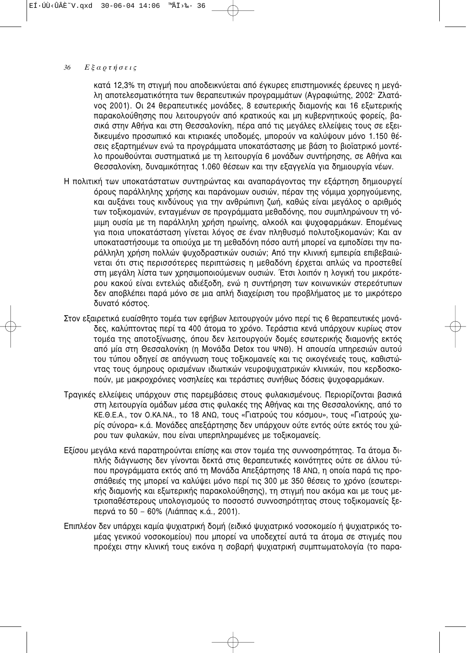# 36 *Eξαρτήσεις*

κατά 12,3% τη στιγμή που αποδεικνύεται από έγκυρες επιστημονικές έρευνες η μεγάλη αποτελεσματικότητα των θεραπευτικών προγραμμάτων (Αγραφιώτης, 2002<sup>.</sup> Ζλατά-VOC 2001). OL 24 θεραπευτικές μονάδες. 8 εσωτερικής διαμονής και 16 εξωτερικής παρακολούθησης που λειτουργούν από κρατικούς και μη κυβερνητικούς φορείς. Βασικά στην Αθήνα και στη Θεσσαλονίκη, πέρα από τις μενάλες ελλείψεις τους σε εξειδικευμένο προσωπικό και κτιριακές υποδομές, μπορούν να καλύψουν μόνο 1.150 θέσεις εξαρτημένων ενώ τα προνράμματα υποκατάστασης με βάση το βιοϊατρικό μοντέλο προωθούνται συστηματικά με τη λειτουργία 6 μονάδων συντήρησης, σε Αθήνα και Θεσσαλονίκη, δυναμικότητας 1.060 θέσεων και την εξαννελία νια δημιουργία νέων.

- Η πολιτική των υποκατάστατων συντηρώντας και αναπαράγοντας την εξάρτηση δημιουργεί όρους παράλληλης χρήσης και παράνομων ουσιών, πέραν της νόμιμα χορηγούμενης, και αυξάνει τους κινδύνους για την ανθρώπινη ζωή, καθώς είναι μεγάλος ο αριθμός των τοξικομανών, ενταγμένων σε προγράμματα μεθαδόνης, που συμπληρώνουν τη νόμιμη ουσία με τη παράλληλη χρήση ηρωίνης, αλκοόλ και ψυχοφαρμάκων. Επομένως για ποια υποκατάσταση γίνεται λόγος σε έναν πληθυσμό πολυτοξικομανών; Και αν υποκαταστήσουμε τα οπιούχα με τη μεθαδόνη πόσο αυτή μπορεί να εμποδίσει την παράλληλη χρήση πολλών ψυχοδραστικών ουσιών; Από την κλινική εμπειρία επιβεβαιώ-Vεται ότι στις περισσότερες περιπτώσεις η μεθαδόνη έρχεται απλώς να προστεθεί στη μεγάλη λίστα των χρησιμοποιούμενων ουσιών. Έτσι λοιπόν η λογική του μικρότερου κακού είναι εντελώς αδιέξοδη, ενώ η συντήρηση των κοινωνικών στερεότυπων δεν αποβλέπει παρά μόνο σε μια απλή διαχείριση του προβλήματος με το μικρότερο δυνατό κόστος.
- Στον εξαιρετικά ευαίσθητο τομέα των εφήβων λειτουργούν μόνο περί τις 6 θεραπευτικές μονάδες, καλύπτοντας περί τα 400 άτομα το χρόνο. Τεράστια κενά υπάρχουν κυρίως στον τομέα της αποτοξίνωσης, όπου δεν λειτουργούν δομές εσωτερικής διαμονής εκτός από μία στη Θεσσαλονίκη (η Μονάδα Detox του ΨΝΘ). Η απουσία υπηρεσιών αυτού του τύπου οδηγεί σε απόγνωση τους τοξικομανείς και τις οικογένειές τους, καθιστώ-VΤας τους όμηρους ορισμένων ιδιωτικών νευροψυχιατρικών κλινικών, που κερδοσκοπούν, με μακροχρόνιες νοσηλείες και τεράστιες συνήθως δόσεις ψυχοφαρμάκων.
- Τραγικές ελλείψεις υπάρχουν στις παρεμβάσεις στους φυλακισμένους. Περιορίζονται βασικά στη λειτουργία ομάδων μέσα στις φυλακές της Αθήνας και της Θεσσαλονίκης, από το ΚΕ.Θ.Ε.Α., τον Ο.ΚΑ.ΝΑ., το 18 ΑΝΩ, τους «Γιατρούς του κόσμου», τους «Γιατρούς χωρίς σύνορα» κ.ά. Μονάδες απεξάρτησης δεν υπάρχουν ούτε εντός ούτε εκτός του χώρου των φυλακών, που είναι υπερπληρωμένες με τοξικομανείς.
- Εξίσου μεγάλα κενά παρατηρούνται επίσης και στον τομέα της συννοσηρότητας. Τα άτομα διπλής διάγνωσης δεν γίνονται δεκτά στις θεραπευτικές κοινότητες ούτε σε άλλου τύπου προγράμματα εκτός από τη Μονάδα Απεξάρτησης 18 ΑΝΩ, η οποία παρά τις προσπάθειές της μπορεί να καλύψει μόνο περί τις 300 με 350 θέσεις το χρόνο (εσωτερικής διαμονής και εξωτερικής παρακολούθησης), τη στιγμή που ακόμα και με τους μετριοπαθέστερους υπολογισμούς το ποσοστό συννοσηρότητας στους τοξικομανείς ξεπερνά το 50 – 60% (Λιάππας κ.ά., 2001).
- Επιπλέον δεν υπάρχει καμία ψυχιατρική δομή (ειδικό ψυχιατρικό νοσοκομείο ή ψυχιατρικός τομέας γενικού νοσοκομείου) που μπορεί να υποδεχτεί αυτά τα άτομα σε στιγμές που προέχει στην κλινική τους εικόνα η σοβαρή ψυχιατρική συμπτωματολογία (το παρα-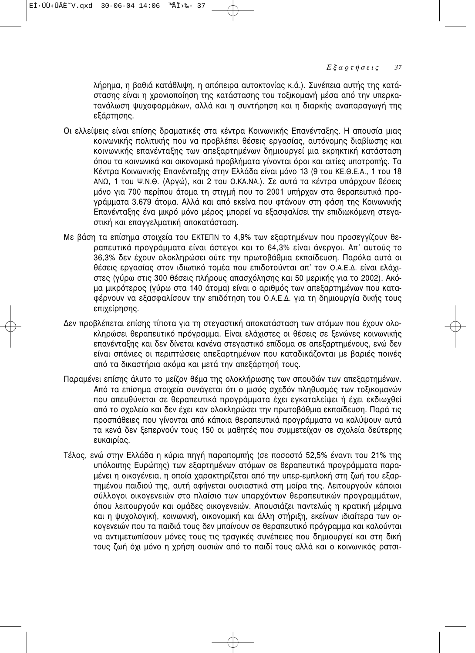λήρημα, η βαθιά κατάθλιψη, η απόπειρα αυτοκτονίας κ.ά.). Συνέπεια αυτής της κατάστασης είναι η χρονιοποίηση της κατάστασης του τοξικομανή μέσα από την υπερκατανάλωση ψυχοφαρμάκων, αλλά και η συντήρηση και η διαρκής αναπαραγωγή της εξάρτησης.

- Οι ελλείψεις είναι επίσης δραματικές στα κέντρα Κοινωνικής Επανένταξης. Η απουσία μιας κοινωνικής πολιτικής που να προβλέπει θέσεις εργασίας, αυτόνομης διαβίωσης και κοινωνικής επανένταξης των απεξαρτημένων δημιουργεί μια εκρηκτική κατάσταση όπου τα κοινωνικά και οικονομικά προβλήματα γίνονται όροι και αιτίες υποτροπής. Τα Κέντρα Κοινωνικής Επανένταξης στην Ελλάδα είναι μόνο 13 (9 του ΚΕ.Θ.Ε.Α., 1 του 18 ΑΝΩ, 1 του Ψ.Ν.Θ. (Αργώ), και 2 του Ο.ΚΑ.ΝΑ.). Σε αυτά τα κέντρα υπάρχουν θέσεις μόνο για 700 περίπου άτομα τη στινμή που το 2001 υπήρχαν στα θεραπευτικά προγράμματα 3.679 άτομα. Αλλά και από εκείνα που φτάνουν στη φάση της Κοινωνικής Επανένταξης ένα μικρό μόνο μέρος μπορεί να εξασφαλίσει την επιδιωκόμενη στεγαστική και επαννελματική αποκατάσταση.
- Με βάση τα επίσημα στοιχεία του ΕΚΤΕΠΝ το 4,9% των εξαρτημένων που προσεγγίζουν θεραπευτικά προγράμματα είναι άστεγοι και το 64.3% είναι άνεργοι. Απ' αυτούς το 36,3% δεν έχουν ολοκληρώσει ούτε την πρωτοβάθμια εκπαίδευση. Παρόλα αυτά οι θέσεις εργασίας στον ιδιωτικό τομέα που επιδοτούνται απ' τον Ο.Α.Ε.Δ. είναι ελάχιστες (γύρω στις 300 θέσεις πλήρους απασχόλησης και 50 μερικής για το 2002). Ακόμα μικρότερος (γύρω στα 140 άτομα) είναι ο αριθμός των απεξαρτημένων που καταφέρνουν να εξασφαλίσουν την επιδότηση του Ο.Α.Ε.Δ. για τη δημιουργία δικής τους επιχείρησης.
- Δεν προβλέπεται επίσης τίποτα για τη στεγαστική αποκατάσταση των ατόμων που έχουν ολοκληρώσει θεραπευτικό πρόγραμμα. Είναι ελάχιστες οι θέσεις σε ξενώνες κοινωνικής επανένταξης και δεν δίνεται κανένα στεναστικό επίδομα σε απεξαρτημένους, ενώ δεν είναι σπάνιες οι περιπτώσεις απεξαρτημένων που καταδικάζονται με βαριές ποινές από τα δικαστήρια ακόμα και μετά την απεξάρτησή τους.
- Παραμένει επίσης άλυτο το μείζον θέμα της ολοκλήρωσης των σπουδών των απεξαρτημένων. Από τα επίσημα στοιχεία συνάγεται ότι ο μισός σχεδόν πληθυσμός των τοξικομανών που απευθύνεται σε θεραπευτικά προγράμματα έχει εγκαταλείψει ή έχει εκδιωχθεί από το σχολείο και δεν έχει καν ολοκληρώσει την πρωτοβάθμια εκπαίδευση. Παρά τις προσπάθειες που γίνονται από κάποια θεραπευτικά προνράμματα να καλύψουν αυτά τα κενά δεν ξεπερνούν τους 150 οι μαθητές που συμμετείχαν σε σχολεία δεύτερης ευκαιρίας.
- Τέλος, ενώ στην Ελλάδα η κύρια πηγή παραπομπής (σε ποσοστό 52,5% έναντι του 21% της υπόλοιπης Ευρώπης) των εξαρτημένων ατόμων σε θεραπευτικά προγράμματα παραμένει η οικογένεια, η οποία χαρακτηρίζεται από την υπερ-εμπλοκή στη ζωή του εξαρτημένου παιδιού της, αυτή αφήνεται ουσιαστικά στη μοίρα της. Λειτουργούν κάποιοι σύλλογοι οικογενειών στο πλαίσιο των υπαρχόντων θεραπευτικών προγραμμάτων, όπου λειτουργούν και ομάδες οικογενειών. Απουσιάζει παντελώς η κρατική μέριμνα και η ψυχολογική, κοινωνική, οικονομική και άλλη στήριξη, εκείνων ιδιαίτερα των οικογενειών που τα παιδιά τους δεν μπαίνουν σε θεραπευτικό πρόγραμμα και καλούνται να αντιμετωπίσουν μόνες τους τις τραγικές συνέπειες που δημιουργεί και στη δική τους ζωή όχι μόνο η χρήση ουσιών από το παιδί τους αλλά και ο κοινωνικός ρατσι-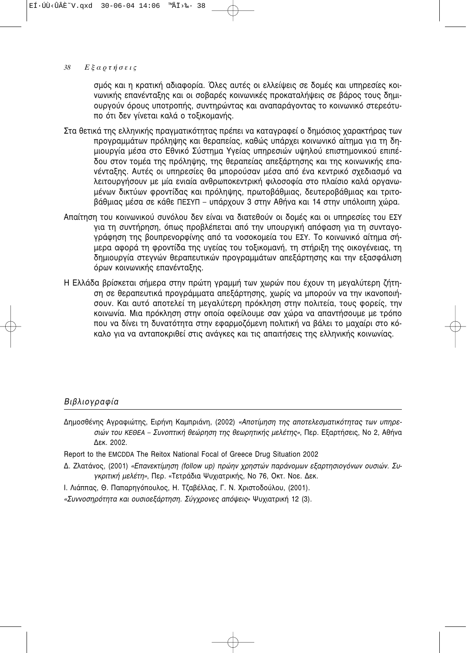σμός και η κρατική αδιαφορία. Όλες αυτές οι ελλείψεις σε δομές και υπηρεσίες κοινωνικής επανένταξης και οι σοβαρές κοινωνικές προκαταλήψεις σε βάρος τους δημιουργούν όρους υποτροπής, συντηρώντας και αναπαράνοντας το κοινωνικό στερεότυπο ότι δεν νίνεται καλά ο τοξικομανής.

- Στα θετικά της ελληνικής πραγματικότητας πρέπει να καταγραφεί ο δημόσιος χαρακτήρας των προγραμμάτων πρόληψης και θεραπείας, καθώς υπάρχει κοινωνικό αίτημα για τη δημιουργία μέσα στο Εθνικό Σύστημα Υγείας υπηρεσιών υψηλού επιστημονικού επιπέδου στον τομέα της πρόληψης, της θεραπείας απεξάρτησης και της κοινωνικής επανένταξης. Αυτές οι υπηρεσίες θα μπορούσαν μέσα από ένα κεντρικό σχεδιασμό να λειτουργήσουν με μία ενιαία ανθρωποκεντρική φιλοσοφία στο πλαίσιο καλά οργανωμένων δικτύων φροντίδας και πρόληψης, πρωτοβάθμιας, δευτεροβάθμιας και τριτοβάθμιας μέσα σε κάθε ΠΕΣΥΠ - υπάρχουν 3 στην Αθήνα και 14 στην υπόλοιπη χώρα.
- Απαίτηση του κοινωνικού συνόλου δεν είναι να διατεθούν οι δομές και οι υπηρεσίες του ΕΣΥ για τη συντήρηση, όπως προβλέπεται από την υπουργική απόφαση για τη συνταγογράφηση της βουπρενορφίνης από τα νοσοκομεία του ΕΣΥ. Το κοινωνικό αίτημα σήμερα αφορά τη φροντίδα της υγείας του τοξικομανή, τη στήριξη της οικογένειας, τη δημιουργία στεγνών θεραπευτικών προγραμμάτων απεξάρτησης και την εξασφάλιση όρων κοινωνικής επανένταξης.
- Η Ελλάδα βρίσκεται σήμερα στην πρώτη γραμμή των χωρών που έχουν τη μεγαλύτερη ζήτηση σε θεραπευτικά προγράμματα απεξάρτησης, χωρίς να μπορούν να την ικανοποιήσουν. Και αυτό αποτελεί τη μεγαλύτερη πρόκληση στην πολιτεία, τους φορείς, την κοινωνία. Μια πρόκληση στην οποία οφείλουμε σαν χώρα να απαντήσουμε με τρόπο που να δίνει τη δυνατότητα στην εφαρμοζόμενη πολιτική να βάλει το μαχαίρι στο κόκαλο για να ανταποκριθεί στις ανάγκες και τις απαιτήσεις της ελληνικής κοινωνίας.

# Βιβλιογραφία

- Δημοσθένης Αγραφιώτης, Ειρήνη Καμπριάνη, (2002) «Αποτίμηση της αποτελεσματικότητας των υπηρεσιών του ΚΕΘΕΑ - Συνοπτική θεώρηση της θεωρητικής μελέτης», Περ. Εξαρτήσεις, Νο 2, Αθήνα Δεκ. 2002.
- Report to the EMCDDA The Reitox National Focal of Greece Drug Situation 2002
- Δ. Ζλατάνος, (2001) «Επανεκτίμηση (follow up) πρώην χρηστών παράνομων εξαρτησιογόνων ουσιών. Συγκριτική μελέτη», Περ. «Τετράδια Ψυχιατρικής, Νο 76, Οκτ. Νοε. Δεκ.
- Ι. Λιάππας, Θ. Παπαρηγόπουλος, Η. Τζαβέλλας, Γ. Ν. Χριστοδούλου, (2001).
- «Συννοσηρότητα και ουσιοεξάρτηση. Σύγχρονες απόψεις» Ψυχιατρική 12 (3).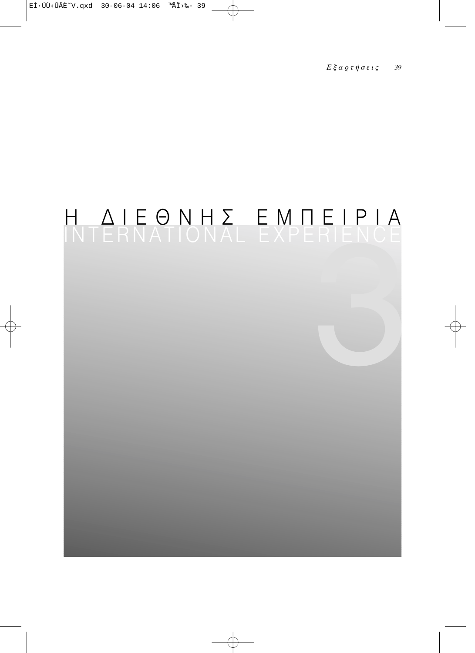# H AIEONH E E M T E LP LA<br>INTERNATIONAL EXPERIENCE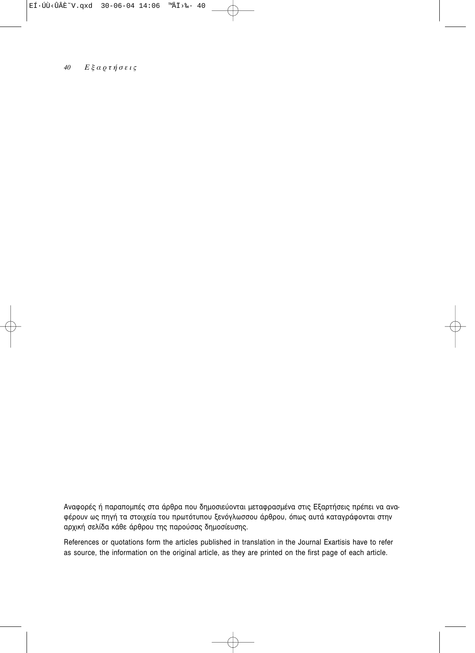Αναφορές ή παραπομπές στα άρθρα που δημοσιεύονται μεταφρασμένα στις Εξαρτήσεις πρέπει να αναφέρουν ως πηγή τα στοιχεία του πρωτότυπου ξενόγλωσσου άρθρου, όπως αυτά καταγράφονται στην αρχική σελίδα κάθε άρθρου της παρούσας δημοσίευσης.

References or quotations form the articles published in translation in the Journal Exartisis have to refer as source, the information on the original article, as they are printed on the first page of each article.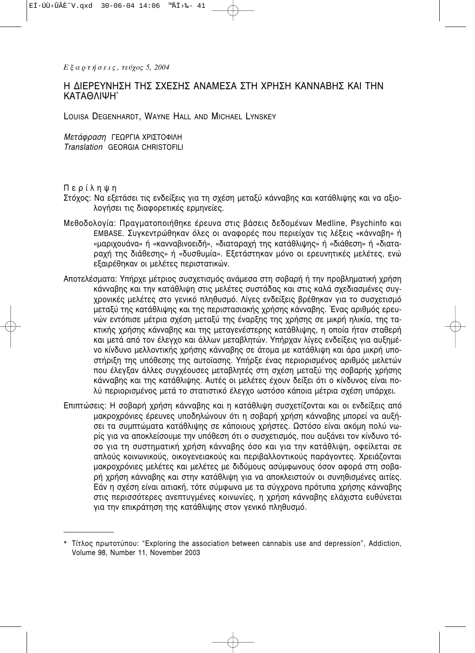# H AIFPFYNH∑H TH∑ ∑XF∑H∑ ANAMF∑A ∑TH XPH∑H KANNABH∑ KAI THN ΚΑΤΑΘΛΙΨΗ\*

LOUISA DEGENHARDT, WAYNE HALL AND MICHAEL LYNSKEY

Μετάφραση ΓΕΩΡΓΙΑ ΧΡΙΣΤΟΦΙΛΗ Translation GEORGIA CHRISTOFILL

Περίληψη

- Στόχος: Να εξετάσει τις ενδείξεις για τη σχέση μεταξύ κάνναβης και κατάθλιψης και να αξιολονήσει τις διαφορετικές ερμηνείες.
- Μεθοδολογία: Πραγματοποιήθηκε έρευνα στις βάσεις δεδομένων Medline, Psychinfo και EMBASE. Συγκεντρώθηκαν όλες οι αναφορές που περιείχαν τις λέξεις «κάνναβη» ή «μαριχουάνα» ή «κανναβινοειδή», «διαταραχή της κατάθλιψης» ή «διάθεση» ή «διαταραχή της διάθεσης» ή «δυσθυμία». Εξετάστηκαν μόνο οι ερευνητικές μελέτες, ενώ εξαιρέθηκαν οι μελέτες περιστατικών.
- Αποτελέσματα: Υπήρχε μέτριος συσχετισμός ανάμεσα στη σοβαρή ή την προβληματική χρήση κάνναβης και την κατάθλιψη στις μελέτες συστάδας και στις καλά σχεδιασμένες συγχρονικές μελέτες στο γενικό πληθυσμό. Λίγες ενδείξεις βρέθηκαν για το συσχετισμό μεταξύ της κατάθλιψης και της περιστασιακής χρήσης κάνναβης. Ένας αριθμός ερευνών εντόπισε μέτρια σχέση μεταξύ της έναρξης της χρήσης σε μικρή ηλικία, της τακτικής χρήσης κάνναβης και της μεταγενέστερης κατάθλιψης, η οποία ήταν σταθερή και μετά από τον έλενχο και άλλων μεταβλητών. Υπήρχαν λίνες ενδείξεις για αυξημένο κίνδυνο μελλοντικής χρήσης κάνναβης σε άτομα με κατάθλιψη και άρα μικρή υποστήριξη της υπόθεσης της αυτοϊασης. Υπήρξε ένας περιορισμένος αριθμός μελετών που έλενξαν άλλες συνχέουσες μεταβλητές στη σχέση μεταξύ της σοβαρής χρήσης κάνναβης και της κατάθλιψης. Αυτές οι μελέτες έχουν δείξει ότι ο κίνδυνος είναι πολύ περιορισμένος μετά το στατιστικό έλεγχο ωστόσο κάποια μέτρια σχέση υπάρχει.
- Επιπτώσεις: Η σοβαρή χρήση κάνναβης και η κατάθλιψη συσχετίζονται και οι ενδείξεις από μακροχρόνιες έρευνες υποδηλώνουν ότι η σοβαρή χρήση κάνναβης μπορεί να αυξήσει τα συμπτώματα κατάθλιψης σε κάποιους χρήστες. Ωστόσο είναι ακόμη πολύ νωρίς για να αποκλείσουμε την υπόθεση ότι ο συσχετισμός, που αυξάνει τον κίνδυνο τόσο για τη συστηματική χρήση κάνναβης όσο και για την κατάθλιψη, οφείλεται σε απλούς κοινωνικούς, οικογενειακούς και περιβαλλοντικούς παράγοντες. Χρειάζονται μακροχρόνιες μελέτες και μελέτες με διδύμους ασύμφωνους όσον αφορά στη σοβαρή χρήση κάνναβης και στην κατάθλιψη για να αποκλειστούν οι συνηθισμένες αιτίες. Εάν η σχέση είναι αιτιακή, τότε σύμφωνα με τα σύγχρονα πρότυπα χρήσης κάνναβης στις περισσότερες ανεπτυγμένες κοινωνίες, η χρήση κάνναβης ελάχιστα ευθύνεται για την επικράτηση της κατάθλιψης στον γενικό πληθυσμό.

<sup>\*</sup> Τίτλος πρωτοτύπου: "Exploring the association between cannabis use and depression", Addiction, Volume 98. Number 11. November 2003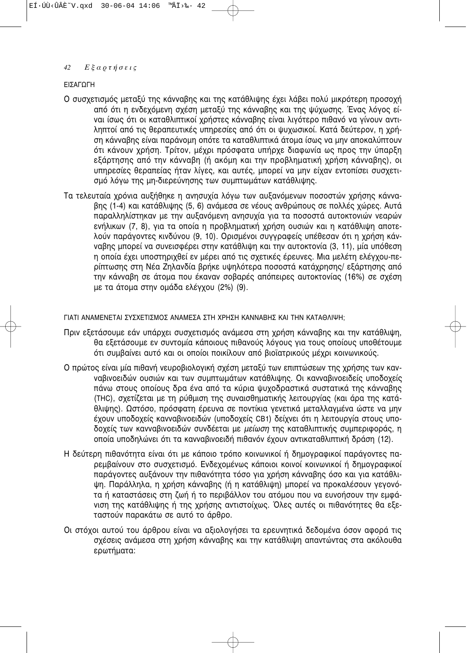# $E$ ξαρτήσεις  $42$

# ΕΙΣΑΓΩΓΗ

- Ο συσχετισμός μεταξύ της κάνναβης και της κατάθλιψης έχει λάβει πολύ μικρότερη προσοχή από ότι η ενδεχόμενη σχέση μεταξύ της κάνναβης και της ψύχωσης. Ένας λόγος είναι ίσως ότι οι καταθλιπτικοί χρήστες κάνναβης είναι λινότερο πιθανό να γίνουν αντιληπτοί από τις θεραπευτικές υπηρεσίες από ότι οι ψυγωσικοί. Κατά δεύτερον, η χρήση κάνναβης είναι παράνομη οπότε τα καταθλιπτικά άτομα ίσως να μην αποκαλύπτουν ότι κάνουν χρήση. Τρίτον, μέχρι πρόσφατα υπήρχε διαφωνία ως προς την ύπαρξη εξάρτησης από την κάνναβη (ή ακόμη και την προβληματική χρήση κάνναβης), οι υπηρεσίες θεραπείας ήταν λίγες, και αυτές, μπορεί να μην είχαν εντοπίσει συσχετισμό λόγω της μη-διερεύνησης των συμπτωμάτων κατάθλιψης.
- Τα τελευταία χρόνια αυξήθηκε η ανησυχία λόγω των αυξανόμενων ποσοστών χρήσης κάννα-Bnc (1-4) και κατάθλιψης (5, 6) ανάμεσα σε νέους ανθοώπους σε πολλές χώρες. Αυτά παραλληλίστηκαν με την αυξανόμενη ανησυχία για τα ποσοστά αυτοκτονιών νεαρών ενήλικων (7, 8), για τα οποία η προβληματική χρήση ουσιών και η κατάθλιψη αποτελούν παράνοντες κινδύνου (9. 10). Ορισμένοι συγγραφείς υπέθεσαν ότι η χρήση κάνναβης μπορεί να συνεισφέρει στην κατάθλιψη και την αυτοκτονία (3, 11), μία υπόθεση η οποία έχει υποστηριχθεί εν μέρει από τις σχετικές έρευνες. Μια μελέτη ελέγχου-περίπτωσης στη Νέα Ζηλανδία βρήκε υψηλότερα ποσοστά κατάχρησης/ εξάρτησης από την κάνναβη σε άτομα που έκαναν σοβαρές απόπειρες αυτοκτονίας (16%) σε σχέση με τα άτομα στην ομάδα ελέγχου (2%) (9).

ΓΙΑΤΙ ΑΝΑΜΕΝΕΤΑΙ ΣΥΣΧΕΤΙΣΜΟΣ ΑΝΑΜΕΣΑ ΣΤΗ ΧΡΗΣΗ ΚΑΝΝΑΒΗΣ ΚΑΙ ΤΗΝ ΚΑΤΑΘΛΙΨΗ:

- Πριν εξετάσουμε εάν υπάρχει συσχετισμός ανάμεσα στη χρήση κάνναβης και την κατάθλιψη, θα εξετάσουμε εν συντομία κάποιους πιθανούς λόγους για τους οποίους υποθέτουμε ότι συμβαίνει αυτό και οι οποίοι ποικίλουν από βιοϊατρικούς μέχρι κοινωνικούς.
- Ο πρώτος είναι μία πιθανή νευροβιολογική σχέση μεταξύ των επιπτώσεων της χρήσης των κανναβινοειδών ουσιών και των συμπτωμάτων κατάθλιψης. Οι κανναβινοειδείς υποδοχείς πάνω στους οποίους δρα ένα από τα κύρια ψυχοδραστικά συστατικά της κάνναβης (ΤΗΣ), σχετίζεται με τη ρύθμιση της συναισθηματικής λειτουργίας (και άρα της κατάθλιψης). Ωστόσο, πρόσφατη έρευνα σε ποντίκια γενετικά μεταλλαγμένα ώστε να μην έχουν υποδοχείς κανναβινοειδών (υποδοχείς CB1) δείχνει ότι η λειτουργία στους υποδοχείς των κανναβινοειδών συνδέεται με μείωση της καταθλιπτικής συμπεριφοράς, η οποία υποδηλώνει ότι τα κανναβινοειδή πιθανόν έχουν αντικαταθλιπτική δράση (12).
- Η δεύτερη πιθανότητα είναι ότι με κάποιο τρόπο κοινωνικοί ή δημογραφικοί παράγοντες παρεμβαίνουν στο συσχετισμό. Ενδεχομένως κάποιοι κοινοί κοινωνικοί ή δημογραφικοί παράγοντες αυξάνουν την πιθανότητα τόσο για χρήση κάνναβης όσο και για κατάθλιψη. Παράλληλα, η χρήση κάνναβης (ή η κατάθλιψη) μπορεί να προκαλέσουν γεγονότα ή καταστάσεις στη ζωή ή το περιβάλλον του ατόμου που να ευνοήσουν την εμφάνιση της κατάθλιψης ή της χρήσης αντιστοίχως. Όλες αυτές οι πιθανότητες θα εξεταστούν παρακάτω σε αυτό το άρθρο.
- Οι στόχοι αυτού του άρθρου είναι να αξιολογήσει τα ερευνητικά δεδομένα όσον αφορά τις σχέσεις ανάμεσα στη χρήση κάνναβης και την κατάθλιψη απαντώντας στα ακόλουθα ερωτήματα: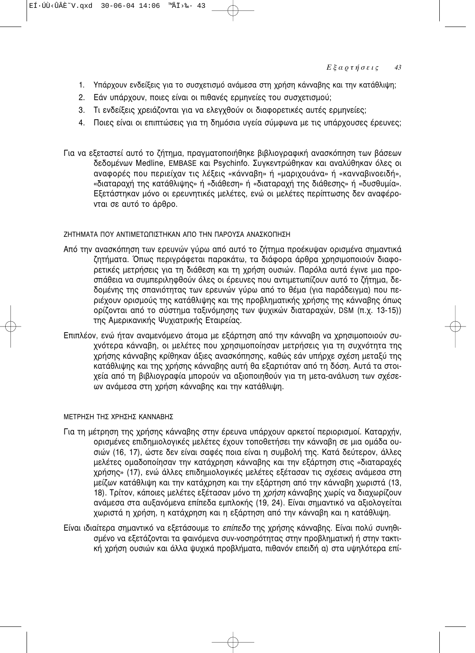- $1.$ Υπάρχουν ενδείξεις για το συσχετισμό ανάμεσα στη χρήση κάνναβης και την κατάθλιψη;
- Εάν υπάρχουν, ποιες είναι οι πιθανές ερμηνείες του συσχετισμού;  $\mathcal{P}$
- $3<sup>1</sup>$ Τι ενδείξεις χρειάζονται για να ελενχθούν οι διαφορετικές αυτές ερμηνείες:
- 4. Ποιες είναι οι επιπτώσεις για τη δημόσια υγεία σύμφωνα με τις υπάρχουσες έρευνες;
- Για να εξεταστεί αυτό το ζήτημα, πραγματοποιήθηκε βιβλιογραφική ανασκόπηση των βάσεων δεδομένων Medline, EMBASE και Psychinfo. Συγκεντρώθηκαν και αναλύθηκαν όλες οι αναφορές που περιείχαν τις λέξεις «κάνναβη» ή «μαριχουάνα» ή «κανναβινοειδή». «διαταραχή της κατάθλιψης» ή «διάθεση» ή «διαταραχή της διάθεσης» ή «δυσθυμία». Εξετάστηκαν μόνο οι ερευνητικές μελέτες, ενώ οι μελέτες περίπτωσης δεν αναφέρονται σε αυτό το άρθρο.

# ΖΗΤΗΜΑΤΑ ΠΟΥ ΑΝΤΙΜΕΤΩΠΙΣΤΗΚΑΝ ΑΠΟ ΤΗΝ ΠΑΡΟΥΣΑ ΑΝΑΣΚΟΠΗΣΗ

- Από την ανασκόπηση των ερευνών γύρω από αυτό το ζήτημα προέκυψαν ορισμένα σημαντικά ζητήματα. Όπως περιγράφεται παρακάτω, τα διάφορα άρθρα χρησιμοποιούν διαφορετικές μετρήσεις για τη διάθεση και τη χρήση ουσιών. Παρόλα αυτά έγινε μια προσπάθεια να συμπεριληφθούν όλες οι έρευνες που αντιμετωπίζουν αυτό το ζήτημα, δεδομένης της σπανιότητας των ερευνών γύρω από το θέμα (για παράδειγμα) που περιέχουν ορισμούς της κατάθλιψης και της προβληματικής χρήσης της κάνναβης όπως ορίζονται από το σύστημα ταξινόμησης των ψυχικών διαταραχών, DSM (π.χ. 13-15)) της Αμερικανικής Ψυχιατρικής Εταιρείας.
- Επιπλέον, ενώ ήταν αναμενόμενο άτομα με εξάρτηση από την κάνναβη να χρησιμοποιούν συχνότερα κάνναβη, οι μελέτες που χρησιμοποίησαν μετρήσεις για τη συχνότητα της χρήσης κάνναβης κρίθηκαν άξιες ανασκόπησης, καθώς εάν υπήρχε σχέση μεταξύ της κατάθλιψης και της χρήσης κάνναβης αυτή θα εξαρτιόταν από τη δόση. Αυτά τα στοιχεία από τη βιβλιογραφία μπορούν να αξιοποιηθούν για τη μετα-ανάλυση των σχέσεων ανάμεσα στη χρήση κάνναβης και την κατάθλιψη.

# ΜΕΤΡΗΣΗ ΤΗΣ ΧΡΗΣΗΣ ΚΑΝΝΑΒΗΣ

- Για τη μέτρηση της χρήσης κάνναβης στην έρευνα υπάρχουν αρκετοί περιορισμοί. Καταρχήν, ορισμένες επιδημιολογικές μελέτες έχουν τοποθετήσει την κάνναβη σε μια ομάδα ουσιών (16, 17), ώστε δεν είναι σαφές ποια είναι η συμβολή της. Κατά δεύτερον, άλλες μελέτες ομαδοποίησαν την κατάχρηση κάνναβης και την εξάρτηση στις «διαταραχές χρήσης» (17), ενώ άλλες επιδημιολογικές μελέτες εξέτασαν τις σχέσεις ανάμεσα στη μείζων κατάθλιψη και την κατάχρηση και την εξάρτηση από την κάνναβη χωριστά (13, 18). Τρίτον, κάποιες μελέτες εξέτασαν μόνο τη χρήση κάνναβης χωρίς να διαχωρίζουν ανάμεσα στα αυξανόμενα επίπεδα εμπλοκής (19, 24). Είναι σημαντικό να αξιολογείται χωριστά η χρήση, η κατάχρηση και η εξάρτηση από την κάνναβη και η κατάθλιψη.
- Είναι ιδιαίτερα σημαντικό να εξετάσουμε το επίπεδο της χρήσης κάνναβης. Είναι πολύ συνηθισμένο να εξετάζονται τα φαινόμενα συν-νοσηρότητας στην προβληματική ή στην τακτική χρήση ουσιών και άλλα ψυχικά προβλήματα, πιθανόν επειδή α) στα υψηλότερα επί-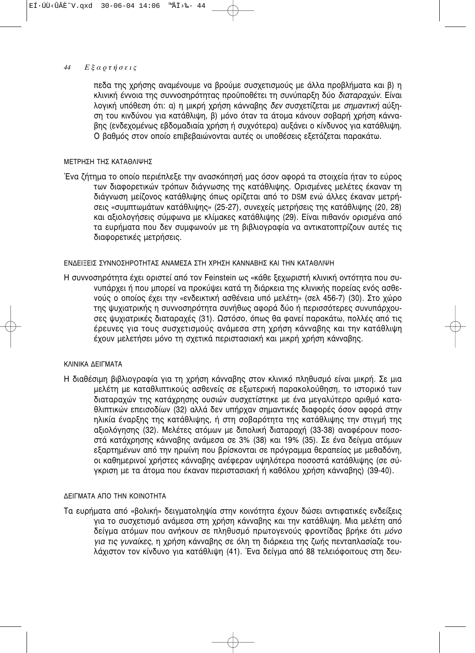πεδα της χρήσης αναμένουμε να βρούμε συσχετισμούς με άλλα προβλήματα και β) η κλινική έννοια της συννοσηρότητας προϋποθέτει τη συνύπαρξη δύο διαταραχών. Είναι λονική υπόθεση ότι: α) η μικρή χρήση κάνναβης δεν συσχετίζεται με σημαντική αύξηση του κινδύνου για κατάθλιψη. β) μόνο όταν τα άτομα κάνουν σοβαρή χρήση κάνναβης (ενδεχομένως εβδομαδιαία χρήση ή συχνότερα) αυξάνει ο κίνδυνος για κατάθλιψη. Ο βαθμός στον οποίο επιβεβαιώνονται αυτές οι υποθέσεις εξετάζεται παρακάτω.

# ΜΕΤΡΗΣΗ ΤΗΣ ΚΑΤΑΘΛΙΨΗΣ

Ένα ζήτημα το οποίο περιέπλεξε την ανασκόπησή μας όσον αφορά τα στοιχεία ήταν το εύρος των διαφορετικών τρόπων διάγνωσης της κατάθλιψης. Ορισμένες μελέτες έκαναν τη διάγνωση μείζονος κατάθλιψης όπως ορίζεται από το DSM ενώ άλλες έκαναν μετρήσεις «συμπτωμάτων κατάθλιψης» (25-27), συνεχείς μετρήσεις της κατάθλιψης (20, 28) και αξιολογήσεις σύμφωνα με κλίμακες κατάθλιψης (29). Είναι πιθανόν ορισμένα από τα ευρήματα που δεν συμφωνούν με τη βιβλιογραφία να αντικατοπτρίζουν αυτές τις διαφορετικές μετρήσεις.

# ΕΝΔΕΙΞΕΙΣ ΣΥΝΝΟΣΗΡΟΤΗΤΑΣ ΑΝΑΜΕΣΑ ΣΤΗ ΧΡΗΣΗ ΚΑΝΝΑΒΗΣ ΚΑΙ ΤΗΝ ΚΑΤΑΘΛΙΨΗ

Η συννοσηρότητα έχει οριστεί από τον Feinstein ως «κάθε ξεχωριστή κλινική οντότητα που συνυπάρχει ή που μπορεί να προκύψει κατά τη διάρκεια της κλινικής πορείας ενός ασθενούς ο οποίος έχει την «ενδεικτική ασθένεια υπό μελέτη» (σελ 456-7) (30). Στο χώρο της ψυχιατρικής η συννοσηρότητα συνήθως αφορά δύο ή περισσότερες συνυπάρχουσες ψυχιατρικές διαταραχές (31). Ωστόσο, όπως θα φανεί παρακάτω, πολλές από τις έρευνες για τους συσχετισμούς ανάμεσα στη χρήση κάνναβης και την κατάθλιψη έχουν μελετήσει μόνο τη σχετικά περιστασιακή και μικρή χρήση κάνναβης.

# ΚΛΙΝΙΚΑ ΔΕΙΓΜΑΤΑ

Η διαθέσιμη βιβλιογραφία για τη χρήση κάνναβης στον κλινικό πληθυσμό είναι μικρή. Σε μια μελέτη με καταθλιπτικούς ασθενείς σε εξωτερική παρακολούθηση, το ιστορικό των διαταραχών της κατάχρησης ουσιών συσχετίστηκε με ένα μεγαλύτερο αριθμό καταθλιπτικών επεισοδίων (32) αλλά δεν υπήρχαν σημαντικές διαφορές όσον αφορά στην ηλικία έναρξης της κατάθλιψης, ή στη σοβαρότητα της κατάθλιψης την στιγμή της αξιολόγησης (32). Μελέτες ατόμων με διπολική διαταραχή (33-38) αναφέρουν ποσοστά κατάχρησης κάνναβης ανάμεσα σε 3% (38) και 19% (35). Σε ένα δείγμα ατόμων εξαρτημένων από την ηρωίνη που βρίσκονται σε πρόγραμμα θεραπείας με μεθαδόνη. οι καθημερινοί χρήστες κάνναβης ανέφεραν υψηλότερα ποσοστά κατάθλιψης (σε σύγκριση με τα άτομα που έκαναν περιστασιακή ή καθόλου χρήση κάνναβης) (39-40).

# **ΔΕΙΓΜΑΤΑ ΑΠΟ ΤΗΝ ΚΟΙΝΟΤΗΤΑ**

Τα ευρήματα από «βολική» δειγματοληψία στην κοινότητα έχουν δώσει αντιφατικές ενδείξεις για το συσχετισμό ανάμεσα στη χρήση κάνναβης και την κατάθλιψη. Μια μελέτη από δείγμα ατόμων που ανήκουν σε πληθυσμό πρωτογενούς φροντίδας βρήκε ότι μόνο για τις γυναίκες, η χρήση κάνναβης σε όλη τη διάρκεια της ζωής πενταπλασίαζε τουλάχιστον τον κίνδυνο για κατάθλιψη (41). Ένα δείγμα από 88 τελειόφοιτους στη δευ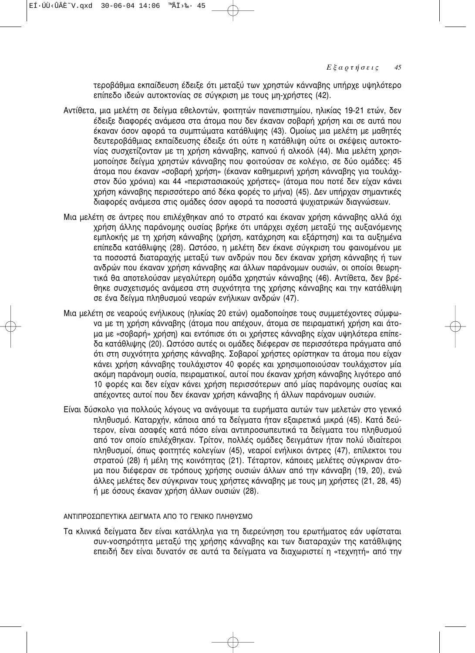τεροβάθμια εκπαίδευση έδειξε ότι μεταξύ των χρηστών κάνναβης υπήρχε υψηλότερο επίπεδο ιδεών αυτοκτονίας σε σύγκριση με τους μη-χρήστες (42).

- Αντίθετα, μια μελέτη σε δείγμα εθελοντών, φοιτητών πανεπιστημίου, ηλικίας 19-21 ετών, δεν έδειξε διαφορές ανάμεσα στα άτομα που δεν έκαναν σοβαρή χρήση και σε αυτά που έκαναν όσον αφορά τα συμπτώματα κατάθλιψης (43). Ομοίως μια μελέτη με μαθητές δευτεροβάθμιας εκπαίδευσης έδειξε ότι ούτε η κατάθλιψη ούτε οι σκέψεις αυτοκτονίας συσχετίζονταν με τη χρήση κάνναβης, καπνού ή αλκοόλ (44). Μια μελέτη χρησιμοποίησε δείγμα χρηστών κάνναβης που φοιτούσαν σε κολέγιο, σε δύο ομάδες: 45 άτομα που έκαναν «σοβαρή χρήση» (έκαναν καθημερινή χρήση κάνναβης για τουλάχιστον δύο χρόνια) και 44 «περιστασιακούς χρήστες» (άτομα που ποτέ δεν είχαν κάνει χρήση κάνναβης περισσότερο από δέκα φορές το μήνα) (45). Δεν υπήρχαν σημαντικές διαφορές ανάμεσα στις ομάδες όσον αφορά τα ποσοστά ψυγιατρικών διαγνώσεων.
- Μια μελέτη σε άντρες που επιλέχθηκαν από το στρατό και έκαναν χρήση κάνναβης αλλά όχι χρήση άλλης παράνομης ουσίας βρήκε ότι υπάρχει σχέση μεταξύ της αυξανόμενης εμπλοκής με τη χρήση κάνναβης (χρήση, κατάχρηση και εξάρτηση) και τα αυξημένα επίπεδα κατάθλιψης (28). Ωστόσο, η μελέτη δεν έκανε σύγκριση του φαινομένου με τα ποσοστά διαταραχής μεταξύ των ανδρών που δεν έκαναν χρήση κάνναβης ή των ανδρών που έκαναν χρήση κάνναβης και άλλων παράνομων ουσιών, οι οποίοι θεωρητικά θα αποτελούσαν μεναλύτερη ομάδα χρηστών κάνναβης (46), Αντίθετα, δεν βρέθηκε συσχετισμός ανάμεσα στη συχνότητα της χρήσης κάνναβης και την κατάθλιψη σε ένα δείνμα πληθυσμού νεαρών ενήλικων ανδρών (47).
- Μια μελέτη σε νεαρούς ενήλικους (ηλικίας 20 ετών) ομαδοποίησε τους συμμετέχοντες σύμφωνα με τη χρήση κάνναβης (άτομα που απέχουν, άτομα σε πειραματική χρήση και άτομα με «σοβαρή» χρήση) και εντόπισε ότι οι χρήστες κάνναβης είχαν υψηλότερα επίπεδα κατάθλιψης (20). Ωστόσο αυτές οι ομάδες διέφεραν σε περισσότερα πράγματα από ότι στη συχνότητα χρήσης κάνναβης. Σοβαροί χρήστες ορίστηκαν τα άτομα που είχαν κάνει χρήση κάνναβης τουλάχιστον 40 φορές και χρησιμοποιούσαν τουλάχιστον μία ακόμη παράνομη ουσία, πειραματικοί, αυτοί που έκαναν χρήση κάνναβης λινότερο από 10 φορές και δεν είχαν κάνει χρήση περισσότερων από μίας παράνομης ουσίας και απέχοντες αυτοί που δεν έκαναν χρήση κάνναβης ή άλλων παράνομων ουσιών.
- Είναι δύσκολο για πολλούς λόγους να ανάγουμε τα ευρήματα αυτών των μελετών στο γενικό πληθυσμό. Καταρχήν, κάποια από τα δείνματα ήταν εξαιρετικά μικρά (45). Κατά δεύτερον, είναι ασαφές κατά πόσο είναι αντιπροσωπευτικά τα δείνματα του πληθυσμού από τον οποίο επιλέχθηκαν. Τρίτον, πολλές ομάδες δειγμάτων ήταν πολύ ιδιαίτεροι πληθυσμοί, όπως φοιτητές κολενίων (45), νεαροί ενήλικοι άντρες (47), επίλεκτοι του στρατού (28) ή μέλη της κοινότητας (21). Τέταρτον, κάποιες μελέτες σύγκριναν άτομα που διέφεραν σε τρόπους χρήσης ουσιών άλλων από την κάνναβη (19, 20), ενώ άλλες μελέτες δεν σύγκριναν τους χρήστες κάνναβης με τους μη χρήστες (21, 28, 45) ή με όσους έκαναν χρήση άλλων ουσιών (28).

# ΑΝΤΙΠΡΟΣΩΠΕΥΤΙΚΑ ΔΕΙΓΜΑΤΑ ΑΠΟ ΤΟ ΓΕΝΙΚΟ ΠΛΗΘΥΣΜΟ

Τα κλινικά δείγματα δεν είναι κατάλληλα για τη διερεύνηση του ερωτήματος εάν υφίσταται συν-νοσηρότητα μεταξύ της χρήσης κάνναβης και των διαταραχών της κατάθλιψης επειδή δεν είναι δυνατόν σε αυτά τα δείγματα να διαχωριστεί η «τεχνητή» από την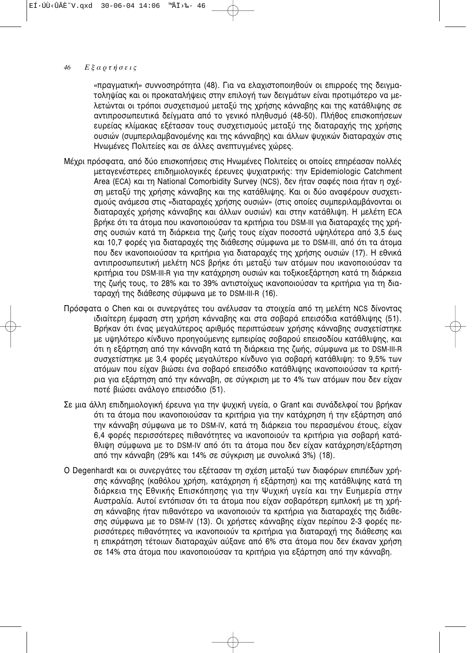«πραγματική» συννοσηρότητα (48). Για να ελαχιστοποιηθούν οι επιρροές της δειγματοληψίας και οι προκαταλήψεις στην επιλογή των δειγμάτων είναι προτιμότερο να μελετώνται οι τρόποι συσχετισμού μεταξύ της χρήσης κάνναβης και της κατάθλιψης σε αντιπροσωπευτικά δείνματα από το νενικό πληθυσμό (48-50). Πλήθος επισκοπήσεων ευρείας κλίμακας εξέτασαν τους συσχετισμούς μεταξύ της διαταραχής της χρήσης ουσιών (συμπεριλαμβανομένης και της κάνναβης) και άλλων ψυχικών διαταραχών στις Ηνωμένες Πολιτείες και σε άλλες ανεπτυνμένες χώρες.

- Μέχρι πρόσφατα, από δύο επισκοπήσεις στις Ηνωμένες Πολιτείες οι οποίες επηρέασαν πολλές μεταγενέστερες επιδημιολογικές έρευνες ψυχιατρικής: την Epidemiologic Catchment Area (ECA) και τη National Comorbidity Survey (NCS), δεν ήταν σαφές ποια ήταν η σχέση μεταξύ της χρήσης κάνναβης και της κατάθλιψης. Και οι δύο αναφέρουν συσχετισμούς ανάμεσα στις «διαταραχές χρήσης ουσιών» (στις οποίες συμπεριλαμβάνονται οι διαταραχές χρήσης κάνναβης και άλλων ουσιών) και στην κατάθλιψη. Η μελέτη ΕCA βρήκε ότι τα άτομα που ικανοποιούσαν τα κριτήρια του DSM-III νια διαταραχές της χρήσης ουσιών κατά τη διάρκεια της ζωής τους είχαν ποσοστά υψηλότερα από 3,5 έως και 10,7 φορές για διαταραχές της διάθεσης σύμφωνα με το DSM-III, από ότι τα άτομα που δεν ικανοποιούσαν τα κριτήρια για διαταραχές της χρήσης ουσιών (17). Η εθνικά αντιπροσωπευτική μελέτη NCS βρήκε ότι μεταξύ των ατόμων που ικανοποιούσαν τα κριτήρια του DSM-III-R για την κατάχρηση ουσιών και τοξικοεξάρτηση κατά τη διάρκεια της ζωής τους, το 28% και το 39% αντιστοίχως ικανοποιούσαν τα κριτήρια για τη διαταραχή της διάθεσης σύμφωνα με το DSM-III-R (16).
- Πρόσφατα ο Chen και οι συνεργάτες του ανέλυσαν τα στοιχεία από τη μελέτη NCS δίνοντας ιδιαίτερη έμφαση στη χρήση κάνναβης και στα σοβαρά επεισόδια κατάθλιψης (51). Βρήκαν ότι ένας μεγαλύτερος αριθμός περιπτώσεων χρήσης κάνναβης συσχετίστηκε με υψηλότερο κίνδυνο προηγούμενης εμπειρίας σοβαρού επεισοδίου κατάθλιψης, και ότι η εξάρτηση από την κάνναβη κατά τη διάρκεια της ζωής, σύμφωνα με το DSM-III-R συσχετίστηκε με 3,4 φορές μεγαλύτερο κίνδυνο για σοβαρή κατάθλιψη: το 9,5% των ατόμων που είχαν βιώσει ένα σοβαρό επεισόδιο κατάθλιψης ικανοποιούσαν τα κριτήρια για εξάρτηση από την κάνναβη, σε σύγκριση με το 4% των ατόμων που δεν είχαν ποτέ βιώσει ανάλονο επεισόδιο (51).
- Σε μια άλλη επιδημιολογική έρευνα για την ψυχική υγεία, ο Grant και συνάδελφοί του βρήκαν ότι τα άτομα που ικανοποιούσαν τα κριτήρια για την κατάχρηση ή την εξάρτηση από την κάνναβη σύμφωνα με το DSM-IV, κατά τη διάρκεια του περασμένου έτους, είχαν 6,4 φορές περισσότερες πιθανότητες να ικανοποιούν τα κριτήρια για σοβαρή κατάθλιψη σύμφωνα με το DSM-IV από ότι τα άτομα που δεν είχαν κατάχρηση/εξάρτηση από την κάνναβη (29% και 14% σε σύγκριση με συνολικά 3%) (18).
- O Degenhardt και οι συνεργάτες του εξέτασαν τη σχέση μεταξύ των διαφόρων επιπέδων χρήσης κάνναβης (καθόλου χρήση, κατάχρηση ή εξάρτηση) και της κατάθλιψης κατά τη διάρκεια της Εθνικής Επισκόπησης για την Ψυχική υγεία και την Ευημερία στην Αυστραλία. Αυτοί εντόπισαν ότι τα άτομα που είχαν σοβαρότερη εμπλοκή με τη χρήση κάνναβης ήταν πιθανότερο να ικανοποιούν τα κριτήρια για διαταραχές της διάθεσης σύμφωνα με το DSM-IV (13). Οι χρήστες κάνναβης είχαν περίπου 2-3 φορές περισσότερες πιθανότητες να ικανοποιούν τα κριτήρια για διαταραχή της διάθεσης και η επικράτηση τέτοιων διαταραχών αύξανε από 6% στα άτομα που δεν έκαναν χρήση σε 14% στα άτομα που ικανοποιούσαν τα κριτήρια για εξάρτηση από την κάνναβη.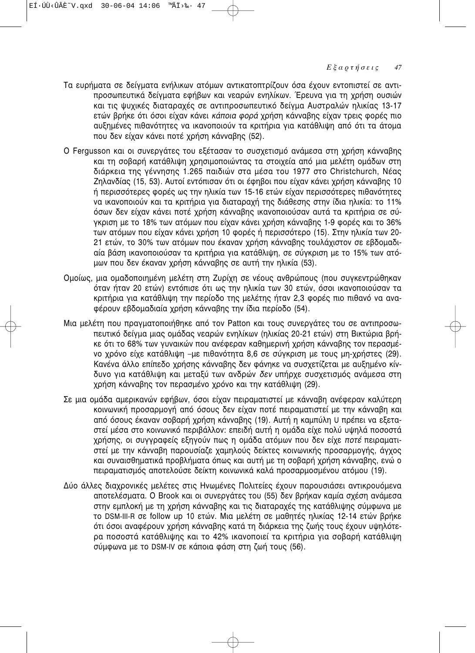- Τα ευρήματα σε δείγματα ενήλικων ατόμων αντικατοπτρίζουν όσα έχουν εντοπιστεί σε αντιπροσωπευτικά δείγματα εφήβων και νεαρών ενηλίκων. Έρευνα για τη χρήση ουσιών Και τις ψυχικές διαταραχές σε αντιπροσωπευτικό δείνμα Αυστραλών ηλικίας 13-17 ετών βρήκε ότι όσοι είχαν κάνει *κάποια φορά χ*ρήση κάνναβης είχαν τρεις φορές πιο αυξημένες πιθανότητες να ικανοποιούν τα κριτήρια για κατάθλιψη από ότι τα άτομα που δεν είχαν κάνει ποτέ χρήση κάνναβης (52).
- Ο Fergusson και οι συνεργάτες του εξέτασαν το συσχετισμό ανάμεσα στη χρήση κάνναβης και τη σοβαρή κατάθλιψη χρησιμοποιώντας τα στοιχεία από μια μελέτη ομάδων στη διάρκεια της γέννησης 1.265 παιδιών στα μέσα του 1977 στο Christchurch, Νέας Ζηλανδίας (15, 53). Αυτοί εντόπισαν ότι οι έφηβοι που είχαν κάνει χρήση κάνναβης 10 ή περισσότερες φορές ως την ηλικία των 15-16 ετών είχαν περισσότερες πιθανότητες να ικανοποιούν και τα κριτήρια για διαταραχή της διάθεσης στην ίδια ηλικία: το 11% όσων δεν είχαν κάνει ποτέ χρήση κάνναβης ικανοποιούσαν αυτά τα κριτήρια σε σύ-<u>γκριση με το 18% των ατόμων που είχαν κάνει χρήση κάνναβης 1-9 φορές και το 36%</u> των ατόμων που είχαν κάνει χρήση 10 φορές ή περισσότερο (15). Στην ηλικία των 20-21 ετών, το 30% των ατόμων που έκαναν χρήση κάνναβης τουλάχιστον σε εβδομαδιαία βάση ικανοποιούσαν τα κριτήρια για κατάθλιψη, σε σύγκριση με το 15% των ατόμων που δεν έκαναν χρήση κάνναβης σε αυτή την ηλικία (53).
- Ομοίως, μια ομαδοποιημένη μελέτη στη Ζυρίχη σε νέους ανθρώπους (που συγκεντρώθηκαν όταν ήταν 20 ετών) εντόπισε ότι ως την ηλικία των 30 ετών, όσοι ικανοποιούσαν τα κριτήρια για κατάθλιψη την περίοδο της μελέτης ήταν 2,3 φορές πιο πιθανό να αναφέρουν εβδομαδιαία χρήση κάνναβης την ίδια περίοδο (54).
- Μια μελέτη που πραγματοποιήθηκε από τον Patton και τους συνεργάτες του σε αντιπροσωπευτικό δείγμα μιας ομάδας νεαρών ενηλίκων (ηλικίας 20-21 ετών) στη Βικτώρια βρή-Κε ότι το 68% των γυναικών που ανέφεραν καθημερινή χρήση κάνναβης τον περασμέ-VO Χρόνο είχε κατάθλιψη –με πιθανότητα 8,6 σε σύνκριση με τους μη-χρήστες (29). Κανένα άλλο επίπεδο χρήσης κάνναβης δεν φάνηκε να συσχετίζεται με αυξημένο κίνδυνο για κατάθλιψη και μεταξύ των ανδρών *δεν* υπήρχε συσχετισμός ανάμεσα στη χρήση κάνναβης τον περασμένο χρόνο και την κατάθλιψη (29).
- Σε μια ομάδα αμερικανών εφήβων, όσοι είχαν πειραματιστεί με κάνναβη ανέφεραν καλύτερη κοινωνική προσαρμογή από όσους δεν είχαν ποτέ πειραματιστεί με την κάνναβη και από όσους έκαναν σοβαρή χρήση κάνναβης (19). Αυτή η καμπύλη U πρέπει να εξεταστεί μέσα στο κοινωνικό περιβάλλον: επειδή αυτή η ομάδα είχε πολύ υψηλά ποσοστά χρήσης, οι συγγραφείς εξηγούν πως η ομάδα ατόμων που δεν είχε *ποτέ* πειραματιστεί με την κάνναβη παρουσίαζε χαμηλούς δείκτες κοινωνικής προσαρμονής, άνχος και συναισθηματικά προβλήματα όπως και αυτή με τη σοβαρή χρήση κάνναβης, ενώ ο πειραματισμός αποτελούσε δείκτη κοινωνικά καλά προσαρμοσμένου ατόμου (19).
- Δύο άλλες διαχρονικές μελέτες στις Ηνωμένες Πολιτείες έχουν παρουσιάσει αντικρουόμενα αποτελέσματα. Ο Brook και οι συνεργάτες του (55) δεν βρήκαν καμία σχέση ανάμεσα στην εμπλοκή με τη χρήση κάνναβης και τις διαταραχές της κατάθλιψης σύμφωνα με το DSM-III-R σε follow up 10 ετών. Μια μελέτη σε μαθητές ηλικίας 12-14 ετών βρήκε ότι όσοι αναφέρουν χρήση κάνναβης κατά τη διάρκεια της ζωής τους έχουν υψηλότεοα ποσοστά κατάθλιψης και το 42% ικανοποιεί τα κριτήρια για σοβαρή κατάθλιψη σύμφωνα με το DSM-IV σε κάποια φάση στη ζωή τους (56).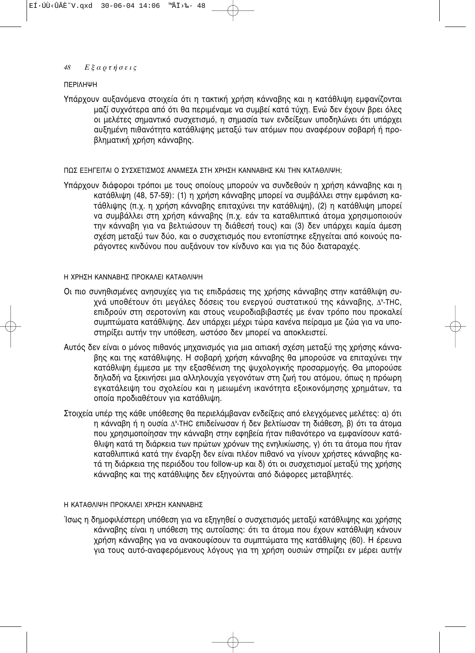# **ПЕРІЛНФН**

Υπάρχουν αυξανόμενα στοιχεία ότι η τακτική χρήση κάνναβης και η κατάθλιψη εμφανίζονται μαζί συχνότερα από ότι θα περιμέναμε να συμβεί κατά τύχη. Ενώ δεν έχουν βρει όλες οι μελέτες σημαντικό συσχετισμό, η σημασία των ενδείξεων υποδηλώνει ότι υπάρχει αυξημένη πιθανότητα κατάθλιψης μεταξύ των ατόμων που αναφέρουν σοβαρή ή προβληματική χρήση κάνναβης.

# ΠΩΣ ΕΞΗΓΕΙΤΑΙ Ο ΣΥΣΧΕΤΙΣΜΟΣ ΑΝΑΜΕΣΑ ΣΤΗ ΧΡΗΣΗ ΚΑΝΝΑΒΗΣ ΚΑΙ ΤΗΝ ΚΑΤΑΘΛΙΨΗ:

Υπάρχουν διάφοροι τρόποι με τους οποίους μπορούν να συνδεθούν η χρήση κάνναβης και η κατάθλιψη (48, 57-59); (1) η χρήση κάνναβης μπορεί να συμβάλλει στην εμφάνιση κατάθλιψης (π.χ. η χρήση κάνναβης επιταχύνει την κατάθλιψη). (2) η κατάθλιψη μπορεί να συμβάλλει στη χρήση κάνναβης (π.χ. εάν τα καταθλιπτικά άτομα χρησιμοποιούν την κάνναβη νια να βελτιώσουν τη διάθεσή τους) και (3) δεν υπάρχει καμία άμεση σχέση μεταξύ των δύο, και ο συσχετισμός που εντοπίστηκε εξηγείται από κοινούς παράγοντες κινδύνου που αυξάνουν τον κίνδυνο και για τις δύο διαταραχές.

# Η ΧΡΗΣΗ ΚΑΝΝΑΒΗΣ ΠΡΟΚΑΛΕΙ ΚΑΤΑΘΛΙΨΗ

- Οι πιο συνηθισμένες ανησυχίες για τις επιδράσεις της χρήσης κάνναβης στην κατάθλιψη συχνά υποθέτουν ότι μεγάλες δόσεις του ενεργού συστατικού της κάνναβης, Δ<sup>9</sup>-THC, επιδρούν στη σεροτονίνη και στους νευροδιαβιβαστές με έναν τρόπο που προκαλεί συμπτώματα κατάθλιψης. Δεν υπάρχει μέχρι τώρα κανένα πείραμα με ζώα για να υποστηρίξει αυτήν την υπόθεση, ωστόσο δεν μπορεί να αποκλειστεί.
- Αυτός δεν είναι ο μόνος πιθανός μηχανισμός για μια αιτιακή σχέση μεταξύ της χρήσης κάνναβης και της κατάθλιψης. Η σοβαρή χρήση κάνναβης θα μπορούσε να επιταχύνει την κατάθλιψη έμμεσα με την εξασθένιση της ψυχολογικής προσαρμογής. Θα μπορούσε δηλαδή να ξεκινήσει μια αλληλουχία γεγονότων στη ζωή του ατόμου, όπως η πρόωρη εγκατάλειψη του σχολείου και η μειωμένη ικανότητα εξοικονόμησης χρημάτων, τα οποία προδιαθέτουν για κατάθλιψη.
- Στοιχεία υπέρ της κάθε υπόθεσης θα περιελάμβαναν ενδείξεις από ελεγχόμενες μελέτες: α) ότι η κάνναβη ή η ουσία Δ°-ΤΗΟ επιδείνωσαν ή δεν βελτίωσαν τη διάθεση. β) ότι τα άτομα που χρησιμοποίησαν την κάνναβη στην εφηβεία ήταν πιθανότερο να εμφανίσουν κατάθλιψη κατά τη διάρκεια των πρώτων χρόνων της ενηλικίωσης, γ) ότι τα άτομα που ήταν καταθλιπτικά κατά την έναρξη δεν είναι πλέον πιθανό να γίνουν χρήστες κάνναβης κατά τη διάρκεια της περιόδου του follow-up και δ) ότι οι συσχετισμοί μεταξύ της χρήσης κάνναβης και της κατάθλιψης δεν εξηγούνται από διάφορες μεταβλητές.

# Η ΚΑΤΑΘΛΙΨΗ ΠΡΟΚΑΛΕΙ ΧΡΗΣΗ ΚΑΝΝΑΒΗΣ

Ίσως η δημοφιλέστερη υπόθεση για να εξηγηθεί ο συσχετισμός μεταξύ κατάθλιψης και χρήσης κάνναβης είναι η υπόθεση της αυτοΐασης: ότι τα άτομα που έχουν κατάθλιψη κάνουν χρήση κάνναβης για να ανακουφίσουν τα συμπτώματα της κατάθλιψης (60). Η έρευνα για τους αυτό-αναφερόμενους λόγους για τη χρήση ουσιών στηρίζει εν μέρει αυτήν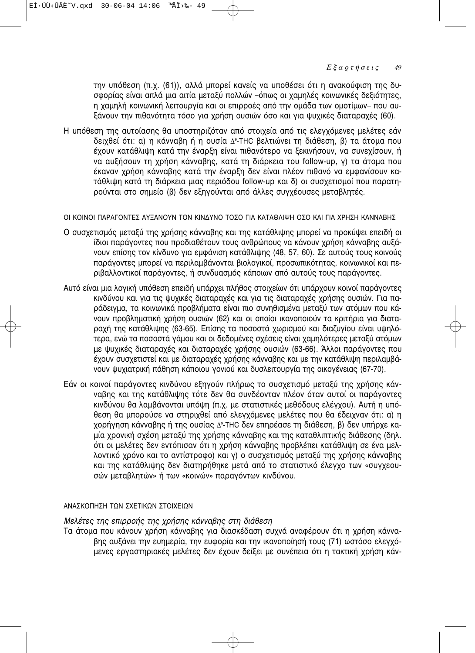την υπόθεση (π.χ. (61)), αλλά μπορεί κανείς να υποθέσει ότι η ανακούφιση της δυσφορίας είναι απλά μια αιτία μεταξύ πολλών -όπως οι χαμηλές κοινωνικές δεξιότητες, η χαμηλή κοινωνική λειτουργία και οι επιρροές από την ομάδα των ομοτίμων- που αυξάνουν την πιθανότητα τόσο για χρήση ουσιών όσο και για ψυχικές διαταραχές (60).

- Η υπόθεση της αυτοΐασης θα υποστηριζόταν από στοιχεία από τις ελεγχόμενες μελέτες εάν δειχθεί ότι: α) η κάνναβη ή η ουσία Δ<sup>9</sup>-ΤΗC βελτιώνει τη διάθεση. β) τα άτομα που έχουν κατάθλιψη κατά την έναρξη είναι πιθανότερο να ξεκινήσουν, να συνεχίσουν, ή να αυξήσουν τη χρήση κάνναβης, κατά τη διάρκεια του follow-up, γ) τα άτομα που έκαναν χρήση κάνναβης κατά την έναρξη δεν είναι πλέον πιθανό να εμφανίσουν κατάθλιψη κατά τη διάρκεια μιας περιόδου follow-up και δ) οι συσχετισμοί που παρατηρούνται στο σημείο (β) δεν εξηγούνται από άλλες συγχέουσες μεταβλητές.
- ΟΙ ΚΟΙΝΟΙ ΠΑΡΑΓΟΝΤΕΣ ΑΥΞΑΝΟΥΝ ΤΟΝ ΚΙΝΛΥΝΟ ΤΟΣΟ ΓΙΑ ΚΑΤΑΘΛΙΨΗ ΟΣΟ ΚΑΙ ΓΙΑ ΧΡΗΣΗ ΚΑΝΝΑΒΗΣ
- Ο συσχετισμός μεταξύ της χρήσης κάνναβης και της κατάθλιψης μπορεί να προκύψει επειδή οι ίδιοι παράγοντες που προδιαθέτουν τους ανθρώπους να κάνουν χρήση κάνναβης αυξάνουν επίσης τον κίνδυνο για εμφάνιση κατάθλιψης (48, 57, 60). Σε αυτούς τους κοινούς παράγοντες μπορεί να περιλαμβάνονται βιολογικοί, προσωπικότητας, κοινωνικοί και περιβαλλοντικοί παράγοντες, ή συνδυασμός κάποιων από αυτούς τους παράγοντες.
- Αυτό είναι μια λογική υπόθεση επειδή υπάρχει πλήθος στοιχείων ότι υπάρχουν κοινοί παράγοντες κινδύνου και για τις ψυχικές διαταραχές και για τις διαταραχές χρήσης ουσιών. Για παράδειγμα, τα κοινωνικά προβλήματα είναι πιο συνηθισμένα μεταξύ των ατόμων που κάνουν προβληματική χρήση ουσιών (62) και οι οποίοι ικανοποιούν τα κριτήρια για διαταραχή της κατάθλιψης (63-65). Επίσης τα ποσοστά χωρισμού και διαζυγίου είναι υψηλότερα, ενώ τα ποσοστά γάμου και οι δεδομένες σχέσεις είναι χαμηλότερες μεταξύ ατόμων με ψυχικές διαταραχές και διαταραχές χρήσης ουσιών (63-66). Άλλοι παράγοντες που έχουν συσχετιστεί και με διαταραχές χρήσης κάνναβης και με την κατάθλιψη περιλαμβάνουν ψυχιατρική πάθηση κάποιου γονιού και δυσλειτουργία της οικογένειας (67-70).
- Εάν οι κοινοί παράγοντες κινδύνου εξηγούν πλήρως το συσχετισμό μεταξύ της χρήσης κάνναβης και της κατάθλιψης τότε δεν θα συνδέονταν πλέον όταν αυτοί οι παράγοντες κινδύνου θα λαμβάνονται υπόψη (π.χ. με στατιστικές μεθόδους ελέγχου). Αυτή η υπόθεση θα μπορούσε να στηριχθεί από ελεγχόμενες μελέτες που θα έδειχναν ότι: α) η χορήγηση κάνναβης ή της ουσίας Δ<sup>3</sup>-ΤΗC δεν επηρέασε τη διάθεση, β) δεν υπήρχε καμία χρονική σχέση μεταξύ της χρήσης κάνναβης και της καταθλιπτικής διάθεσης (δηλ. ότι οι μελέτες δεν εντόπισαν ότι η χρήση κάνναβης προβλέπει κατάθλιψη σε ένα μελλοντικό χρόνο και το αντίστροφο) και γ) ο συσχετισμός μεταξύ της χρήσης κάνναβης και της κατάθλιψης δεν διατηρήθηκε μετά από το στατιστικό έλεγχο των «συγχεουσών μεταβλητών» ή των «κοινών» παραγόντων κινδύνου.

# ΑΝΑΣΚΟΠΗΣΗ ΤΩΝ ΣΧΕΤΙΚΩΝ ΣΤΟΙΧΕΙΩΝ

# Μελέτες της επιρροής της χρήσης κάνναβης στη διάθεση

Τα άτομα που κάνουν χρήση κάνναβης για διασκέδαση συχνά αναφέρουν ότι η χρήση κάνναβης αυξάνει την ευημερία, την ευφορία και την ικανοποίησή τους (71) ωστόσο ελεγχόμενες εργαστηριακές μελέτες δεν έχουν δείξει με συνέπεια ότι η τακτική χρήση κάν-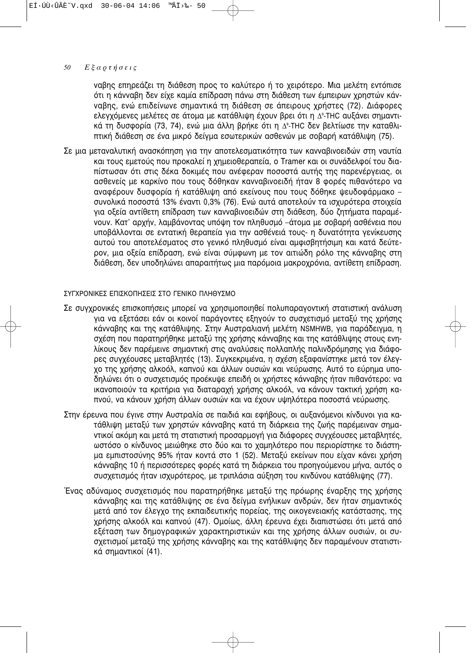ναβης επηρεάζει τη διάθεση προς το καλύτερο ή το χειρότερο. Μια μελέτη εντόπισε ότι η κάνναβη δεν είχε καμία επίδραση πάνω στη διάθεση των έμπειρων χρηστών κάνναβης, ενώ επιδείνωνε σημαντικά τη διάθεση σε άπειρους χρήστες (72). Διάφορες ελενχόμενες μελέτες σε άτομα με κατάθλιψη έχουν βρει ότι η Δ<sup>9</sup>-ΤΗC αυξάνει σημαντικά τη δυσφορία (73, 74), ενώ μια άλλη βρήκε ότι η Δ<sup>3</sup>-ΤΗς δεν βελτίωσε την καταθλιπτική διάθεση σε ένα μικρό δείνμα εσωτερικών ασθενών με σοβαρή κατάθλιψη (75).

Σε μια μεταναλυτική ανασκόπηση για την αποτελεσματικότητα των κανναβινοειδών στη ναυτία και τους εμετούς που προκαλεί η χημειοθεραπεία, ο Tramer και οι συνάδελφοί του διαπίστωσαν ότι στις δέκα δοκιμές που ανέφεραν ποσοστά αυτής της παρενέργειας, οι ασθενείς με καρκίνο που τους δόθηκαν κανναβινοειδή ήταν 8 φορές πιθανότερο να αναφέρουν δυσφορία ή κατάθλιψη από εκείνους που τους δόθηκε ψευδοφάρμακο – συνολικά ποσοστά 13% έναντι 0.3% (76). Ενώ αυτά αποτελούν τα ισχυρότερα στοιχεία για οξεία αντίθετη επίδραση των κανναβινοειδών στη διάθεση, δύο ζητήματα παραμένουν. Κατ' αρχήν, λαμβάνοντας υπόψη τον πληθυσμό -άτομα με σοβαρή ασθένεια που υποβάλλονται σε εντατική θεραπεία για την ασθένειά τους- η δυνατότητα γενίκευσης αυτού του αποτελέσματος στο γενικό πληθυσμό είναι αμφισβητήσιμη και κατά δεύτερον, μια οξεία επίδραση, ενώ είναι σύμφωνη με τον αιτιώδη ρόλο της κάνναβης στη διάθεση, δεν υποδηλώνει απαραιτήτως μια παρόμοια μακροχρόνια, αντίθετη επίδραση.

# ΣΥΓΧΡΟΝΙΚΕΣ ΕΠΙΣΚΟΠΗΣΕΙΣ ΣΤΟ ΓΕΝΙΚΟ ΠΛΗΘΥΣΜΟ

- Σε συγχρονικές επισκοπήσεις μπορεί να χρησιμοποιηθεί πολυπαραγοντική στατιστική ανάλυση για να εξετάσει εάν οι κοινοί παράγοντες εξηγούν το συσχετισμό μεταξύ της χρήσης κάνναβης και της κατάθλιψης. Στην Αυστραλιανή μελέτη NSMHWB, για παράδειγμα, η σχέση που παρατηρήθηκε μεταξύ της χρήσης κάνναβης και της κατάθλιψης στους ενηλίκους δεν παρέμεινε σημαντική στις αναλύσεις πολλαπλής παλινδρόμησης για διάφορες συγχέουσες μεταβλητές (13). Συγκεκριμένα, η σχέση εξαφανίστηκε μετά τον έλεγχο της χρήσης αλκοόλ, καπνού και άλλων ουσιών και νεύρωσης. Αυτό το εύρημα υποδηλώνει ότι ο συσχετισμός προέκυψε επειδή οι χρήστες κάνναβης ήταν πιθανότερο: να ικανοποιούν τα κριτήρια για διαταραχή χρήσης αλκοόλ, να κάνουν τακτική χρήση καπνού, να κάνουν χρήση άλλων ουσιών και να έχουν υψηλότερα ποσοστά νεύρωσης.
- Στην έρευνα που έγινε στην Αυστραλία σε παιδιά και εφήβους, οι αυξανόμενοι κίνδυνοι για κατάθλιψη μεταξύ των χρηστών κάνναβης κατά τη διάρκεια της ζωής παρέμειναν σημαντικοί ακόμη και μετά τη στατιστική προσαρμογή για διάφορες συγχέουσες μεταβλητές, ωστόσο ο κίνδυνος μειώθηκε στο δύο και το χαμηλότερο που περιορίστηκε το διάστημα εμπιστοσύνης 95% ήταν κοντά στο 1 (52). Μεταξύ εκείνων που είχαν κάνει χρήση κάνναβης 10 ή περισσότερες φορές κατά τη διάρκεια του προηγούμενου μήνα, αυτός ο συσχετισμός ήταν ισχυρότερος, με τριπλάσια αύξηση του κινδύνου κατάθλιψης (77).
- Ένας αδύναμος συσχετισμός που παρατηρήθηκε μεταξύ της πρόωρης έναρξης της χρήσης κάνναβης και της κατάθλιψης σε ένα δείγμα ενήλικων ανδρών, δεν ήταν σημαντικός μετά από τον έλεγχο της εκπαιδευτικής πορείας, της οικογενειακής κατάστασης, της χρήσης αλκοόλ και καπνού (47). Ομοίως, άλλη έρευνα έχει διαπιστώσει ότι μετά από εξέταση των δημογραφικών χαρακτηριστικών και της χρήσης άλλων ουσιών, οι συσχετισμοί μεταξύ της χρήσης κάνναβης και της κατάθλιψης δεν παραμένουν στατιστικά σημαντικοί (41).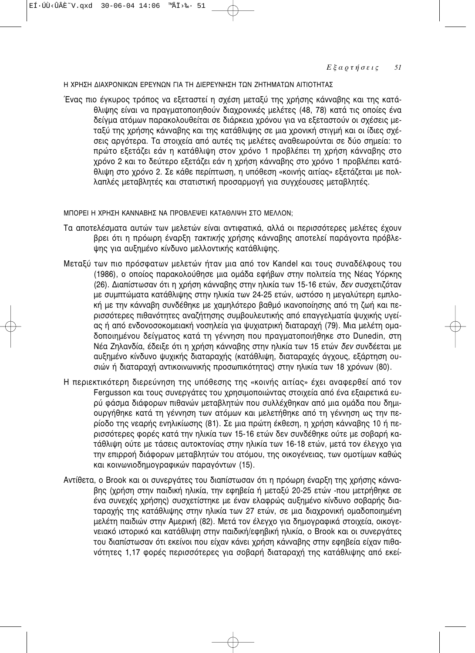# Η ΧΡΗΣΗ ΔΙΑΧΡΟΝΙΚΩΝ ΕΡΕΥΝΩΝ ΓΙΑ ΤΗ ΔΙΕΡΕΥΝΗΣΗ ΤΩΝ ΖΗΤΗΜΑΤΩΝ ΑΙΤΙΟΤΗΤΑΣ

Ένας πιο έγκυρος τρόπος να εξεταστεί η σχέση μεταξύ της χρήσης κάνναβης και της κατάθλιψης είναι να πραγματοποιηθούν διαχρονικές μελέτες (48, 78) κατά τις οποίες ένα δείνμα ατόμων παρακολουθείται σε διάρκεια χρόνου για να εξεταστούν οι σχέσεις μεταξύ της χρήσης κάνναβης και της κατάθλιψης σε μια χρονική στιγμή και οι ίδιες σχέσεις αργότερα. Τα στοιχεία από αυτές τις μελέτες αναθεωρούνται σε δύο σημεία: το πρώτο εξετάζει εάν η κατάθλιψη στον χρόνο 1 προβλέπει τη χρήση κάνναβης στο χρόνο 2 και το δεύτερο εξετάζει εάν η χρήση κάνναβης στο χρόνο 1 προβλέπει κατάθλιψη στο χρόνο 2. Σε κάθε περίπτωση, η υπόθεση «κοινής αιτίας» εξετάζεται με πολλαπλές μεταβλητές και στατιστική προσαρμογή για συγχέουσες μεταβλητές.

ΜΠΟΡΕΙ Η ΧΡΗΣΗ ΚΑΝΝΑΒΗΣ ΝΑ ΠΡΟΒΛΕΨΕΙ ΚΑΤΑΘΛΙΨΗ ΣΤΟ ΜΕΛΛΟΝ:

- Τα αποτελέσματα αυτών των μελετών είναι αντιφατικά, αλλά οι περισσότερες μελέτες έχουν βρει ότι η πρόωρη έναρξη τακτικής χρήσης κάνναβης αποτελεί παράγοντα πρόβλεψης για αυξημένο κίνδυνο μελλοντικής κατάθλιψης.
- Μεταξύ των πιο πρόσφατων μελετών ήταν μια από τον Kandel και τους συναδέλφους του (1986), ο οποίος παρακολούθησε μια ομάδα εφήβων στην πολιτεία της Νέας Υόρκης (26). Διαπίστωσαν ότι η χρήση κάνναβης στην ηλικία των 15-16 ετών, δεν συσχετιζόταν με συμπτώματα κατάθλιψης στην ηλικία των 24-25 ετών, ωστόσο η μεγαλύτερη εμπλοκή με την κάνναβη συνδέθηκε με χαμηλότερο βαθμό ικανοποίησης από τη ζωή και περισσότερες πιθανότητες αναζήτησης συμβουλευτικής από επαγγελματία ψυχικής υγείας ή από ενδονοσοκομειακή νοσηλεία για ψυχιατρική διαταραχή (79). Μια μελέτη ομαδοποιημένου δείγματος κατά τη γέννηση που πραγματοποιήθηκε στο Dunedin, στη Νέα Ζηλανδία, έδειξε ότι η χρήση κάνναβης στην ηλικία των 15 ετών δεν συνδέεται με αυξημένο κίνδυνο ψυχικής διαταραχής (κατάθλιψη, διαταραχές άγχους, εξάρτηση ουσιών ή διαταραχή αντικοινωνικής προσωπικότητας) στην ηλικία των 18 χρόνων (80).
- Η περιεκτικότερη διερεύνηση της υπόθεσης της «κοινής αιτίας» έχει αναφερθεί από τον Fergusson και τους συνεργάτες του χρησιμοποιώντας στοιχεία από ένα εξαιρετικά ευρύ φάσμα διάφορων πιθανών μεταβλητών που συλλέχθηκαν από μια ομάδα που δημιουργήθηκε κατά τη γέννηση των ατόμων και μελετήθηκε από τη γέννηση ως την περίοδο της νεαρής ενηλικίωσης (81). Σε μια πρώτη έκθεση, η χρήση κάνναβης 10 ή περισσότερες φορές κατά την ηλικία των 15-16 ετών δεν συνδέθηκε ούτε με σοβαρή κατάθλιψη ούτε με τάσεις αυτοκτονίας στην ηλικία των 16-18 ετών, μετά τον έλεγχο για την επιρροή διάφορων μεταβλητών του ατόμου, της οικογένειας, των ομοτίμων καθώς και κοινωνιοδημογραφικών παραγόντων (15).
- Αντίθετα, ο Brook και οι συνεργάτες του διαπίστωσαν ότι η πρόωρη έναρξη της χρήσης κάνναβης (χρήση στην παιδική ηλικία, την εφηβεία ή μεταξύ 20-25 ετών -που μετρήθηκε σε ένα συνεχές χρήσης) συσχετίστηκε με έναν ελαφρώς αυξημένο κίνδυνο σοβαρής διαταραχής της κατάθλιψης στην ηλικία των 27 ετών, σε μια διαχρονική ομαδοποιημένη μελέτη παιδιών στην Αμερική (82). Μετά τον έλεγχο για δημογραφικά στοιχεία, οικογενειακό ιστορικό και κατάθλιψη στην παιδική/εφηβική ηλικία, ο Brook και οι συνεργάτες του διαπίστωσαν ότι εκείνοι που είχαν κάνει χρήση κάνναβης στην εφηβεία είχαν πιθανότητες 1,17 φορές περισσότερες για σοβαρή διαταραχή της κατάθλιψης από εκεί-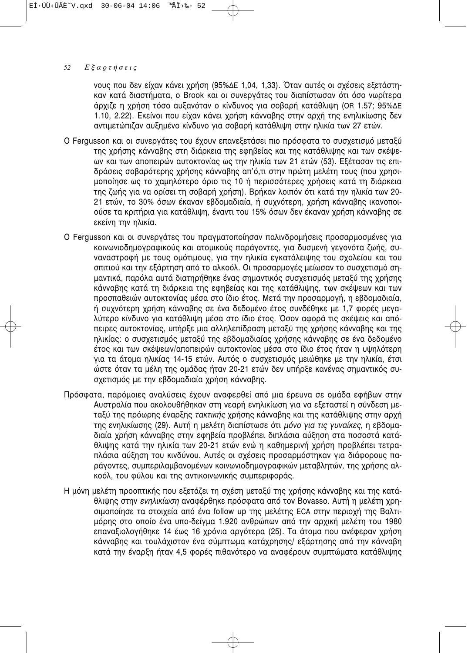# *52 <i>Eξαρτήσεις*

νους που δεν είχαν κάνει χρήση (95%ΔΕ 1,04, 1,33). Όταν αυτές οι σχέσεις εξετάστηκαν κατά διαστήματα, ο Brook και οι συνεργάτες του διαπίστωσαν ότι όσο νωρίτερα άρχιζε η χρήση τόσο αυξανόταν ο κίνδυνος για σοβαρή κατάθλιψη (OR 1.57; 95%ΔΕ 1.10, 2.22). Εκείνοι που είχαν κάνει χρήση κάνναβης στην αρχή της ενηλικίωσης δεν αντιμετώπιζαν αυξημένο κίνδυνο νια σοβαρή κατάθλιψη στην ηλικία των 27 ετών.

- Ο Fergusson και οι συνεργάτες του έχουν επανεξετάσει πιο πρόσφατα το συσχετισμό μεταξύ της χρήσης κάνναβης στη διάρκεια της εφηβείας και της κατάθλιψης και των σκέψεων και των αποπειρών αυτοκτονίας ως την ηλικία των 21 ετών (53). Εξέτασαν τις επιδράσεις σοβαρότερης χρήσης κάνναβης απ'ό,τι στην πρώτη μελέτη τους (που χρησιμοποίησε ως το χαμηλότερο όριο τις 10 ή περισσότερες χρήσεις κατά τη διάρκεια της ζωής για να ορίσει τη σοβαρή χρήση). Βρήκαν λοιπόν ότι κατά την ηλικία των 20-21 ετών, το 30% όσων έκαναν εβδομαδιαία, ή συχνότερη, χρήση κάνναβης ικανοποιούσε τα κριτήρια για κατάθλιψη, έναντι του 15% όσων δεν έκαναν χρήση κάνναβης σε εκείνη την ηλικία.
- Ο Fergusson και οι συνεργάτες του πραγματοποίησαν παλινδρομήσεις προσαρμοσμένες για κοινωνιοδημογραφικούς και ατομικούς παράγοντες, για δυσμενή γεγονότα ζωής, συναναστροφή με τους ομότιμους, για την ηλικία εγκατάλειψης του σχολείου και του σπιτιού και την εξάρτηση από το αλκοόλ. Οι προσαρμονές μείωσαν το συσχετισμό σημαντικά, παρόλα αυτά διατηρήθηκε ένας σημαντικός συσχετισμός μεταξύ της χρήσης κάνναβης κατά τη διάρκεια της εφηβείας και της κατάθλιψης, των σκέψεων και των προσπαθειών αυτοκτονίας μέσα στο ίδιο έτος. Μετά την προσαρμονή, η εβδομαδιαία, ή συχνότερη χρήση κάνναβης σε ένα δεδομένο έτος συνδέθηκε με 1,7 φορές μεγαλύτερο κίνδυνο για κατάθλιψη μέσα στο ίδιο έτος. Όσον αφορά τις σκέψεις και απόπειρες αυτοκτονίας, υπήρξε μια αλληλεπίδραση μεταξύ της χρήσης κάνναβης και της ηλικίας: ο συσχετισμός μεταξύ της εβδομαδιαίας χρήσης κάνναβης σε ένα δεδομένο έτος και των σκέψεων/αποπειρών αυτοκτονίας μέσα στο ίδιο έτος ήταν η υψηλότερη για τα άτομα ηλικίας 14-15 ετών. Αυτός ο συσχετισμός μειώθηκε με την ηλικία, έτσι ώστε όταν τα μέλη της ομάδας ήταν 20-21 ετών δεν υπήρξε κανένας σημαντικός συσχετισμός με την εβδομαδιαία χρήση κάνναβης.
- Πρόσφατα, παρόμοιες αναλύσεις έχουν αναφερθεί από μια έρευνα σε ομάδα εφήβων στην Αυστραλία που ακολουθήθηκαν στη νεαρή ενηλικίωση για να εξεταστεί η σύνδεση μεταξύ της πρόωρης έναρξης *τακτικής* χρήσης κάνναβης και της κατάθλιψης στην αρχή της ενηλικίωσης (29). Αυτή η μελέτη διαπίστωσε ότι *μόνο για τις γυναίκες*, η εβδομαδιαία χρήση κάνναβης στην εφηβεία προβλέπει διπλάσια αύξηση στα ποσοστά κατάθλιψης κατά την ηλικία των 20-21 ετών ενώ η καθημερινή χρήση προβλέπει τετραπλάσια αύξηση του κινδύνου. Αυτές οι σχέσεις προσαρμόστηκαν για διάφορους παράγοντες, συμπεριλαμβανομένων κοινωνιοδημογραφικών μεταβλητών, της χρήσης αλ-ΚΟόλ, του φύλου και της αντικοινωνικής συμπεριφοράς.
- Η μόνη μελέτη προοπτικής που εξετάζει τη σχέση μεταξύ της χρήσης κάνναβης και της κατάθλιψης στην *ενηλικίωση* αναφέρθηκε πρόσφατα από τον Bovasso. Αυτή η μελέτη χρησιμοποίησε τα στοιχεία από ένα follow up της μελέτης ECA στην περιοχή της Βαλτιμόρης στο οποίο ένα υπο-δείγμα 1.920 ανθρώπων από την αρχική μελέτη του 1980 επαναξιολογήθηκε 14 έως 16 χρόνια αργότερα (25). Τα άτομα που ανέφεραν χρήση κάνναβης και τουλάχιστον ένα σύμπτωμα κατάχρησης/ εξάρτησης από την κάνναβη κατά την έναρξη ήταν 4,5 φορές πιθανότερο να αναφέρουν συμπτώματα κατάθλιψης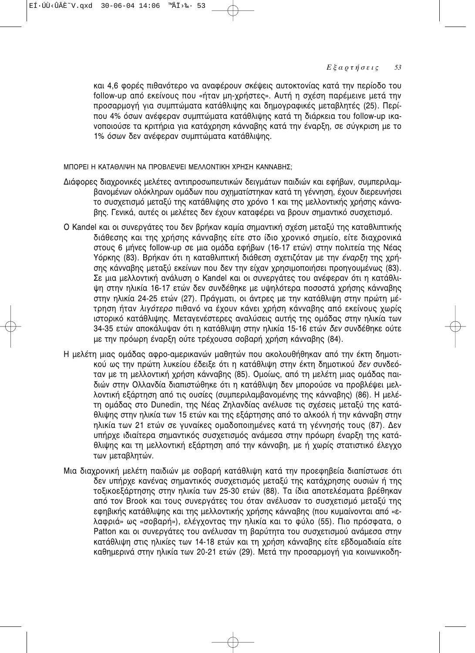και 4,6 φορές πιθανότερο να αναφέρουν σκέψεις αυτοκτονίας κατά την περίοδο του follow-up από εκείνους που «ήταν μη-χρήστες». Αυτή η σχέση παρέμεινε μετά την προσαρμογή για συμπτώματα κατάθλιψης και δημογραφικές μεταβλητές (25). Περίπου 4% όσων ανέφεραν συμπτώματα κατάθλιψης κατά τη διάρκεια του follow-up ικανοποιούσε τα κριτήρια για κατάχρηση κάνναβης κατά την έναρξη, σε σύγκριση με το 1% όσων δεν ανέφεραν συμπτώματα κατάθλιψης.

ΜΠΟΡΕΙ Η ΚΑΤΑΘΛΙΨΗ ΝΑ ΠΡΟΒΛΕΨΕΙ ΜΕΛΛΟΝΤΙΚΗ ΧΡΗΣΗ ΚΑΝΝΑΒΗΣ:

- Διάφορες διαχρονικές μελέτες αντιπροσωπευτικών δειγμάτων παιδιών και εφήβων, συμπεριλαμβανομένων ολόκληρων ομάδων που σχηματίστηκαν κατά τη γέννηση, έχουν διερευνήσει το συσχετισμό μεταξύ της κατάθλιψης στο χρόνο 1 και της μελλοντικής χρήσης κάνναβης. Γενικά, αυτές οι μελέτες δεν έχουν καταφέρει να βρουν σημαντικό συσχετισμό.
- Ο Kandel και οι συνερνάτες του δεν βρήκαν καμία σημαντική σχέση μεταξύ της καταθλιπτικής διάθεσης και της χρήσης κάνναβης είτε στο ίδιο χρονικό σημείο, είτε διαχρονικά στους 6 μήνες follow-up σε μια ομάδα εφήβων (16-17 ετών) στην πολιτεία της Νέας Υόρκης (83), Βρήκαν ότι η καταθλιπτική διάθεση σχετιζόταν με την *έναρξη* της χρήσης κάνναβης μεταξύ εκείνων που δεν την είχαν χρησιμοποιήσει προηγουμένως (83). Σε μια μελλοντική ανάλυση ο Kandel και οι συνεργάτες του ανέφεραν ότι η κατάθλιψη στην ηλικία 16-17 ετών δεν συνδέθηκε με υψηλότερα ποσοστά χρήσης κάνναβης στην ηλικία 24-25 ετών (27). Πράγματι, οι άντρες με την κατάθλιψη στην πρώτη μέτρηση ήταν λιγότερο πιθανό να έχουν κάνει χρήση κάνναβης από εκείνους χωρίς ιστορικό κατάθλιψης. Μεταγενέστερες αναλύσεις αυτής της ομάδας στην ηλικία των 34-35 ετών αποκάλυψαν ότι η κατάθλιψη στην ηλικία 15-16 ετών δεν συνδέθηκε ούτε με την πρόωρη έναρξη ούτε τρέχουσα σοβαρή χρήση κάνναβης (84).
- Η μελέτη μιας ομάδας αφοο-αμερικανών μαθητών που ακολουθήθηκαν από την έκτη δημοτικού ως την πρώτη λυκείου έδειξε ότι η κατάθλιψη στην έκτη δημοτικού δεν συνδεόταν με τη μελλοντική χρήση κάνναβης (85). Ομοίως, από τη μελέτη μιας ομάδας παιδιών στην Ολλανδία διαπιστώθηκε ότι η κατάθλιψη δεν μπορούσε να προβλέψει μελλοντική εξάρτηση από τις ουσίες (συμπεριλαμβανομένης της κάνναβης) (86). Η μελέτη ομάδας στο Dunedin, της Νέας Ζηλανδίας ανέλυσε τις σχέσεις μεταξύ της κατάθλιψης στην ηλικία των 15 ετών και της εξάρτησης από το αλκοόλ ή την κάνναβη στην ηλικία των 21 ετών σε γυναίκες ομαδοποιημένες κατά τη γέννησής τους (87). Δεν υπήρχε ιδιαίτερα σημαντικός συσχετισμός ανάμεσα στην πρόωρη έναρξη της κατάθλιψης και τη μελλοντική εξάρτηση από την κάνναβη, με ή χωρίς στατιστικό έλεγχο των μεταβλητών.
- Μια διαχρονική μελέτη παιδιών με σοβαρή κατάθλιψη κατά την προεφηβεία διαπίστωσε ότι δεν υπήρχε κανένας σημαντικός συσχετισμός μεταξύ της κατάχρησης ουσιών ή της τοξικοεξάρτησης στην ηλικία των 25-30 ετών (88). Τα ίδια αποτελέσματα βρέθηκαν από τον Brook και τους συνεργάτες του όταν ανέλυσαν το συσχετισμό μεταξύ της εφηβικής κατάθλιψης και της μελλοντικής χρήσης κάνναβης (που κυμαίνονται από «ελαφριά» ως «σοβαρή»), ελέγχοντας την ηλικία και το φύλο (55). Πιο πρόσφατα, ο Patton και οι συνεργάτες του ανέλυσαν τη βαρύτητα του συσχετισμού ανάμεσα στην κατάθλιψη στις ηλικίες των 14-18 ετών και τη χρήση κάνναβης είτε εβδομαδιαία είτε καθημερινά στην ηλικία των 20-21 ετών (29). Μετά την προσαρμογή για κοινωνικοδη-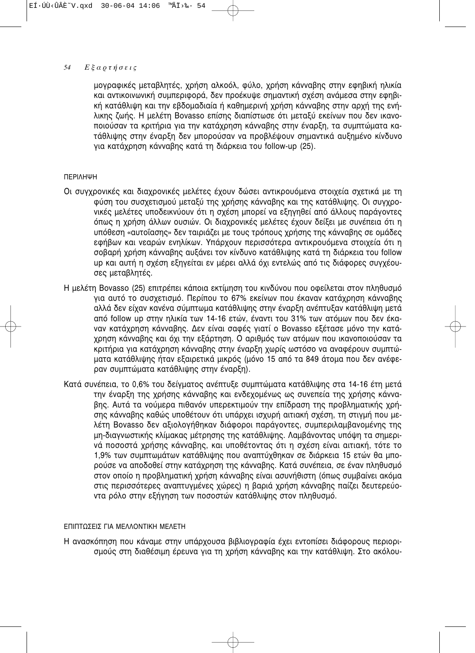μογραφικές μεταβλητές, χρήση αλκοόλ, φύλο, χρήση κάνναβης στην εφηβική ηλικία και αντικοινωνική συμπεριφορά, δεν προέκυψε σημαντική σχέση ανάμεσα στην εφηβική κατάθλιψη και την εβδομαδιαία ή καθημερινή χρήση κάνναβης στην αρχή της ενήλικης ζωής. Η μελέτη Bovasso επίσης διαπίστωσε ότι μεταξύ εκείνων που δεν ικανοποιούσαν τα κριτήρια για την κατάχρηση κάνναβης στην έναρξη, τα συμπτώματα κατάθλιψης στην έναρξη δεν μπορούσαν να προβλέψουν σημαντικά αυξημένο κίνδυνο νια κατάχρηση κάνναβης κατά τη διάρκεια του follow-up (25).

# **ПЕРІЛНФН**

- Οι συνχρονικές και διαχρονικές μελέτες έχουν δώσει αντικρουόμενα στοιχεία σχετικά με τη φύση του συσχετισμού μεταξύ της χρήσης κάνναβης και της κατάθλιψης. Οι συγχρονικές μελέτες υποδεικνύουν ότι η σχέση μπορεί να εξηγηθεί από άλλους παράγοντες όπως η χρήση άλλων ουσιών. Οι διαχρονικές μελέτες έχουν δείξει με συνέπεια ότι η υπόθεση «αυτοΐασης» δεν ταιριάζει με τους τρόπους χρήσης της κάνναβης σε ομάδες εφήβων και νεαρών ενηλίκων. Υπάρχουν περισσότερα αντικρουόμενα στοιχεία ότι η σοβαρή χρήση κάνναβης αυξάνει τον κίνδυνο κατάθλιψης κατά τη διάρκεια του follow μρ και αυτή η σχέση εξηγείται εν μέρει αλλά όχι εντελώς από τις διάφορες συγχέουσες μεταβλητές.
- Η μελέτη Bovasso (25) επιτρέπει κάποια εκτίμηση του κινδύνου που οφείλεται στον πληθυσμό για αυτό το συσχετισμό. Περίπου το 67% εκείνων που έκαναν κατάχρηση κάνναβης αλλά δεν είχαν κανένα σύμπτωμα κατάθλιψης στην έναρξη ανέπτυξαν κατάθλιψη μετά από follow up στην ηλικία των 14-16 ετών, έναντι του 31% των ατόμων που δεν έκαναν κατάχρηση κάνναβης. Δεν είναι σαφές γιατί ο Bovasso εξέτασε μόνο την κατάχρηση κάνναβης και όχι την εξάρτηση. Ο αριθμός των ατόμων που ικανοποιούσαν τα κριτήρια για κατάχρηση κάνναβης στην έναρξη χωρίς ωστόσο να αναφέρουν συμπτώματα κατάθλιψης ήταν εξαιρετικά μικρός (μόνο 15 από τα 849 άτομα που δεν ανέφεραν συμπτώματα κατάθλιψης στην έναρξη).
- Κατά συνέπεια, το 0,6% του δείγματος ανέπτυξε συμπτώματα κατάθλιψης στα 14-16 έτη μετά την έναρξη της χρήσης κάνναβης και ενδεχομένως ως συνεπεία της χρήσης κάνναβης. Αυτά τα νούμερα πιθανόν υπερεκτιμούν την επίδραση της προβληματικής χρήσης κάνναβης καθώς υποθέτουν ότι υπάρχει ισχυρή αιτιακή σχέση, τη στιγμή που μελέτη Bovasso δεν αξιολογήθηκαν διάφοροι παράγοντες, συμπεριλαμβανομένης της μη-διαγνωστικής κλίμακας μέτρησης της κατάθλιψης. Λαμβάνοντας υπόψη τα σημερινά ποσοστά χρήσης κάνναβης, και υποθέτοντας ότι η σχέση είναι αιτιακή, τότε το 1,9% των συμπτωμάτων κατάθλιψης που αναπτύχθηκαν σε διάρκεια 15 ετών θα μπορούσε να αποδοθεί στην κατάχρηση της κάνναβης. Κατά συνέπεια, σε έναν πληθυσμό στον οποίο η προβληματική χρήση κάνναβης είναι ασυνήθιστη (όπως συμβαίνει ακόμα στις περισσότερες αναπτυγμένες χώρες) η βαριά χρήση κάνναβης παίζει δευτερεύοντα ρόλο στην εξήγηση των ποσοστών κατάθλιψης στον πληθυσμό.

# ΕΠΙΠΤΩΣΕΙΣ ΓΙΑ ΜΕΛΛΟΝΤΙΚΗ ΜΕΛΕΤΗ

Η ανασκόπηση που κάναμε στην υπάρχουσα βιβλιογραφία έχει εντοπίσει διάφορους περιορισμούς στη διαθέσιμη έρευνα για τη χρήση κάνναβης και την κατάθλιψη. Στο ακόλου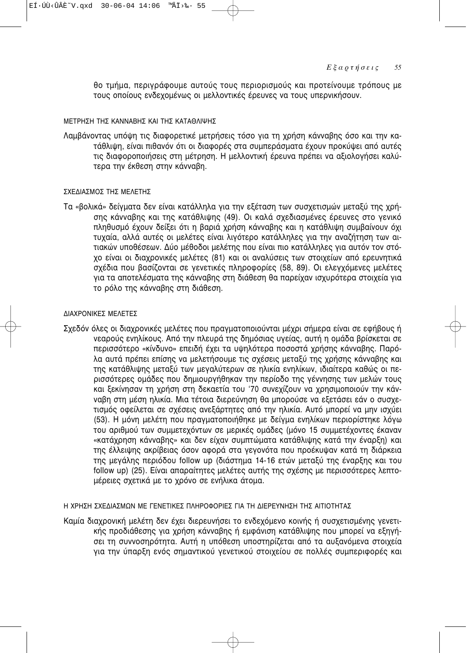θο τμήμα, περιγράφουμε αυτούς τους περιορισμούς και προτείνουμε τρόπους με τους οποίους ενδεχομένως οι μελλοντικές έρευνες να τους υπερνικήσουν.

# ΜΕΤΡΗΣΗ ΤΗΣ ΚΑΝΝΑΒΗΣ ΚΑΙ ΤΗΣ ΚΑΤΑΘΛΙΨΗΣ

Λαμβάνοντας υπόψη τις διαφορετικέ μετρήσεις τόσο για τη χρήση κάνναβης όσο και την κατάθλιψη, είναι πιθανόν ότι οι διαφορές στα συμπεράσματα έχουν προκύψει από αυτές τις διαφοροποιήσεις στη μέτρηση. Η μελλοντική έρευνα πρέπει να αξιολογήσει καλύτερα την έκθεση στην κάνναβη.

# ΣΧΕΛΙΑΣΜΟΣ ΤΗΣ ΜΕΛΕΤΗΣ

Τα «βολικά» δείγματα δεν είναι κατάλληλα για την εξέταση των συσχετισμών μεταξύ της χρήσης κάνναβης και της κατάθλιψης (49). Οι καλά σχεδιασμένες έρευνες στο γενικό πληθυσμό έχουν δείξει ότι η βαριά χρήση κάνναβης και η κατάθλιψη συμβαίνουν όχι τυχαία, αλλά αυτές οι μελέτες είναι λιγότερο κατάλληλες για την αναζήτηση των αιτιακών υποθέσεων. Δύο μέθοδοι μελέτης που είναι πιο κατάλληλες για αυτόν τον στόχο είναι οι διαχρονικές μελέτες (81) και οι αναλύσεις των στοιχείων από ερευνητικά σχέδια που βασίζονται σε γενετικές πληροφορίες (58, 89). Οι ελεγχόμενες μελέτες για τα αποτελέσματα της κάνναβης στη διάθεση θα παρείχαν ισχυρότερα στοιχεία για το ρόλο της κάνναβης στη διάθεση.

# ΔΙΑΧΡΟΝΙΚΕΣ ΜΕΛΕΤΕΣ

Σχεδόν όλες οι διαχρονικές μελέτες που πραγματοποιούνται μέχρι σήμερα είναι σε εφήβους ή νεαρούς ενηλίκους. Από την πλευρά της δημόσιας υγείας, αυτή η ομάδα βρίσκεται σε περισσότερο «κίνδυνο» επειδή έχει τα υψηλότερα ποσοστά χρήσης κάνναβης. Παρόλα αυτά πρέπει επίσης να μελετήσουμε τις σχέσεις μεταξύ της χρήσης κάνναβης και της κατάθλιψης μεταξύ των μεγαλύτερων σε ηλικία ενηλίκων, ιδιαίτερα καθώς οι περισσότερες ομάδες που δημιουργήθηκαν την περίοδο της γέννησης των μελών τους και ξεκίνησαν τη χρήση στη δεκαετία του '70 συνεχίζουν να χρησιμοποιούν την κάνναβη στη μέση ηλικία. Μια τέτοια διερεύνηση θα μπορούσε να εξετάσει εάν ο συσχετισμός οφείλεται σε σχέσεις ανεξάρτητες από την ηλικία. Αυτό μπορεί να μην ισχύει (53). Η μόνη μελέτη που πραγματοποιήθηκε με δείγμα ενηλίκων περιορίστηκε λόγω του αριθμού των συμμετεχόντων σε μερικές ομάδες (μόνο 15 συμμετέχοντες έκαναν «κατάχρηση κάνναβης» και δεν είχαν συμπτώματα κατάθλιψης κατά την έναρξη) και της έλλειψης ακρίβειας όσον αφορά στα γεγονότα που προέκυψαν κατά τη διάρκεια της μεγάλης περιόδου follow up (διάστημα 14-16 ετών μεταξύ της έναρξης και του follow up) (25). Είναι απαραίτητες μελέτες αυτής της σχέσης με περισσότερες λεπτομέρειες σχετικά με το χρόνο σε ενήλικα άτομα.

Η ΧΡΗΣΗ ΣΧΕΔΙΑΣΜΩΝ ΜΕ ΓΕΝΕΤΙΚΕΣ ΠΛΗΡΟΦΟΡΙΕΣ ΓΙΑ ΤΗ ΔΙΕΡΕΥΝΗΣΗ ΤΗΣ ΑΙΤΙΟΤΗΤΑΣ

Καμία διαχρονική μελέτη δεν έχει διερευνήσει το ενδεχόμενο κοινής ή συσχετισμένης γενετικής προδιάθεσης για χρήση κάνναβης ή εμφάνιση κατάθλιψης που μπορεί να εξηγήσει τη συννοσηρότητα. Αυτή η υπόθεση υποστηρίζεται από τα αυξανόμενα στοιχεία για την ύπαρξη ενός σημαντικού γενετικού στοιχείου σε πολλές συμπεριφορές και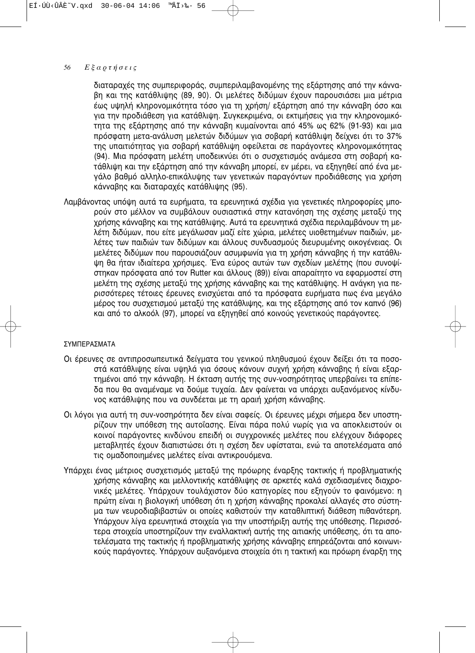διαταραχές της συμπεριφοράς, συμπεριλαμβανομένης της εξάρτησης από την κάνναβη και της κατάθλιψης (89, 90). Οι μελέτες διδύμων έχουν παρουσιάσει μια μέτρια έως υψηλή κληρονομικότητα τόσο για τη χρήση/ εξάρτηση από την κάνναβη όσο και για την προδιάθεση για κατάθλιψη. Συγκεκριμένα, οι εκτιμήσεις για την κληρονομικότητα της εξάρτησης από την κάνναβη κυμαίνονται από 45% ως 62% (91-93) και μια πρόσφατη μετα-ανάλυση μελετών διδύμων για σοβαρή κατάθλιψη δείχνει ότι το 37% της υπαιτιότητας για σοβαρή κατάθλιψη οφείλεται σε παράγοντες κληρονομικότητας (94). Μια πρόσφατη μελέτη υποδεικνύει ότι ο συσχετισμός ανάμεσα στη σοβαρή κατάθλιψη και την εξάρτηση από την κάνναβη μπορεί, εν μέρει, να εξηνηθεί από ένα μεγάλο βαθμό αλληλο-επικάλυψης των γενετικών παραγόντων προδιάθεσης για χρήση κάνναβης και διαταραχές κατάθλιψης (95).

Λαμβάνοντας υπόψη αυτά τα ευρήματα, τα ερευνητικά σχέδια για νενετικές πληροφορίες μπορούν στο μέλλον να συμβάλουν ουσιαστικά στην κατανόηση της σχέσης μεταξύ της χρήσης κάνναβης και της κατάθλιψης. Αυτά τα ερευνητικά σχέδια περιλαμβάνουν τη μελέτη διδύμων, που είτε μεγάλωσαν μαζί είτε χώρια, μελέτες υιοθετημένων παιδιών, μελέτες των παιδιών των διδύμων και άλλους συνδυασμούς διευρυμένης οικογένειας. Οι μελέτες διδύμων που παρουσιάζουν ασυμφωνία για τη χρήση κάνναβης ή την κατάθλιψη θα ήταν ιδιαίτερα χρήσιμες. Ένα εύρος αυτών των σχεδίων μελέτης (που συνοψίστηκαν πρόσφατα από τον Rutter και άλλους (89)) είναι απαραίτητο να εφαρμοστεί στη μελέτη της σχέσης μεταξύ της χρήσης κάνναβης και της κατάθλιψης. Η ανάγκη για περισσότερες τέτοιες έρευνες ενισχύεται από τα πρόσφατα ευρήματα πως ένα μεγάλο μέρος του συσχετισμού μεταξύ της κατάθλιψης, και της εξάρτησης από τον καπνό (96) και από το αλκοόλ (97), μπορεί να εξηγηθεί από κοινούς γενετικούς παράγοντες.

# ΣΥΜΠΕΡΑΣΜΑΤΑ

- Οι έρευνες σε αντιπροσωπευτικά δείγματα του γενικού πληθυσμού έχουν δείξει ότι τα ποσοστά κατάθλιψης είναι υψηλά για όσους κάνουν συχνή χρήση κάνναβης ή είναι εξαρτημένοι από την κάνναβη. Η έκταση αυτής της συν-νοσηρότητας υπερβαίνει τα επίπεδα που θα αναμέναμε να δούμε τυχαία. Δεν φαίνεται να υπάρχει αυξανόμενος κίνδυνος κατάθλιψης που να συνδέεται με τη αραιή χρήση κάνναβης.
- Οι λόγοι για αυτή τη συν-νοσηρότητα δεν είναι σαφείς. Οι έρευνες μέχρι σήμερα δεν υποστηρίζουν την υπόθεση της αυτοΐασης. Είναι πάρα πολύ νωρίς για να αποκλειστούν οι κοινοί παράγοντες κινδύνου επειδή οι συγχρονικές μελέτες που ελέγχουν διάφορες μεταβλητές έχουν διαπιστώσει ότι η σχέση δεν υφίσταται, ενώ τα αποτελέσματα από τις ομαδοποιημένες μελέτες είναι αντικρουόμενα.
- Υπάρχει ένας μέτριος συσχετισμός μεταξύ της πρόωρης έναρξης τακτικής ή προβληματικής χρήσης κάνναβης και μελλοντικής κατάθλιψης σε αρκετές καλά σχεδιασμένες διαχρονικές μελέτες. Υπάρχουν τουλάχιστον δύο κατηγορίες που εξηγούν το φαινόμενο: η πρώτη είναι η βιολογική υπόθεση ότι η χρήση κάνναβης προκαλεί αλλαγές στο σύστημα των νευροδιαβιβαστών οι οποίες καθιστούν την καταθλιπτική διάθεση πιθανότερη. Υπάρχουν λίγα ερευνητικά στοιχεία για την υποστήριξη αυτής της υπόθεσης. Περισσότερα στοιχεία υποστηρίζουν την εναλλακτική αυτής της αιτιακής υπόθεσης, ότι τα αποτελέσματα της τακτικής ή προβληματικής χρήσης κάνναβης επηρεάζονται από κοινωνικούς παράγοντες. Υπάρχουν αυξανόμενα στοιχεία ότι η τακτική και πρόωρη έναρξη της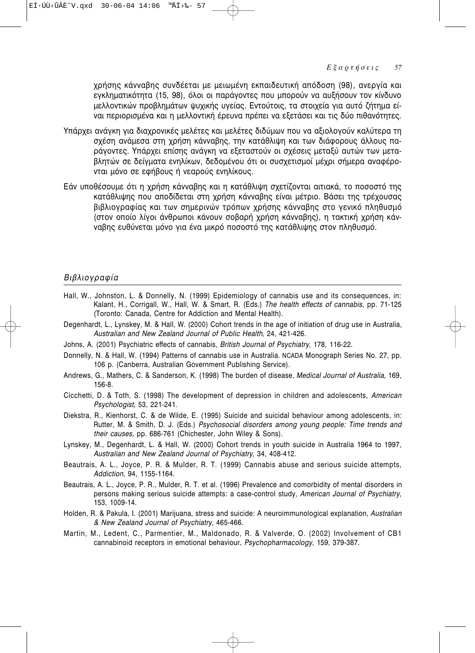χρήσης κάνναβης συνδέεται με μειωμένη εκπαιδευτική απόδοση (98), ανεργία και εγκληματικότητα (15, 98), όλοι οι παράγοντες που μπορούν να αυξήσουν τον κίνδυνο μελλοντικών προβλημάτων ψυχικής υνείας. Εντούτοις, τα στοιχεία για αυτό ζήτημα είναι περιορισμένα και η μελλοντική έρευνα πρέπει να εξετάσει και τις δύο πιθανότητες.

- Υπάρχει ανάγκη για διαχρονικές μελέτες και μελέτες διδύμων που να αξιολογούν καλύτερα τη σχέση ανάμεσα στη χρήση κάνναβης, την κατάθλιψη και των διάφορους άλλους παράγοντες. Υπάρχει επίσης ανάγκη να εξεταστούν οι σχέσεις μεταξύ αυτών των μεταβλητών σε δείγματα ενηλίκων, δεδομένου ότι οι συσχετισμοί μέχρι σήμερα αναφέρονται μόνο σε εφήβους ή νεαρούς ενηλίκους.
- Εάν υποθέσουμε ότι η χρήση κάνναβης και η κατάθλιψη σχετίζονται αιτιακά, το ποσοστό της κατάθλιψης που αποδίδεται στη χρήση κάνναβης είναι μέτριο. Βάσει της τρέχουσας βιβλιογραφίας και των σημερινών τρόπων χρήσης κάνναβης στο γενικό πληθυσμό (στον οποίο λίγοι άνθρωποι κάνουν σοβαρή χρήση κάνναβης), η τακτική χρήση κάνναβης ευθύνεται μόνο για ένα μικρό ποσοστό της κατάθλιψης στον πληθυσμό.

# Βιβλιογραφία

- Hall, W., Johnston, L. & Donnelly, N. (1999) Epidemiology of cannabis use and its consequences, in: Kalant, H., Corrigall, W., Hall, W. & Smart, R. (Eds.) The health effects of cannabis, pp. 71-125 (Toronto: Canada, Centre for Addiction and Mental Health).
- Degenhardt, L., Lynskey, M. & Hall, W. (2000) Cohort trends in the age of initiation of drug use in Australia, Australian and New Zealand Journal of Public Health, 24, 421-426.
- Johns, A. (2001) Psychiatric effects of cannabis, British Journal of Psychiatry, 178, 116-22.
- Donnelly, N. & Hall, W. (1994) Patterns of cannabis use in Australia. NCADA Monograph Series No. 27, pp. 106 p. (Canberra, Australian Government Publishing Service).
- Andrews, G., Mathers, C. & Sanderson, K. (1998) The burden of disease, Medical Journal of Australia, 169, 156-8.
- Cicchetti, D. & Toth, S. (1998) The development of depression in children and adolescents, American Psychologist, 53, 221-241.
- Diekstra, R., Kienhorst, C. & de Wilde, E. (1995) Suicide and suicidal behaviour among adolescents, in: Rutter, M. & Smith, D. J. (Eds.) Psychosocial disorders among young people: Time trends and their causes, pp. 686-761 (Chichester, John Wiley & Sons).
- Lynskey, M., Degenhardt, L. & Hall, W. (2000) Cohort trends in youth suicide in Australia 1964 to 1997. Australian and New Zealand Journal of Psychiatry, 34, 408-412.
- Beautrais, A. L., Joyce, P. R. & Mulder, R. T. (1999) Cannabis abuse and serious suicide attempts, Addiction, 94, 1155-1164.
- Beautrais, A. L., Joyce, P. R., Mulder, R. T. et al. (1996) Prevalence and comorbidity of mental disorders in persons making serious suicide attempts: a case-control study, American Journal of Psychiatry, 153. 1009-14.
- Holden, R. & Pakula, I. (2001) Marijuana, stress and suicide: A neuroimmunological explanation, Australian & New Zealand Journal of Psychiatry, 465-466.
- Martin, M., Ledent, C., Parmentier, M., Maldonado, R. & Valverde, O. (2002) Involvement of CB1 cannabinoid receptors in emotional behaviour, Psychopharmacology, 159, 379-387.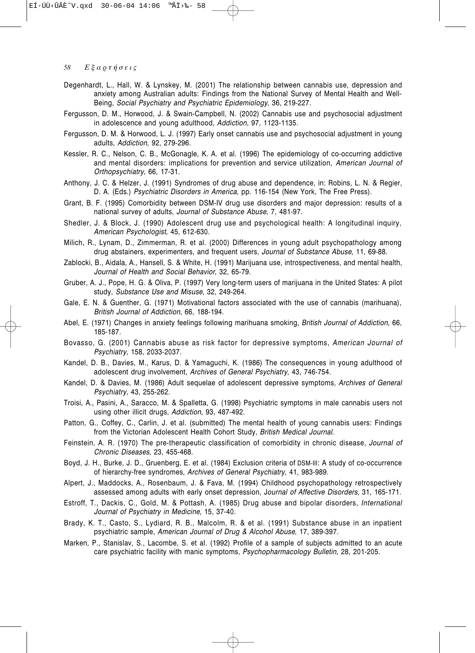- Degenhardt, L., Hall, W. & Lynskey, M. (2001) The relationship between cannabis use, depression and anxiety among Australian adults: Findings from the National Survey of Mental Health and Well-Being, *Social Psychiatry and Psychiatric Epidemiology*, 36, 219-227.
- Fergusson, D. M., Horwood, J. & Swain-Campbell, N. (2002) Cannabis use and psychosocial adjustment in adolescence and young adulthood, *Addiction*, 97, 1123-1135.
- Fergusson, D. M. & Horwood, L. J. (1997) Early onset cannabis use and psychosocial adjustment in young adults, *Addiction*, 92, 279-296.
- Kessler, R. C., Nelson, C. B., McGonagle, K. A. et al. (1996) The epidemiology of co-occurring addictive and mental disorders: implications for prevention and service utilization, *American Journal of Orthopsychiatry*, 66, 17-31.
- Anthony, J. C. & Helzer, J. (1991) Syndromes of drug abuse and dependence, in: Robins, L. N. & Regier, D. A. (Eds.) *Psychiatric Disorders in America*, pp. 116-154 (New York, The Free Press).
- Grant, B. F. (1995) Comorbidity between DSM-IV drug use disorders and major depression: results of a national survey of adults, *Journal of Substance Abuse*, 7, 481-97.
- Shedler, J. & Block, J. (1990) Adolescent drug use and psychological health: A longitudinal inquiry, *American Psychologist*, 45, 612-630.
- Milich, R., Lynam, D., Zimmerman, R. et al. (2000) Differences in young adult psychopathology among drug abstainers, experimenters, and frequent users, *Journal of Substance Abuse*, 11, 69-88.
- Zablocki, B., Aidala, A., Hansell, S. & White, H. (1991) Marijuana use, introspectiveness, and mental health, *Journal of Health and Social Behavior*, 32, 65-79.
- Gruber, A. J., Pope, H. G. & Oliva, P. (1997) Very long-term users of marijuana in the United States: A pilot study, *Substance Use and Misuse*, 32, 249-264.
- Gale, E. N. & Guenther, G. (1971) Motivational factors associated with the use of cannabis (marihuana), *British Journal of Addiction*, 66, 188-194.
- Abel, E. (1971) Changes in anxiety feelings following marihuana smoking, *British Journal of Addiction*, 66, 185-187.
- Bovasso, G. (2001) Cannabis abuse as risk factor for depressive symptoms, *American Journal of Psychiatry*, 158, 2033-2037.
- Kandel, D. B., Davies, M., Karus, D. & Yamaguchi, K. (1986) The consequences in young adulthood of adolescent drug involvement, *Archives of General Psychiatry*, 43, 746-754.
- Kandel, D. & Davies, M. (1986) Adult sequelae of adolescent depressive symptoms, *Archives of General Psychiatry*, 43, 255-262.
- Troisi, A., Pasini, A., Saracco, M. & Spalletta, G. (1998) Psychiatric symptoms in male cannabis users not using other illicit drugs, *Addiction*, 93, 487-492.
- Patton, G., Coffey, C., Carlin, J. et al. (submitted) The mental health of young cannabis users: Findings from the Victorian Adolescent Health Cohort Study, *British Medical Journal*.
- Feinstein, A. R. (1970) The pre-therapeutic classification of comorbidity in chronic disease, *Journal of Chronic Diseases*, 23, 455-468.
- Boyd, J. H., Burke, J. D., Gruenberg, E. et al. (1984) Exclusion criteria of DSM-III: A study of co-occurrence of hierarchy-free syndromes, *Archives of General Psychiatry*, 41, 983-989.
- Alpert, J., Maddocks, A., Rosenbaum, J. & Fava, M. (1994) Childhood psychopathology retrospectively assessed among adults with early onset depression, J*ournal of Affective Disorders*, 31, 165-171.
- Estroff, T., Dackis, C., Gold, M. & Pottash, A. (1985) Drug abuse and bipolar disorders, *International Journal of Psychiatry in Medicine*, 15, 37-40.
- Brady, K. T., Casto, S., Lydiard, R. B., Malcolm, R. & et al. (1991) Substance abuse in an inpatient psychiatric sample, *American Journal of Drug & Alcohol Abuse*, 17, 389-397.
- Marken, P., Stanislav, S., Lacombe, S. et al. (1992) Profile of a sample of subjects admitted to an acute care psychiatric facility with manic symptoms, *Psychopharmacology Bulletin*, 28, 201-205.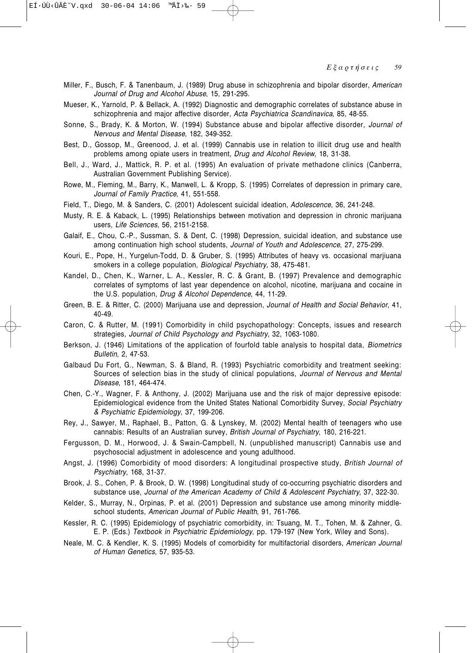- Miller, F., Busch, F. & Tanenbaum, J. (1989) Drug abuse in schizophrenia and bipolar disorder, *American Journal of Drug and Alcohol Abuse*, 15, 291-295.
- Mueser, K., Yarnold, P. & Bellack, A. (1992) Diagnostic and demographic correlates of substance abuse in schizophrenia and major affective disorder, *Acta Psychiatrica Scandinavica*, 85, 48-55.
- Sonne, S., Brady, K. & Morton, W. (1994) Substance abuse and bipolar affective disorder, *Journal of Nervous and Mental Disease*, 182, 349-352.
- Best, D., Gossop, M., Greenood, J. et al. (1999) Cannabis use in relation to illicit drug use and health problems among opiate users in treatment, *Drug and Alcohol Review*, 18, 31-38.
- Bell, J., Ward, J., Mattick, R. P. et al. (1995) An evaluation of private methadone clinics (Canberra, Australian Government Publishing Service).
- Rowe, M., Fleming, M., Barry, K., Manwell, L. & Kropp, S. (1995) Correlates of depression in primary care, *Journal of Family Practice*, 41, 551-558.
- Field, T., Diego, M. & Sanders, C. (2001) Adolescent suicidal ideation, *Adolescence*, 36, 241-248.
- Musty, R. E. & Kaback, L. (1995) Relationships between motivation and depression in chronic marijuana users, *Life Sciences*, 56, 2151-2158.
- Galaif, E., Chou, C.-P., Sussman, S. & Dent, C. (1998) Depression, suicidal ideation, and substance use among continuation high school students, *Journal of Youth and Adolescence*, 27, 275-299.
- Kouri, E., Pope, H., Yurgelun-Todd, D. & Gruber, S. (1995) Attributes of heavy vs. occasional marjiuana smokers in a college population, *Biological Psychiatry*, 38, 475-481.
- Kandel, D., Chen, K., Warner, L. A., Kessler, R. C. & Grant, B. (1997) Prevalence and demographic correlates of symptoms of last year dependence on alcohol, nicotine, marijuana and cocaine in the U.S. population, *Drug & Alcohol Dependence*, 44, 11-29.
- Green, B. E. & Ritter, C. (2000) Marijuana use and depression, *Journal of Health and Social Behavior*, 41, 40-49.
- Caron, C. & Rutter, M. (1991) Comorbidity in child psychopathology: Concepts, issues and research strategies, *Journal of Child Psychology and Psychiatry*, 32, 1063-1080.
- Berkson, J. (1946) Limitations of the application of fourfold table analysis to hospital data, *Biometrics Bulletin*, 2, 47-53.
- Galbaud Du Fort, G., Newman, S. & Bland, R. (1993) Psychiatric comorbidity and treatment seeking: Sources of selection bias in the study of clinical populations, *Journal of Nervous and Mental Disease*, 181, 464-474.
- Chen, C.-Y., Wagner, F. & Anthony, J. (2002) Marijuana use and the risk of major depressive episode: Epidemiological evidence from the United States National Comorbidity Survey, *Social Psychiatry & Psychiatric Epidemiology*, 37, 199-206.
- Rey, J., Sawyer, M., Raphael, B., Patton, G. & Lynskey, M. (2002) Mental health of teenagers who use cannabis: Results of an Australian survey, *British Journal of Psychiatry*, 180, 216-221.
- Fergusson, D. M., Horwood, J. & Swain-Campbell, N. (unpublished manuscript) Cannabis use and psychosocial adjustment in adolescence and young adulthood.
- Angst, J. (1996) Comorbidity of mood disorders: A longitudinal prospective study, *British Journal of Psychiatry*, 168, 31-37.
- Brook, J. S., Cohen, P. & Brook, D. W. (1998) Longitudinal study of co-occurring psychiatric disorders and substance use, *Journal of the American Academy of Child & Adolescent Psychiatry*, 37, 322-30.
- Kelder, S., Murray, N., Orpinas, P. et al. (2001) Depression and substance use among minority middleschool students, *American Journal of Public Health*, 91, 761-766.
- Kessler, R. C. (1995) Epidemiology of psychiatric comorbidity, in: Tsuang, M. T., Tohen, M. & Zahner, G. E. P. (Eds.) *Textbook in Psychiatric Epidemiology*, pp. 179-197 (New York, Wiley and Sons).
- Neale, M. C. & Kendler, K. S. (1995) Models of comorbidity for multifactorial disorders, *American Journal of Human Genetics*, 57, 935-53.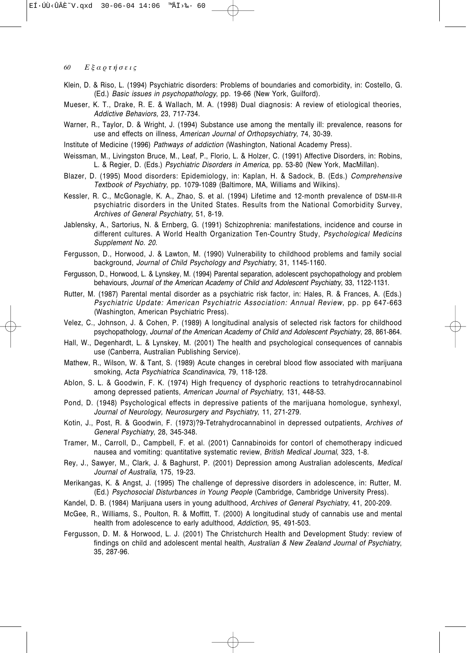# *60 <i>Eξαρτήσεις*

- Klein, D. & Riso, L. (1994) Psychiatric disorders: Problems of boundaries and comorbidity, in: Costello, G. (Ed.) *Basic issues in psychopathology*, pp. 19-66 (New York, Guilford).
- Mueser, K. T., Drake, R. E. & Wallach, M. A. (1998) Dual diagnosis: A review of etiological theories, *Addictive Behaviors,* 23, 717-734.
- Warner, R., Taylor, D. & Wright, J. (1994) Substance use among the mentally ill: prevalence, reasons for use and effects on illness, *American Journal of Orthopsychiatry*, 74, 30-39.
- Institute of Medicine (1996) *Pathways of addiction* (Washington, National Academy Press).
- Weissman, M., Livingston Bruce, M., Leaf, P., Florio, L. & Holzer, C. (1991) Affective Disorders, in: Robins, L. & Regier, D. (Eds.) *Psychiatric Disorders in America*, pp. 53-80 (New York, MacMillan).
- Blazer, D. (1995) Mood disorders: Epidemiology, in: Kaplan, H. & Sadock, B. (Eds.) *Comprehensive Textbook of Psychiatry*, pp. 1079-1089 (Baltimore, MA, Williams and Wilkins).
- Kessler, R. C., McGonagle, K. A., Zhao, S. et al. (1994) Lifetime and 12-month prevalence of DSM-III-R psychiatric disorders in the United States. Results from the National Comorbidity Survey, *Archives of General Psychiatry*, 51, 8-19.
- Jablensky, A., Sartorius, N. & Ernberg, G. (1991) Schizophrenia: manifestations, incidence and course in different cultures. A World Health Organization Ten-Country Study, *Psychological Medicins Supplement No. 20*.
- Fergusson, D., Horwood, J. & Lawton, M. (1990) Vulnerability to childhood problems and family social background, *Journal of Child Psychology and Psychiatry*, 31, 1145-1160.
- Fergusson, D., Horwood, L. & Lynskey, M. (1994) Parental separation, adolescent psychopathology and problem behaviours, *Journal of the American Academy of Child and Adolescent Psychiatry*, 33, 1122-1131.
- Rutter, M. (1987) Parental mental disorder as a psychiatric risk factor, in: Hales, R. & Frances, A. (Eds.) *Psychiatric Update: American Psychiatric Association: Annual Review*, pp. pp 647-663 (Washington, American Psychiatric Press).
- Velez, C., Johnson, J. & Cohen, P. (1989) A longitudinal analysis of selected risk factors for childhood psychopathology, *Journal of the American Academy of Child and Adolescent Psychiatry*, 28, 861-864.
- Hall, W., Degenhardt, L. & Lynskey, M. (2001) The health and psychological consequences of cannabis use (Canberra, Australian Publishing Service).
- Mathew, R., Wilson, W. & Tant, S. (1989) Acute changes in cerebral blood flow associated with marijuana smoking, *Acta Psychiatrica Scandinavica*, 79, 118-128.
- Ablon, S. L. & Goodwin, F. K. (1974) High frequency of dysphoric reactions to tetrahydrocannabinol among depressed patients, *American Journal of Psychiatry*, 131, 448-53.
- Pond, D. (1948) Psychological effects in depressive patients of the marijuana homologue, synhexyl, *Journal of Neurology, Neurosurgery and Psychiatry*, 11, 271-279.
- Kotin, J., Post, R. & Goodwin, F. (1973)?9-Tetrahydrocannabinol in depressed outpatients, *Archives of General Psychiatry*, 28, 345-348.
- Tramer, M., Carroll, D., Campbell, F. et al. (2001) Cannabinoids for contorl of chemotherapy indicued nausea and vomiting: quantitative systematic review, *British Medical Journal*, 323, 1-8.
- Rey, J., Sawyer, M., Clark, J. & Baghurst, P. (2001) Depression among Australian adolescents, *Medical Journal of Australia*, 175, 19-23.
- Merikangas, K. & Angst, J. (1995) The challenge of depressive disorders in adolescence, in: Rutter, M. (Ed.) *Psychosocial Disturbances in Young People* (Cambridge, Cambridge University Press).
- Kandel, D. B. (1984) Marijuana users in young adulthood, *Archives of General Psychiatry*, 41, 200-209.
- McGee, R., Williams, S., Poulton, R. & Moffitt, T. (2000) A longitudinal study of cannabis use and mental health from adolescence to early adulthood, *Addiction*, 95, 491-503.
- Fergusson, D. M. & Horwood, L. J. (2001) The Christchurch Health and Development Study: review of findings on child and adolescent mental health, *Australian & New Zealand Journal of Psychiatry*, 35, 287-96.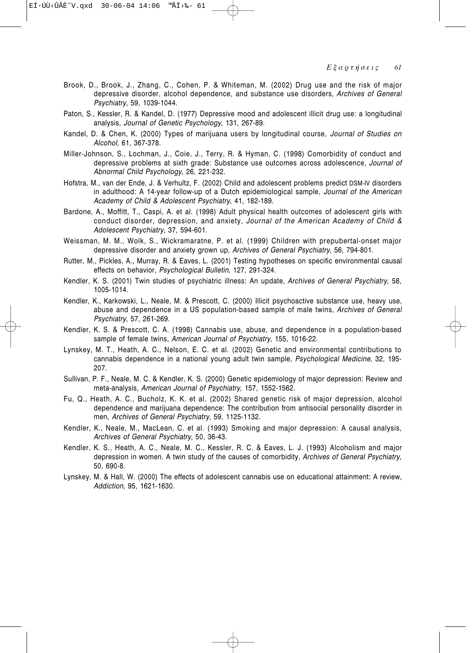- Brook, D., Brook, J., Zhang, C., Cohen, P. & Whiteman, M. (2002) Drug use and the risk of major depressive disorder, alcohol dependence, and substance use disorders, *Archives of General Psychiatry*, 59, 1039-1044.
- Paton, S., Kessler, R. & Kandel, D. (1977) Depressive mood and adolescent illicit drug use: a longitudinal analysis, *Journal of Genetic Psychology*, 131, 267-89.
- Kandel, D. & Chen, K. (2000) Types of marijuana users by longitudinal course, *Journal of Studies on Alcohol*, 61, 367-378.
- Miller-Johnson, S., Lochman, J., Coie, J., Terry, R. & Hyman, C. (1998) Comorbidity of conduct and depressive problems at sixth grade: Substance use outcomes across adolescence, *Journal of Abnormal Child Psychology*, 26, 221-232.
- Hofstra, M., van der Ende, J. & Verhultz, F. (2002) Child and adolescent problems predict DSM-IV disorders in adulthood: A 14-year follow-up of a Dutch epidemiological sample, *Journal of the American Academy of Child & Adolescent Psychiatry*, 41, 182-189.
- Bardone, A., Moffitt, T., Caspi, A. et al. (1998) Adult physical health outcomes of adolescent girls with conduct disorder, depression, and anxiety, *Journal of the American Academy of Child & Adolescent Psychiatry*, 37, 594-601.
- Weissman, M. M., Wolk, S., Wickramaratne, P. et al. (1999) Children with prepubertal-onset major depressive disorder and anxiety grown up, *Archives of General Psychiatry*, 56, 794-801.
- Rutter, M., Pickles, A., Murray, R. & Eaves, L. (2001) Testing hypotheses on specific environmental causal effects on behavior, *Psychological Bulletin*, 127, 291-324.
- Kendler, K. S. (2001) Twin studies of psychiatric illness: An update, *Archives of General Psychiatry*, 58, 1005-1014.
- Kendler, K., Karkowski, L., Neale, M. & Prescott, C. (2000) Illicit psychoactive substance use, heavy use, abuse and dependence in a US population-based sample of male twins, *Archives of General Psychiatry*, 57, 261-269.
- Kendler, K. S. & Prescott, C. A. (1998) Cannabis use, abuse, and dependence in a population-based sample of female twins, *American Journal of Psychiatry*, 155, 1016-22.
- Lynskey, M. T., Heath, A. C., Nelson, E. C. et al. (2002) Genetic and environmental contributions to cannabis dependence in a national young adult twin sample, *Psychological Medicine*, 32, 195- 207.
- Sullivan, P. F., Neale, M. C. & Kendler, K. S. (2000) Genetic epidemiology of major depression: Review and meta-analysis, *American Journal of Psychiatry*, 157, 1552-1562.
- Fu, Q., Heath, A. C., Bucholz, K. K. et al. (2002) Shared genetic risk of major depression, alcohol dependence and marijuana dependence: The contribution from antisocial personality disorder in men, *Archives of General Psychiatry*, 59, 1125-1132.
- Kendler, K., Neale, M., MacLean, C. et al. (1993) Smoking and major depression: A causal analysis, *Archives of General Psychiatry*, 50, 36-43.
- Kendler, K. S., Heath, A. C., Neale, M. C., Kessler, R. C. & Eaves, L. J. (1993) Alcoholism and major depression in women. A twin study of the causes of comorbidity, *Archives of General Psychiatry*, 50, 690-8.
- Lynskey, M. & Hall, W. (2000) The effects of adolescent cannabis use on educational attainment: A review, *Addiction*, 95, 1621-1630.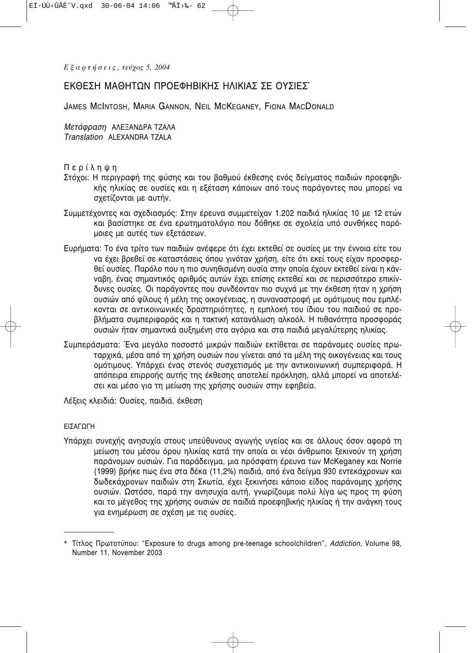# ΕΚΘΕΣΗ ΜΑΘΗΤΩΝ ΠΡΟΕΦΗΒΙΚΗΣ ΗΛΙΚΙΑΣ ΣΕ ΟΥΣΙΕΣ\*

JAMES MCINTOSH, MARIA GANNON, NEIL MCKEGANEY, FIONA MACDONALD

Μετάφραση ΑΛΕΞΑΝΔΡΑ ΤΖΑΛΑ Translation ALEXANDRA TZALA

# Περίληψη

- Στόχοι: Η περιγραφή της φύσης και του βαθμού έκθεσης ενός δείγματος παιδιών προεφηβικής ηλικίας σε ουσίες και η εξέταση κάποιων από τους παράγοντες που μπορεί να σχετίζονται με αυτήν.
- Συμμετέχοντες και σχεδιασμός: Στην έρευνα συμμετείχαν 1.202 παιδιά ηλικίας 10 με 12 ετών και βασίστηκε σε ένα ερωτηματολόγιο που δόθηκε σε σχολεία υπό συνθήκες παρόμοιες με αυτές των εξετάσεων.
- Ευρήματα: Το ένα τρίτο των παιδιών ανέφερε ότι έχει εκτεθεί σε ουσίες με την έννοια είτε του να έχει βρεθεί σε καταστάσεις όπου γινόταν χρήση, είτε ότι εκεί τους είχαν προσφερθεί ουσίες. Παρόλο που η πιο συνηθισμένη ουσία στην οποία έχουν εκτεθεί είναι η κάνναβη, ένας σημαντικός αριθμός αυτών έχει επίσης εκτεθεί και σε περισσότερο επικίνδυνες ουσίες. Οι παράγοντες που συνδέονταν πιο συχνά με την έκθεση ήταν η χρήση ουσιών από φίλους ή μέλη της οικογένειας, η συναναστροφή με ομότιμους που εμπλέκονται σε αντικοινωνικές δραστηριότητες, η εμπλοκή του ίδιου του παιδιού σε προβλήματα συμπεριφοράς και η τακτική κατανάλωση αλκοόλ. Η πιθανότητα προσφοράς ουσιών ήταν σημαντικά αυξημένη στα αγόρια και στα παιδιά μεγαλύτερης ηλικίας.
- Συμπεράσματα: Ένα μεγάλο ποσοστό μικρών παιδιών εκτίθεται σε παράνομες ουσίες πρωταρχικά, μέσα από τη χρήση ουσιών που γίνεται από τα μέλη της οικογένειας και τους ομότιμους. Υπάρχει ένας στενός συσχετισμός με την αντικοινωνική συμπεριφορά. Η απόπειρα επιρροής αυτής της έκθεσης αποτελεί πρόκληση, αλλά μπορεί να αποτελέσει και μέσο για τη μείωση της χρήσης ουσιών στην εφηβεία.

Λέξεις κλειδιά: Ουσίες, παιδιά, έκθεση

# ΕΙΣΑΓΩΓΗ

Υπάρχει συνεχής ανησυχία στους υπεύθυνους αγωγής υγείας και σε άλλους όσον αφορά τη μείωση του μέσου όρου ηλικίας κατά την οποία οι νέοι άνθρωποι ξεκινούν τη χρήση παράνομων ουσιών. Για παράδειγμα, μια πρόσφατη έρευνα των McKeganey και Norrie (1999) βρήκε πως ένα στα δέκα (11,2%) παιδιά, από ένα δείγμα 930 εντεκάχρονων και δωδεκάχρονων παιδιών στη Σκωτία, έχει ξεκινήσει κάποιο είδος παράνομης χρήσης ουσιών. Ωστόσο, παρά την ανησυχία αυτή, γνωρίζουμε πολύ λίγα ως προς τη φύση και το μένεθος της χρήσης ουσιών σε παιδιά προεφηβικής ηλικίας ή την ανάγκη τους για ενημέρωση σε σχέση με τις ουσίες.

<sup>\*</sup> Τίτλος Πρωτοτύπου: "Exposure to drugs among pre-teenage schoolchildren", Addiction, Volume 98, Number 11. November 2003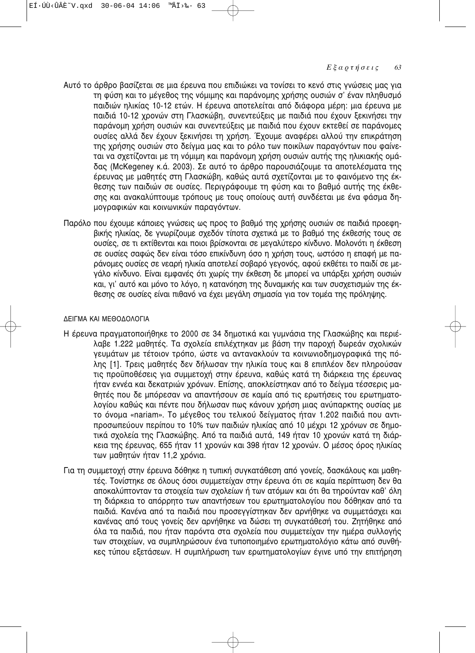- Aυτό το άρθρο βασίζεται σε μια έρευνα που επιδιώκει να τονίσει το κενό στις γνώσεις μας για τη φύση και το μέγεθος της νόμιμης και παράνομης χρήσης ουσιών σ' έναν πληθυσμό παιδιών ηλικίας 10-12 ετών. Η έρευνα αποτελείται από διάφορα μέρη: μια έρευνα με παιδιά 10-12 χρονών στη Γλασκώβη, συνεντεύξεις με παιδιά που έχουν ξεκινήσει την παράνομη χρήση ουσιών και συνεντεύξεις με παιδιά που έχουν εκτεθεί σε παράνομες ουσίες αλλά δεν έχουν ξεκινήσει τη χρήση. Έχουμε αναφέρει αλλού την επικράτηση της χρήσης ουσιών στο δείγμα μας και το ρόλο των ποικίλων παραγόντων που φαίνεται να σχετίζονται με τη νόμιμη και παράνομη χρήση ουσιών αυτής της ηλικιακής ομάδας (McKegeney κ.ά. 2003). Σε αυτό το άρθρο παρουσιάζουμε τα αποτελέσματα της έρευνας με μαθητές στη Γλασκώβη, καθώς αυτά σχετίζονται με το φαινόμενο της έκθεσης των παιδιών σε ουσίες. Περιγράφουμε τη φύση και το βαθμό αυτής της έκθεσης και ανακαλύπτουμε τρόπους με τους οποίους αυτή συνδέεται με ένα φάσμα δημονραφικών και κοινωνικών παρανόντων.
- Пαρόλο που έχουμε κάποιες γνώσεις ως προς το βαθμό της χρήσης ουσιών σε παιδιά προεφηβικής ηλικίας, δε γνωρίζουμε σχεδόν τίποτα σχετικά με το βαθμό της έκθεσής τους σε ουσίες, σε τι εκτίθενται και ποιοι βρίσκονται σε μεγαλύτερο κίνδυνο. Μολονότι η έκθεση σε ουσίες σαφώς δεν είναι τόσο επικίνδυνη όσο η χρήση τους, ωστόσο η επαφή με παράνομες ουσίες σε νεαρή ηλικία αποτελεί σοβαρό γεγονός, αφού εκθέτει το παιδί σε μενάλο κίνδυνο. Είναι εμφανές ότι χωρίς την έκθεση δε μπορεί να υπάρξει χρήση ουσιών και, γι' αυτό και μόνο το λόγο, η κατανόηση της δυναμικής και των συσχετισμών της έκθεσης σε ουσίες είναι πιθανό να έχει μεγάλη σημασία για τον τομέα της πρόληψης.

# ΔΕΙΓΜΑ ΚΑΙ ΜΕΘΟΔΟΛΟΓΙΑ

- H έρευνα πραγματοποιήθηκε το 2000 σε 34 δημοτικά και γυμνάσια της Γλασκώβης και περιέλαβε 1.222 μαθητές. Τα σχολεία επιλέχτηκαν με βάση την παροχή δωρεάν σχολικών γευμάτων με τέτοιον τρόπο, ώστε να αντανακλούν τα κοινωνιοδημογραφικά της πόλης [1]. Τρεις μαθητές δεν δήλωσαν την ηλικία τους και 8 επιπλέον δεν πληρούσαν τις προϋποθέσεις για συμμετοχή στην έρευνα, καθώς κατά τη διάρκεια της έρευνας ήταν εννέα και δεκατριών χρόνων. Επίσης, αποκλείστηκαν από το δείγμα τέσσερις μαθητές που δε μπόρεσαν να απαντήσουν σε καμία από τις ερωτήσεις του ερωτηματολογίου καθώς και πέντε που δήλωσαν πως κάνουν χρήση μιας ανύπαρκτης ουσίας με το όνομα «nariam». Το μέγεθος του τελικού δείγματος ήταν 1.202 παιδιά που αντιπροσωπεύουν περίπου το 10% των παιδιών ηλικίας από 10 μέχρι 12 χρόνων σε δημοτικά σχολεία της Γλασκώβης. Από τα παιδιά αυτά, 149 ήταν 10 χρονών κατά τη διάρκεια της έρευνας, 655 ήταν 11 χρονών και 398 ήταν 12 χρονών. Ο μέσος όρος ηλικίας των μαθητών ήταν 11,2 χρόνια.
- Για τη συμμετοχή στην έρευνα δόθηκε η τυπική συγκατάθεση από γονείς, δασκάλους και μαθητές. Τονίστηκε σε όλους όσοι συμμετείχαν στην έρευνα ότι σε καμία περίπτωση δεν θα αποκαλύπτονταν τα στοιχεία των σχολείων ή των ατόμων και ότι θα τηρούνταν καθ' όλη τη διάρκεια το απόρρητο των απαντήσεων του ερωτηματολογίου που δόθηκαν από τα παιδιά. Κανένα από τα παιδιά που προσεγγίστηκαν δεν αρνήθηκε να συμμετάσχει και κανένας από τους γονείς δεν αρνήθηκε να δώσει τη συγκατάθεσή του. Ζητήθηκε από όλα τα παιδιά, που ήταν παρόντα στα σχολεία που συμμετείχαν την ημέρα συλλογής των στοιχείων, να συμπληρώσουν ένα τυποποιημένο ερωτηματολόγιο κάτω από συνθήκες τύπου εξετάσεων. Η συμπλήρωση των ερωτηματολογίων έγινε υπό την επιτήρηση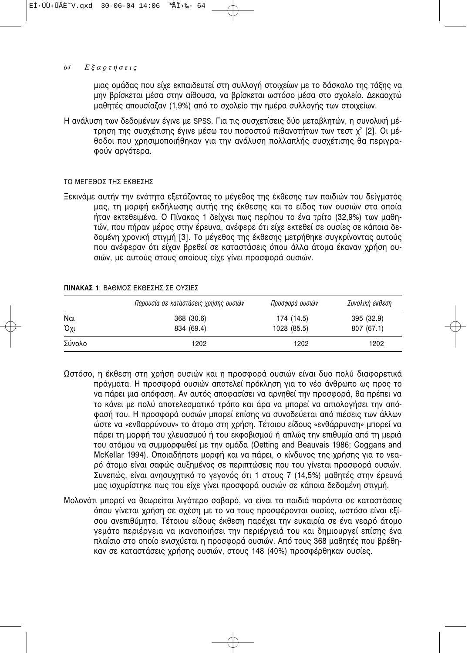# *64 Eξαρτήσεις*

μιας ομάδας που είχε εκπαιδευτεί στη συλλογή στοιχείων με το δάσκαλο της τάξης να μην βρίσκεται μέσα στην αίθουσα, να βρίσκεται ωστόσο μέσα στο σχολείο. Δεκαοχτώ μαθητές απουσίαζαν (1,9%) από το σχολείο την ημέρα συλλογής των στοιχείων.

Η ανάλυση των δεδομένων έγινε με SPSS. Για τις συσχετίσεις δύο μεταβλητών, η συνολική μέτρηση της συσχέτισης έγινε μέσω του ποσοστού πιθανοτήτων των τεστ χ<sup>2</sup> [2]. Οι μέθοδοι που χρησιμοποιήθηκαν για την ανάλυση πολλαπλής συσχέτισης θα περιγραφούν αργότερα.

# ΤΟ ΜΕΓΕΘΟΣ ΤΗΣ ΕΚΘΕΣΗΣ

Ξεκινάμε αυτήν την ενότητα εξετάζοντας το μέγεθος της έκθεσης των παιδιών του δείγματός μας, τη μορφή εκδήλωσης αυτής της έκθεσης και το είδος των ουσιών στα οποία ήταν εκτεθειμένα. Ο Πίνακας 1 δείχνει πως περίπου το ένα τρίτο (32,9%) των μαθητών, που πήραν μέρος στην έρευνα, ανέφερε ότι είχε εκτεθεί σε ουσίες σε κάποια δεδομένη χρονική στιγμή [3]. Το μέγεθος της έκθεσης μετρήθηκε συγκρίνοντας αυτούς που ανέφεραν ότι είχαν βρεθεί σε καταστάσεις όπου άλλα άτομα έκαναν χρήση ουσιών, με αυτούς στους οποίους είχε γίνει προσφορά ουσιών.

# **ΠΙΝΑΚΑΣ 1: ΒΑΘΜΟΣ ΕΚΘΕΣΗΣ ΣΕ ΟΥΣΙΕΣ**

|        | Παρουσία σε καταστάσεις χρήσης ουσιών | Προσφορά ουσιών | Συνολική έκθεση |
|--------|---------------------------------------|-----------------|-----------------|
| Ναι    | 368 (30.6)                            | 174 (14.5)      | 395 (32.9)      |
| Όχι    | 834 (69.4)                            | 1028 (85.5)     | 807 (67.1)      |
| Σύνολο | 1202                                  | 1202            | 1202            |

- Ωστόσο, η έκθεση στη χρήση ουσιών και η προσφορά ουσιών είναι δυο πολύ διαφορετικά πράγματα. Η προσφορά ουσιών αποτελεί πρόκληση για το νέο άνθρωπο ως προς το να πάρει μια απόφαση. Αν αυτός αποφασίσει να αρνηθεί την προσφορά, θα πρέπει να το κάνει με πολύ αποτελεσματικό τρόπο και άρα να μπορεί να αιτιολογήσει την απόφασή του. Η προσφορά ουσιών μπορεί επίσης να συνοδεύεται από πιέσεις των άλλων ώστε να «ενθαρρύνουν» το άτομο στη χρήση. Τέτοιου είδους «ενθάρρυνση» μπορεί να πάρει τη μορφή του χλευασμού ή του εκφοβισμού ή απλώς την επιθυμία από τη μεριά του ατόμου να συμμορφωθεί με την ομάδα (Oetting and Beauvais 1986; Coggans and McKellar 1994). Οποιαδήποτε μορφή και να πάρει, ο κίνδυνος της χρήσης για το νεαρό άτομο είναι σαφώς αυξημένος σε περιπτώσεις που του γίνεται προσφορά ουσιών. Συνεπώς, είναι ανησυχητικό το γεγονός ότι 1 στους 7 (14,5%) μαθητές στην έρευνά μας ισχυρίστηκε πως του είχε γίνει προσφορά ουσιών σε κάποια δεδομένη στιγμή.
- Μολονότι μπορεί να θεωρείται λιγότερο σοβαρό, να είναι τα παιδιά παρόντα σε καταστάσεις όπου γίνεται χρήση σε σχέση με το να τους προσφέρονται ουσίες, ωστόσο είναι εξίσου ανεπιθύμητο. Τέτοιου είδους έκθεση παρέχει την ευκαιρία σε ένα νεαρό άτομο γεμάτο περιέργεια να ικανοποιήσει την περιέργειά του και δημιουργεί επίσης ένα πλαίσιο στο οποίο ενισχύεται η προσφορά ουσιών. Από τους 368 μαθητές που βρέθηκαν σε καταστάσεις χρήσης ουσιών, στους 148 (40%) προσφέρθηκαν ουσίες.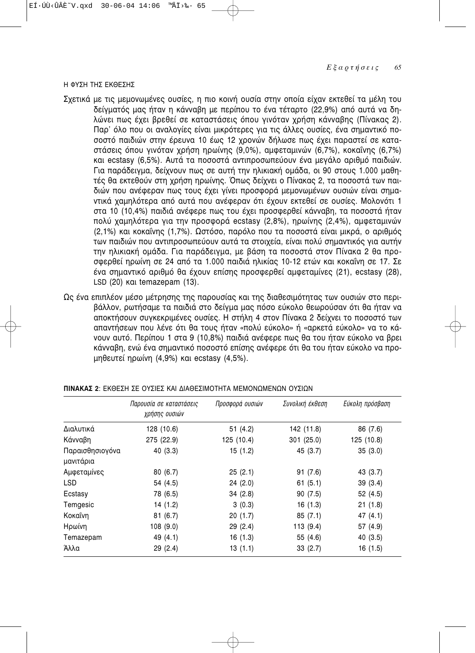# Η ΦΥΣΗ ΤΗΣ ΕΚΘΕΣΗΣ

- Σχετικά με τις μεμονωμένες ουσίες, η πιο κοινή ουσία στην οποία είχαν εκτεθεί τα μέλη του δείνματός μας ήταν η κάνναβη με περίπου το ένα τέταρτο (22,9%) από αυτά να δηλώνει πως έχει βρεθεί σε καταστάσεις όπου γινόταν χρήση κάνναβης (Πίνακας 2). Παρ' όλο που οι αναλογίες είναι μικρότερες για τις άλλες ουσίες, ένα σημαντικό ποσοστό παιδιών στην έρευνα 10 έως 12 χρονών δήλωσε πως έχει παραστεί σε καταστάσεις όπου γινόταν χρήση ηρωίνης (9,0%), αμφεταμινών (6,7%), κοκαΐνης (6,7%) **και ecstasy (6,5%). Αυτά τα ποσοστά αντιπροσωπεύουν ένα μεγάλο αριθμό παιδιών.** Για παράδειγμα, δείχνουν πως σε αυτή την ηλικιακή ομάδα, οι 90 στους 1.000 μαθητές θα εκτεθούν στη χρήση ηρωίνης. Όπως δείχνει ο Πίνακας 2, τα ποσοστά των παιδιών που ανέφεραν πως τους έχει γίνει προσφορά μεμονωμένων ουσιών είναι σημα-Vτικά χαμηλότερα από αυτά που ανέφεραν ότι έχουν εκτεθεί σε ουσίες. Μολονότι 1 στα 10 (10,4%) παιδιά ανέφερε πως του έχει προσφερθεί κάνναβη, τα ποσοστά ήταν πολύ χαμηλότερα για την προσφορά ecstasy (2,8%), ηρωίνης (2,4%), αμφεταμινών  $(2.1\%)$  και κοκαΐνης  $(1.7\%)$ . Ωστόσο, παρόλο που τα ποσοστά είναι μικρά, ο αριθμός των παιδιών που αντιπροσωπεύουν αυτά τα στοιχεία, είναι πολύ σημαντικός για αυτήν την ηλικιακή ομάδα. Για παράδειγμα, με βάση τα ποσοστά στον Πίνακα 2 θα προσφερθεί ηρωίνη σε 24 από τα 1.000 παιδιά ηλικίας 10-12 ετών και κοκαΐνη σε 17. Σε ένα σημαντικό αριθμό θα έχουν επίσης προσφερθεί αμφεταμίνες (21), ecstasy (28), LSD (20) kai temazepam (13).
- Ως ένα επιπλέον μέσο μέτρησης της παρουσίας και της διαθεσιμότητας των ουσιών στο περιβάλλον, ρωτήσαμε τα παιδιά στο δείγμα μας πόσο εύκολο θεωρούσαν ότι θα ήταν να αποκτήσουν συγκεκριμένες ουσίες. Η στήλη 4 στον Πίνακα 2 δείχνει το ποσοστό των απαντήσεων που λένε ότι θα τους ήταν «πολύ εύκολο» ή «αρκετά εύκολο» να το κάvouv αυτό. Περίπου 1 στα 9 (10,8%) παιδιά ανέφερε πως θα του ήταν εύκολο να βρει κάνναβη, ενώ ένα σημαντικό ποσοστό επίσης ανέφερε ότι θα του ήταν εύκολο να προμηθευτεί ηρωίνη (4,9%) και ecstasy (4,5%).

|                              | Παρουσία σε καταστάσεις<br>χρήσης ουσιών | Προσφορά ουσιών | Συνολική έκθεση | Εύκολη πρόσβαση |
|------------------------------|------------------------------------------|-----------------|-----------------|-----------------|
| Διαλυτικά                    | 128 (10.6)                               | 51(4.2)         | 142 (11.8)      | 86 (7.6)        |
| Κάνναβη                      | 275 (22.9)                               | 125(10.4)       | 301(25.0)       | 125 (10.8)      |
| Παραισθησιογόνα<br>μανιτάρια | 40(3.3)                                  | 15 (1.2)        | 45 (3.7)        | 35(3.0)         |
| Αμφεταμίνες                  | 80(6.7)                                  | 25(2.1)         | 91(7.6)         | 43 (3.7)        |
| <b>LSD</b>                   | 54 (4.5)                                 | 24(2.0)         | 61(5.1)         | 39(3.4)         |
| Ecstasy                      | 78 (6.5)                                 | 34(2.8)         | 90(7.5)         | 52(4.5)         |
| Temgesic                     | 14(1.2)                                  | 3(0.3)          | 16(1.3)         | 21(1.8)         |
| Κοκαΐνη                      | 81(6.7)                                  | 20(1.7)         | 85(7.1)         | 47 $(4.1)$      |
| Ηρωίνη                       | 108(9.0)                                 | 29 (2.4)        | 113 (9.4)       | 57 (4.9)        |
| Temazepam                    | 49 $(4.1)$                               | 16(1.3)         | 55 (4.6)        | 40(3.5)         |
| Άλλα                         | 29(2.4)                                  | 13(1.1)         | 33(2.7)         | 16 (1.5)        |

# **ΓΙΙΝΑΚΑΣ 2: ΕΚΘΕΣΗ ΣΕ ΟΥΣΙΕΣ ΚΑΙ ΔΙΑΘΕΣΙΜΟΤΗΤΑ ΜΕΜΟΝΩΜΕΝΩΝ ΟΥΣΙΩΝ**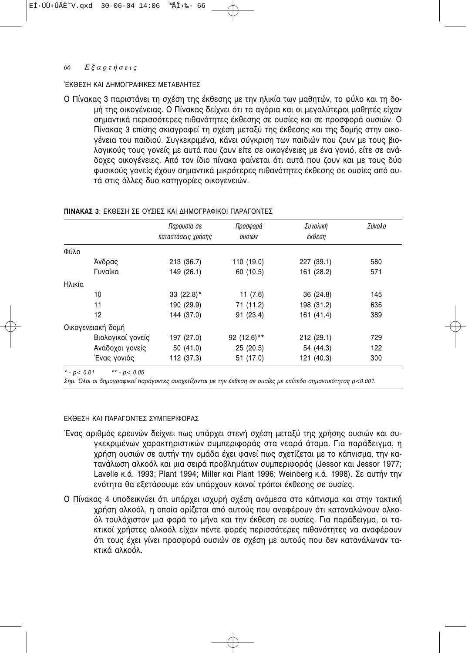# *66 <i>Eξαρτήσεις*

# ΈΚΘΕΣΗ ΚΑΙ ΔΗΜΟΓΡΑΦΙΚΕΣ ΜΕΤΑΒΛΗΤΕΣ

Ο Πίνακας 3 παριστάνει τη σχέση της έκθεσης με την ηλικία των μαθητών, το φύλο και τη δομή της οικονένειας. Ο Πίνακας δείχνει ότι τα ανόρια και οι μεναλύτεροι μαθητές είχαν σημαντικά περισσότερες πιθανότητες έκθεσης σε ουσίες και σε προσφορά ουσιών. Ο Πίνακας 3 επίσης σκιανραφεί τη σχέση μεταξύ της έκθεσης και της δομής στην οικογένεια του παιδιού. Συγκεκριμένα, κάνει σύγκριση των παιδιών που ζουν με τους βιολογικούς τους γονείς με αυτά που ζουν είτε σε οικογένειες με ένα γονιό, είτε σε ανάδοχες οικογένειες. Από τον ίδιο πίνακα φαίνεται ότι αυτά που ζουν και με τους δύο Φυσικούς γονείς έχουν σημαντικά μικρότερες πιθανότητες έκθεσης σε ουσίες από αυτά στις άλλες δυο κατηγορίες οικογενειών.

|        |                   | Παρουσία σε<br>καταστάσεις χρήσης | Προσφορά<br>ουσιών | Συνολική<br>έκθεση | Σύνολο |
|--------|-------------------|-----------------------------------|--------------------|--------------------|--------|
| Φύλο   |                   |                                   |                    |                    |        |
|        | Άνδρας            | 213 (36.7)                        | 110 (19.0)         | 227 (39.1)         | 580    |
|        | Γυναίκα           | 149 (26.1)                        | 60 (10.5)          | 161 (28.2)         | 571    |
| Ηλικία |                   |                                   |                    |                    |        |
|        | 10                | 33 $(22.8)$ *                     | 11 $(7.6)$         | 36(24.8)           | 145    |
|        | 11                | 190 (29.9)                        | 71 (11.2)          | 198 (31.2)         | 635    |
|        | 12                | 144 (37.0)                        | 91(23.4)           | 161(41.4)          | 389    |
|        | Οικογενειακή δομή |                                   |                    |                    |        |
|        | Βιολογικοί γονείς | 197 (27.0)                        | $92(12.6)$ **      | 212(29.1)          | 729    |
|        | Ανάδοχοι γονείς   | 50(41.0)                          | 25(20.5)           | 54 (44.3)          | 122    |
|        | Ένας γονιός       | 112 (37.3)                        | 51 (17.0)          | 121(40.3)          | 300    |

# **ΠΙΝΑΚΑΣ 3: ΕΚΘΕΣΗ ΣΕ ΟΥΣΙΕΣ ΚΑΙ ΛΗΜΟΓΡΑΦΙΚΟΙ ΠΑΡΑΓΟΝΤΕΣ**

Σημ. Όλοι οι δημογραφικοί παράγοντες συσχετίζονται με την έκθεση σε ουσίες με επίπεδο σημαντικότητας p<0.001.

# ΕΚΘΕΣΗ ΚΑΙ ΠΑΡΑΓΟΝΤΕΣ ΣΥΜΠΕΡΙΦΟΡΑΣ

- Ένας αριθμός ερευνών δείχνει πως υπάρχει στενή σχέση μεταξύ της χρήσης ουσιών και συγκεκριμένων χαρακτηριστικών συμπεριφοράς στα νεαρά άτομα. Για παράδειγμα, η χρήση ουσιών σε αυτήν την ομάδα έχει φανεί πως σχετίζεται με το κάπνισμα, την κατανάλωση αλκοόλ και μια σειρά προβλημάτων συμπεριφοράς (Jessor και Jessor 1977; Lavelle κ.ά. 1993; Plant 1994; Miller και Plant 1996; Weinberg κ.ά. 1998). Σε αυτήν την ενότητα θα εξετάσουμε εάν υπάρχουν κοινοί τρόποι έκθεσης σε ουσίες.
- Ο Πίνακας 4 υποδεικνύει ότι υπάρχει ισχυρή σχέση ανάμεσα στο κάπνισμα και στην τακτική χρήση αλκοόλ, η οποία ορίζεται από αυτούς που αναφέρουν ότι καταναλώνουν αλκοόλ τουλάχιστον μια φορά το μήνα και την έκθεση σε ουσίες. Για παράδειγμα, οι τακτικοί χρήστες αλκοόλ είχαν πέντε φορές περισσότερες πιθανότητες να αναφέρουν ότι τους έχει γίνει προσφορά ουσιών σε σχέση με αυτούς που δεν κατανάλωναν τακτικά αλκοόλ.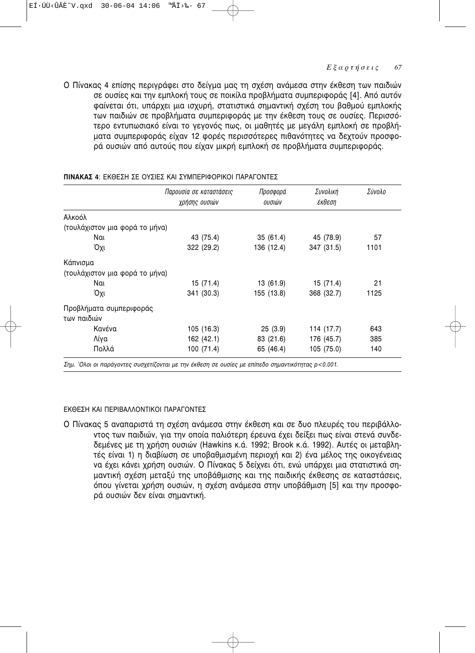Ο Πίνακας 4 επίσης περιγράφει στο δείγμα μας τη σχέση ανάμεσα στην έκθεση των παιδιών σε ουσίες και την εμπλοκή τους σε ποικίλα προβλήματα συμπεριφοράς [4]. Από αυτόν Φαίνεται ότι, υπάρχει μια ισχυρή, στατιστικά σημαντική σχέση του βαθμού εμπλοκής των παιδιών σε προβλήματα συμπεριφοράς με την έκθεση τους σε ουσίες. Περισσότερο εντυπωσιακό είναι το γεγονός πως, οι μαθητές με μεγάλη εμπλοκή σε προβλήματα συμπεριφοράς είχαν 12 φορές περισσότερες πιθανότητες να δεχτούν προσφορά ουσιών από αυτούς που είχαν μικρή εμπλοκή σε προβλήματα συμπεριφοράς.

|                                | Παρουσία σε καταστάσεις<br>χρήσης ουσιών | Προσφορά<br>ουσιών | Συνολική<br>έκθεση | Σύνολο |
|--------------------------------|------------------------------------------|--------------------|--------------------|--------|
| Αλκοόλ                         |                                          |                    |                    |        |
| (τουλάχιστον μια φορά το μήνα) |                                          |                    |                    |        |
| Ναι                            | 43 (75.4)                                | 35(61.4)           | 45 (78.9)          | 57     |
| Όχι                            | 322 (29.2)                               | 136 (12.4)         | 347 (31.5)         | 1101   |
| Κάπνισμα                       |                                          |                    |                    |        |
| (τουλάχιστον μια φορά το μήνα) |                                          |                    |                    |        |
| Nai                            | 15 (71.4)                                | 13 (61.9)          | 15(71.4)           | 21     |
| Όχι                            | 341 (30.3)                               | 155 (13.8)         | 368 (32.7)         | 1125   |
| Προβλήματα συμπεριφοράς        |                                          |                    |                    |        |
| των παιδιών                    |                                          |                    |                    |        |
| Κανένα                         | 105(16.3)                                | 25(3.9)            | 114 (17.7)         | 643    |
| Λίγα                           | 162 (42.1)                               | 83 (21.6)          | 176 (45.7)         | 385    |
| Πολλά                          | 100(71.4)                                | 65 (46.4)          | 105 (75.0)         | 140    |

# **ΠΙΝΑΚΑΣ 4: ΕΚΘΕΣΗ ΣΕ ΟΥΣΙΕΣ ΚΑΙ ΣΥΜΠΕΡΙΦΟΡΙΚΟΙ ΠΑΡΑΓΟΝΤΕΣ**

Σημ. 'Ολοι οι παράγοντες συσχετίζονται με την έκθεση σε ουσίες με επίπεδο σημαντικότητας p<0.001.

# ΕΚΘΕΣΗ ΚΑΙ ΠΕΡΙΒΑΛΛΟΝΤΙΚΟΙ ΠΑΡΑΓΟΝΤΕΣ

Ο Πίνακας 5 αναπαριστά τη σχέση ανάμεσα στην έκθεση και σε δυο πλευρές του περιβάλλο-VΤΟς των παιδιών, για την οποία παλιότερη έρευνα έχει δείξει πως είναι στενά συνδεδεμένες με τη χρήση ουσιών (Hawkins κ.ά. 1992; Brook κ.ά. 1992). Αυτές οι μεταβλητές είναι 1) η διαβίωση σε υποβαθμισμένη περιοχή και 2) ένα μέλος της οικογένειας να έχει κάνει χρήση ουσιών. Ο Πίνακας 5 δείχνει ότι, ενώ υπάρχει μια στατιστικά σημαντική σχέση μεταξύ της υποβάθμισης και της παιδικής έκθεσης σε καταστάσεις. όπου γίνεται χρήση ουσιών, η σχέση ανάμεσα στην υποβάθμιση [5] και την προσφορά ουσιών δεν είναι σημαντική.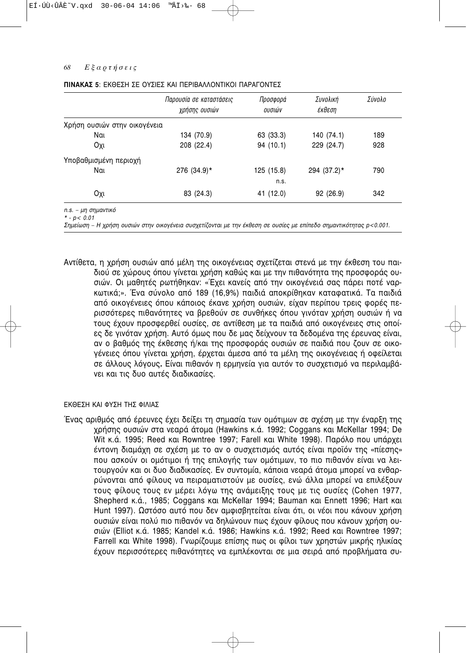|                              | Παρουσία σε καταστάσεις<br>χρήσης ουσιών | Προσφορά<br>ουσιών | Συνολική<br>έκθεση | Σύνολο |
|------------------------------|------------------------------------------|--------------------|--------------------|--------|
| Χρήση ουσιών στην οικογένεια |                                          |                    |                    |        |
| Ναι                          | 134 (70.9)                               | 63 (33.3)          | 140 (74.1)         | 189    |
| Oχι                          | 208 (22.4)                               | 94 (10.1)          | 229 (24.7)         | 928    |
| Υποβαθμισμένη περιοχή        |                                          |                    |                    |        |
| Ναι                          | 276 (34.9)*                              | 125 (15.8)         | 294 (37.2)*        | 790    |
|                              |                                          | n.s.               |                    |        |
| Οχι                          | 83 (24.3)                                | 41 (12.0)          | 92(26.9)           | 342    |

# ΠΙΝΑΚΑΣ 5: ΕΚΘΕΣΗ ΣΕ ΟΥΣΙΕΣ ΚΑΙ ΠΕΡΙΒΑΛΛΟΝΤΙΚΟΙ ΠΑΡΑΓΟΝΤΕΣ

 $n.s. - μη σημαντικό$ \* -  $p$  < 0.01

Σημείωση – Η χρήση ουσιών στην οικογένεια συσχετίζονται με την έκθεση σε ουσίες με επίπεδο σημαντικότητας p<0.001.

Αντίθετα, η χρήση ουσιών από μέλη της οικογένειας σχετίζεται στενά με την έκθεση του παιδιού σε χώρους όπου γίνεται χρήση καθώς και με την πιθανότητα της προσφοράς ουσιών. Οι μαθητές ρωτήθηκαν: «Έχει κανείς από την οικογένειά σας πάρει ποτέ ναρκωτικά;». Ένα σύνολο από 189 (16,9%) παιδιά αποκρίθηκαν καταφατικά. Τα παιδιά από οικογένειες όπου κάποιος έκανε χρήση ουσιών, είχαν περίπου τρεις φορές περισσότερες πιθανότητες να βρεθούν σε συνθήκες όπου γινόταν χρήση ουσιών ή να τους έχουν προσφερθεί ουσίες, σε αντίθεση με τα παιδιά από οικογένειες στις οποίες δε γινόταν χρήση. Αυτό όμως που δε μας δείχνουν τα δεδομένα της έρευνας είναι, αν ο βαθμός της έκθεσης ή/και της προσφοράς ουσιών σε παιδιά που ζουν σε οικογένειες όπου γίνεται χρήση, έρχεται άμεσα από τα μέλη της οικογένειας ή οφείλεται σε άλλους λόγους. Είναι πιθανόν η ερμηνεία για αυτόν το συσχετισμό να περιλαμβάνει και τις δυο αυτές διαδικασίες.

# ΕΚΘΕΣΗ ΚΑΙ ΦΥΣΗ ΤΗΣ ΦΙΛΙΑΣ

Ένας αριθμός από έρευνες έχει δείξει τη σημασία των ομότιμων σε σχέση με την έναρξη της χρήσης ουσιών στα νεαρά άτομα (Hawkins κ.ά. 1992; Coggans και McKellar 1994; De Wit κ.ά. 1995; Reed και Rowntree 1997; Farell και White 1998). Παρόλο που υπάρχει έντονη διαμάχη σε σχέση με το αν ο συσχετισμός αυτός είναι προϊόν της «πίεσης» που ασκούν οι ομότιμοι ή της επιλογής των ομότιμων, το πιο πιθανόν είναι να λειτουργούν και οι δυο διαδικασίες. Εν συντομία, κάποια νεαρά άτομα μπορεί να ενθαρρύνονται από φίλους να πειραματιστούν με ουσίες, ενώ άλλα μπορεί να επιλέξουν τους φίλους τους εν μέρει λόγω της ανάμειξης τους με τις ουσίες (Cohen 1977, Shepherd K.á., 1985; Coggans kai McKellar 1994; Bauman kai Ennett 1996; Hart kai Hunt 1997). Ωστόσο αυτό που δεν αμφισβητείται είναι ότι, οι νέοι που κάνουν χρήση ουσιών είναι πολύ πιο πιθανόν να δηλώνουν πως έχουν φίλους που κάνουν χρήση ουσιών (Elliot κ.ά. 1985; Kandel κ.ά. 1986; Hawkins κ.ά. 1992; Reed και Rowntree 1997; Farrell και White 1998). Γνωρίζουμε επίσης πως οι φίλοι των χρηστών μικρής ηλικίας έχουν περισσότερες πιθανότητες να εμπλέκονται σε μια σειρά από προβλήματα συ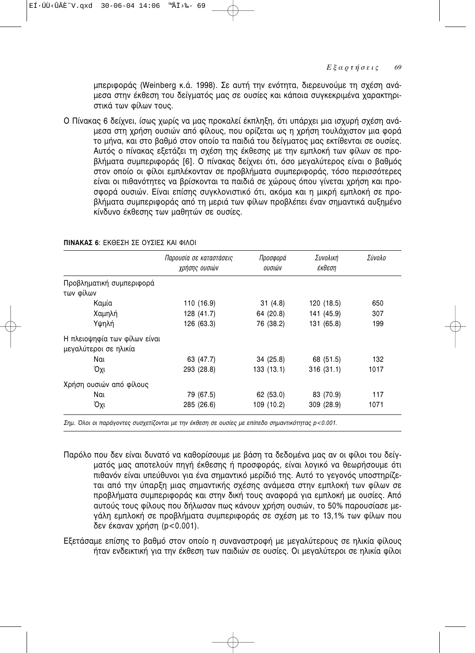μπεριφοράς (Weinberg κ.ά. 1998). Σε αυτή την ενότητα, διερευνούμε τη σχέση ανάμεσα στην έκθεση του δείγματός μας σε ουσίες και κάποια συγκεκριμένα χαρακτηριστικά των φίλων τους.

Ο Πίνακας 6 δείχνει, ίσως χωρίς να μας προκαλεί έκπληξη, ότι υπάρχει μια ισχυρή σχέση ανάμεσα στη χρήση ουσιών από φίλους, που ορίζεται ως η χρήση τουλάχιστον μια φορά το μήνα, και στο βαθμό στον οποίο τα παιδιά του δείγματος μας εκτίθενται σε ουσίες. Aυτός ο πίνακας εξετάζει τη σχέση της έκθεσης με την εμπλοκή των φίλων σε προβλήματα συμπεριφοράς [6]. Ο πίνακας δείχνει ότι, όσο μεγαλύτερος είναι ο βαθμός στον οποίο οι φίλοι εμπλέκονταν σε προβλήματα συμπεριφοράς, τόσο περισσότερες είναι οι πιθανότητες να βρίσκονται τα παιδιά σε χώρους όπου γίνεται χρήση και προσφορά ουσιών. Είναι επίσης συγκλονιστικό ότι, ακόμα και η μικρή εμπλοκή σε προβλήματα συμπεριφοράς από τη μεριά των φίλων προβλέπει έναν σημαντικά αυξημένο κίνδυνο έκθεσης των μαθητών σε ουσίες.

|                                                       | Παρουσία σε καταστάσεις | Προσφορά   | Συνολική   | Σύνολο |
|-------------------------------------------------------|-------------------------|------------|------------|--------|
|                                                       | χρήσης ουσιών           | ουσιών     | έκθεση     |        |
| Προβληματική συμπεριφορά                              |                         |            |            |        |
| των φίλων                                             |                         |            |            |        |
| Καμία                                                 | 110 (16.9)              | 31(4.8)    | 120 (18.5) | 650    |
| Χαμηλή                                                | 128 (41.7)              | 64 (20.8)  | 141 (45.9) | 307    |
| Υψηλή                                                 | 126 (63.3)              | 76 (38.2)  | 131 (65.8) | 199    |
| Η πλειοψηφία των φίλων είναι<br>μεγαλύτεροι σε ηλικία |                         |            |            |        |
| Ναι                                                   | 63 (47.7)               | 34(25.8)   | 68 (51.5)  | 132    |
| Όχι                                                   | 293 (28.8)              | 133(13.1)  | 316(31.1)  | 1017   |
| Χρήση ουσιών από φίλους                               |                         |            |            |        |
| Ναι                                                   | 79 (67.5)               | 62 (53.0)  | 83 (70.9)  | 117    |
| Όχι                                                   | 285 (26.6)              | 109 (10.2) | 309 (28.9) | 1071   |

# **FINAKAY 6: EKAEYH YE OYYIEY KAI OIAOI**

 $\Sigma$ ημ. Όλοι οι παράγοντες συσχετίζονται με την έκθεση σε ουσίες με επίπεδο σημαντικότητας p<0.001.

- Παρόλο που δεν είναι δυνατό να καθορίσουμε με βάση τα δεδομένα μας αν οι φίλοι του δείγματός μας αποτελούν πηγή έκθεσης ή προσφοράς, είναι λογικό να θεωρήσουμε ότι πιθανόν είναι υπεύθυνοι για ένα σημαντικό μερίδιό της. Αυτό το γεγονός υποστηρίζεται από την ύπαρξη μιας σημαντικής σχέσης ανάμεσα στην εμπλοκή των φίλων σε προβλήματα συμπεριφοράς και στην δική τους αναφορά για εμπλοκή με ουσίες. Από αυτούς τους φίλους που δήλωσαν πως κάνουν χρήση ουσιών, το 50% παρουσίασε μεγάλη εμπλοκή σε προβλήματα συμπεριφοράς σε σχέση με το 13,1% των φίλων που δεν έκαναν χρήση (p<0.001).
- Εξετάσαμε επίσης το βαθμό στον οποίο η συναναστροφή με μεγαλύτερους σε ηλικία φίλους ήταν ενδεικτική για την έκθεση των παιδιών σε ουσίες. Οι μεγαλύτεροι σε ηλικία φίλοι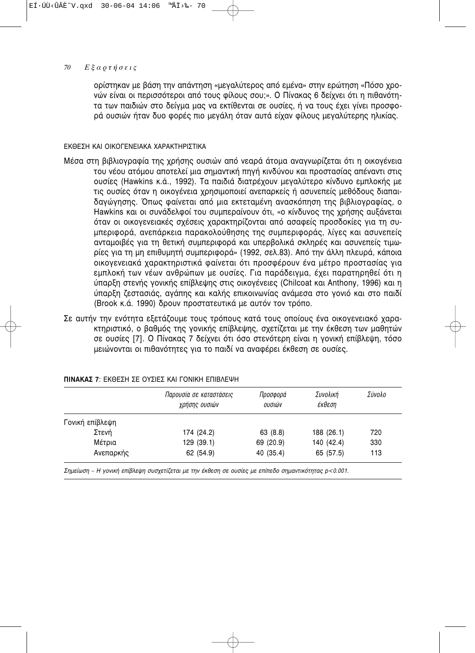# *70 <i>Eξαρτήσεις*

ορίστηκαν με βάση την απάντηση «μεγαλύτερος από εμένα» στην ερώτηση «Πόσο χρονών είναι οι περισσότεροι από τους φίλους σου;». Ο Πίνακας 6 δείχνει ότι η πιθανότητα των παιδιών στο δείνμα μας να εκτίθενται σε ουσίες, ή να τους έχει γίνει προσφορά ουσιών ήταν δυο φορές πιο μενάλη όταν αυτά είχαν φίλους μεναλύτερης ηλικίας.

# ΕΚΘΕΣΗ ΚΑΙ ΟΙΚΟΓΕΝΕΙΑΚΑ ΧΑΡΑΚΤΗΡΙΣΤΙΚΑ

- Μέσα στη βιβλιονραφία της χρήσης ουσιών από νεαρά άτομα αναγνωρίζεται ότι η οικονένεια του νέου ατόμου αποτελεί μια σημαντική πηγή κινδύνου και προστασίας απέναντι στις ουσίες (Hawkins κ.ά., 1992). Τα παιδιά διατρέχουν μεγαλύτερο κίνδυνο εμπλοκής με τις ουσίες όταν η οικονένεια χρησιμοποιεί ανεπαρκείς ή ασυνεπείς μεθόδους διαπαιδαγώγησης. Όπως φαίνεται από μια εκτεταμένη ανασκόπηση της βιβλιογραφίας, ο Hawkins και οι συνάδελφοί του συμπεραίνουν ότι, «ο κίνδυνος της χρήσης αυξάνεται όταν οι οικογενειακές σχέσεις χαρακτηρίζονται από ασαφείς προσδοκίες για τη συμπεριφορά, ανεπάρκεια παρακολούθησης της συμπεριφοράς, λίγες και ασυνεπείς ανταμοιβές για τη θετική συμπεριφορά και υπερβολικά σκληρές και ασυνεπείς τιμωρίες για τη μη επιθυμητή συμπεριφορά» (1992, σελ.83). Από την άλλη πλευρά, κάποια οικογενειακά χαρακτηριστικά φαίνεται ότι προσφέρουν ένα μέτρο προστασίας για εμπλοκή των νέων ανθρώπων με ουσίες. Για παράδειγμα, έχει παρατηρηθεί ότι η ύπαρξη στενής γονικής επίβλεψης στις οικογένειες (Chilcoat και Anthony, 1996) και η ύπαρξη ζεστασιάς, αγάπης και καλής επικοινωνίας ανάμεσα στο γονιό και στο παιδί (Brook κ.ά. 1990) δρουν προστατευτικά με αυτόν τον τρόπο.
- Σε αυτήν την ενότητα εξετάζουμε τους τρόπους κατά τους οποίους ένα οικογενειακό χαρακτηριστικό, ο βαθμός της γονικής επίβλεψης, σχετίζεται με την έκθεση των μαθητών σε ουσίες [7]. Ο Πίνακας 7 δείχνει ότι όσο στενότερη είναι η γονική επίβλεψη, τόσο μειώνονται οι πιθανότητες για το παιδί να αναφέρει έκθεση σε ουσίες.

|                 | Παρουσία σε καταστάσεις<br>χρήσης ουσιών | Προσφορά<br>ουσιών | Συνολική<br>έκθεση | Σύνολο |
|-----------------|------------------------------------------|--------------------|--------------------|--------|
| Γονική επίβλεψη |                                          |                    |                    |        |
| Στενή           | 174 (24.2)                               | 63 (8.8)           | 188 (26.1)         | 720    |
| Μέτρια          | 129 (39.1)                               | 69 (20.9)          | 140 (42.4)         | 330    |
| Ανεπαρκής       | 62 (54.9)                                | 40 (35.4)          | 65 (57.5)          | 113    |

# **ΠΙΝΑΚΑΣ 7: ΕΚΘΕΣΗ ΣΕ ΟΥΣΙΕΣ ΚΑΙ ΓΟΝΙΚΗ ΕΠΙΒΛΕΨΗ**

 $\Sigma$ ημείωση – Η γονική επίβλεψη συσχετίζεται με την έκθεση σε ουσίες με επίπεδο σημαντικότητας p<0.001.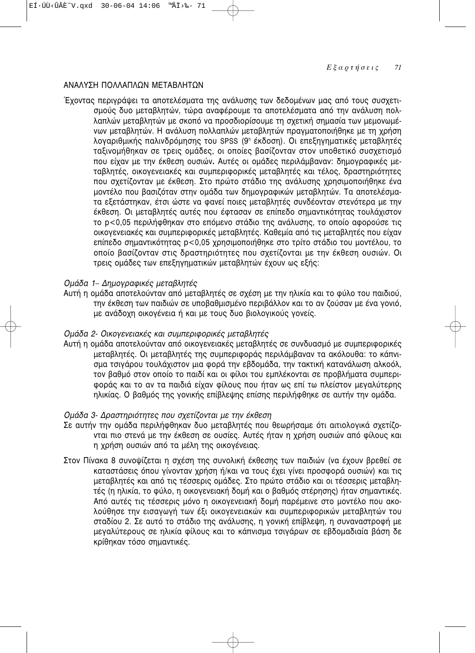# ANAAYΣH ΠΟΛΛΑΠΛΩΝ ΜΕΤΑΒΛΗΤΩΝ

Έχοντας περιγράψει τα αποτελέσματα της ανάλυσης των δεδομένων μας από τους συσχετισμούς δυο μεταβλητών, τώρα αναφέρουμε τα αποτελέσματα από την ανάλυση πολλαπλών μεταβλητών με σκοπό να προσδιορίσουμε τη σχετική σημασία των μεμονωμένων μεταβλητών. Η ανάλυση πολλαπλών μεταβλητών πραγματοποιήθηκε με τη χρήση λογαριθμικής παλινδρόμησης του SPSS (9<sup>η</sup> έκδοση). Οι επεξηγηματικές μεταβλητές ταξινομήθηκαν σε τρεις ομάδες, οι οποίες βασίζονταν στον υποθετικό συσχετισμό που είχαν με την έκθεση ουσιών. Αυτές οι ομάδες περιλάμβαναν: δημογραφικές μεταβλητές, οικογενειακές και συμπεριφορικές μεταβλητές και τέλος, δραστηριότητες που σχετίζονταν με έκθεση. Στο πρώτο στάδιο της ανάλυσης χρησιμοποιήθηκε ένα μοντέλο που βασιζόταν στην ομάδα των δημονραφικών μεταβλητών. Τα αποτελέσματα εξετάστηκαν, έτσι ώστε να φανεί ποιες μεταβλητές συνδέονταν στενότερα με την έκθεση. Οι μεταβλητές αυτές που έφτασαν σε επίπεδο σημαντικότητας τουλάχιστον το p<0.05 περιλήφθηκαν στο επόμενο στάδιο της ανάλυσης, το οποίο αφορούσε τις οικογενειακές και συμπεριφορικές μεταβλητές. Καθεμία από τις μεταβλητές που είχαν επίπεδο σημαντικότητας p<0.05 χρησιμοποιήθηκε στο τρίτο στάδιο του μοντέλου, το οποίο βασίζονταν στις δραστηριότητες που σχετίζονται με την έκθεση ουσιών. Οι τρεις ομάδες των επεξηγηματικών μεταβλητών έχουν ως εξής:

# *Ομάδα 1- Δημογραφικές μεταβλητές*

Aυτή η ομάδα αποτελούνταν από μεταβλητές σε σχέση με την ηλικία και το φύλο του παιδιού, την έκθεση των παιδιών σε υποβαθμισμένο περιβάλλον και το αν ζούσαν με ένα γονιό, με ανάδοχη οικογένεια ή και με τους δυο βιολογικούς γονείς.

# Ομάδα 2- Οικονενειακές και συμπεριφορικές μεταβλητές

Aυτή η ομάδα αποτελούνταν από οικογενειακές μεταβλητές σε συνδυασμό με συμπεριφορικές μεταβλητές. Οι μεταβλητές της συμπεριφοράς περιλάμβαναν τα ακόλουθα: το κάπνισμα τσινάρου τουλάχιστον μια φορά την εβδομάδα, την τακτική κατανάλωση αλκοόλ, τον βαθμό στον οποίο το παιδί και οι φίλοι του εμπλέκονται σε προβλήματα συμπερι-Φοράς και το αν τα παιδιά είχαν φίλους που ήταν ως επί τω πλείστον μεγαλύτερης ηλικίας. Ο βαθμός της γονικής επίβλεψης επίσης περιλήφθηκε σε αυτήν την ομάδα.

# Ομάδα 3- Δραστηριότητες που σχετίζονται με την έκθεση

- Σε αυτήν την ομάδα περιλήφθηκαν δυο μεταβλητές που θεωρήσαμε ότι αιτιολογικά σχετίζονται πιο στενά με την έκθεση σε ουσίες. Αυτές ήταν η χρήση ουσιών από φίλους και η χρήση ουσιών από τα μέλη της οικογένειας.
- Στον Πίνακα 8 συνοψίζεται η σχέση της συνολική έκθεσης των παιδιών (να έχουν βρεθεί σε καταστάσεις όπου γίνονταν χρήση ή/και να τους έχει γίνει προσφορά ουσιών) και τις μεταβλητές και από τις τέσσερις ομάδες. Στο πρώτο στάδιο και οι τέσσερις μεταβλητές (η ηλικία, το φύλο, η οικογενειακή δομή και ο βαθμός στέρησης) ήταν σημαντικές. Aπό αυτές τις τέσσερις μόνο η οικογενειακή δομή παρέμεινε στο μοντέλο που ακολούθησε την εισαγωγή των έξι οικογενειακών και συμπεριφορικών μεταβλητών του σταδίου 2. Σε αυτό το στάδιο της ανάλυσης, η γονική επίβλεψη, η συναναστροφή με μεγαλύτερους σε ηλικία φίλους και το κάπνισμα τσιγάρων σε εβδομαδιαία βάση δε κρίθηκαν τόσο σημαντικές.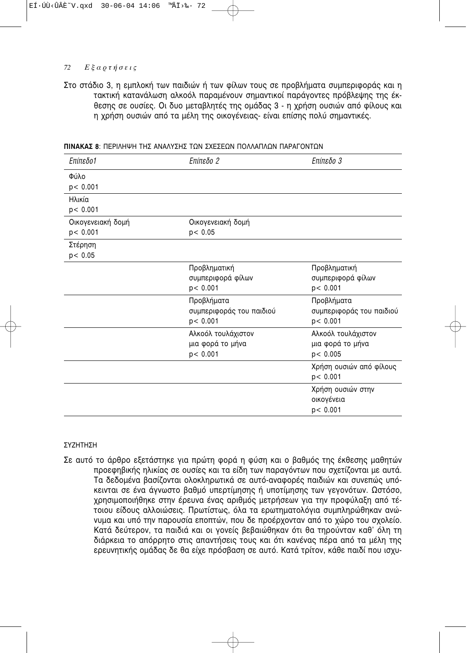Στο στάδιο 3, η εμπλοκή των παιδιών ή των φίλων τους σε προβλήματα συμπεριφοράς και η τακτική κατανάλωση αλκοόλ παραμένουν σημαντικοί παράγοντες πρόβλεψης της έκθεσης σε ουσίες. Οι δυο μεταβλητές της ομάδας 3 - η χρήση ουσιών από φίλους και η χρήση ουσιών από τα μέλη της οικονένειας- είναι επίσης πολύ σημαντικές.

| Επίπεδο1          | Επίπεδο 2                | Επίπεδο 3                |
|-------------------|--------------------------|--------------------------|
| Φύλο              |                          |                          |
| p < 0.001         |                          |                          |
| Ηλικία            |                          |                          |
| p < 0.001         |                          |                          |
| Οικογενειακή δομή | Οικογενειακή δομή        |                          |
| p < 0.001         | p < 0.05                 |                          |
| Στέρηση           |                          |                          |
| p< 0.05           |                          |                          |
|                   | Προβληματική             | Προβληματική             |
|                   | συμπεριφορά φίλων        | συμπεριφορά φίλων        |
|                   | p < 0.001                | p < 0.001                |
|                   | Προβλήματα               | Προβλήματα               |
|                   | συμπεριφοράς του παιδιού | συμπεριφοράς του παιδιού |
|                   | p < 0.001                | p< 0.001                 |
|                   | Αλκοόλ τουλάχιστον       | Αλκοόλ τουλάχιστον       |
|                   | μια φορά το μήνα         | μια φορά το μήνα         |
|                   | p < 0.001                | p< 0.005                 |
|                   |                          | Χρήση ουσιών από φίλους  |
|                   |                          | p < 0.001                |
|                   |                          | Χρήση ουσιών στην        |
|                   |                          | οικογένεια               |
|                   |                          | p < 0.001                |

# ΠΙΝΑΚΑΣ 8: ΠΕΡΙΛΗΨΗ ΤΗΣ ΑΝΑΛΥΣΗΣ ΤΩΝ ΣΧΕΣΕΩΝ ΠΟΛΛΑΠΛΩΝ ΠΑΡΑΓΟΝΤΩΝ

# ΣΥΖΗΤΗΣΗ

Σε αυτό το άρθρο εξετάστηκε για πρώτη φορά η φύση και ο βαθμός της έκθεσης μαθητών προεφηβικής ηλικίας σε ουσίες και τα είδη των παραγόντων που σχετίζονται με αυτά. Τα δεδομένα βασίζονται ολοκληρωτικά σε αυτό-αναφορές παιδιών και συνεπώς υπόκεινται σε ένα άγνωστο βαθμό υπερτίμησης ή υποτίμησης των γεγονότων. Ωστόσο, χρησιμοποιήθηκε στην έρευνα ένας αριθμός μετρήσεων για την προφύλαξη από τέτοιου είδους αλλοιώσεις. Πρωτίστως, όλα τα ερωτηματολόγια συμπληρώθηκαν ανώνυμα και υπό την παρουσία εποπτών, που δε προέρχονταν από το χώρο του σχολείο. Κατά δεύτερον, τα παιδιά και οι γονείς βεβαιώθηκαν ότι θα τηρούνταν καθ' όλη τη διάρκεια το απόρρητο στις απαντήσεις τους και ότι κανένας πέρα από τα μέλη της ερευνητικής ομάδας δε θα είχε πρόσβαση σε αυτό. Κατά τρίτον, κάθε παιδί που ισχυ-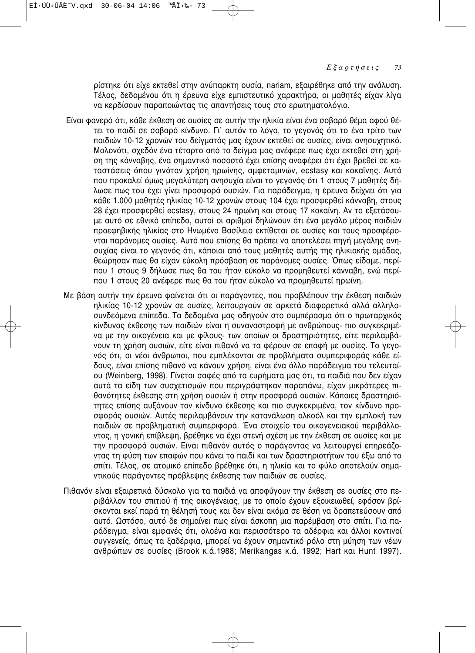ρίστηκε ότι είχε εκτεθεί στην ανύπαρκτη ουσία, nariam, εξαιρέθηκε από την ανάλυση. Τέλος, δεδομένου ότι η έρευνα είχε εμπιστευτικό χαρακτήρα, οι μαθητές είχαν λίγα να κερδίσουν παραποιώντας τις απαντήσεις τους στο ερωτηματολόγιο.

- Είναι φανερό ότι, κάθε έκθεση σε ουσίες σε αυτήν την ηλικία είναι ένα σοβαρό θέμα αφού θέτει το παιδί σε σοβαρό κίνδυνο. Γι' αυτόν το λόγο, το γεγονός ότι το ένα τρίτο των παιδιών 10-12 χρονών του δείνματός μας έχουν εκτεθεί σε ουσίες, είναι ανησυχητικό, Μολονότι, σχεδόν ένα τέταρτο από το δείγμα μας ανέφερε πως έχει εκτεθεί στη χρήση της κάνναβης, ένα σημαντικό ποσοστό έχει επίσης αναφέρει ότι έχει βρεθεί σε καταστάσεις όπου γινόταν χρήση ηρωίνης, αμφεταμινών, ecstasy και κοκαΐνης, Αυτό που προκαλεί όμως μεγαλύτερη ανησυχία είναι το γεγονός ότι 1 στους 7 μαθητές δήλωσε πως του έχει γίνει προσφορά ουσιών. Για παράδειγμα, η έρευνα δείχνει ότι για κάθε 1.000 μαθητές ηλικίας 10-12 χρονών στους 104 έχει προσφερθεί κάνναβη, στους 28 έχει προσφερθεί ecstasy, στους 24 ηρωίνη και στους 17 κοκαΐνη. Αν το εξετάσουμε αυτό σε εθνικό επίπεδο, αυτοί οι αριθμοί δηλώνουν ότι ένα μεγάλο μέρος παιδιών προεφηβικής ηλικίας στο Ηνωμένο Βασίλειο εκτίθεται σε ουσίες και τους προσφέρονται παράνομες ουσίες. Αυτό που επίσης θα πρέπει να αποτελέσει πηγή μεγάλης ανησυχίας είναι το γεγονός ότι, κάποιοι από τους μαθητές αυτής της ηλικιακής ομάδας, θεώρησαν πως θα είχαν εύκολη πρόσβαση σε παράνομες ουσίες. Όπως είδαμε, περίπου 1 στους 9 δήλωσε πως θα του ήταν εύκολο να προμηθευτεί κάνναβη, ενώ περίπου 1 στους 20 ανέφερε πως θα του ήταν εύκολο να προμηθευτεί ηρωίνη.
- Με βάση αυτήν την έρευνα φαίνεται ότι οι παράγοντες, που προβλέπουν την έκθεση παιδιών ηλικίας 10-12 χρονών σε ουσίες, λειτουργούν σε αρκετά διαφορετικά αλλά αλληλοσυνδεόμενα επίπεδα. Τα δεδομένα μας οδηγούν στο συμπέρασμα ότι ο πρωταρχικός κίνδυνος έκθεσης των παιδιών είναι η συναναστροφή με ανθρώπους- πιο συγκεκριμένα με την οικογένεια και με φίλους- των οποίων οι δραστηριότητες, είτε περιλαμβάνουν τη χρήση ουσιών, είτε είναι πιθανό να τα φέρουν σε επαφή με ουσίες. Το γεγονός ότι, οι νέοι άνθρωποι, που εμπλέκονται σε προβλήματα συμπεριφοράς κάθε είδους, είναι επίσης πιθανό να κάνουν χρήση, είναι ένα άλλο παράδειγμα του τελευταίου (Weinberg, 1998). Γίνεται σαφές από τα ευρήματα μας ότι, τα παιδιά που δεν είχαν αυτά τα είδη των συσχετισμών που περιγράφτηκαν παραπάνω, είχαν μικρότερες πιθανότητες έκθεσης στη χρήση ουσιών ή στην προσφορά ουσιών. Κάποιες δραστηριότητες επίσης αυξάνουν τον κίνδυνο έκθεσης και πιο συγκεκριμένα, τον κίνδυνο προσφοράς ουσιών. Αυτές περιλαμβάνουν την κατανάλωση αλκοόλ και την εμπλοκή των παιδιών σε προβληματική συμπεριφορά. Ένα στοιχείο του οικογενειακού περιβάλλοντος, η γονική επίβλεψη, βρέθηκε να έχει στενή σχέση με την έκθεση σε ουσίες και με την προσφορά ουσιών. Είναι πιθανόν αυτός ο παράγοντας να λειτουργεί επηρεάζο-Vτας τη φύση των επαφών που κάνει το παιδί και των δραστηριοτήτων του έξω από το σπίτι. Τέλος, σε ατομικό επίπεδο βρέθηκε ότι, η ηλικία και το φύλο αποτελούν σημαντικούς παράγοντες πρόβλεψης έκθεσης των παιδιών σε ουσίες.
- Πιθανόν είναι εξαιρετικά δύσκολο για τα παιδιά να αποφύγουν την έκθεση σε ουσίες στο περιβάλλον του σπιτιού ή της οικογένειας, με το οποίο έχουν εξοικειωθεί, εφόσον βρίσκονται εκεί παρά τη θέλησή τους και δεν είναι ακόμα σε θέση να δραπετεύσουν από αυτό. Ωστόσο, αυτό δε σημαίνει πως είναι άσκοπη μια παρέμβαση στο σπίτι. Για παράδειγμα, είναι εμφανές ότι, ολοένα και περισσότερο τα αδέρφια και άλλοι κοντινοί συγγενείς, όπως τα ξαδέρφια, μπορεί να έχουν σημαντικό ρόλο στη μύηση των νέων aνθρώπων σε ουσίες (Brook κ.ά.1988; Merikangas κ.ά. 1992; Hart και Hunt 1997).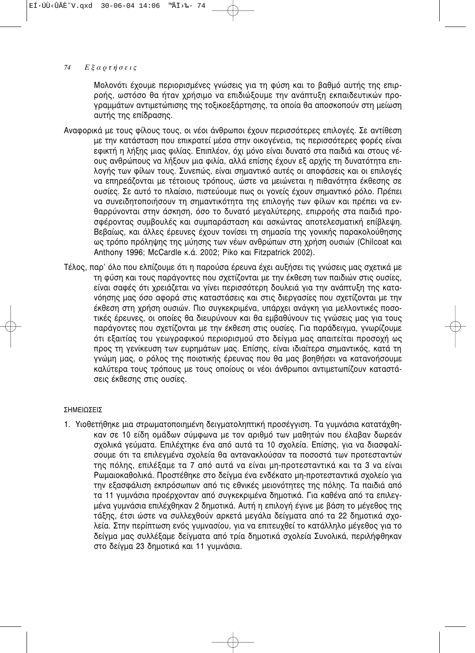Μολονότι έχουμε περιορισμένες γνώσεις για τη φύση και το βαθμό αυτής της επιρροής, ωστόσο θα ήταν χρήσιμο να επιδιώξουμε την ανάπτυξη εκπαιδευτικών προγραμμάτων αντιμετώπισης της τοξικοεξάρτησης, τα οποία θα αποσκοπούν στη μείωση αυτής της επίδρασης.

- Αναφορικά με τους φίλους τους, οι νέοι άνθρωποι έχουν περισσότερες επιλογές. Σε αντίθεση με την κατάσταση που επικρατεί μέσα στην οικονένεια, τις περισσότερες φορές είναι εφικτή η λήξης μιας φιλίας. Επιπλέον, όχι μόνο είναι δυνατό στα παιδιά και στους νέους ανθρώπους να λήξουν μια φιλία, αλλά επίσης έχουν εξ αρχής τη δυνατότητα επιλογής των φίλων τους. Συνεπώς, είναι σημαντικό αυτές οι αποφάσεις και οι επιλογές να επηρεάζονται με τέτοιους τρόπους, ώστε να μειώνεται η πιθανότητα έκθεσης σε ουσίες. Σε αυτό το πλαίσιο, πιστεύουμε πως οι γονείς έχουν σημαντικό ρόλο. Πρέπει να συνειδητοποιήσουν τη σημαντικότητα της επιλονής των φίλων και πρέπει να ενθαρρύνονται στην άσκηση, όσο το δυνατό μεγαλύτερης, επιρροής στα παιδιά προσφέροντας συμβουλές και συμπαράσταση και ασκώντας αποτελεσματική επίβλεψη. Bεβαίως, και άλλες έρευνες έχουν τονίσει τη σημασία της γονικής παρακολούθησης ως τρόπο πρόληψης της μύησης των νέων ανθρώπων στη χρήση ουσιών (Chilcoat και Anthony 1996; McCardle K.á. 2002; Piko kal Fitzpatrick 2002).
- Tέλος, παρ' όλο που ελπίζουμε ότι η παρούσα έρευνα έχει αυξήσει τις γνώσεις μας σχετικά με τη φύση και τους παράγοντες που σχετίζονται με την έκθεση των παιδιών στις ουσίες, είναι σαφές ότι χρειάζεται να γίνει περισσότερη δουλειά για την ανάπτυξη της καταvόησης μας όσο αφορά στις καταστάσεις και στις διεργασίες που σχετίζονται με την έκθεση στη χρήση ουσιών. Πιο συγκεκριμένα, υπάρχει ανάγκη για μελλοντικές ποσοτικές έρευνες, οι οποίες θα διευρύνουν και θα εμβαθύνουν τις γνώσεις μας για τους παράγοντες που σχετίζονται με την έκθεση στις ουσίες. Για παράδειγμα, γνωρίζουμε ότι εξαιτίας του γεωγραφικού περιορισμού στο δείγμα μας απαιτείται προσοχή ως προς τη γενίκευση των ευρημάτων μας. Επίσης, είναι ιδιαίτερα σημαντικός, κατά τη γνώμη μας, ο ρόλος της ποιοτικής έρευνας που θα μας βοηθήσει να κατανοήσουμε καλύτερα τους τρόπους με τους οποίους οι νέοι άνθρωποι αντιμετωπίζουν καταστάσεις έκθεσης στις ουσίες.

# ΣΗΜΕΙΩΣΕΙΣ

1. Υιοθετήθηκε μια στρωματοποιημένη δειγματοληπτική προσέγγιση. Τα γυμνάσια κατατάχθηκαν σε 10 είδη ομάδων σύμφωνα με τον αριθμό των μαθητών που έλαβαν δωρεάν σχολικά γεύματα. Επιλέχτηκε ένα από αυτά τα 10 σχολεία. Επίσης, για να διασφαλίσουμε ότι τα επιλεγμένα σχολεία θα αντανακλούσαν τα ποσοστά των προτεσταντών της πόλης, επιλέξαμε τα 7 από αυτά να είναι μη-προτεσταντικά και τα 3 να είναι Ρωμαιοκαθολικά. Προστέθηκε στο δείγμα ένα ενδέκατο μη-προτεσταντικά σχολείο για την εξασφάλιση εκπρόσωπων από τις εθνικές μειονότητες της πόλης. Τα παιδιά από τα 11 γυμνάσια προέρχονταν από συγκεκριμένα δημοτικά. Για καθένα από τα επιλεγμένα γυμνάσια επιλέχθηκαν 2 δημοτικά. Αυτή η επιλογή έγινε με βάση το μέγεθος της τάξης, έτσι ώστε να συλλεχθούν αρκετά μεγάλα δείγματα από τα 22 δημοτικά σχολεία. Στην περίπτωση ενός γυμνασίου, για να επιτευχθεί το κατάλληλο μέγεθος για το δείγμα μας συλλέξαμε δείγματα από τρία δημοτικά σχολεία Συνολικά, περιλήφθηκαν στο δείγμα 23 δημοτικά και 11 γυμνάσια.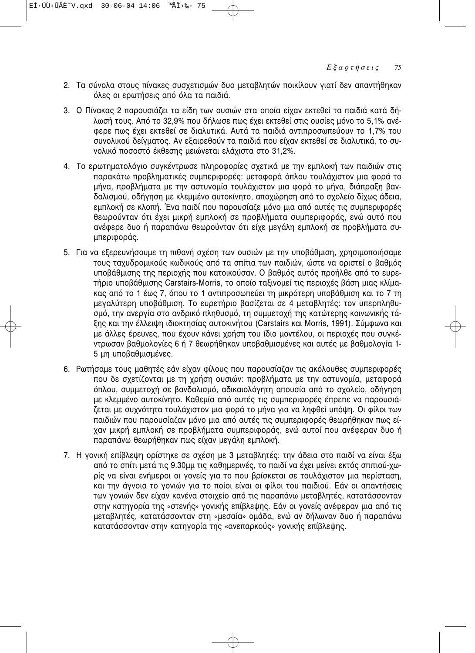- 2. Τα σύνολα στους πίνακες συσχετισμών δυο μεταβλητών ποικίλουν γιατί δεν απαντήθηκαν όλες οι ερωτήσεις από όλα τα παιδιά.
- 3. Ο Πίνακας 2 παρουσιάζει τα είδη των ουσιών στα οποία είχαν εκτεθεί τα παιδιά κατά δήλωσή τους. Από το 32,9% που δήλωσε πως έχει εκτεθεί στις ουσίες μόνο το 5,1% ανέφερε πως έχει εκτεθεί σε διαλυτικά. Αυτά τα παιδιά αντιπροσωπεύουν το 1,7% του συνολικού δείγματος. Αν εξαιρεθούν τα παιδιά που είχαν εκτεθεί σε διαλυτικά, το συνολικό ποσοστό έκθεσης μειώνεται ελάχιστα στο 31,2%.
- 4. Το ερωτηματολόγιο συγκέντρωσε πληροφορίες σχετικά με την εμπλοκή των παιδιών στις · παρακάτω προβληματικές συμπεριφορές: μεταφορά όπλου τουλάχιστον μια φορά το μήνα, προβλήματα με την αστυνομία τουλάχιστον μια φορά το μήνα, διάπραξη βανδαλισμού, οδήγηση με κλεμμένο αυτοκίνητο, αποχώρηση από το σχολείο δίχως άδεια, εμπλοκή σε κλοπή. Ένα παιδί που παρουσίαζε μόνο μια από αυτές τις συμπεριφορές θεωρούνταν ότι έχει μικρή εμπλοκή σε προβλήματα συμπεριφοράς, ενώ αυτό που ανέφερε δυο ή παραπάνω θεωρούνταν ότι είχε μεγάλη εμπλοκή σε προβλήματα συμπεριφοράς.
- 5. Για να εξερευνήσουμε τη πιθανή σχέση των ουσιών με την υποβάθμιση, χρησιμοποιήσαμε τους ταχυδρομικούς κωδικούς από τα σπίτια των παιδιών, ώστε να οριστεί ο βαθμός υποβάθμισης της περιοχής που κατοικούσαν. Ο βαθμός αυτός προήλθε από το ευρετήριο υποβάθμισης Carstairs-Morris, το οποίο ταξινομεί τις περιοχές βάση μιας κλίμακας από το 1 έως 7, όπου το 1 αντιπροσωπεύει τη μικρότερη υποβάθμιση και το 7 τη μεγαλύτερη υποβάθμιση. Το ευρετήριο βασίζεται σε 4 μεταβλητές: τον υπερπληθυσμό, την ανεργία στο ανδρικό πληθυσμό, τη συμμετοχή της κατώτερης κοινωνικής τάξης και την έλλειψη ιδιοκτησίας αυτοκινήτου (Carstairs και Morris, 1991). Σύμφωνα και με άλλες έρευνες, που έχουν κάνει χρήση του ίδιο μοντέλου, οι περιοχές που συγκέντρωσαν βαθμολογίες 6 ή 7 θεωρήθηκαν υποβαθμισμένες και αυτές με βαθμολογία 1-5 μη υποβαθμισμένες.
- 6. Ρωτήσαμε τους μαθητές εάν είχαν φίλους που παρουσίαζαν τις ακόλουθες συμπεριφορές που δε σχετίζονται με τη χρήση ουσιών: προβλήματα με την αστυνομία, μεταφορά όπλου, συμμετοχή σε βανδαλισμό, αδικαιολόγητη απουσία από το σχολείο, οδήγηση με κλεμμένο αυτοκίνητο. Καθεμία από αυτές τις συμπεριφορές έπρεπε να παρουσιάζεται με συχνότητα τουλάχιστον μια φορά το μήνα για να ληφθεί υπόψη. Οι φίλοι των παιδιών που παρουσίαζαν μόνο μια από αυτές τις συμπεριφορές θεωρήθηκαν πως είγαν μικρή εμπλοκή σε προβλήματα συμπεριφοράς, ενώ αυτοί που ανέφεραν δυο ή παραπάνω θεωρήθηκαν πως είχαν μεγάλη εμπλοκή.
- 7. Η γονική επίβλεψη ορίστηκε σε σχέση με 3 μεταβλητές: την άδεια στο παιδί να είναι έξω από το σπίτι μετά τις 9.30μμ τις καθημερινές, το παιδί να έχει μείνει εκτός σπιτιού-χωρίς να είναι ενήμεροι οι γονείς για το που βρίσκεται σε τουλάχιστον μια περίσταση, και την άγνοια το γονιών για το ποίοι είναι οι φίλοι του παιδιού. Εάν οι απαντήσεις των γονιών δεν είχαν κανένα στοιχείο από τις παραπάνω μεταβλητές, κατατάσσονταν στην κατηγορία της «στενής» γονικής επίβλεψης. Εάν οι γονείς ανέφεραν μια από τις μεταβλητές, κατατάσσονταν στη «μεσαία» ομάδα, ενώ αν δήλωναν δυο ή παραπάνω κατατάσσονταν στην κατηγορία της «ανεπαρκούς» γονικής επίβλεψης.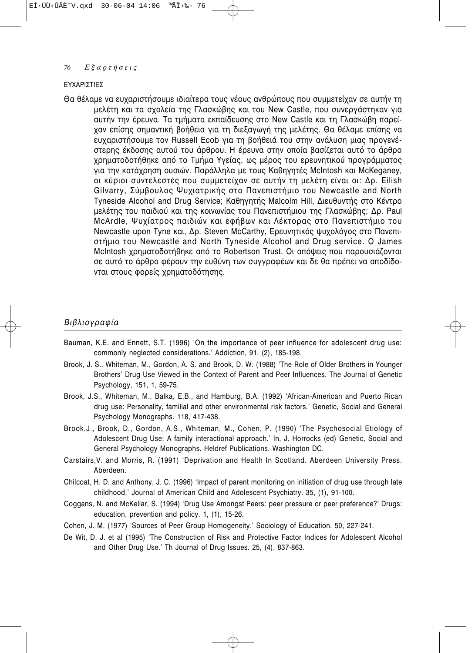### EYXAPIΣTIEΣ

Θα θέλαμε να ευχαριστήσουμε ιδιαίτερα τους νέους ανθρώπους που συμμετείχαν σε αυτήν τη μελέτη και τα σχολεία της Γλασκώβης και του New Castle, που συνεργάστηκαν νια αυτήν την έρευνα. Τα τμήματα εκπαίδευσης στο New Castle και τη Γλασκώβη παρείχαν επίσης σημαντική βοήθεια για τη διεξαγωγή της μελέτης. Θα θέλαμε επίσης να ευχαριστήσουμε τον Russell Ecob για τη βοήθειά του στην ανάλυση μιας προνενέστερης έκδοσης αυτού του άρθρου. Η έρευνα στην οποία βασίζεται αυτό το άρθρο χρηματοδοτήθηκε από το Τμήμα Υγείας, ως μέρος του ερευνητικού προγράμματος για την κατάχρηση ουσιών. Παράλληλα με τους Καθηνητές McIntosh και McKeganey, οι κύριοι συντελεστές που συμμετείχαν σε αυτήν τη μελέτη είναι οι: Δρ. Eilish Gilvarry, Σύμβουλος Ψυχιατρικής στο Πανεπιστήμιο του Newcastle and North Tyneside Alcohol and Drug Service; Καθηγητής Malcolm Hill, Διευθυντής στο Κέντρο μελέτης του παιδιού και της κοινωνίας του Πανεπιστήμιου της Γλασκώβης; Δρ. Paul McArdle, Ψυχίατρος παιδιών και εφήβων και Λέκτορας στο Πανεπιστήμιο του Newcastle upon Tyne και, Δρ. Steven McCarthy, Ερευνητικός ψυχολόγος στο Πανεπιστήμιο του Newcastle and North Tyneside Alcohol and Drug service. Ο James McIntosh χρηματοδοτήθηκε από το Robertson Trust. Οι απόψεις που παρουσιάζονται σε αυτό το άρθρο φέρουν την ευθύνη των συννραφέων και δε θα πρέπει να αποδίδονται στους φορείς χρηματοδότησης.

# $B$ ιβλιογραφία

- Bauman, K.E. and Ennett, S.T. (1996) 'On the importance of peer influence for adolescent drug use: commonly neglected considerations.' Addiction, 91, (2), 185-198.
- Brook, J. S., Whiteman, M., Gordon, A. S. and Brook, D. W. (1988) 'The Role of Older Brothers in Younger Brothers' Drug Use Viewed in the Context of Parent and Peer Influences. The Journal of Genetic Psychology, 151, 1, 59-75.
- Brook, J.S., Whiteman, M., Balka, E.B., and Hamburg, B.A. (1992) 'African-American and Puerto Rican drug use: Personality, familial and other environmental risk factors.' Genetic, Social and General Psychology Monographs. 118, 417-438.
- Brook,J., Brook, D., Gordon, A.S., Whiteman, M., Cohen, P. (1990) 'The Psychosocial Etiology of Adolescent Drug Use: A family interactional approach.' In, J. Horrocks (ed) Genetic, Social and General Psychology Monographs. Heldref Publications. Washington DC.
- Carstairs,V. and Morris, R. (1991) 'Deprivation and Health In Scotland. Aberdeen University Press. Aberdeen.
- Chilcoat, H. D. and Anthony, J. C. (1996) 'Impact of parent monitoring on initiation of drug use through late childhood.' Journal of American Child and Adolescent Psychiatry. 35, (1), 91-100.
- Coggans, N. and McKellar, S. (1994) 'Drug Use Amongst Peers: peer pressure or peer preference?' Drugs: education, prevention and policy. 1, (1), 15-26.
- Cohen, J. M. (1977) 'Sources of Peer Group Homogeneity.' Sociology of Education. 50, 227-241.
- De Wit, D. J. et al (1995) 'The Construction of Risk and Protective Factor Indices for Adolescent Alcohol and Other Drug Use.' Th Journal of Drug Issues. 25, (4), 837-863.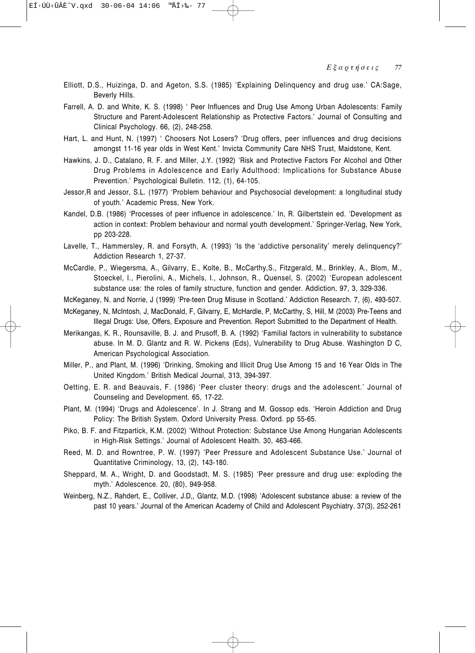- Elliott, D.S., Huizinga, D. and Ageton, S.S. (1985) 'Explaining Delinquency and drug use.' CA:Sage, Beverly Hills.
- Farrell, A. D. and White, K. S. (1998) ' Peer Influences and Drug Use Among Urban Adolescents: Family Structure and Parent-Adolescent Relationship as Protective Factors.' Journal of Consulting and Clinical Psychology. 66, (2), 248-258.
- Hart, L. and Hunt, N. (1997) ' Choosers Not Losers? 'Drug offers, peer influences and drug decisions amongst 11-16 year olds in West Kent.' Invicta Community Care NHS Trust, Maidstone, Kent.
- Hawkins, J. D., Catalano, R. F. and Miller, J.Y. (1992) 'Risk and Protective Factors For Alcohol and Other Drug Problems in Adolescence and Early Adulthood: Implications for Substance Abuse Prevention.' Psychological Bulletin. 112, (1), 64-105.
- Jessor,R and Jessor, S.L. (1977) 'Problem behaviour and Psychosocial development: a longitudinal study of youth.' Academic Press, New York.
- Kandel, D.B. (1986) 'Processes of peer influence in adolescence.' In, R. Gilbertstein ed. 'Development as action in context: Problem behaviour and normal youth development.' Springer-Verlag, New York, pp 203-228.
- Lavelle, T., Hammersley, R. and Forsyth, A. (1993) 'Is the 'addictive personality' merely delinquency?' Addiction Research 1, 27-37.
- McCardle, P., Wiegersma, A., Gilvarry, E., Kolte, B., McCarthy,S., Fitzgerald, M., Brinkley, A., Blom, M., Stoeckel, I., Pierolini, A., Michels, I., Johnson, R., Quensel, S. (2002) 'European adolescent substance use: the roles of family structure, function and gender. Addiction, 97, 3, 329-336.
- McKeganey, N. and Norrie, J (1999) 'Pre-teen Drug Misuse in Scotland.' Addiction Research. 7, (6), 493-507.
- McKeganey, N, McIntosh, J, MacDonald, F, Gilvarry, E, McHardle, P, McCarthy, S, Hill, M (2003) Pre-Teens and Illegal Drugs: Use, Offers, Exposure and Prevention. Report Submitted to the Department of Health.
- Merikangas, K. R., Rounsaville, B. J. and Prusoff, B. A. (1992) 'Familial factors in vulnerability to substance abuse. In M. D. Glantz and R. W. Pickens (Eds), Vulnerability to Drug Abuse. Washington D C, American Psychological Association.
- Miller, P., and Plant, M. (1996) 'Drinking, Smoking and Illicit Drug Use Among 15 and 16 Year Olds in The United Kingdom.' British Medical Journal, 313, 394-397.
- Oetting, E. R. and Beauvais, F. (1986) 'Peer cluster theory: drugs and the adolescent.' Journal of Counseling and Development. 65, 17-22.
- Plant, M. (1994) 'Drugs and Adolescence'. In J. Strang and M. Gossop eds. 'Heroin Addiction and Drug Policy: The British System. Oxford University Press. Oxford. pp 55-65.
- Piko, B. F. and Fitzpartick, K.M. (2002) 'Without Protection: Substance Use Among Hungarian Adolescents in High-Risk Settings.' Journal of Adolescent Health. 30, 463-466.
- Reed, M. D. and Rowntree, P. W. (1997) 'Peer Pressure and Adolescent Substance Use.' Journal of Quantitative Criminology, 13, (2), 143-180.
- Sheppard, M. A., Wright, D. and Goodstadt, M. S. (1985) 'Peer pressure and drug use: exploding the myth.' Adolescence. 20, (80), 949-958.
- Weinberg, N.Z., Rahdert, E., Colliver, J.D,, Glantz, M.D. (1998) 'Adolescent substance abuse: a review of the past 10 years.' Journal of the American Academy of Child and Adolescent Psychiatry. 37(3), 252-261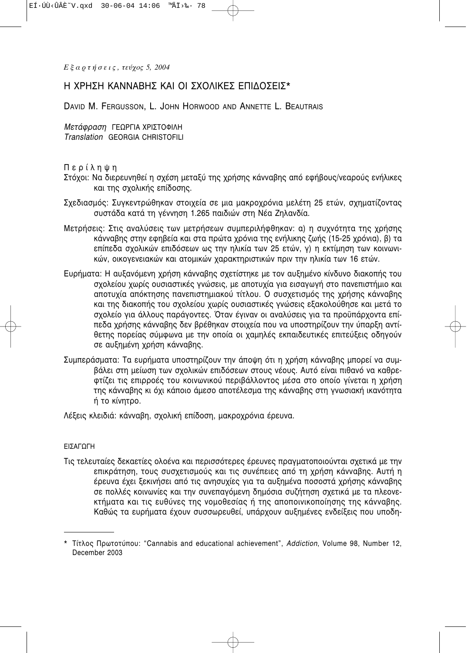# Η ΧΡΗΣΗ ΚΑΝΝΑΒΗΣ ΚΑΙ ΟΙ ΣΧΟΛΙΚΕΣ ΕΠΙΔΟΣΕΙΣ\*

DAVID M. FERGUSSON, L. JOHN HORWOOD AND ANNETTE L. BEAUTRAIS

Μετάφραση ΓΕΩΡΓΙΑ ΧΡΙΣΤΟΦΙΛΗ Translation GEORGIA CHRISTOFILL

# Περίληψη

- Στόχοι: Να διερευνηθεί η σχέση μεταξύ της χρήσης κάνναβης από εφήβους/νεαρούς ενήλικες και της σχολικής επίδοσης.
- Σχεδιασμός: Συγκεντρώθηκαν στοιχεία σε μια μακροχρόνια μελέτη 25 ετών, σχηματίζοντας συστάδα κατά τη γέννηση 1.265 παιδιών στη Νέα Ζηλανδία.
- Μετρήσεις: Στις αναλύσεις των μετρήσεων συμπεριλήφθηκαν: α) η συχνότητα της χρήσης κάνναβης στην εφηβεία και στα πρώτα χρόνια της ενήλικης ζωής (15-25 χρόνια), β) τα επίπεδα σχολικών επιδόσεων ως την ηλικία των 25 ετών, γ) η εκτίμηση των κοινωνικών, οικογενειακών και ατομικών χαρακτηριστικών πριν την ηλικία των 16 ετών.
- Ευρήματα: Η αυξανόμενη χρήση κάνναβης σχετίστηκε με τον αυξημένο κίνδυνο διακοπής του σχολείου χωρίς ουσιαστικές γνώσεις, με αποτυχία για εισαγωγή στο πανεπιστήμιο και αποτυχία απόκτησης πανεπιστημιακού τίτλου. Ο συσχετισμός της χρήσης κάνναβης και της διακοπής του σχολείου χωρίς ουσιαστικές γνώσεις εξακολούθησε και μετά το σχολείο για άλλους παράγοντες. Όταν έγιναν οι αναλύσεις για τα προϋπάρχοντα επίπεδα χρήσης κάνναβης δεν βρέθηκαν στοιχεία που να υποστηρίζουν την ύπαρξη αντίθετης πορείας σύμφωνα με την οποία οι χαμηλές εκπαιδευτικές επιτεύξεις οδηγούν σε αυξημένη χρήση κάνναβης.
- Συμπεράσματα: Τα ευρήματα υποστηρίζουν την άποψη ότι η χρήση κάνναβης μπορεί να συμβάλει στη μείωση των σχολικών επιδόσεων στους νέους. Αυτό είναι πιθανό να καθρεφτίζει τις επιρροές του κοινωνικού περιβάλλοντος μέσα στο οποίο γίνεται η χρήση της κάνναβης κι όχι κάποιο άμεσο αποτέλεσμα της κάνναβης στη γνωσιακή ικανότητα ή το κίνητρο.

Λέξεις κλειδιά: κάνναβη, σχολική επίδοση, μακροχρόνια έρευνα.

# ΕΙΣΑΓΩΓΗ

Τις τελευταίες δεκαετίες ολοένα και περισσότερες έρευνες πραγματοποιούνται σχετικά με την επικράτηση, τους συσχετισμούς και τις συνέπειες από τη χρήση κάνναβης. Αυτή η έρευνα έχει ξεκινήσει από τις ανησυχίες για τα αυξημένα ποσοστά χρήσης κάνναβης σε πολλές κοινωνίες και την συνεπαγόμενη δημόσια συζήτηση σχετικά με τα πλεονεκτήματα και τις ευθύνες της νομοθεσίας ή της αποποινικοποίησης της κάνναβης. Καθώς τα ευρήματα έχουν συσσωρευθεί, υπάρχουν αυξημένες ενδείξεις που υποδη-

<sup>\*</sup> Τίτλος Πρωτοτύπου: "Cannabis and educational achievement", Addiction, Volume 98, Number 12, December 2003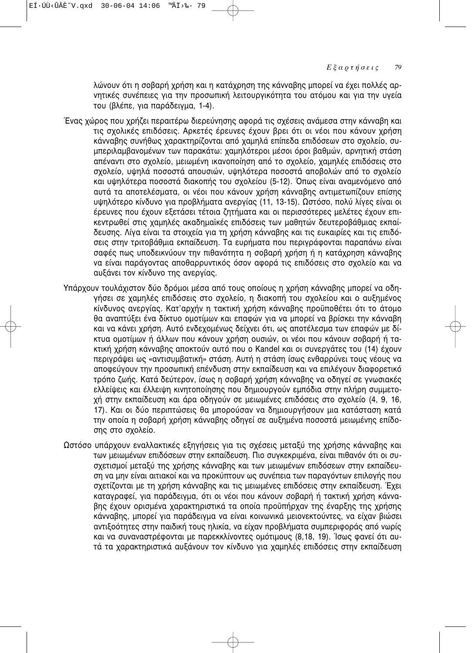λώνουν ότι η σοβαρή χρήση και η κατάχρηση της κάνναβης μπορεί να έχει πολλές αρνητικές συνέπειες για την προσωπική λειτουργικότητα του ατόμου και για την υγεία του (βλέπε, για παράδεινμα, 1-4).

- Ένας χώρος που χρήζει περαιτέρω διερεύνησης αφορά τις σχέσεις ανάμεσα στην κάνναβη και τις σχολικές επιδόσεις. Αρκετές έρευνες έχουν βρει ότι οι νέοι που κάνουν χρήση κάνναβης συνήθως χαρακτηρίζονται από χαμηλά επίπεδα επιδόσεων στο σχολείο, συμπεριλαμβανομένων των παρακάτω: χαμηλότεροι μέσοι όροι βαθμών, αρνητική στάση απέναντι στο σχολείο, μειωμένη ικανοποίηση από το σχολείο, χαμηλές επιδόσεις στο σχολείο, υψηλά ποσοστά απουσιών, υψηλότερα ποσοστά αποβολών από το σχολείο και υψηλότερα ποσοστά διακοπής του σχολείου (5-12). Όπως είναι αναμενόμενο από αυτά τα αποτελέσματα, οι νέοι που κάνουν χρήση κάνναβης αντιμετωπίζουν επίσης υψηλότερο κίνδυνο για προβλήματα ανεργίας (11, 13-15). Ωστόσο, πολύ λίγες είναι οι έρευνες που έχουν εξετάσει τέτοια ζητήματα και οι περισσότερες μελέτες έχουν επικεντρωθεί στις χαμηλές ακαδημαϊκές επιδόσεις των μαθητών δευτεροβάθμιας εκπαίδευσης. Λίγα είναι τα στοιχεία για τη χρήση κάνναβης και τις ευκαιρίες και τις επιδόσεις στην τριτοβάθμια εκπαίδευση. Τα ευρήματα που περιγράφονται παραπάνω είναι σαφές πως υποδεικνύουν την πιθανότητα η σοβαρή χρήση ή η κατάχρηση κάνναβης να είναι παράγοντας αποθαρρυντικός όσον αφορά τις επιδόσεις στο σχολείο και να αυξάνει τον κίνδυνο της ανεργίας.
- Υπάρχουν τουλάχιστον δύο δρόμοι μέσα από τους οποίους η χρήση κάνναβης μπορεί να οδηνήσει σε χαμηλές επιδόσεις στο σχολείο, η διακοπή του σχολείου και ο αυξημένος κίνδυνος ανεργίας. Κατ'αρχήν η τακτική χρήση κάνναβης προϋποθέτει ότι το άτομο θα αναπτύξει ένα δίκτυο ομοτίμων και επαφών για να μπορεί να βρίσκει την κάνναβη και να κάνει χρήση. Αυτό ενδεχομένως δείχνει ότι, ως αποτέλεσμα των επαφών με δίκτυα ομοτίμων ή άλλων που κάνουν χρήση ουσιών, οι νέοι που κάνουν σοβαρή ή τακτική χρήση κάνναβης αποκτούν αυτό που ο Kandel και οι συνεργάτες του (14) έχουν περιγράψει ως «αντισυμβατική» στάση. Αυτή η στάση ίσως ενθαρρύνει τους νέους να αποφεύγουν την προσωπική επένδυση στην εκπαίδευση και να επιλέγουν διαφορετικό τρόπο ζωής. Κατά δεύτερον, ίσως η σοβαρή χρήση κάνναβης να οδηγεί σε γνωσιακές ελλείψεις και έλλειψη κινητοποίησης που δημιουργούν εμπόδια στην πλήρη συμμετοχή στην εκπαίδευση και άρα οδηγούν σε μειωμένες επιδόσεις στο σχολείο (4, 9, 16, 17). Και οι δύο περιπτώσεις θα μπορούσαν να δημιουργήσουν μια κατάσταση κατά την οποία η σοβαρή χρήση κάνναβης οδηνεί σε αυξημένα ποσοστά μειωμένης επίδοσης στο σχολείο.
- Ωστόσο υπάρχουν εναλλακτικές εξηγήσεις για τις σχέσεις μεταξύ της χρήσης κάνναβης και των μειωμένων επιδόσεων στην εκπαίδευση. Πιο συγκεκριμένα, είναι πιθανόν ότι οι συσχετισμοί μεταξύ της χρήσης κάνναβης και των μειωμένων επιδόσεων στην εκπαίδευση να μην είναι αιτιακοί και να προκύπτουν ως συνέπεια των παραγόντων επιλογής που σχετίζονται με τη χρήση κάνναβης και τις μειωμένες επιδόσεις στην εκπαίδευση. Έχει κατανραφεί, για παράδεινμα, ότι οι νέοι που κάνουν σοβαρή ή τακτική χρήση κάνναβης έχουν ορισμένα χαρακτηριστικά τα οποία προϋπήρχαν της έναρξης της χρήσης κάνναβης, μπορεί για παράδειγμα να είναι κοινωνικά μειονεκτούντες, να είχαν βιώσει αντιξοότητες στην παιδική τους ηλικία, να είχαν προβλήματα συμπεριφοράς από νωρίς και να συναναστρέφονται με παρεκκλίνοντες ομότιμους (8,18, 19). Ίσως φανεί ότι αυτά τα χαρακτηριστικά αυξάνουν τον κίνδυνο για χαμηλές επιδόσεις στην εκπαίδευση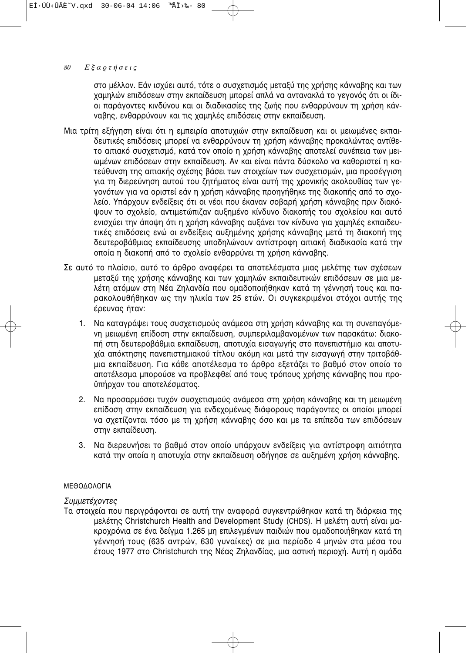### $80^{\circ}$  $E$ ξαρτήσεις

στο μέλλον. Εάν ισχύει αυτό, τότε ο συσχετισμός μεταξύ της χρήσης κάνναβης και των χαμηλών επιδόσεων στην εκπαίδευση μπορεί απλά να αντανακλά το γεγονός ότι οι ίδιοι παράνοντες κινδύνου και οι διαδικασίες της ζωής που ενθαρρύνουν τη χρήση κάνναβης, ενθαρρύνουν και τις χαμηλές επιδόσεις στην εκπαίδευση.

- Μια τρίτη εξήγηση είναι ότι η εμπειρία αποτυχιών στην εκπαίδευση και οι μειωμένες εκπαιδευτικές επιδόσεις μπορεί να ενθαρρύνουν τη χρήση κάνναβης προκαλώντας αντίθετο αιτιακό συσχετισμό, κατά τον οποίο η χρήση κάνναβης αποτελεί συνέπεια των μειωμένων επιδόσεων στην εκπαίδευση. Αν και είναι πάντα δύσκολο να καθοριστεί η κατεύθυνση της αιτιακής σχέσης βάσει των στοιχείων των συσχετισμών, μια προσέγγιση για τη διερεύνηση αυτού του ζητήματος είναι αυτή της χρονικής ακολουθίας των γεγονότων για να οριστεί εάν η χρήση κάνναβης προηγήθηκε της διακοπής από το σχολείο. Υπάρχουν ενδείξεις ότι οι νέοι που έκαναν σοβαρή χρήση κάνναβης πριν διακόψουν το σχολείο, αντιμετώπιζαν αυξημένο κίνδυνο διακοπής του σχολείου και αυτό ενισχύει την άποψη ότι η χρήση κάνναβης αυξάνει τον κίνδυνο για χαμηλές εκπαιδευτικές επιδόσεις ενώ οι ενδείξεις αυξημένης χρήσης κάνναβης μετά τη διακοπή της δευτεροβάθμιας εκπαίδευσης υποδηλώνουν αντίστροφη αιτιακή διαδικασία κατά την οποία η διακοπή από το σχολείο ενθαρρύνει τη χρήση κάνναβης.
- Σε αυτό το πλαίσιο, αυτό το άρθρο αναφέρει τα αποτελέσματα μιας μελέτης των σχέσεων μεταξύ της χρήσης κάνναβης και των χαμηλών εκπαιδευτικών επιδόσεων σε μια μελέτη ατόμων στη Νέα Ζηλανδία που ομαδοποιήθηκαν κατά τη γέννησή τους και παρακολουθήθηκαν ως την ηλικία των 25 ετών. Οι συνκεκριμένοι στόχοι αυτής της έρευνας ήταν:
	- 1. Να καταγράψει τους συσχετισμούς ανάμεσα στη χρήση κάνναβης και τη συνεπαγόμενη μειωμένη επίδοση στην εκπαίδευση, συμπεριλαμβανομένων των παρακάτω: διακοπή στη δευτεροβάθμια εκπαίδευση, αποτυχία εισαγωγής στο πανεπιστήμιο και αποτυχία απόκτησης πανεπιστημιακού τίτλου ακόμη και μετά την εισαγωγή στην τριτοβάθμια εκπαίδευση. Για κάθε αποτέλεσμα το άρθρο εξετάζει το βαθμό στον οποίο το αποτέλεσμα μπορούσε να προβλεφθεί από τους τρόπους χρήσης κάνναβης που προϋπήρχαν του αποτελέσματος.
	- 2. Να προσαρμόσει τυχόν συσχετισμούς ανάμεσα στη χρήση κάνναβης και τη μειωμένη επίδοση στην εκπαίδευση για ενδεχομένως διάφορους παράγοντες οι οποίοι μπορεί να σχετίζονται τόσο με τη χρήση κάνναβης όσο και με τα επίπεδα των επιδόσεων στην εκπαίδευση.
	- 3. Να διερευνήσει το βαθμό στον οποίο υπάρχουν ενδείξεις για αντίστροφη αιτιότητα κατά την οποία η αποτυχία στην εκπαίδευση οδήγησε σε αυξημένη χρήση κάνναβης.

# ΜΕΘΟΔΟΛΟΓΙΑ

# Συμμετέχοντες

Τα στοιχεία που περιγράφονται σε αυτή την αναφορά συγκεντρώθηκαν κατά τη διάρκεια της μελέτης Christchurch Health and Development Study (CHDS). Η μελέτη αυτή είναι μακροχρόνια σε ένα δείγμα 1.265 μη επιλεγμένων παιδιών που ομαδοποιήθηκαν κατά τη γέννησή τους (635 αντρών, 630 γυναίκες) σε μια περίοδο 4 μηνών στα μέσα του έτους 1977 στο Christchurch της Νέας Ζηλανδίας, μια αστική περιοχή. Αυτή η ομάδα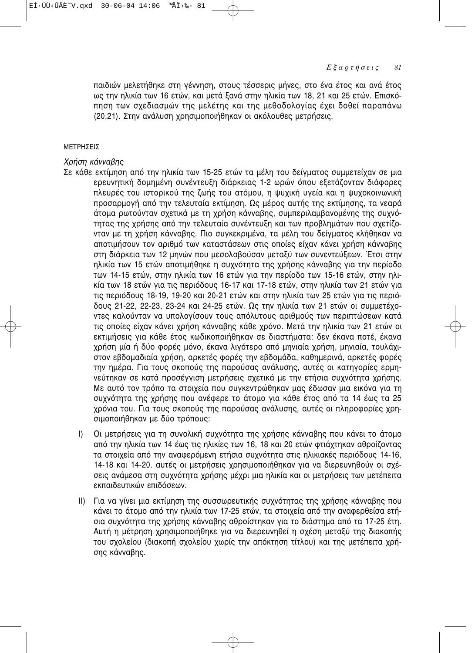παιδιών μελετήθηκε στη γέννηση, στους τέσσερις μήνες, στο ένα έτος και ανά έτος ως την ηλικία των 16 ετών, και μετά ξανά στην ηλικία των 18, 21 και 25 ετών. Επισκόπηση των σχεδιασμών της μελέτης και της μεθοδολογίας έχει δοθεί παραπάνω (20,21). Στην ανάλυση χρησιμοποιήθηκαν οι ακόλουθες μετρήσεις.

# **ΜΕΤΡΗΣΕΙΣ**

# *Xρήση κάνναβης*

- Σε κάθε εκτίμηση από την ηλικία των 15-25 ετών τα μέλη του δείγματος συμμετείχαν σε μια ερευνητική δομημένη συνέντευξη διάρκειας 1-2 ωρών όπου εξετάζονταν διάφορες πλευρές του ιστορικού της ζωής του ατόμου, η ψυχική υγεία και η ψυχοκοινωνική προσαρμογή από την τελευταία εκτίμηση. Ως μέρος αυτής της εκτίμησης, τα νεαρά άτομα ρωτούνταν σχετικά με τη χρήση κάνναβης, συμπεριλαμβανομένης της συχνότητας της χρήσης από την τελευταία συνέντευξη και των προβλημάτων που σχετίζονταν με τη χρήση κάνναβης. Πιο συγκεκριμένα, τα μέλη του δείγματος κλήθηκαν να αποτιμήσουν τον αριθμό των καταστάσεων στις οποίες είχαν κάνει χρήση κάνναβης στη διάρκεια των 12 μηνών που μεσολαβούσαν μεταξύ των συνεντεύξεων. Έτσι στην ηλικία των 15 ετών αποτιμήθηκε η συχνότητα της χρήσης κάνναβης για την περίοδο των 14-15 ετών, στην ηλικία των 16 ετών για την περίοδο των 15-16 ετών. στην ηλικία των 18 ετών για τις περιόδους 16-17 και 17-18 ετών, στην ηλικία των 21 ετών για τις περιόδους 18-19, 19-20 και 20-21 ετών και στην ηλικία των 25 ετών για τις περιόδους 21-22, 22-23, 23-24 και 24-25 ετών. Ως την ηλικία των 21 ετών οι συμμετέχο-VΤες καλούνταν να υπολογίσουν τους απόλυτους αριθμούς των περιπτώσεων κατά τις οποίες είχαν κάνει χρήση κάνναβης κάθε χρόνο. Μετά την ηλικία των 21 ετών οι εκτιμήσεις για κάθε έτος κωδικοποιήθηκαν σε διαστήματα: δεν έκανα ποτέ, έκανα χρήση μία ή δύο φορές μόνο, έκανα λιγότερο από μηνιαία χρήση, μηνιαία, τουλάχιστον εβδομαδιαία χρήση, αρκετές φορές την εβδομάδα, καθημερινά, αρκετές φορές την ημέρα. Για τους σκοπούς της παρούσας ανάλυσης, αυτές οι κατηγορίες ερμηνεύτηκαν σε κατά προσέγγιση μετρήσεις σχετικά με την ετήσια συχνότητα χρήσης. Με αυτό τον τρόπο τα στοιχεία που συγκεντρώθηκαν μας έδωσαν μια εικόνα για τη συχνότητα της χρήσης που ανέφερε το άτομο για κάθε έτος από τα 14 έως τα 25 χρόνια του. Για τους σκοπούς της παρούσας ανάλυσης, αυτές οι πληροφορίες χρησιμοποιήθηκαν με δύο τρόπους:
	- Ι) Οι μετρήσεις για τη συνολική συχνότητα της χρήσης κάνναβης που κάνει το άτομο από την ηλικία των 14 έως τις ηλικίες των 16, 18 και 20 ετών φτιάχτηκαν αθροίζοντας τα στοιχεία από την αναφερόμενη ετήσια συχνότητα στις ηλικιακές περιόδους 14-16, 14-18 και 14-20. αυτές οι μετρήσεις χρησιμοποιήθηκαν για να διερευνηθούν οι σχέσεις ανάμεσα στη συχνότητα χρήσης μέχρι μια ηλικία και οι μετρήσεις των μετέπειτα εκπαιδευτικών επιδόσεων.
	- II) Για να γίνει μια εκτίμηση της συσσωρευτικής συχνότητας της χρήσης κάνναβης που κάνει το άτομο από την ηλικία των 17-25 ετών, τα στοιχεία από την αναφερθείσα ετήσια συχνότητα της χρήσης κάνναβης αθροίστηκαν για το διάστημα από τα 17-25 έτη. Aυτή η μέτρηση χρησιμοποιήθηκε για να διερευνηθεί η σχέση μεταξύ της διακοπής του σχολείου (διακοπή σχολείου χωρίς την απόκτηση τίτλου) και της μετέπειτα χρήσης κάνναβης.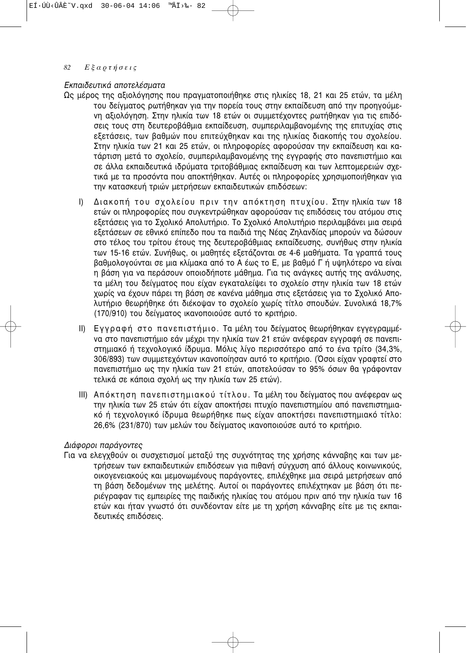### *82 <i>Eξαρτήσεις*

# *Eκπαιδευτικά αποτελέσματα*

- Ως μέρος της αξιολόγησης που πραγματοποιήθηκε στις ηλικίες 18, 21 και 25 ετών, τα μέλη του δείνματος ρωτήθηκαν για την πορεία τους στην εκπαίδευση από την προηγούμε-Vη αξιολόγηση. Στην ηλικία των 18 ετών οι συμμετέχοντες ρωτήθηκαν για τις επιδόσεις τους στη δευτεροβάθμια εκπαίδευση, συμπεριλαμβανομένης της επιτυχίας στις εξετάσεις, των βαθμών που επιτεύχθηκαν και της ηλικίας διακοπής του σχολείου. Στην ηλικία των 21 και 25 ετών, οι πληροφορίες αφορούσαν την εκπαίδευση και κατάρτιση μετά το σχολείο, συμπεριλαμβανομένης της εγγραφής στο πανεπιστήμιο και σε άλλα εκπαιδευτικά ιδούματα τριτοβάθμιας εκπαίδευση και των λεπτομερειών σχετικά με τα προσόντα που αποκτήθηκαν. Αυτές οι πληροφορίες χρησιμοποιήθηκαν για την κατασκευή τριών μετρήσεων εκπαιδευτικών επιδόσεων:
	- I) Διακοπή του σχολείου πριν την απόκτηση πτυχίου. Στην ηλικία των 18 ετών οι πληροφορίες που συγκεντρώθηκαν αφορούσαν τις επιδόσεις του ατόμου στις εξετάσεις για το Σχολικό Απολυτήριο. Το Σχολικό Απολυτήριο περιλαμβάνει μια σειρά εξετάσεων σε εθνικό επίπεδο που τα παιδιά της Νέας Ζηλανδίας μπορούν να δώσουν στο τέλος του τρίτου έτους της δευτεροβάθμιας εκπαίδευσης, συνήθως στην ηλικία των 15-16 ετών. Συνήθως, οι μαθητές εξετάζονται σε 4-6 μαθήματα. Τα γραπτά τους Βαθμολονούνται σε μια κλίμακα από το Α έως το Ε, με βαθμό Γ ή υψηλότερο να είναι η βάση για να περάσουν οποιοδήποτε μάθημα. Για τις ανάγκες αυτής της ανάλυσης, τα μέλη του δείγματος που είχαν εγκαταλείψει το σχολείο στην ηλικία των 18 ετών χωρίς να έχουν πάρει τη βάση σε κανένα μάθημα στις εξετάσεις για το Σχολικό Απολυτήριο θεωρήθηκε ότι διέκοψαν το σχολείο χωρίς τίτλο σπουδών. Συνολικά 18,7% (170/910) του δείγματος ικανοποιούσε αυτό το κριτήριο.
	- ΙΙ) Εγγραφή στο πανεπιστήμιο. Τα μέλη του δείγματος θεωρήθηκαν εγγεγραμμένα στο πανεπιστήμιο εάν μέχρι την ηλικία των 21 ετών ανέφεραν εγγραφή σε πανεπιστημιακό ή τεχνολογικό ίδρυμα. Μόλις λίγο περισσότερο από το ένα τρίτο (34,3%, 306/893) των συμμετεχόντων ικανοποίησαν αυτό το κριτήριο. (Όσοι είχαν γραφτεί στο πανεπιστήμιο ως την ηλικία των 21 ετών, αποτελούσαν το 95% όσων θα γράφονταν τελικά σε κάποια σχολή ως την ηλικία των 25 ετών).
	- III) Απόκτηση πανεπιστημιακού τίτλου. Τα μέλη του δείγματος που ανέφεραν ως την ηλικία των 25 ετών ότι είχαν αποκτήσει πτυχίο πανεπιστημίου από πανεπιστημια-Κό ή τεχνολογικό ίδρυμα θεωρήθηκε πως είχαν αποκτήσει πανεπιστημιακό τίτλο: 26,6% (231/870) των μελών του δείγματος ικανοποιούσε αυτό το κριτήριο.

# $\Delta$ ιάφοροι παράγοντες

Για να ελεγχθούν οι συσχετισμοί μεταξύ της συχνότητας της χρήσης κάνναβης και των μετρήσεων των εκπαιδευτικών επιδόσεων για πιθανή σύγχυση από άλλους κοινωνικούς, οικογενειακούς και μεμονωμένους παράγοντες, επιλέχθηκε μια σειρά μετρήσεων από τη βάση δεδομένων της μελέτης. Αυτοί οι παράγοντες επιλέχτηκαν με βάση ότι περιέγραφαν τις εμπειρίες της παιδικής ηλικίας του ατόμου πριν από την ηλικία των 16 ετών και ήταν γνωστό ότι συνδέονταν είτε με τη χρήση κάνναβης είτε με τις εκπαιδευτικές επιδόσεις.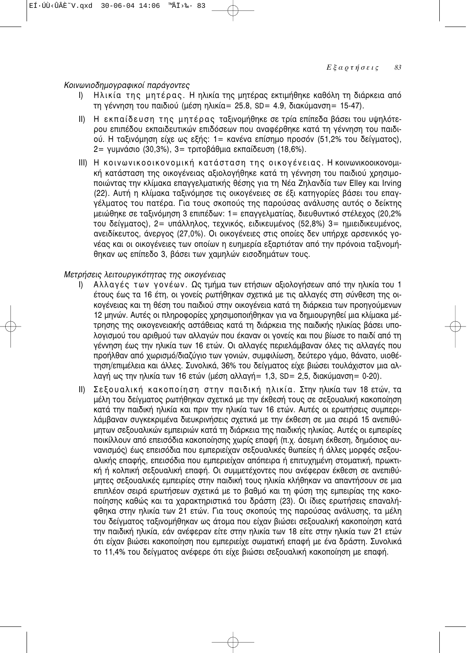# *Κοινωνιοδημογραφικοί παράγοντες*

- Ι) Ηλικία της μητέρας. Η ηλικία της μητέρας εκτιμήθηκε καθόλη τη διάρκεια από τη γέννηση του παιδιού (μέση ηλικία = 25.8, SD = 4.9, διακύμανση = 15-47).
- ΙΙ) Η εκπαίδευση της μητέρας ταξινομήθηκε σε τρία επίπεδα βάσει του υψηλότερου επιπέδου εκπαιδευτικών επιδόσεων που αναφέρθηκε κατά τη γέννηση του παιδιού. Η ταξινόμηση είχε ως εξής: 1= κανένα επίσημο προσόν (51,2% του δείγματος),  $2=$  γυμνάσιο (30,3%), 3= τριτοβάθμια εκπαίδευση (18,6%).
- ΙΙΙ) Η κοινωνικοοικονομική κατάσταση της οικογένειας. Η κοινωνικοοικονομική κατάσταση της οικογένειας αξιολογήθηκε κατά τη γέννηση του παιδιού χρησιμοποιώντας την κλίμακα επαγγελματικής θέσης για τη Νέα Ζηλανδία των Elley και Irving (22). Αυτή η κλίμακα ταξινόμησε τις οικογένειες σε έξι κατηγορίες βάσει του επαγγέλματος του πατέρα. Για τους σκοπούς της παρούσας ανάλυσης αυτός ο δείκτης μειώθηκε σε ταξινόμηση 3 επιπέδων: 1= επαγγελματίας, διευθυντικό στέλεχος (20,2% του δείγματος), 2= υπάλληλος, τεχνικός, ειδικευμένος (52,8%) 3= ημιειδικευμένος, ανειδίκευτος, άνεργος (27,0%). Οι οικογένειες στις οποίες δεν υπήρχε αρσενικός γονέας και οι οικογένειες των οποίων η ευημερία εξαρτιόταν από την πρόνοια ταξινομήθηκαν ως επίπεδο 3, βάσει των χαμηλών εισοδημάτων τους.

# *Μετρήσεις λειτουργικότητας της οικογένειας*

- Ι) Ο Αλλαγές των γονέων. Ως τμήμα των ετήσιων αξιολογήσεων από την ηλικία του 1 έτους έως τα 16 έτη, οι γονείς ρωτήθηκαν σχετικά με τις αλλαγές στη σύνθεση της οι-Κογένειας και τη θέση του παιδιού στην οικογένεια κατά τη διάρκεια των προηγούμενων 12 μηνών. Αυτές οι πληροφορίες χρησιμοποιήθηκαν για να δημιουργηθεί μια κλίμακα μέτρησης της οικογενειακής αστάθειας κατά τη διάρκεια της παιδικής ηλικίας βάσει υπολογισμού του αριθμού των αλλαγών που έκαναν οι νονείς και που βίωσε το παιδί από τη γέννηση έως την ηλικία των 16 ετών. Οι αλλαγές περιελάμβαναν όλες τις αλλαγές που προήλθαν από χωρισμό/διαζύγιο των γονιών, συμφιλίωση, δεύτερο γάμο, θάνατο, υιοθέτηση/επιμέλεια και άλλες. Συνολικά, 36% του δείγματος είχε βιώσει τουλάχιστον μια αλλαγή ως την ηλικία των 16 ετών (μέση αλλαγή= 1,3, SD= 2,5, διακύμανση= 0-20).
- II) Σεξουαλική κακοποίηση στην παιδική ηλικία. Στην ηλικία των 18 ετών, τα μέλη του δείγματος ρωτήθηκαν σχετικά με την έκθεσή τους σε σεξουαλική κακοποίηση κατά την παιδική ηλικία και πριν την ηλικία των 16 ετών. Αυτές οι ερωτήσεις συμπεριλάμβαναν συγκεκριμένα διευκρινήσεις σχετικά με την έκθεση σε μια σειρά 15 ανεπιθύμητων σεξουαλικών εμπειριών κατά τη διάρκεια της παιδικής ηλικίας. Αυτές οι εμπειρίες ποικίλλουν από επεισόδια κακοποίησης χωρίς επαφή (π.χ. άσεμνη έκθεση, δημόσιος αυνανισμός) έως επεισόδια που εμπεριείχαν σεξουαλικές θωπείες ή άλλες μορφές σεξουαλικής επαφής, επεισόδια που εμπεριείχαν απόπειρα ή επιτυχημένη στοματική, πρωκτική ή κολπική σεξουαλική επαφή. Οι συμμετέχοντες που ανέφεραν έκθεση σε ανεπιθύμητες σεξουαλικές εμπειρίες στην παιδική τους ηλικία κλήθηκαν να απαντήσουν σε μια επιπλέον σειρά ερωτήσεων σχετικά με το βαθμό και τη φύση της εμπειρίας της κακοποίησης καθώς και τα χαρακτηριστικά του δράστη (23). Οι ίδιες ερωτήσεις επαναλήφθηκα στην ηλικία των 21 ετών. Για τους σκοπούς της παρούσας ανάλυσης, τα μέλη του δείγματος ταξινομήθηκαν ως άτομα που είχαν βιώσει σεξουαλική κακοποίηση κατά την παιδική ηλικία, εάν ανέφεραν είτε στην ηλικία των 18 είτε στην ηλικία των 21 ετών ότι είχαν βιώσει κακοποίηση που εμπεριείχε σωματική επαφή με ένα δράστη. Συνολικά το 11,4% του δείγματος ανέφερε ότι είχε βιώσει σεξουαλική κακοποίηση με επαφή.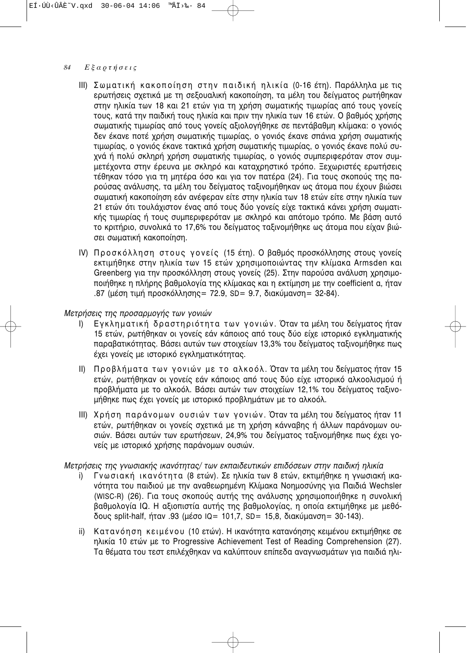# *84 ∂Í·ÚÙ‹ÛÂȘ*

- III) Σωματική κακοποίηση στην παιδική ηλικία (0-16 έτη). Παράλληλα με τις ερωτήσεις σχετικά με τη σεξουαλική κακοποίηση, τα μέλη του δείγματος ρωτήθηκαν στην ηλικία των 18 και 21 ετών για τη χρήση σωματικής τιμωρίας από τους γονείς τους, κατά την παιδική τους ηλικία και πριν την ηλικία των 16 ετών. Ο βαθμός χρήσης σωματικής τιμωρίας από τους γονείς αξιολογήθηκε σε πεντάβαθμη κλίμακα: ο γονιός δεν έκανε ποτέ χρήση σωματικής τιμωρίας, ο νονιός έκανε σπάνια χρήση σωματικής τιμωρίας, ο γονιός έκανε τακτικά χρήση σωματικής τιμωρίας, ο γονιός έκανε πολύ συχνά ή πολύ σκληρή χρήση σωματικής τιμωρίας, ο γονιός συμπεριφερόταν στον συμμετέχοντα στην έρευνα με σκληρό και καταχρηστικό τρόπο. Ξεχωριστές ερωτήσεις τέθηκαν τόσο για τη μητέρα όσο και για τον πατέρα (24). Για τους σκοπούς της παρούσας ανάλυσης, τα μέλη του δείγματος ταξινομήθηκαν ως άτομα που έχουν βιώσει σωματική κακοποίηση εάν ανέφεραν είτε στην ηλικία των 18 ετών είτε στην ηλικία των 21 ετών ότι τουλάχιστον ένας από τους δύο γονείς είχε τακτικά κάνει χρήση σωματικής τιμωρίας ή τους συμπεριφερόταν με σκληρό και απότομο τρόπο. Με βάση αυτό το κριτήριο, συνολικά το 17,6% του δείνματος ταξινομήθηκε ως άτομα που είχαν βιώσει σωματική κακοποίηση.
- IV) Προσκόλληση στους γονείς (15 έτη). Ο βαθμός προσκόλλησης στους γονείς εκτιμήθηκε στην ηλικία των 15 ετών χρησιμοποιώντας την κλίμακα Armsden και Greenberg για την προσκόλληση στους γονείς (25). Στην παρούσα ανάλυση χρησιμοποιήθηκε η πλήρης βαθμολογία της κλίμακας και η εκτίμηση με την coefficient α, ήταν .87 (μέση τιμή προσκόλλησης = 72.9, SD = 9.7, διακύμανση = 32-84).

*Μετρήσεις της προσαρμογής των γονιών* 

- Ι) Εγκληματική δραστηριότητα των γονιών. Όταν τα μέλη του δείγματος ήταν 15 ετών, ρωτήθηκαν οι γονείς εάν κάποιος από τους δύο είχε ιστορικό ενκληματικής παραβατικότητας. Βάσει αυτών των στοιχείων 13,3% του δείγματος ταξινομήθηκε πως έχει γονείς με ιστορικό εγκληματικότητας.
- II) Προβλήματα των γονιών με το αλκοόλ. Όταν τα μέλη του δείγματος ήταν 15 ετών, ρωτήθηκαν οι γονείς εάν κάποιος από τους δύο είχε ιστορικό αλκοολισμού ή προβλήματα με το αλκοόλ. Βάσει αυτών των στοιχείων 12,1% του δείγματος ταξινομήθηκε πως έχει γονείς με ιστορικό προβλημάτων με το αλκοόλ.
- III) Χρήση παράνομων ουσιών των γονιών. Όταν τα μέλη του δείγματος ήταν 11 ετών, ρωτήθηκαν οι γονείς σχετικά με τη χρήση κάνναβης ή άλλων παράνομων ουσιών. Βάσει αυτών των ερωτήσεων, 24,9% του δείγματος ταξινομήθηκε πως έχει γονείς με ιστορικό χρήσης παράνομων ουσιών.

*ªÂÙÚ‹ÛÂȘ Ù˘ ÁÓˆÛȷ΋˜ ÈηÓfiÙËÙ·˜/ ÙˆÓ ÂÎ·È‰Â˘ÙÈÎÒÓ ÂȉfiÛÂˆÓ ÛÙËÓ ·È‰È΋ ËÏÈΛ·*

- i) Γνωσιακή ικανότητα (8 ετών). Σε ηλικία των 8 ετών, εκτιμήθηκε η γνωσιακή ικανότητα του παιδιού με την αναθεωρημένη Κλίμακα Νοημοσύνης για Παιδιά Wechsler (WISC-R) (26). Για τους σκοπούς αυτής της ανάλυσης χρησιμοποιήθηκε η συνολική βαθμολογία IQ. Η αξιοπιστία αυτής της βαθμολογίας, η οποία εκτιμήθηκε με μεθόδους split-half, ήταν .93 (μέσο IQ= 101,7, SD= 15,8, διακύμανση= 30-143).
- ii) Κατανόηση κειμένου (10 ετών). Η ικανότητα κατανόησης κειμένου εκτιμήθηκε σε ηλικία 10 ετών με το Progressive Achievement Test of Reading Comprehension (27). Τα θέματα του τεστ επιλέχθηκαν να καλύπτουν επίπεδα αναγνωσμάτων για παιδιά ηλι-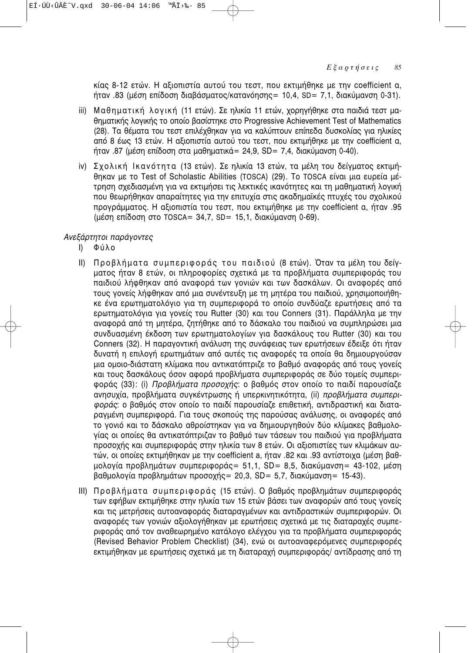κίας 8-12 ετών. Η αξιοπιστία αυτού του τεστ, που εκτιμήθηκε με την coefficient α, ήταν .83 (μέση επίδοση διαβάσματος/κατανόησης= 10,4, SD= 7,1, διακύμανση 0-31).

- iii) Μαθηματική λογική (11 ετών). Σε ηλικία 11 ετών, χορηγήθηκε στα παιδιά τεστ μαθηματικής λογικής το οποίο βασίστηκε στο Progressive Achievement Test of Mathematics (28). Τα θέματα του τεστ επιλέχθηκαν για να καλύπτουν επίπεδα δυσκολίας για ηλικίες από 8 έως 13 ετών. Η αξιοπιστία αυτού του τεστ, που εκτιμήθηκε με την coefficient α, ήταν .87 (μέση επίδοση στα μαθηματικά= 24,9, SD= 7,4, διακύμανση 0-40).
- iv) Σχολική Ικανότητα (13 ετών). Σε ηλικία 13 ετών, τα μέλη του δείγματος εκτιμήθηκαν με το Test of Scholastic Abilities (TOSCA) (29). Το TOSCA είναι μια ευρεία μέτρηση σχεδιασμένη για να εκτιμήσει τις λεκτικές ικανότητες και τη μαθηματική λογική που θεωρήθηκαν απαραίτητες για την επιτυχία στις ακαδημαϊκές πτυχές του σχολικού προγράμματος. Η αξιοπιστία του τεστ, που εκτιμήθηκε με την coefficient a, ήταν .95 (μέση επίδοση στο TOSCA= 34,7, SD= 15,1, διακύμανση 0-69).

# *Aνεξάρτητοι παράγοντες*

- I) Φύλο
- II) Προβλήματα συμπεριφοράς του παιδιού (8 ετών). Όταν τα μέλη του δείγματος ήταν 8 ετών, οι πληροφορίες σχετικά με τα προβλήματα συμπεριφοράς του παιδιού λήφθηκαν από αναφορά των γονιών και των δασκάλων. Οι αναφορές από τους γονείς λήφθηκαν από μια συνέντευξη με τη μητέρα του παιδιού, χρησιμοποιήθηκε ένα ερωτηματολόγιο για τη συμπεριφορά το οποίο συνδύαζε ερωτήσεις από τα ερωτηματολόγια για γονείς του Rutter (30) και του Conners (31). Παράλληλα με την αναφορά από τη μητέρα, ζητήθηκε από το δάσκαλο του παιδιού να συμπληρώσει μια συνδυασμένη έκδοση των ερωτηματολογίων για δασκάλους του Rutter (30) και του Conners (32). Η παραγοντική ανάλυση της συνάφειας των ερωτήσεων έδειξε ότι ήταν δυνατή η επιλογή ερωτημάτων από αυτές τις αναφορές τα οποία θα δημιουργούσαν μια ομοιο-διάστατη κλίμακα που αντικατόπτριζε το βαθμό αναφοράς από τους γονείς και τους δασκάλους όσον αφορά προβλήματα συμπεριφοράς σε δύο τομείς συμπεριφοράς (33): (i) *Προβλήματα προσοχής*: ο βαθμός στον οποίο το παιδί παρουσίαζε ανησυχία, προβλήματα συγκέντρωσης ή υπερκινητικότητα, (ii) *προβλήματα συμπερι-* $\varphi$ οράς: ο βαθμός στον οποίο το παιδί παρουσίαζε επιθετική, αντιδραστική και διαταραγμένη συμπεριφορά. Για τους σκοπούς της παρούσας ανάλυσης, οι αναφορές από το γονιό και το δάσκαλο αθροίστηκαν για να δημιουργηθούν δύο κλίμακες βαθμολογίας οι οποίες θα αντικατόπτριζαν το βαθμό των τάσεων του παιδιού για προβλήματα προσοχής και συμπεριφοράς στην ηλικία των 8 ετών. Οι αξιοπιστίες των κλιμάκων αυτών, οι οποίες εκτιμήθηκαν με την coefficient a, ήταν .82 και .93 αντίστοιχα (μέση βαθμολογία προβλημάτων συμπεριφοράς= 51,1, SD= 8,5, διακύμανση= 43-102, μέση  $\beta$ αθμολογία προβλημάτων προσοχής = 20,3, SD = 5,7, διακύμανση = 15-43).
- III) Προβλήματα συμπεριφοράς (15 ετών). Ο βαθμός προβλημάτων συμπεριφοράς των εφήβων εκτιμήθηκε στην ηλικία των 15 ετών βάσει των αναφορών από τους γονείς και τις μετρήσεις αυτοαναφοράς διαταραγμένων και αντιδραστικών συμπεριφορών. Οι αναφορές των γονιών αξιολογήθηκαν με ερωτήσεις σχετικά με τις διαταραχές συμπεριφοράς από τον αναθεωρημένο κατάλογο ελέγχου για τα προβλήματα συμπεριφοράς (Revised Behavior Problem Checklist) (34), ενώ οι αυτοαναφερόμενες συμπεριφορές εκτιμήθηκαν με ερωτήσεις σχετικά με τη διαταραχή συμπεριφοράς/ αντίδρασης από τη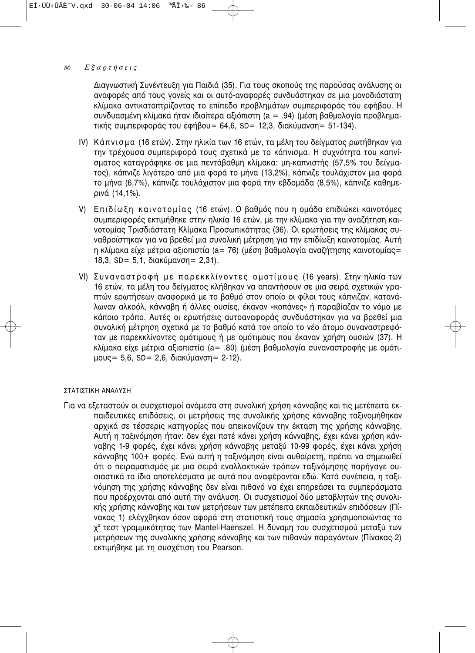Διαγνωστική Συνέντευξη για Παιδιά (35). Για τους σκοπούς της παρούσας ανάλυσης οι αναφορές από τους γονείς και οι αυτό-αναφορές συνδυάστηκαν σε μια μονοδιάστατη κλίμακα αντικατοπτρίζοντας το επίπεδο προβλημάτων συμπεριφοράς του εφήβου. Η συνδυασμένη κλίμακα ήταν ιδιαίτερα αξιόπιστη (a = .94) (μέση βαθμολογία προβληματικής συμπεριφοράς του εφήβου = 64.6, SD = 12.3, διακύμανση = 51-134).

- IV) Κάπνισμα (16 ετών), Στην ηλικία των 16 ετών, τα μέλη του δείνματος ρωτήθηκαν για την τρέχουσα συμπεριφορά τους σχετικά με το κάπνισμα. Η συχνότητα του καπνίσματος καταγράφηκε σε μια πεντάβαθμη κλίμακα: μη-καπνιστής (57,5% του δείνματος). κάπνιζε λινότερο από μια φορά το μήνα (13,2%), κάπνιζε τουλάχιστον μια φορά το μήνα (6,7%), κάπνιζε τουλάχιστον μια φορά την εβδομάδα (8,5%), κάπνιζε καθημερινά (14,1%).
- V) Επιδίωξη καινοτομίας (16 ετών). Ο βαθμός που η ομάδα επιδιώκει καινοτόμες συμπεριφορές εκτιμήθηκε στην ηλικία 16 ετών, με την κλίμακα για την αναζήτηση καινοτομίας Τρισδιάστατη Κλίμακα Προσωπικότητας (36). Οι ερωτήσεις της κλίμακας συναθροίστηκαν για να βρεθεί μια συνολική μέτρηση για την επιδίωξη καινοτομίας. Αυτή η κλίμακα είχε μέτρια αξιοπιστία (a= 76) (μέση βαθμολογία αναζήτησης καινοτομίας= 18.3, SD= 5.1, διακύμανση= 2.31).
- VI) Συναναστροφή με παρεκκλίνοντες ομοτίμους (16 years). Στην ηλικία των 16 ετών, τα μέλη του δείγματος κλήθηκαν να απαντήσουν σε μια σειρά σχετικών γραπτών ερωτήσεων αναφορικά με το βαθμό στον οποίο οι φίλοι τους κάπνιζαν, κατανάλωναν αλκοόλ, κάνναβη ή άλλες ουσίες, έκαναν «κοπάνες» ή παραβίαζαν το νόμο με κάποιο τρόπο. Αυτές οι ερωτήσεις αυτοαναφοράς συνδυάστηκαν για να βρεθεί μια συνολική μέτρηση σχετικά με το βαθμό κατά τον οποίο το νέο άτομο συναναστρεφόταν με παρεκκλίνοντες ομότιμους ή με ομότιμους που έκαναν χρήση ουσιών (37). Η κλίμακα είχε μέτρια αξιοπιστία (a= .80) (μέση βαθμολογία συναναστροφής με ομότιμους = 5.6, SD = 2.6, διακύμανση = 2-12).

# ΣΤΑΤΙΣΤΙΚΗ ΑΝΑΛΥΣΗ

Για να εξεταστούν οι συσχετισμοί ανάμεσα στη συνολική χρήση κάνναβης και τις μετέπειτα εκπαιδευτικές επιδόσεις, οι μετρήσεις της συνολικής χρήσης κάνναβης ταξινομήθηκαν αρχικά σε τέσσερις κατηγορίες που απεικονίζουν την έκταση της χρήσης κάνναβης. Αυτή η ταξινόμηση ήταν: δεν έχει ποτέ κάνει χρήση κάνναβης, έχει κάνει χρήση κάνναβης 1-9 φορές, έχει κάνει χρήση κάνναβης μεταξύ 10-99 φορές, έχει κάνει χρήση κάνναβης 100+ φορές. Ενώ αυτή η ταξινόμηση είναι αυθαίρετη, πρέπει να σημειωθεί ότι ο πειραματισμός με μια σειρά εναλλακτικών τρόπων ταξινόμησης παρήγαγε ουσιαστικά τα ίδια αποτελέσματα με αυτά που αναφέρονται εδώ. Κατά συνέπεια, η ταξινόμηση της χρήσης κάνναβης δεν είναι πιθανό να έχει επηρεάσει τα συμπεράσματα που προέρχονται από αυτή την ανάλυση. Οι συσχετισμοί δύο μεταβλητών της συνολικής χρήσης κάνναβης και των μετρήσεων των μετέπειτα εκπαιδευτικών επιδόσεων (Πίνακας 1) ελέγχθηκαν όσον αφορά στη στατιστική τους σημασία χρησιμοποιώντας το χ<sup>2</sup> τεστ γραμμικότητας των Mantel-Haenszel. Η δύναμη του συσχετισμού μεταξύ των μετρήσεων της συνολικής χρήσης κάνναβης και των πιθανών παραγόντων (Πίνακας 2) εκτιμήθηκε με τη συσχέτιση του Pearson.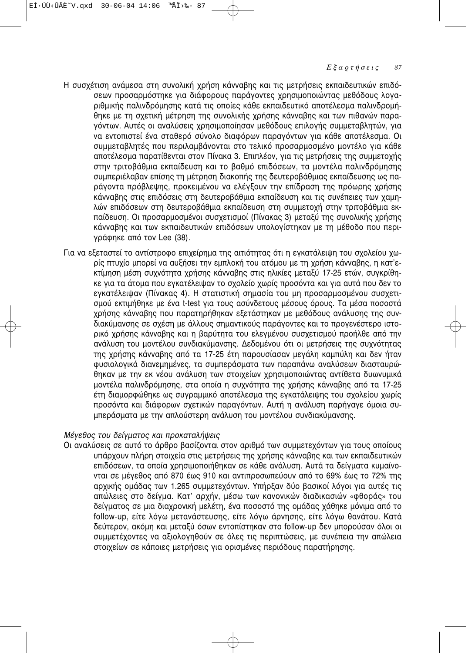- Η συσχέτιση ανάμεσα στη συνολική χρήση κάνναβης και τις μετρήσεις εκπαιδευτικών επιδόσεων προσαρμόστηκε για διάφορους παράγοντες χρησιμοποιώντας μεθόδους λογαριθμικής παλινδρόμησης κατά τις οποίες κάθε εκπαιδευτικό αποτέλεσμα παλινδρομήθηκε με τη σχετική μέτρηση της συνολικής χρήσης κάνναβης και των πιθανών παρανόντων. Αυτές οι αναλύσεις χρησιμοποίησαν μεθόδους επιλονής συμμεταβλητών, νια να εντοπιστεί ένα σταθερό σύνολο διαφόρων παρανόντων νια κάθε αποτέλεσμα. Οι συμμεταβλητές που περιλαμβάνονται στο τελικό προσαρμοσμένο μοντέλο για κάθε αποτέλεσμα παρατίθενται στον Πίνακα 3. Επιπλέον, για τις μετρήσεις της συμμετοχής στην τριτοβάθμια εκπαίδευση και το βαθμό επιδόσεων, τα μοντέλα παλινδρόμησης συμπεριέλαβαν επίσης τη μέτρηση διακοπής της δευτεροβάθμιας εκπαίδευσης ως παράγοντα πρόβλεψης, προκειμένου να ελέγξουν την επίδραση της πρόωρης χρήσης κάνναβης στις επιδόσεις στη δευτεροβάθμια εκπαίδευση και τις συνέπειες των χαμηλών επιδόσεων στη δευτεροβάθμια εκπαίδευση στη συμμετοχή στην τριτοβάθμια εκπαίδευση. Οι προσαρμοσμένοι συσχετισμοί (Πίνακας 3) μεταξύ της συνολικής χρήσης κάνναβης και των εκπαιδευτικών επιδόσεων υπολονίστηκαν με τη μέθοδο που περιγράφηκε από τον Lee (38).
- Για να εξεταστεί το αντίστροφο επιχείρημα της αιτιότητας ότι η εγκατάλειψη του σχολείου χωρίς πτυχίο μπορεί να αυξήσει την εμπλοκή του ατόμου με τη χρήση κάνναβης, η κατ'εκτίμηση μέση συχνότητα χρήσης κάνναβης στις ηλικίες μεταξύ 17-25 ετών, συγκρίθηκε για τα άτομα που εγκατέλειψαν το σχολείο χωρίς προσόντα και για αυτά που δεν το εγκατέλειψαν (Πίνακας 4). Η στατιστική σημασία του μη προσαρμοσμένου συσχετισμού εκτιμήθηκε με ένα t-test για τους ασύνδετους μέσους όρους. Τα μέσα ποσοστά χρήσης κάνναβης που παρατηρήθηκαν εξετάστηκαν με μεθόδους ανάλυσης της συνδιακύμανσης σε σχέση με άλλους σημαντικούς παράγοντες και το προγενέστερο ιστορικό χρήσης κάνναβης και η βαρύτητα του ελενμένου συσχετισμού προήλθε από την ανάλυση του μοντέλου συνδιακύμανσης. Δεδομένου ότι οι μετρήσεις της συχνότητας της χρήσης κάνναβης από τα 17-25 έτη παρουσίασαν μεγάλη καμπύλη και δεν ήταν φυσιολονικά διανεμημένες, τα συμπεράσματα των παραπάνω αναλύσεων διασταυρώθηκαν με την εκ νέου ανάλυση των στοιχείων χρησιμοποιώντας αντίθετα δυωνυμικά μοντέλα παλινδρόμησης, στα οποία η συχνότητα της χρήσης κάνναβης από τα 17-25 έτη διαμορφώθηκε ως συγραμμικό αποτέλεσμα της εγκατάλειψης του σχολείου χωρίς προσόντα και διάφορων σχετικών παραγόντων. Αυτή η ανάλυση παρήγαγε όμοια συμπεράσματα με την απλούστερη ανάλυση του μοντέλου συνδιακύμανσης.

# Μέγεθος του δείγματος και προκαταλήψεις

Οι αναλύσεις σε αυτό το άρθρο βασίζονται στον αριθμό των συμμετεχόντων για τους οποίους υπάρχουν πλήρη στοιχεία στις μετρήσεις της χρήσης κάνναβης και των εκπαιδευτικών επιδόσεων, τα οποία χρησιμοποιήθηκαν σε κάθε ανάλυση. Αυτά τα δείγματα κυμαίνονται σε μέγεθος από 870 έως 910 και αντιπροσωπεύουν από το 69% έως το 72% της αρχικής ομάδας των 1.265 συμμετεχόντων. Υπήρξαν δύο βασικοί λόγοι για αυτές τις απώλειες στο δείγμα. Κατ' αρχήν, μέσω των κανονικών διαδικασιών «φθοράς» του δείγματος σε μια διαχρονική μελέτη, ένα ποσοστό της ομάδας χάθηκε μόνιμα από το follow-up, είτε λόγω μετανάστευσης, είτε λόγω άρνησης, είτε λόγω θανάτου. Κατά δεύτερον, ακόμη και μεταξύ όσων εντοπίστηκαν στο follow-up δεν μπορούσαν όλοι οι συμμετέχοντες να αξιολογηθούν σε όλες τις περιπτώσεις, με συνέπεια την απώλεια στοιχείων σε κάποιες μετρήσεις για ορισμένες περιόδους παρατήρησης.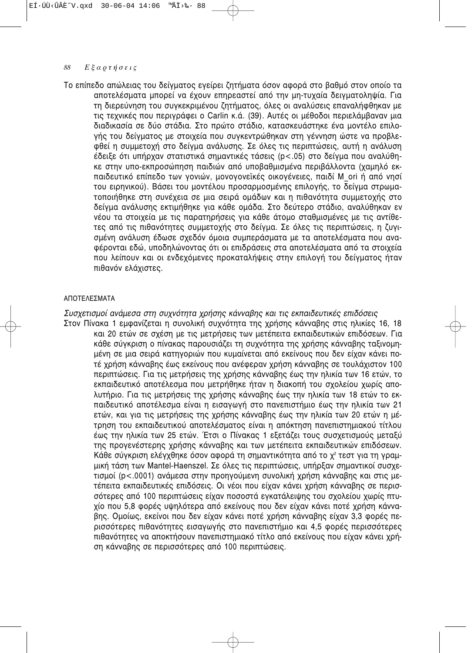### *88 <i>Eξαρτήσεις*

Το επίπεδο απώλειας του δείγματος εγείρει ζητήματα όσον αφορά στο βαθμό στον οποίο τα αποτελέσματα μπορεί να έχουν επηρεαστεί από την μη-τυχαία δειγματοληψία. Για τη διερεύνηση του συνκεκριμένου ζητήματος, όλες οι αναλύσεις επαναλήφθηκαν με τις τεχνικές που περιγράφει ο Carlin κ.ά. (39). Αυτές οι μέθοδοι περιελάμβαναν μια διαδικασία σε δύο στάδια. Στο πρώτο στάδιο, κατασκευάστηκε ένα μοντέλο επιλογής του δείγματος με στοιχεία που συγκεντρώθηκαν στη γέννηση ώστε να προβλε-Φθεί η συμμετοχή στο δείγμα ανάλυσης. Σε όλες τις περιπτώσεις, αυτή η ανάλυση έδειξε ότι υπήρχαν στατιστικά σημαντικές τάσεις (p<.05) στο δείγμα που αναλύθη-Κε στην υπο-εκπροσώπηση παιδιών από υποβαθμισμένα περιβάλλοντα (χαμηλό εκπαιδευτικό επίπεδο των γονιών, μονογονεϊκές οικογένειες, παιδί Μ ori ή από νησί του ειρηνικού). Βάσει του μοντέλου προσαρμοσμένης επιλογής, το δείγμα στρωματοποιήθηκε στη συνέχεια σε μια σειρά ομάδων και η πιθανότητα συμμετοχής στο δείγμα ανάλυσης εκτιμήθηκε για κάθε ομάδα. Στο δεύτερο στάδιο, αναλύθηκαν εν νέου τα στοιχεία με τις παρατηρήσεις για κάθε άτομο σταθμισμένες με τις αντίθετες από τις πιθανότητες συμμετοχής στο δείγμα. Σε όλες τις περιπτώσεις, η ζυγισμένη ανάλυση έδωσε σχεδόν όμοια συμπεράσματα με τα αποτελέσματα που αναφέρονται εδώ, υποδηλώνοντας ότι οι επιδράσεις στα αποτελέσματα από τα στοιχεία που λείπουν και οι ενδεχόμενες προκαταλήψεις στην επιλογή του δείγματος ήταν πιθανόν ελάχιστες.

### ΑΠΟΤΕΛΕΣΜΑΤΑ

 $\Sigma$ υσχετισμοί ανάμεσα στη συχνότητα χρήσης κάνναβης και τις εκπαιδευτικές επιδόσεις

Στον Πίνακα 1 εμφανίζεται η συνολική συχνότητα της χρήσης κάνναβης στις ηλικίες 16, 18 και 20 ετών σε σχέση με τις μετρήσεις των μετέπειτα εκπαιδευτικών επιδόσεων. Για κάθε σύγκριση ο πίνακας παρουσιάζει τη συχνότητα της χρήσης κάνναβης ταξινομημένη σε μια σειρά κατηγοριών που κυμαίνεται από εκείνους που δεν είχαν κάνει ποτέ χρήση κάνναβης έως εκείνους που ανέφεραν χρήση κάνναβης σε τουλάχιστον 100 περιπτώσεις. Για τις μετρήσεις της χρήσης κάνναβης έως την ηλικία των 16 ετών, το εκπαιδευτικό αποτέλεσμα που μετρήθηκε ήταν η διακοπή του σχολείου χωρίς απολυτήριο. Για τις μετρήσεις της χρήσης κάνναβης έως την ηλικία των 18 ετών το εκπαιδευτικό αποτέλεσμα είναι η εισαγωγή στο πανεπιστήμιο έως την ηλικία των 21 ετών, και για τις μετρήσεις της χρήσης κάνναβης έως την ηλικία των 20 ετών η μέτρηση του εκπαιδευτικού αποτελέσματος είναι η απόκτηση πανεπιστημιακού τίτλου έως την ηλικία των 25 ετών. Έτσι ο Πίνακας 1 εξετάζει τους συσχετισμούς μεταξύ της προγενέστερης χρήσης κάνναβης και των μετέπειτα εκπαιδευτικών επιδόσεων. Κάθε σύγκριση ελέγχθηκε όσον αφορά τη σημαντικότητα από το χ<sup>2</sup> τεστ για τη γραμμική τάση των Mantel-Haenszel. Σε όλες τις περιπτώσεις, υπήρξαν σημαντικοί συσχετισμοί (p<.0001) ανάμεσα στην προηγούμενη συνολική χρήση κάνναβης και στις μετέπειτα εκπαιδευτικές επιδόσεις. Οι νέοι που είχαν κάνει χρήση κάνναβης σε περισσότερες από 100 περιπτώσεις είχαν ποσοστά εγκατάλειψης του σχολείου χωρίς πτυχίο που 5,8 φορές υψηλότερα από εκείνους που δεν είχαν κάνει ποτέ χρήση κάνναβης. Ομοίως, εκείνοι που δεν είχαν κάνει ποτέ χρήση κάνναβης είχαν 3,3 φορές περισσότερες πιθανότητες εισαγωγής στο πανεπιστήμιο και 4,5 φορές περισσότερες πιθανότητες να αποκτήσουν πανεπιστημιακό τίτλο από εκείνους που είχαν κάνει χρήση κάνναβης σε περισσότερες από 100 περιπτώσεις.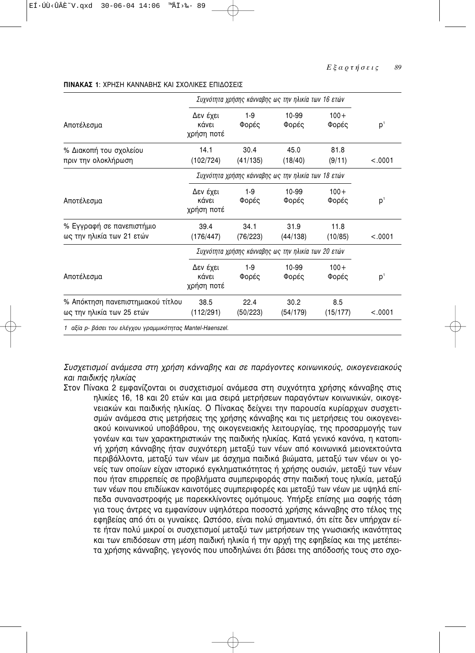### ΠΙΝΑΚΑΣ 1: ΧΡΗΣΗ ΚΑΝΝΑΒΗΣ ΚΑΙ ΣΧΟΛΙΚΕΣ ΕΠΙΔΟΣΕΙΣ

| Δεν έχει                        | $1-9$                                                      |                  |                  |                                                                                                            |
|---------------------------------|------------------------------------------------------------|------------------|------------------|------------------------------------------------------------------------------------------------------------|
| κάνει<br>χρήση ποτέ             | Φορές                                                      | 10-99<br>Φορές   | $100 +$<br>Φορές | p <sup>1</sup>                                                                                             |
| 14.1                            | 30.4                                                       | 45.0             | 81.8             |                                                                                                            |
| (102/724)                       | (41/135)                                                   | (18/40)          | (9/11)           | < .0001                                                                                                    |
|                                 |                                                            |                  |                  |                                                                                                            |
| Δεν έχει<br>κάνει<br>χρήση ποτέ | $1-9$<br>Φορές                                             | 10-99<br>Φορές   | $100+$<br>Φορές  | p <sup>1</sup>                                                                                             |
| 39.4                            | 34.1                                                       | 31.9             | 11.8             |                                                                                                            |
| (176/447)                       | (76/223)                                                   | (44/138)         | (10/85)          | < .0001                                                                                                    |
|                                 |                                                            |                  |                  |                                                                                                            |
| Δεν έχει<br>κάνει<br>χρήση ποτέ | $1-9$<br>Φορές                                             | 10-99<br>Φορές   | $100 +$<br>Φορές | p <sup>1</sup>                                                                                             |
| 38.5<br>(112/291)               | 22.4<br>(50/223)                                           | 30.2<br>(54/179) | 8.5<br>(15/177)  | < .0001                                                                                                    |
|                                 | 1 αξία p- βάσει του ελέγχου γραμμικότητας Mantel-Haenszel. |                  |                  | Συχνότητα χρήσης κάνναβης ως την ηλικία των 18 ετών<br>Συχνότητα χρήσης κάνναβης ως την ηλικία των 20 ετών |

Συσχετισμοί ανάμεσα στη χρήση κάνναβης και σε παράγοντες κοινωνικούς, οικογενειακούς και παιδικής ηλικίας

Στον Πίνακα 2 εμφανίζονται οι συσχετισμοί ανάμεσα στη συχνότητα χρήσης κάνναβης στις ηλικίες 16, 18 και 20 ετών και μια σειρά μετρήσεων παραγόντων κοινωνικών, οικογενειακών και παιδικής ηλικίας. Ο Πίνακας δείχνει την παρουσία κυρίαρχων συσχετισμών ανάμεσα στις μετρήσεις της χρήσης κάνναβης και τις μετρήσεις του οικογενειακού κοινωνικού υποβάθρου, της οικογενειακής λειτουργίας, της προσαρμογής των γονέων και των χαρακτηριστικών της παιδικής ηλικίας. Κατά γενικό κανόνα, η κατοπινή χρήση κάνναβης ήταν συχνότερη μεταξύ των νέων από κοινωνικά μειονεκτούντα περιβάλλοντα, μεταξύ των νέων με άσχημα παιδικά βιώματα, μεταξύ των νέων οι γονείς των οποίων είχαν ιστορικό εγκληματικότητας ή χρήσης ουσιών, μεταξύ των νέων που ήταν επιρρεπείς σε προβλήματα συμπεριφοράς στην παιδική τους ηλικία, μεταξύ των νέων που επιδίωκαν καινοτόμες συμπεριφορές και μεταξύ των νέων με υψηλά επίπεδα συναναστροφής με παρεκκλίνοντες ομότιμους. Υπήρξε επίσης μια σαφής τάση για τους άντρες να εμφανίσουν υψηλότερα ποσοστά χρήσης κάνναβης στο τέλος της εφηβείας από ότι οι γυναίκες. Ωστόσο, είναι πολύ σημαντικό, ότι είτε δεν υπήρχαν είτε ήταν πολύ μικροί οι συσχετισμοί μεταξύ των μετρήσεων της γνωσιακής ικανότητας και των επιδόσεων στη μέση παιδική ηλικία ή την αρχή της εφηβείας και της μετέπειτα χρήσης κάνναβης, γεγονός που υποδηλώνει ότι βάσει της απόδοσής τους στο σχο-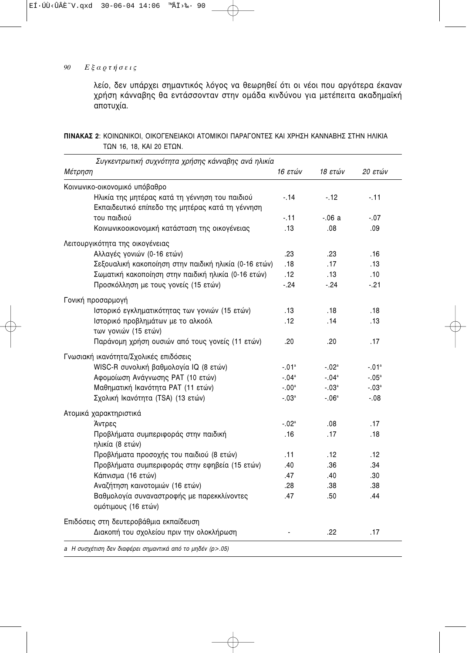λείο, δεν υπάρχει σημαντικός λόγος να θεωρηθεί ότι οι νέοι που αργότερα έκαναν χρήση κάνναβης θα εντάσσονταν στην ομάδα κινδύνου για μετέπειτα ακαδημαική αποτυχία.

| Συγκεντρωτική συχνότητα χρήσης κάνναβης ανά ηλικία<br>Μέτρηση                                      | 16 ετών | 18 ετών | 20 ετών |
|----------------------------------------------------------------------------------------------------|---------|---------|---------|
|                                                                                                    |         |         |         |
| Κοινωνικο-οικονομικό υπόβαθρο                                                                      | $-.14$  | $-.12$  |         |
| Ηλικία της μητέρας κατά τη γέννηση του παιδιού<br>Εκπαιδευτικό επίπεδο της μητέρας κατά τη γέννηση |         |         | $-.11$  |
| του παιδιού                                                                                        | $-11$   | $-06a$  | $-.07$  |
| Κοινωνικοοικονομική κατάσταση της οικογένειας                                                      | .13     | .08     | .09     |
|                                                                                                    |         |         |         |
| Λειτουργικότητα της οικογένειας                                                                    |         |         |         |
| Αλλαγές γονιών (0-16 ετών)                                                                         | .23     | .23     | .16     |
| Σεξουαλική κακοποίηση στην παιδική ηλικία (0-16 ετών)                                              | .18     | .17     | .13     |
| Σωματική κακοποίηση στην παιδική ηλικία (0-16 ετών)                                                | .12     | .13     | .10     |
| Προσκόλληση με τους γονείς (15 ετών)                                                               | $-24$   | $-.24$  | $-.21$  |
| Γονική προσαρμογή                                                                                  |         |         |         |
| Ιστορικό εγκληματικότητας των γονιών (15 ετών)                                                     | .13     | .18     | .18     |
| Ιστορικό προβλημάτων με το αλκοόλ                                                                  | .12     | .14     | .13     |
| των γονιών (15 ετών)                                                                               |         |         |         |
| Παράνομη χρήση ουσιών από τους γονείς (11 ετών)                                                    | .20     | .20     | .17     |
|                                                                                                    |         |         |         |
| Γνωσιακή ικανότητα/Σχολικές επιδόσεις                                                              |         |         |         |
| WISC-R συνολική βαθμολογία IQ (8 ετών)                                                             | $-.01a$ | $-.02a$ | $-.01a$ |
| Αφομοίωση Ανάγνωσης ΡΑΤ (10 ετών)                                                                  | $-.04a$ | $-04^a$ | $-.05a$ |
| Μαθηματική Ικανότητα ΡΑΤ (11 ετών)                                                                 | $-.00a$ | $-.03a$ | $-.03a$ |
| Σχολική Ικανότητα (TSA) (13 ετών)                                                                  | $-03^a$ | $-.06a$ | $-0.08$ |
| Ατομικά χαρακτηριστικά                                                                             |         |         |         |
| Άντρες                                                                                             | $-.02a$ | .08     | .17     |
| Προβλήματα συμπεριφοράς στην παιδική                                                               | .16     | .17     | .18     |
| ηλικία (8 ετών)                                                                                    |         |         |         |
| Προβλήματα προσοχής του παιδιού (8 ετών)                                                           | .11     | .12     | .12     |
| Προβλήματα συμπεριφοράς στην εφηβεία (15 ετών)                                                     | .40     | .36     | .34     |
| Κάπνισμα (16 ετών)                                                                                 | .47     | .40     | .30     |
| Αναζήτηση καινοτομιών (16 ετών)                                                                    | .28     | .38     | .38     |
| Βαθμολογία συναναστροφής με παρεκκλίνοντες                                                         | .47     | .50     | .44     |
| ομότιμους (16 ετών)                                                                                |         |         |         |
| Επιδόσεις στη δευτεροβάθμια εκπαίδευση                                                             |         |         |         |
| Διακοπή του σχολείου πριν την ολοκλήρωση                                                           |         | .22     | .17     |

**ΠΙΝΑΚΑΣ 2: ΚΟΙΝΩΝΙΚΟΙ, ΟΙΚΟΓΕΝΕΙΑΚΟΙ ΑΤΟΜΙΚΟΙ ΠΑΡΑΓΟΝΤΕΣ ΚΑΙ ΧΡΗΣΗ ΚΑΝΝΑΒΗΣ ΣΤΗΝ ΗΛΙΚΙΑ** TøN 16, 18, KAI 20 ETøN.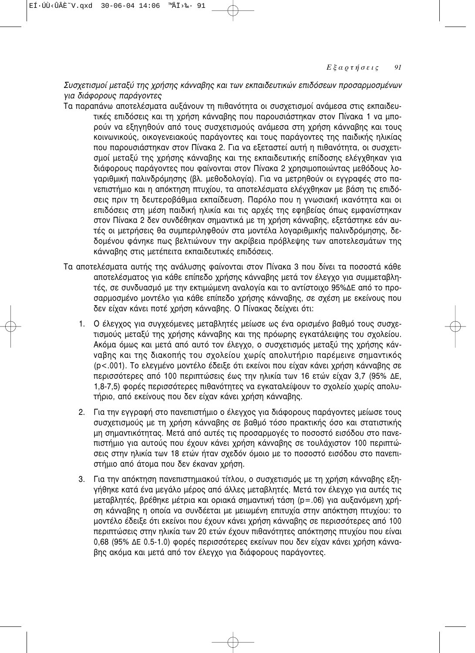Συσχετισμοί μεταξύ της χρήσης κάνναβης και των εκπαιδευτικών επιδόσεων προσαρμοσμένων για διάφορους παράνοντες

- Τα παραπάνω αποτελέσματα αυξάνουν τη πιθανότητα οι συσχετισμοί ανάμεσα στις εκπαιδευτικές επιδόσεις και τη χρήση κάνναβης που παρουσιάστηκαν στον Πίνακα 1 να μπορούν να εξηγηθούν από τους συσχετισμούς ανάμεσα στη χρήση κάνναβης και τους κοινωνικούς, οικογενειακούς παράγοντες και τους παράγοντες της παιδικής ηλικίας που παρουσιάστηκαν στον Πίνακα 2. Για να εξεταστεί αυτή η πιθανότητα, οι συσχετισμοί μεταξύ της χρήσης κάνναβης και της εκπαιδευτικής επίδοσης ελέγχθηκαν για διάφορους παράγοντες που φαίνονται στον Πίνακα 2 χρησιμοποιώντας μεθόδους λογαριθμική παλινδρόμησης (βλ. μεθοδολογία). Για να μετρηθούν οι εγγραφές στο πανεπιστήμιο και η απόκτηση πτυχίου, τα αποτελέσματα ελέγχθηκαν με βάση τις επιδόσεις πριν τη δευτεροβάθμια εκπαίδευση. Παρόλο που η γνωσιακή ικανότητα και οι επιδόσεις στη μέση παιδική ηλικία και τις αρχές της εφηβείας όπως εμφανίστηκαν στον Πίνακα 2 δεν συνδέθηκαν σημαντικά με τη χρήση κάνναβης, εξετάστηκε εάν αυτές οι μετρήσεις θα συμπεριληφθούν στα μοντέλα λογαριθμικής παλινδρόμησης, δεδομένου φάνηκε πως βελτιώνουν την ακρίβεια πρόβλεψης των αποτελεσμάτων της κάνναβης στις μετέπειτα εκπαιδευτικές επιδόσεις.
- Τα αποτελέσματα αυτής της ανάλυσης φαίνονται στον Πίνακα 3 που δίνει τα ποσοστά κάθε αποτελέσματος για κάθε επίπεδο χρήσης κάνναβης μετά τον έλεγχο για συμμεταβλητές, σε συνδυασμό με την εκτιμώμενη αναλογία και το αντίστοιχο 95%ΔΕ από το προσαρμοσμένο μοντέλο για κάθε επίπεδο χρήσης κάνναβης, σε σχέση με εκείνους που δεν είχαν κάνει ποτέ χρήση κάνναβης. Ο Πίνακας δείχνει ότι:
	- 1. Ο έλεγχος για συγχεόμενες μεταβλητές μείωσε ως ένα ορισμένο βαθμό τους συσχετισμούς μεταξύ της χρήσης κάνναβης και της πρόωρης εγκατάλειψης του σχολείου. Ακόμα όμως και μετά από αυτό τον έλεγχο, ο συσχετισμός μεταξύ της χρήσης κάνναβης και της διακοπής του σχολείου χωρίς απολυτήριο παρέμεινε σημαντικός (p<.001). Το ελεγμένο μοντέλο έδειξε ότι εκείνοι που είχαν κάνει χρήση κάνναβης σε περισσότερες από 100 περιπτώσεις έως την ηλικία των 16 ετών είχαν 3,7 (95% ΔΕ, 1,8-7,5) φορές περισσότερες πιθανότητες να εγκαταλείψουν το σχολείο χωρίς απολυτήριο, από εκείνους που δεν είχαν κάνει χρήση κάνναβης.
	- 2. Για την εγγραφή στο πανεπιστήμιο ο έλεγχος για διάφορους παράγοντες μείωσε τους συσχετισμούς με τη χρήση κάνναβης σε βαθμό τόσο πρακτικής όσο και στατιστικής μη σημαντικότητας. Μετά από αυτές τις προσαρμογές το ποσοστό εισόδου στο πανεπιστήμιο για αυτούς που έχουν κάνει χρήση κάνναβης σε τουλάχιστον 100 περιπτώσεις στην ηλικία των 18 ετών ήταν σχεδόν όμοιο με το ποσοστό εισόδου στο πανεπιστήμιο από άτομα που δεν έκαναν χρήση.
	- 3. Για την απόκτηση πανεπιστημιακού τίτλου, ο συσχετισμός με τη χρήση κάνναβης εξηγήθηκε κατά ένα μεγάλο μέρος από άλλες μεταβλητές. Μετά τον έλεγχο για αυτές τις μεταβλητές, βρέθηκε μέτρια και οριακά σημαντική τάση (p=.06) για αυξανόμενη χρήση κάνναβης η οποία να συνδέεται με μειωμένη επιτυχία στην απόκτηση πτυχίου: το μοντέλο έδειξε ότι εκείνοι που έχουν κάνει χρήση κάνναβης σε περισσότερες από 100 περιπτώσεις στην ηλικία των 20 ετών έχουν πιθανότητες απόκτησης πτυχίου που είναι 0,68 (95% ΔΕ 0.5-1.0) φορές περισσότερες εκείνων που δεν είχαν κάνει χρήση κάνναβης ακόμα και μετά από τον έλεγχο για διάφορους παράγοντες.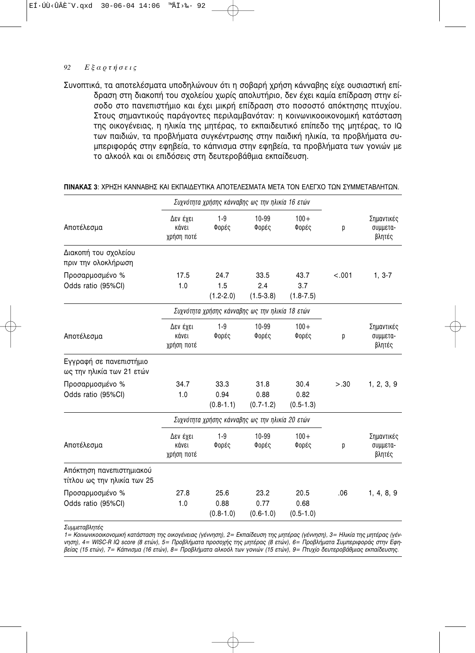Συνοπτικά, τα αποτελέσματα υποδηλώνουν ότι η σοβαρή χρήση κάνναβης είχε ουσιαστική επίδραση στη διακοπή του σχολείου χωρίς απολυτήριο, δεν έχει καμία επίδραση στην είσοδο στο πανεπιστήμιο και έχει μικρή επίδραση στο ποσοστό απόκτησης πτυχίου. Στους σημαντικούς παράγοντες περιλαμβανόταν: η κοινωνικοοικονομική κατάσταση της οικογένειας, η ηλικία της μητέρας, το εκπαιδευτικό επίπεδο της μητέρας, το IQ των παιδιών, τα προβλήματα συγκέντρωσης στην παιδική ηλικία, τα προβλήματα συμπεριφοράς στην εφηβεία, το κάπνισμα στην εφηβεία, τα προβλήματα των γονιών με το αλκοόλ και οι επιδόσεις στη δευτεροβάθμια εκπαίδευση.

|                                                         | Συχνότητα χρήσης κάνναβης ως την ηλικία 16 ετών |                               |                                                 |                               |        |                                  |
|---------------------------------------------------------|-------------------------------------------------|-------------------------------|-------------------------------------------------|-------------------------------|--------|----------------------------------|
| Αποτέλεσμα                                              | Δεν έχει<br>κάνει<br>χρήση ποτέ                 | $1 - 9$<br>Φορές              | 10-99<br>Φορές                                  | $100 +$<br>Φορές              | р      | Σημαντικές<br>συμμετα-<br>βλητές |
| Διακοπή του σχολείου<br>πριν την ολοκλήρωση             |                                                 |                               |                                                 |                               |        |                                  |
| Προσαρμοσμένο %<br>Odds ratio (95%CI)                   | 17.5<br>1.0                                     | 24.7<br>1.5<br>$(1.2 - 2.0)$  | 33.5<br>2.4<br>$(1.5-3.8)$                      | 43.7<br>3.7<br>$(1.8 - 7.5)$  | < .001 | $1, 3-7$                         |
|                                                         |                                                 |                               | Συχνότητα χρήσης κάνναβης ως την ηλικία 18 ετών |                               |        |                                  |
| Αποτέλεσμα                                              | Δεν έχει<br>κάνει<br>χρήση ποτέ                 | $1 - 9$<br>Φορές              | 10-99<br>Φορές                                  | $100 +$<br>Φορές              | p      | Σημαντικές<br>συμμετα-<br>βλητές |
| Εγγραφή σε πανεπιστήμιο<br>ως την ηλικία των 21 ετών    |                                                 |                               |                                                 |                               |        |                                  |
| Προσαρμοσμένο %<br>Odds ratio (95%CI)                   | 34.7<br>1.0                                     | 33.3<br>0.94<br>$(0.8 - 1.1)$ | 31.8<br>0.88<br>$(0.7 - 1.2)$                   | 30.4<br>0.82<br>$(0.5 - 1.3)$ | > .30  | 1, 2, 3, 9                       |
|                                                         |                                                 |                               | Συχνότητα χρήσης κάνναβης ως την ηλικία 20 ετών |                               |        |                                  |
| Αποτέλεσμα                                              | Δεν έχει<br>κάνει<br>χρήση ποτέ                 | $1 - 9$<br>Φορές              | 10-99<br>Φορές                                  | $100 +$<br>Φορές              | р      | Σημαντικές<br>συμμετα-<br>βλητές |
| Απόκτηση πανεπιστημιακού<br>τίτλου ως την ηλικία των 25 |                                                 |                               |                                                 |                               |        |                                  |
| Προσαρμοσμένο %<br>Odds ratio (95%CI)                   | 27.8<br>1.0                                     | 25.6<br>0.88<br>$(0.8 - 1.0)$ | 23.2<br>0.77<br>$(0.6 - 1.0)$                   | 20.5<br>0.68<br>$(0.5 - 1.0)$ | .06    | 1, 4, 8, 9                       |

### **FIINAKAY 3: XPH∑H KANNABH∑ KAI EK∏AI∆EYTIKA A∏OTE∆E∑MATA META TON E∆EΓXO TON ∑YMMETAB∆HTON.**

 $\mathcal{Z}$ *UILLET AB* $\lambda$ *NTÉC* 

1 = Κοινωνικοοικονομική κατάσταση της οικογένειας (γέννηση), 2 = Εκπαίδευση της μητέρας (γέννηση), 3 = Ηλικία της μητέρας (γέννηση), 4= WISC-R IQ score (8 ετών), 5= Προβλήματα προσοχής της μητέρας (8 ετών), 6= Προβλήματα Συμπεριφοράς στην Εφηβείας (15 ετών), 7= Κάπνισμα (16 ετών), 8= Προβλήματα αλκοόλ των γονιών (15 ετών), 9= Πτυχίο δευτεροβάθμιας εκπαίδευσης.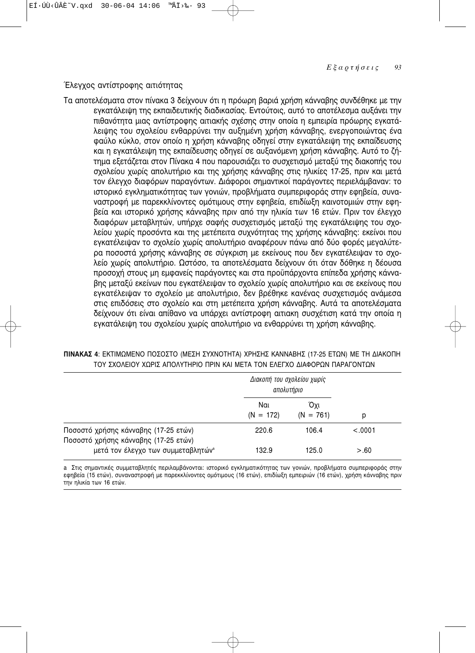Έλεγχος αντίστροφης αιτιότητας

Τα αποτελέσματα στον πίνακα 3 δείχνουν ότι η πρόωρη βαριά χρήση κάνναβης συνδέθηκε με την εγκατάλειψη της εκπαιδευτικής διαδικασίας. Εντούτοις, αυτό το αποτέλεσμα αυξάνει την πιθανότητα μιας αντίστροφης αιτιακής σχέσης στην οποία η εμπειρία πρόωρης εγκατάλειψης του σχολείου ενθαρρύνει την αυξημένη χρήση κάνναβης, ενεργοποιώντας ένα φαύλο κύκλο, στον οποίο η χρήση κάνναβης οδηγεί στην εγκατάλειψη της εκπαίδευσης και η εγκατάλειψη της εκπαίδευσης οδηγεί σε αυξανόμενη χρήση κάνναβης. Αυτό το ζήτημα εξετάζεται στον Πίνακα 4 που παρουσιάζει το συσχετισμό μεταξύ της διακοπής του σχολείου χωρίς απολυτήριο και της χρήσης κάνναβης στις ηλικίες 17-25, πριν και μετά τον έλεγχο διαφόρων παραγόντων. Διάφοροι σημαντικοί παράγοντες περιελάμβαναν: το ιστορικό ενκληματικότητας των γονιών, προβλήματα συμπεριφοράς στην εφηβεία, συναναστροφή με παρεκκλίνοντες ομότιμους στην εφηβεία, επιδίωξη καινοτομιών στην εφηβεία και ιστορικό χρήσης κάνναβης πριν από την ηλικία των 16 ετών. Πριν τον έλεγχο διαφόρων μεταβλητών, υπήρχε σαφής συσχετισμός μεταξύ της ενκατάλειψης του σχολείου χωρίς προσόντα και της μετέπειτα συχνότητας της χρήσης κάνναβης: εκείνοι που εγκατέλειψαν το σχολείο χωρίς απολυτήριο αναφέρουν πάνω από δύο φορές μεγαλύτερα ποσοστά χρήσης κάνναβης σε σύγκριση με εκείνους που δεν εγκατέλειψαν το σχολείο χωρίς απολυτήριο. Ωστόσο, τα αποτελέσματα δείχνουν ότι όταν δόθηκε η δέουσα προσοχή στους μη εμφανείς παράγοντες και στα προϋπάρχοντα επίπεδα χρήσης κάνναβης μεταξύ εκείνων που εγκατέλειψαν το σχολείο χωρίς απολυτήριο και σε εκείνους που εγκατέλειψαν το σχολείο με απολυτήριο, δεν βρέθηκε κανένας συσχετισμός ανάμεσα στις επιδόσεις στο σχολείο και στη μετέπειτα χρήση κάνναβης. Αυτά τα αποτελέσματα δείχνουν ότι είναι απίθανο να υπάρχει αντίστροφη αιτιακη συσχέτιση κατά την οποία η εγκατάλειψη του σχολείου χωρίς απολυτήριο να ενθαρρύνει τη χρήση κάνναβης.

|                                                                              | Διακοπή του σχολείου χωρίς<br>απολυτήριο |                    |         |  |
|------------------------------------------------------------------------------|------------------------------------------|--------------------|---------|--|
|                                                                              | Ναι<br>$(N = 172)$                       | Όχι<br>$(N = 761)$ | р       |  |
| Ποσοστό χρήσης κάνναβης (17-25 ετών)<br>Ποσοστό χρήσης κάνναβης (17-25 ετών) | 220.6                                    | 106.4              | < .0001 |  |
| μετά τον έλεγχο των συμμεταβλητών <sup>a</sup>                               | 132.9                                    | 125.0              | >.60    |  |

### ΠΙΝΑΚΑΣ 4: ΕΚΤΙΜΩΜΕΝΟ ΠΟΣΟΣΤΟ (ΜΕΣΗ ΣΥΧΝΟΤΗΤΑ) ΧΡΗΣΗΣ ΚΑΝΝΑΒΗΣ (17-25 ΕΤΩΝ) ΜΕ ΤΗ ΔΙΑΚΟΠΗ ΤΟΥ ΣΧΟΛΕΙΟΥ ΧΩΡΙΣ ΑΠΟΛΥΤΗΡΙΟ ΠΡΙΝ ΚΑΙ ΜΕΤΑ ΤΟΝ ΕΛΕΓΧΟ ΔΙΑΦΟΡΩΝ ΠΑΡΑΓΟΝΤΩΝ

а Στις σημαντικές συμμεταβλητές περιλαμβάνονται: ιστορικό εγκληματικότητας των γονιών, προβλήματα συμπεριφοράς στην εφηβεία (15 ετών), συναναστροφή με παρεκκλίνοντες ομότιμους (16 ετών), επιδίωξη εμπειριών (16 ετών), χρήση κάνναβης πριν την ηλικία των 16 ετών.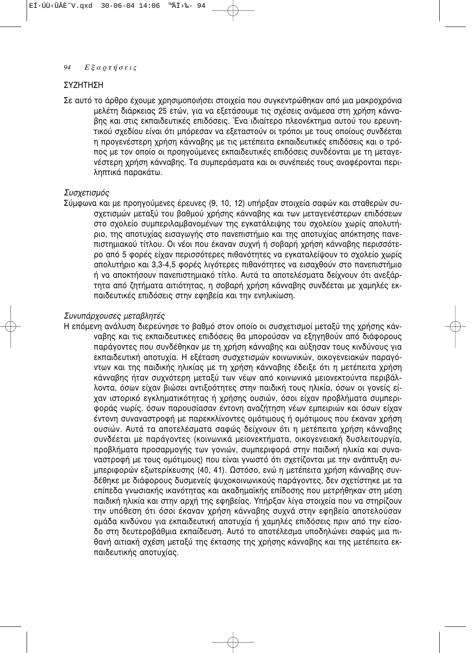# **ΣΥΖΗΤΗΣΗ**

Σε αυτό το άρθρο έχουμε χρησιμοποιήσει στοιχεία που συγκεντρώθηκαν από μια μακροχρόνια μελέτη διάρκειας 25 ετών, για να εξετάσουμε τις σχέσεις ανάμεσα στη χρήση κάνναβης και στις εκπαιδευτικές επιδόσεις. Ένα ιδιαίτερο πλεονέκτημα αυτού του ερευνητικού σχεδίου είναι ότι μπόρεσαν να εξεταστούν οι τρόποι με τους οποίους συνδέεται η προγενέστερη χρήση κάνναβης με τις μετέπειτα εκπαιδευτικές επιδόσεις και ο τρόπος με τον οποίο οι προηνούμενες εκπαιδευτικές επιδόσεις συνδέονται με τη μετανενέστερη χρήση κάνναβης. Τα συμπεράσματα και οι συνέπειές τους αναφέρονται περιληπτικά παρακάτω.

# Συσχετισμός

Σύμφωνα και με προηγούμενες έρευνες (9, 10, 12) υπήρξαν στοιχεία σαφών και σταθερών συσχετισμών μεταξύ του βαθμού χρήσης κάνναβης και των μεταγενέστερων επιδόσεων στο σχολείο συμπεριλαμβανομένων της εγκατάλειψης του σχολείου χωρίς απολυτήριο, της αποτυχίας εισαγωγής στο πανεπιστήμιο και της αποτυχίας απόκτησης πανεπιστημιακού τίτλου. Οι νέοι που έκαναν συχνή ή σοβαρή χρήση κάνναβης περισσότερο από 5 φορές είχαν περισσότερες πιθανότητες να εγκαταλείψουν το σχολείο χωρίς απολυτήριο και 3,3-4,5 φορές λιγότερες πιθανότητες να εισαχθούν στο πανεπιστήμιο ή να αποκτήσουν πανεπιστημιακό τίτλο. Αυτά τα αποτελέσματα δείχνουν ότι ανεξάρτητα από ζητήματα αιτιότητας, η σοβαρή χρήση κάνναβης συνδέεται με χαμηλές εκπαιδευτικές επιδόσεις στην εφηβεία και την ενηλικίωση.

# Συνυπάρχουσες μεταβλητές

Η επόμενη ανάλυση διερεύνησε το βαθμό στον οποίο οι συσχετισμοί μεταξύ της χρήσης κάνvαβης και τις εκπαιδευτικες επιδόσεις θα μπορούσαν να εξηγηθούν από διάφορους παράγοντες που συνδέθηκαν με τη χρήση κάνναβης και αύξησαν τους κινδύνους για εκπαιδευτική αποτυχία. Η εξέταση συσχετισμών κοινωνικών, οικογενειακών παραγόντων και της παιδικής ηλικίας με τη χρήση κάνναβης έδειξε ότι η μετέπειτα χρήση κάνναβης ήταν συχνότερη μεταξύ των νέων από κοινωνικά μειονεκτούντα περιβάλλοντα, όσων είχαν βιώσει αντιξοότητες στην παιδική τους ηλικία, όσων οι γονείς είχαν ιστορικό εγκληματικότητας ή χρήσης ουσιών, όσοι είχαν προβλήματα συμπεριφοράς νωρίς, όσων παρουσίασαν έντονη αναζήτηση νέων εμπειριών και όσων είχαν έντονη συναναστροφή με παρεκκλίνοντες ομότιμους ή ομότιμους που έκαναν χρήση ουσιών. Αυτά τα αποτελέσματα σαφώς δείχνουν ότι η μετέπειτα χρήση κάνναβης συνδέεται με παράγοντες (κοινωνικά μειονεκτήματα, οικογενειακή δυσλειτουργία, προβλήματα προσαρμογής των γονιών, συμπεριφορά στην παιδική ηλικία και συναναστροφή με τους ομότιμους) που είναι γνωστό ότι σχετίζονται με την ανάπτυξη συμπεριφορών εξωτερίκευσης (40, 41). Ωστόσο, ενώ η μετέπειτα χρήση κάνναβης συνδέθηκε με διάφορους δυσμενείς ψυχοκοινωνικούς παράγοντες, δεν σχετίστηκε με τα επίπεδα γνωσιακής ικανότητας και ακαδημαϊκής επίδοσης που μετρήθηκαν στη μέση παιδική ηλικία και στην αρχή της εφηβείας. Υπήρξαν λίγα στοιχεία που να στηρίζουν την υπόθεση ότι όσοι έκαναν χρήση κάνναβης συχνά στην εφηβεία αποτελούσαν ομάδα κινδύνου για εκπαιδευτική αποτυχία ή χαμηλές επιδόσεις πριν από την είσοδο στη δευτεροβάθμια εκπαίδευση. Αυτό το αποτέλεσμα υποδηλώνει σαφώς μια πιθανή αιτιακή σχέση μεταξύ της έκτασης της χρήσης κάνναβης και της μετέπειτα εκπαιδευτικής αποτυχίας.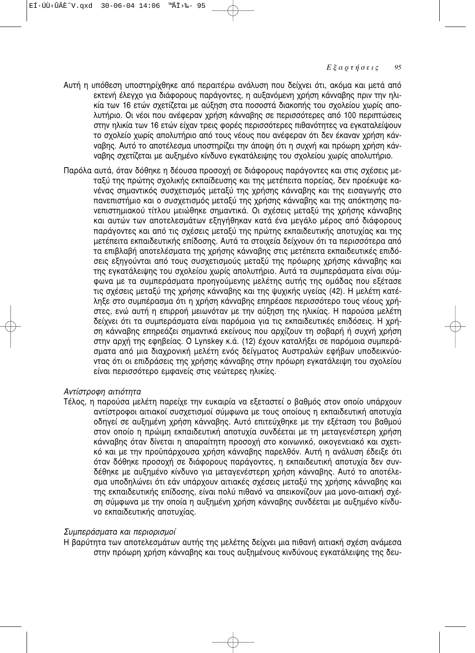- Αυτή η υπόθεση υποστηρίχθηκε από περαιτέρω ανάλυση που δείχνει ότι, ακόμα και μετά από εκτενή έλεγχο για διάφορους παράγοντες, η αυξανόμενη χρήση κάνναβης πριν την ηλικία των 16 ετών σχετίζεται με αύξηση στα ποσοστά διακοπής του σχολείου χωρίς απολυτήριο. Οι νέοι που ανέφεραν χρήση κάνναβης σε περισσότερες από 100 περιπτώσεις στην ηλικία των 16 ετών είχαν τρεις φορές περισσότερες πιθανότητες να ενκαταλείψουν το σχολείο χωρίς απολυτήριο από τους νέους που ανέφεραν ότι δεν έκαναν χρήση κάνναβης. Αυτό το αποτέλεσμα υποστηρίζει την άποψη ότι η συχνή και πρόωρη χρήση κάνναβης σχετίζεται με αυξημένο κίνδυνο εγκατάλειψης του σχολείου χωρίς απολυτήριο.
- Παρόλα αυτά, όταν δόθηκε η δέουσα προσοχή σε διάφορους παράγοντες και στις σχέσεις μεταξύ της πρώτης σχολικής εκπαίδευσης και της μετέπειτα πορείας, δεν προέκυψε κανένας σημαντικός συσχετισμός μεταξύ της χρήσης κάνναβης και της εισαγωγής στο πανεπιστήμιο και ο συσχετισμός μεταξύ της χρήσης κάνναβης και της απόκτησης πανεπιστημιακού τίτλου μειώθηκε σημαντικά. Οι σχέσεις μεταξύ της χρήσης κάνναβης και αυτών των αποτελεσμάτων εξηγήθηκαν κατά ένα μεγάλο μέρος από διάφορους παράγοντες και από τις σχέσεις μεταξύ της πρώτης εκπαιδευτικής αποτυχίας και της μετέπειτα εκπαιδευτικής επίδοσης. Αυτά τα στοιχεία δείχνουν ότι τα περισσότερα από τα επιβλαβή αποτελέσματα της χρήσης κάνναβης στις μετέπειτα εκπαιδευτικές επιδόσεις εξηγούνται από τους συσχετισμούς μεταξύ της πρόωρης χρήσης κάνναβης και της εγκατάλειψης του σχολείου χωρίς απολυτήριο. Αυτά τα συμπεράσματα είναι σύμφωνα με τα συμπεράσματα προηγούμενης μελέτης αυτής της ομάδας που εξέτασε τις σχέσεις μεταξύ της χρήσης κάνναβης και της ψυχικής υγείας (42). Η μελέτη κατέληξε στο συμπέρασμα ότι η χρήση κάνναβης επηρέασε περισσότερο τους νέους χρήστες, ενώ αυτή η επιρροή μειωνόταν με την αύξηση της ηλικίας. Η παρούσα μελέτη δείχνει ότι τα συμπεράσματα είναι παρόμοια για τις εκπαιδευτικές επιδόσεις. Η χρήση κάνναβης επηρεάζει σημαντικά εκείνους που αρχίζουν τη σοβαρή ή συχνή χρήση στην αρχή της εφηβείας. Ο Lynskey κ.ά. (12) έχουν καταλήξει σε παρόμοια συμπεράσματα από μια διαχρονική μελέτη ενός δείγματος Αυστραλών εφήβων υποδεικνύοντας ότι οι επιδράσεις της χρήσης κάνναβης στην πρόωρη εγκατάλειψη του σχολείου είναι περισσότερο εμφανείς στις νεώτερες ηλικίες.

# Αντίστροφη αιτιότητα

Τέλος, η παρούσα μελέτη παρείχε την ευκαιρία να εξεταστεί ο βαθμός στον οποίο υπάρχουν αντίστροφοι αιτιακοί συσχετισμοί σύμφωνα με τους οποίους η εκπαιδευτική αποτυχία οδηγεί σε αυξημένη χρήση κάνναβης. Αυτό επιτεύχθηκε με την εξέταση του βαθμού στον οποίο η πρώιμη εκπαιδευτική αποτυχία συνδέεται με τη μεταγενέστερη χρήση κάνναβης όταν δίνεται η απαραίτητη προσοχή στο κοινωνικό, οικογενειακό και σχετικό και με την προϋπάρχουσα χρήση κάνναβης παρελθόν. Αυτή η ανάλυση έδειξε ότι όταν δόθηκε προσοχή σε διάφορους παράγοντες, η εκπαιδευτική αποτυχία δεν συνδέθηκε με αυξημένο κίνδυνο για μεταγενέστερη χρήση κάνναβης. Αυτό το αποτέλεσμα υποδηλώνει ότι εάν υπάρχουν αιτιακές σχέσεις μεταξύ της χρήσης κάνναβης και της εκπαιδευτικής επίδοσης, είναι πολύ πιθανό να απεικονίζουν μια μονο-αιτιακή σχέση σύμφωνα με την οποία η αυξημένη χρήση κάνναβης συνδέεται με αυξημένο κίνδυνο εκπαιδευτικής αποτυχίας.

# Συμπεράσματα και περιορισμοί

Η βαρύτητα των αποτελεσμάτων αυτής της μελέτης δείχνει μια πιθανή αιτιακή σχέση ανάμεσα στην πρόωρη χρήση κάνναβης και τους αυξημένους κινδύνους εγκατάλειψης της δευ-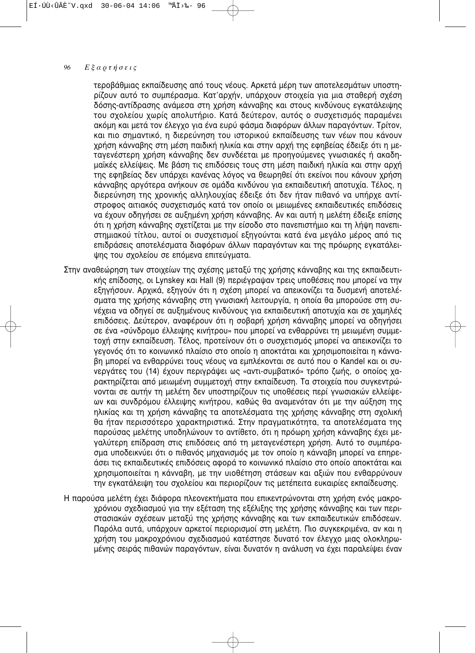τεροβάθμιας εκπαίδευσης από τους νέους. Αρκετά μέρη των αποτελεσμάτων υποστηρίζουν αυτό το συμπέρασμα. Κατ'αρχήν, υπάρχουν στοιχεία για μια σταθερή σχέση δόσης-αντίδρασης ανάμεσα στη χρήση κάνναβης και στους κινδύνους εγκατάλειψης του σχολείου χωρίς απολυτήριο. Κατά δεύτερον, αυτός ο συσχετισμός παραμένει ακόμη και μετά τον έλεγχο για ένα ευρύ φάσμα διαφόρων άλλων παραγόντων. Τρίτον, και πιο σημαντικό, η διερεύνηση του ιστορικού εκπαίδευσης των νέων που κάνουν χρήση κάνναβης στη μέση παιδική ηλικία και στην αρχή της εφηβείας έδειξε ότι η μεταγενέστερη χρήση κάνναβης δεν συνδέεται με προηγούμενες γνωσιακές ή ακαδημαϊκές ελλείψεις. Με βάση τις επιδόσεις τους στη μέση παιδική ηλικία και στην αρχή της εφηβείας δεν υπάρχει κανένας λόγος να θεωρηθεί ότι εκείνοι που κάνουν χρήση κάνναβης αργότερα ανήκουν σε ομάδα κινδύνου για εκπαιδευτική αποτυχία. Τέλος, η διερεύνηση της χρονικής αλληλουχίας έδειξε ότι δεν ήταν πιθανό να υπήρχε αντίστροφος αιτιακός συσχετισμός κατά τον οποίο οι μειωμένες εκπαιδευτικές επιδόσεις να έχουν οδηγήσει σε αυξημένη χρήση κάνναβης. Αν και αυτή η μελέτη έδειξε επίσης ότι η χρήση κάνναβης σχετίζεται με την είσοδο στο πανεπιστήμιο και τη λήψη πανεπιστημιακού τίτλου, αυτοί οι συσχετισμοί εξηγούνται κατά ένα μεγάλο μέρος από τις επιδράσεις αποτελέσματα διαφόρων άλλων παραγόντων και της πρόωρης εγκατάλειψης του σχολείου σε επόμενα επιτεύγματα.

- Στην αναθεώρηση των στοιχείων της σχέσης μεταξύ της χρήσης κάνναβης και της εκπαιδευτικής επίδοσης, οι Lynskey και Hall (9) περιέγραψαν τρεις υποθέσεις που μπορεί να την εξηγήσουν. Αρχικά, εξηγούν ότι η σχέση μπορεί να απεικονίζει τα δυσμενή αποτελέσματα της χρήσης κάνναβης στη γνωσιακή λειτουργία, η οποία θα μπορούσε στη συνέχεια να οδηγεί σε αυξημένους κινδύνους για εκπαιδευτική αποτυχία και σε χαμηλές επιδόσεις. Δεύτερον, αναφέρουν ότι η σοβαρή χρήση κάνναβης μπορεί να οδηγήσει σε ένα «σύνδρομο έλλειψης κινήτρου» που μπορεί να ενθαρρύνει τη μειωμένη συμμετοχή στην εκπαίδευση. Τέλος, προτείνουν ότι ο συσχετισμός μπορεί να απεικονίζει το γεγονός ότι το κοινωνικό πλαίσιο στο οποίο η αποκτάται και χρησιμοποιείται η κάνναβη μπορεί να ενθαρρύνει τους νέους να εμπλέκονται σε αυτό που ο Kandel και οι συνεργάτες του (14) έχουν περιγράψει ως «αντι-συμβατικό» τρόπο ζωής, ο οποίος χαρακτηρίζεται από μειωμένη συμμετοχή στην εκπαίδευση. Τα στοιχεία που συγκεντρώνονται σε αυτήν τη μελέτη δεν υποστηρίζουν τις υποθέσεις περί γνωσιακών ελλείψεων και συνδρόμου έλλειψης κινήτρου, καθώς θα αναμενόταν ότι με την αύξηση της ηλικίας και τη χρήση κάνναβης τα αποτελέσματα της χρήσης κάνναβης στη σχολική θα ήταν περισσότερο χαρακτηριστικά. Στην πραγματικότητα, τα αποτελέσματα της παρούσας μελέτης υποδηλώνουν το αντίθετο, ότι η πρόωρη χρήση κάνναβης έχει μεγαλύτερη επίδραση στις επιδόσεις από τη μεταγενέστερη χρήση. Αυτό το συμπέρασμα υποδεικνύει ότι ο πιθανός μηχανισμός με τον οποίο η κάνναβη μπορεί να επηρεάσει τις εκπαιδευτικές επιδόσεις αφορά το κοινωνικό πλαίσιο στο οποίο αποκτάται και χρησιμοποιείται η κάνναβη, με την υιοθέτηση στάσεων και αξιών που ενθαρρύνουν την εγκατάλειψη του σχολείου και περιορίζουν τις μετέπειτα ευκαιρίες εκπαίδευσης.
- Η παρούσα μελέτη έχει διάφορα πλεονεκτήματα που επικεντρώνονται στη χρήση ενός μακροχρόνιου σχεδιασμού για την εξέταση της εξέλιξης της χρήσης κάνναβης και των περιστασιακών σχέσεων μεταξύ της χρήσης κάνναβης και των εκπαιδευτικών επιδόσεων. Παρόλα αυτά, υπάρχουν αρκετοί περιορισμοί στη μελέτη. Πιο συγκεκριμένα, αν και η χρήση του μακροχρόνιου σχεδιασμού κατέστησε δυνατό τον έλεγχο μιας ολοκληρωμένης σειράς πιθανών παραγόντων, είναι δυνατόν η ανάλυση να έχει παραλείψει έναν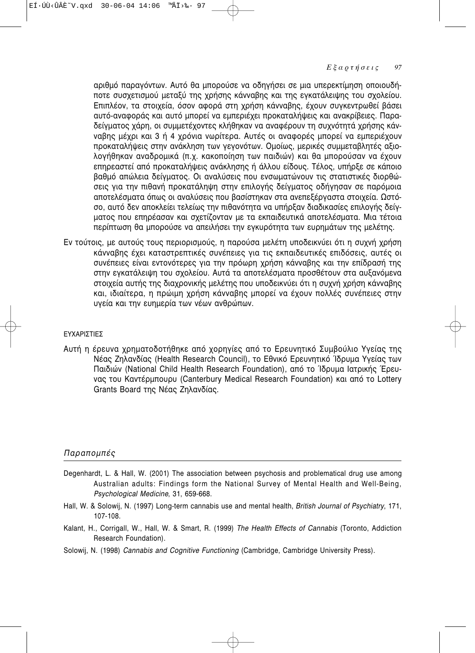αριθμό παραγόντων. Αυτό θα μπορούσε να οδηγήσει σε μια υπερεκτίμηση οποιουδήποτε συσχετισμού μεταξύ της χρήσης κάνναβης και της εγκατάλειψης του σχολείου. Επιπλέον, τα στοιχεία, όσον αφορά στη χρήση κάνναβης, έχουν συνκεντρωθεί βάσει αυτό-αναφοράς και αυτό μπορεί να εμπεριέχει προκαταλήψεις και ανακρίβειες. Παραδείγματος χάρη, οι συμμετέχοντες κλήθηκαν να αναφέρουν τη συχνότητά χρήσης κάνναβης μέχρι και 3 ή 4 χρόνια νωρίτερα. Αυτές οι αναφορές μπορεί να εμπεριέχουν προκαταλήψεις στην ανάκληση των γεγονότων. Ομοίως, μερικές συμμεταβλητές αξιολογήθηκαν αναδρομικά (π.χ. κακοποίηση των παιδιών) και θα μπορούσαν να έχουν επηρεαστεί από προκαταλήψεις ανάκλησης ή άλλου είδους. Τέλος, υπήρξε σε κάποιο βαθμό απώλεια δείγματος. Οι αναλύσεις που ενσωματώνουν τις στατιστικές διορθώσεις για την πιθανή προκατάληψη στην επιλογής δείγματος οδήγησαν σε παρόμοια αποτελέσματα όπως οι αναλύσεις που βασίστηκαν στα ανεπεξέργαστα στοιχεία. Ωστόσο, αυτό δεν αποκλείει τελείως την πιθανότητα να υπήρξαν διαδικασίες επιλογής δείγματος που επηρέασαν και σχετίζονταν με τα εκπαιδευτικά αποτελέσματα. Μια τέτοια περίπτωση θα μπορούσε να απειλήσει την εγκυρότητα των ευρημάτων της μελέτης.

Εν τούτοις, με αυτούς τους περιορισμούς, η παρούσα μελέτη υποδεικνύει ότι η συχνή χρήση κάνναβης έχει καταστρεπτικές συνέπειες για τις εκπαιδευτικές επιδόσεις, αυτές οι συνέπειες είναι εντονότερες για την πρόωρη χρήση κάνναβης και την επίδρασή της στην εγκατάλειψη του σχολείου. Αυτά τα αποτελέσματα προσθέτουν στα αυξανόμενα στοιχεία αυτής της διαχρονικής μελέτης που υποδεικνύει ότι η συχνή χρήση κάνναβης και, ιδιαίτερα, η πρώιμη χρήση κάνναβης μπορεί να έχουν πολλές συνέπειες στην υγεία και την ευημερία των νέων ανθρώπων.

# ΕΥΧΑΡΙΣΤΙΕΣ

Αυτή η έρευνα χρηματοδοτήθηκε από χορηγίες από το Ερευνητικό Συμβούλιο Υγείας της Νέας Ζηλανδίας (Health Research Council), το Εθνικό Ερευνητικό Ίδρυμα Υγείας των Παιδιών (National Child Health Research Foundation), από το Ίδρυμα Ιατρικής Έρευνας του Καντέρμπουρυ (Canterbury Medical Research Foundation) και από το Lottery Grants Board της Νέας Ζηλανδίας.

# Παραπομπές

- Degenhardt, L. & Hall, W. (2001) The association between psychosis and problematical drug use among Australian adults: Findings form the National Survey of Mental Health and Well-Being, Psychological Medicine, 31, 659-668.
- Hall, W. & Solowij, N. (1997) Long-term cannabis use and mental health, British Journal of Psychiatry, 171,  $107 - 108$
- Kalant, H., Corrigall, W., Hall, W. & Smart, R. (1999) The Health Effects of Cannabis (Toronto, Addiction Research Foundation).
- Solowij, N. (1998) Cannabis and Cognitive Functioning (Cambridge, Cambridge University Press).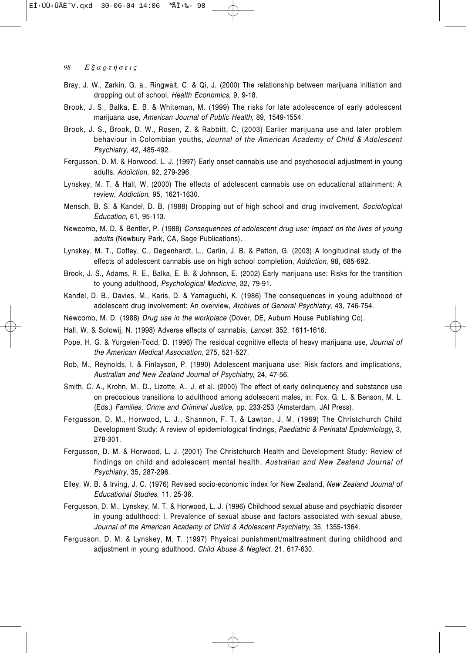- Bray, J. W., Zarkin, G. a., Ringwalt, C. & Qi, J. (2000) The relationship between marijuana initiation and dropping out of school, *Health Economics*, 9, 9-18.
- Brook, J. S., Balka, E. B. & Whiteman, M. (1999) The risks for late adolescence of early adolescent marijuana use, *American Journal of Public Health*, 89, 1549-1554.
- Brook, J. S., Brook, D. W., Rosen, Z. & Rabbitt, C. (2003) Earlier marijuana use and later problem behaviour in Colombian youths, *Journal of the American Academy of Child & Adolescent Psychiatry*, 42, 485-492.
- Fergusson, D. M. & Horwood, L. J. (1997) Early onset cannabis use and psychosocial adjustment in young adults, *Addiction*, 92, 279-296.
- Lynskey, M. T. & Hall, W. (2000) The effects of adolescent cannabis use on educational attainment: A review, *Addiction*, 95, 1621-1630.
- Mensch, B. S. & Kandel, D. B. (1988) Dropping out of high school and drug involvement, *Sociological Education*, 61, 95-113.
- Newcomb, M. D. & Bentler, P. (1988) *Consequences of adolescent drug use: Impact on the lives of young adults* (Newbury Park, CA, Sage Publications).
- Lynskey, M. T., Coffey, C., Degenhardt, L., Carlin, J. B. & Patton, G. (2003) A longitudinal study of the effects of adolescent cannabis use on high school completion, *Addiction*, 98, 685-692.
- Brook, J. S., Adams, R. E., Balka, E. B. & Johnson, E. (2002) Early marijuana use: Risks for the transition to young adulthood, *Psychological Medicine*, 32, 79-91.
- Kandel, D. B., Davies, M., Karis, D. & Yamaguchi, K. (1986) The consequences in young adulthood of adolescent drug involvement: An overview, *Archives of General Psychiatry*, 43, 746-754.
- Newcomb, M. D. (1988) *Drug use in the workplace* (Dover, DE, Auburn House Publishing Co).
- Hall, W. & Solowij, N. (1998) Adverse effects of cannabis, *Lancet*, 352, 1611-1616.
- Pope, H. G. & Yurgelen-Todd, D. (1996) The residual cognitive effects of heavy marijuana use, *Journal of the American Medical Association*, 275, 521-527.
- Rob, M., Reynolds, I. & Finlayson, P. (1990) Adolescent marijuana use: Risk factors and implications, *Australian and New Zealand Journal of Psychiatry*, 24, 47-56.
- Smith, C. A., Krohn, M., D., Lizotte, A., J. et al. (2000) The effect of early delinquency and substance use on precocious transitions to adulthood among adolescent males, in: Fox, G. L. & Benson, M. L. (Eds.) *Families, Crime and Criminal Justice*, pp. 233-253 (Amsterdam, JAI Press).
- Fergusson, D. M., Horwood, L. J., Shannon, F. T. & Lawton, J. M. (1989) The Christchurch Child Development Study: A review of epidemiological findings, *Paediatric & Perinatal Epidemiology*, 3, 278-301.
- Fergusson, D. M. & Horwood, L. J. (2001) The Christchurch Health and Development Study: Review of findings on child and adolescent mental health, *Australian and New Zealand Journal of Psychiatry*, 35, 287-296.
- Elley, W. B. & Irving, J. C. (1976) Revised socio-economic index for New Zealand, *New Zealand Journal of Educational Studies*, 11, 25-36.
- Fergusson, D. M., Lynskey, M. T. & Horwood, L. J. (1996) Childhood sexual abuse and psychiatric disorder in young adulthood: I. Prevalence of sexual abuse and factors associated with sexual abuse, *Journal of the American Academy of Child & Adolescent Psychiatry*, 35, 1355-1364.
- Fergusson, D. M. & Lynskey, M. T. (1997) Physical punishment/maltreatment during childhood and adjustment in young adulthood, *Child Abuse & Neglect*, 21, 617-630.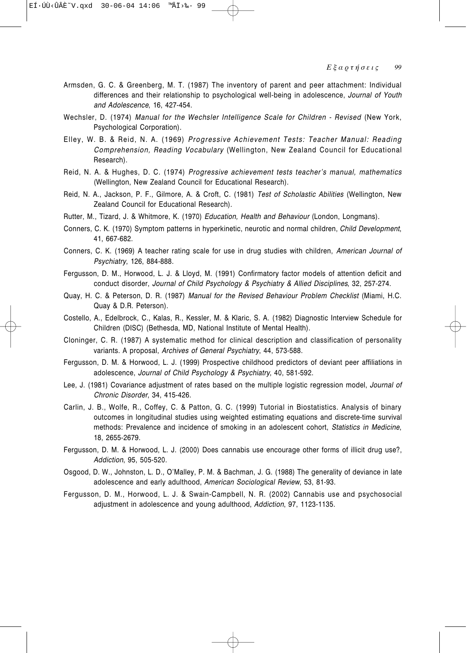- Armsden, G. C. & Greenberg, M. T. (1987) The inventory of parent and peer attachment: Individual differences and their relationship to psychological well-being in adolescence, *Journal of Youth and Adolescence*, 16, 427-454.
- Wechsler, D. (1974) *Manual for the Wechsler Intelligence Scale for Children Revised* (New York, Psychological Corporation).
- Elley, W. B. & Reid, N. A. (1969) *Progressive Achievement Tests: Teacher Manual: Reading Comprehension, Reading Vocabulary* (Wellington, New Zealand Council for Educational Research).
- Reid, N. A. & Hughes, D. C. (1974) *Progressive achievement tests teacher's manual, mathematics* (Wellington, New Zealand Council for Educational Research).
- Reid, N. A., Jackson, P. F., Gilmore, A. & Croft, C. (1981) *Test of Scholastic Abilities* (Wellington, New Zealand Council for Educational Research).
- Rutter, M., Tizard, J. & Whitmore, K. (1970) *Education, Health and Behaviour* (London, Longmans).
- Conners, C. K. (1970) Symptom patterns in hyperkinetic, neurotic and normal children, *Child Development*, 41, 667-682.
- Conners, C. K. (1969) A teacher rating scale for use in drug studies with children, *American Journal of Psychiatry*, 126, 884-888.
- Fergusson, D. M., Horwood, L. J. & Lloyd, M. (1991) Confirmatory factor models of attention deficit and conduct disorder, *Journal of Child Psychology & Psychiatry & Allied Disciplines*, 32, 257-274.
- Quay, H. C. & Peterson, D. R. (1987) *Manual for the Revised Behaviour Problem Checklist* (Miami, H.C. Quay & D.R. Peterson).
- Costello, A., Edelbrock, C., Kalas, R., Kessler, M. & Klaric, S. A. (1982) Diagnostic Interview Schedule for Children (DISC) (Bethesda, MD, National Institute of Mental Health).
- Cloninger, C. R. (1987) A systematic method for clinical description and classification of personality variants. A proposal, *Archives of General Psychiatry*, 44, 573-588.
- Fergusson, D. M. & Horwood, L. J. (1999) Prospective childhood predictors of deviant peer affiliations in adolescence, *Journal of Child Psychology & Psychiatry*, 40, 581-592.
- Lee, J. (1981) Covariance adjustment of rates based on the multiple logistic regression model, *Journal of Chronic Disorder*, 34, 415-426.
- Carlin, J. B., Wolfe, R., Coffey, C. & Patton, G. C. (1999) Tutorial in Biostatistics. Analysis of binary outcomes in longitudinal studies using weighted estimating equations and discrete-time survival methods: Prevalence and incidence of smoking in an adolescent cohort, *Statistics in Medicine*, 18, 2655-2679.
- Fergusson, D. M. & Horwood, L. J. (2000) Does cannabis use encourage other forms of illicit drug use?, *Addiction*, 95, 505-520.
- Osgood, D. W., Johnston, L. D., O'Malley, P. M. & Bachman, J. G. (1988) The generality of deviance in late adolescence and early adulthood, *American Sociological Review*, 53, 81-93.
- Fergusson, D. M., Horwood, L. J. & Swain-Campbell, N. R. (2002) Cannabis use and psychosocial adjustment in adolescence and young adulthood, *Addiction*, 97, 1123-1135.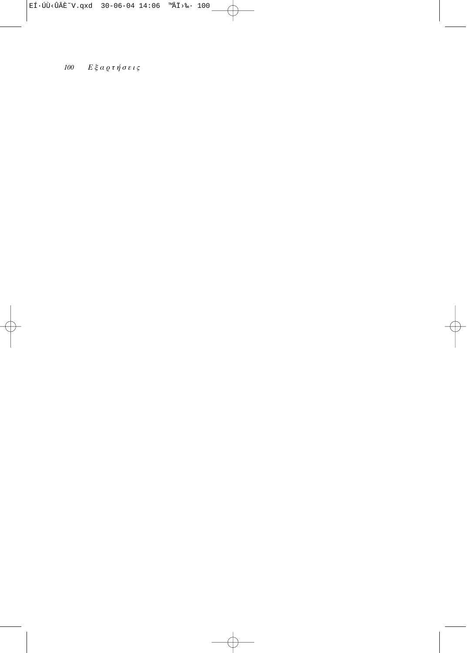$E \xi a \varrho \tau \eta \sigma \varepsilon \iota \varsigma$  ${\it 100}$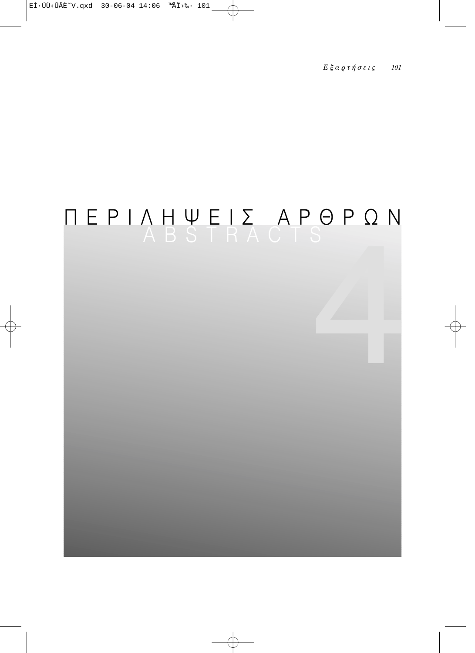# ΠΕΡΙΛΗΨΕΙΣ ΑΡΘΡΩΝ<br>A B S T R A C T S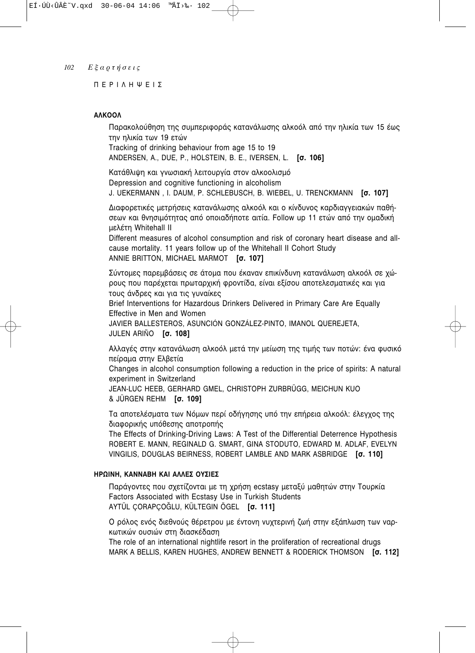ΠΕΡΙΛΗΨΕΙΣ

### ΔΛΚΩΩΛ

Παρακολούθηση της συμπεριφοράς κατανάλωσης αλκοόλ από την ηλικία των 15 έως την ηλικία των 19 ετών

Tracking of drinking behaviour from age 15 to 19 ANDERSEN, A., DUE, P., HOLSTEIN, B. E., IVERSEN, L. [o. 106]

Κατάθλιψη και γνωσιακή λειτουργία στον αλκοολισμό Depression and cognitive functioning in alcoholism J. UEKERMANN, I. DAUM, P. SCHLEBUSCH, B. WIEBEL, U. TRENCKMANN [0. 107]

Διαφορετικές μετρήσεις κατανάλωσης αλκοόλ και ο κίνδυνος καρδιαγγειακών παθήσεων και θνησιμότητας από οποιαδήποτε αιτία. Follow up 11 ετών από την ομαδική μελέτη Whitehall II

Different measures of alcohol consumption and risk of coronary heart disease and allcause mortality. 11 years follow up of the Whitehall II Cohort Study ANNIE BRITTON, MICHAEL MARMOT [o. 107]

Σύντομες παρεμβάσεις σε άτομα που έκαναν επικίνδυνη κατανάλωση αλκοόλ σε χώρους που παρέχεται πρωταρχική φροντίδα, είναι εξίσου αποτελεσματικές και για τους άνδρες και για τις γυναίκες

Brief Interventions for Hazardous Drinkers Delivered in Primary Care Are Equally Effective in Men and Women

JAVIER BALLESTEROS, ASUNCIÓN GONZÁLEZ-PINTO, IMANOL QUEREJETA, JULEN ARIÑO [o. 108]

Αλλαγές στην κατανάλωση αλκοόλ μετά την μείωση της τιμής των ποτών: ένα φυσικό πείραμα στην Ελβετία

Changes in alcohol consumption following a reduction in the price of spirits: A natural experiment in Switzerland

JEAN-LUC HEEB, GERHARD GMEL, CHRISTOPH ZURBRÜGG, MEICHUN KUO & JÜRGEN REHM [o. 109]

Τα αποτελέσματα των Νόμων περί οδήγησης υπό την επήρεια αλκοόλ: έλεγχος της διαφορικής υπόθεσης αποτροπής

The Effects of Drinking-Driving Laws: A Test of the Differential Deterrence Hypothesis ROBERT E. MANN, REGINALD G. SMART, GINA STODUTO, EDWARD M. ADLAF, EVELYN VINGILIS, DOUGLAS BEIRNESS, ROBERT LAMBLE AND MARK ASBRIDGE [0. 110]

# ΗΡΩΙΝΗ, ΚΑΝΝΑΒΗ ΚΑΙ ΑΛΛΕΣ ΟΥΣΙΕΣ

Παράγοντες που σχετίζονται με τη χρήση ecstasy μεταξύ μαθητών στην Τουρκία Factors Associated with Ecstasy Use in Turkish Students AYTÜL ÇORAPÇOĞLU, KÜLTEGIN ÖGEL [0. 111]

Ο ρόλος ενός διεθνούς θέρετρου με έντονη νυχτερινή ζωή στην εξάπλωση των ναρκωτικών ουσιών στη διασκέδαση

The role of an international nightlife resort in the proliferation of recreational drugs MARK A BELLIS, KAREN HUGHES, ANDREW BENNETT & RODERICK THOMSON [0. 112]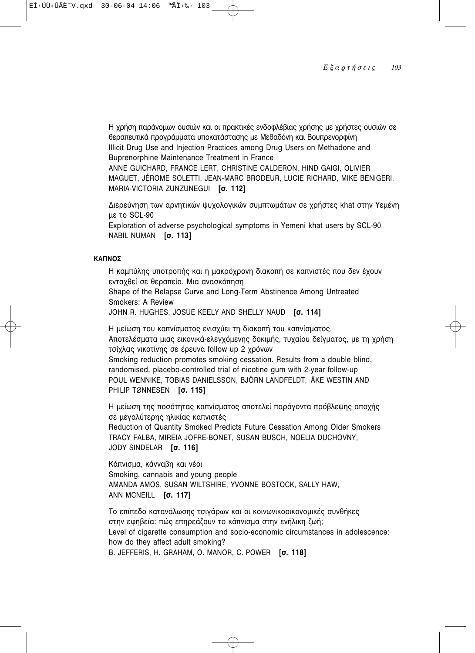Η χρήση παράνομων ουσιών και οι πρακτικές ενδοφλέβιας χρήσης με χρήστες ουσιών σε θεραπευτικά προγράμματα υποκατάστασης με Μεθαδόνη και Βουπρενορφίνη Illicit Drug Use and Injection Practices among Drug Users on Methadone and Buprenorphine Maintenance Treatment in France

ANNE GUICHARD, FRANCE LERT, CHRISTINE CALDERON, HIND GAIGI, OLIVIER MAGUET, JÉROME SOLETTI, JEAN-MARC BRODEUR, LUCIE RICHARD, MIKE BENIGERI, MARIA-VICTORIA ZUNZUNEGUI [o. 112]

Διερεύνηση των αρνητικών ψυχολονικών συμπτωμάτων σε χρήστες khat στην Υεμένη LLE TO SCL-90

Exploration of adverse psychological symptoms in Yemeni khat users by SCL-90 NABIL NUMAN [o. 113]

### ΚΑΠΝΟΣ

Η καμπύλης υποτροπής και η μακρόχρονη διακοπή σε καπνιστές που δεν έχουν ενταχθεί σε θεραπεία. Μια ανασκόπηση

Shape of the Relapse Curve and Long-Term Abstinence Among Untreated Smokers: A Review

JOHN R. HUGHES, JOSUE KEELY AND SHELLY NAUD [0. 114]

Η μείωση του καπνίσματος ενισχύει τη διακοπή του καπνίσματος. Αποτελέσματα μιας εικονικά-ελεγχόμενης δοκιμής, τυχαίου δείγματος, με τη χρήση τσίχλας νικοτίνης σε έρευνα follow up 2 χρόνων Smoking reduction promotes smoking cessation. Results from a double blind, randomised, placebo-controlled trial of nicotine gum with 2-year follow-up POUL WENNIKE, TOBIAS DANIELSSON, BJÖRN LANDFELDT, ÅKE WESTIN AND PHILIP TØNNESEN [o. 115]

Η μείωση της ποσότητας καπνίσματος αποτελεί παράγοντα πρόβλεψης αποχής σε μεγαλύτερης ηλικίας καπνιστές

Reduction of Quantity Smoked Predicts Future Cessation Among Older Smokers TRACY FALBA, MIREIA JOFRE-BONET, SUSAN BUSCH, NOELIA DUCHOVNY, JODY SINDELAR [o. 116]

Κάπνισμα, κάνναβη και νέοι Smoking, cannabis and young people AMANDA AMOS, SUSAN WILTSHIRE, YVONNE BOSTOCK, SALLY HAW, ANN MCNEILL [o. 117]

Το επίπεδο κατανάλωσης τσιγάρων και οι κοινωνικοοικονομικές συνθήκες στην εφηβεία: πώς επηρεάζουν το κάπνισμα στην ενήλικη ζωή; Level of cigarette consumption and socio-economic circumstances in adolescence: how do they affect adult smoking? B. JEFFERIS, H. GRAHAM, O. MANOR, C. POWER [0. 118]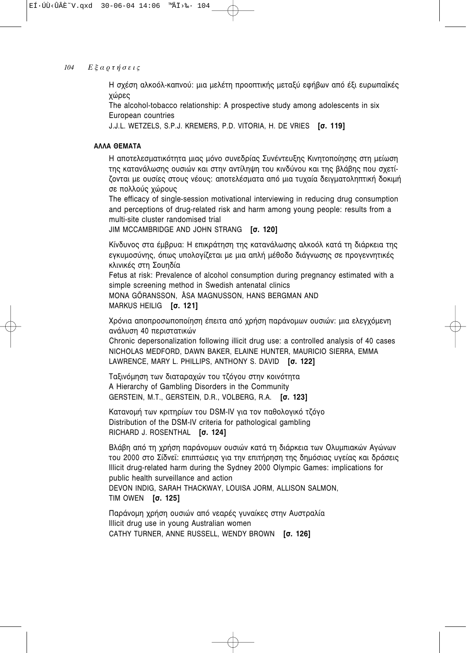### $104$ Εξαρτήσεις

Η σχέση αλκοόλ-καπνού: μια μελέτη προοπτικής μεταξύ εφήβων από έξι ευρωπαϊκές χώρες

The alcohol-tobacco relationship: A prospective study among adolescents in six European countries

J.J.L. WETZELS, S.P.J. KREMERS, P.D. VITORIA, H. DE VRIES [o. 119]

# ΑΛΛΑ ΘΕΜΑΤΑ

Η αποτελεσματικότητα μιας μόνο συνεδρίας Συνέντευξης Κινητοποίησης στη μείωση της κατανάλωσης ουσιών και στην αντίληψη του κινδύνου και της βλάβης που σχετίζονται με ουσίες στους νέους: αποτελέσματα από μια τυχαία δειγματοληπτική δοκιμή σε πολλούς χώρους

The efficacy of single-session motivational interviewing in reducing drug consumption and perceptions of drug-related risk and harm among young people: results from a multi-site cluster randomised trial

JIM MCCAMBRIDGE AND JOHN STRANG [0.120]

Κίνδυνος στα έμβρυα: Η επικράτηση της κατανάλωσης αλκοόλ κατά τη διάρκεια της εγκυμοσύνης, όπως υπολογίζεται με μια απλή μέθοδο διάγνωσης σε προγεννητικές κλινικές στη Σουηδία

Fetus at risk: Prevalence of alcohol consumption during pregnancy estimated with a simple screening method in Swedish antenatal clinics

MONA GÖRANSSON, ÅSA MAGNUSSON, HANS BERGMAN AND MARKUS HEILIG [o. 121]

Χρόνια αποπροσωποποίηση έπειτα από χρήση παράνομων ουσιών: μια ελεγχόμενη ανάλυση 40 περιστατικών

Chronic depersonalization following illicit drug use: a controlled analysis of 40 cases NICHOLAS MEDFORD, DAWN BAKER, ELAINE HUNTER, MAURICIO SIERRA, EMMA LAWRENCE, MARY L. PHILLIPS, ANTHONY S. DAVID [0. 122]

Ταξινόμηση των διαταραχών του τζόγου στην κοινότητα A Hierarchy of Gambling Disorders in the Community GERSTEIN, M.T., GERSTEIN, D.R., VOLBERG, R.A. [o. 123]

Κατανομή των κριτηρίων του DSM-IV για τον παθολογικό τζόγο Distribution of the DSM-IV criteria for pathological gambling RICHARD J. ROSENTHAL [0. 124]

Βλάβη από τη χρήση παράνομων ουσιών κατά τη διάρκεια των Ολυμπιακών Αγώνων του 2000 στο Σίδνεϊ: επιπτώσεις για την επιτήρηση της δημόσιας υγείας και δράσεις Illicit drug-related harm during the Sydney 2000 Olympic Games: implications for public health surveillance and action

DEVON INDIG, SARAH THACKWAY, LOUISA JORM, ALLISON SALMON, TIM OWEN [o. 125]

Παράνομη χρήση ουσιών από νεαρές γυναίκες στην Αυστραλία Illicit drug use in young Australian women CATHY TURNER, ANNE RUSSELL, WENDY BROWN [0. 126]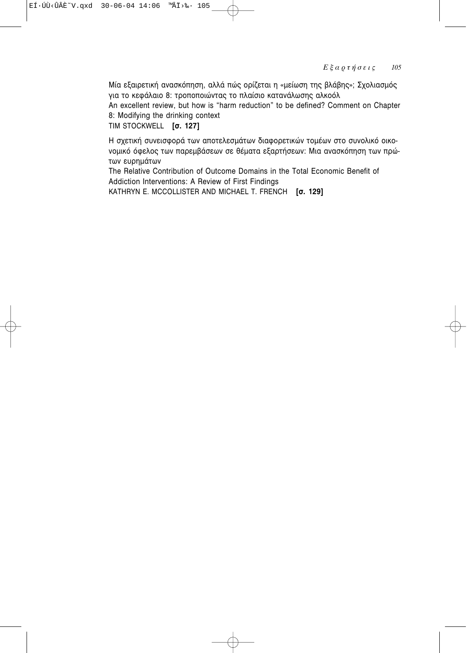Μία εξαιρετική ανασκόπηση, αλλά πώς ορίζεται η «μείωση της βλάβης»; Σχολιασμός για το κεφάλαιο 8: τροποποιώντας το πλαίσιο κατανάλωσης αλκοόλ

An excellent review, but how is "harm reduction" to be defined? Comment on Chapter 8: Modifying the drinking context

TIM STOCKWELL [o. 127]

Η σχετική συνεισφορά των αποτελεσμάτων διαφορετικών τομέων στο συνολικό οικονομικό όφελος των παρεμβάσεων σε θέματα εξαρτήσεων: Μια ανασκόπηση των πρώτων ευρημάτων

The Relative Contribution of Outcome Domains in the Total Economic Benefit of Addiction Interventions: A Review of First Findings

KATHRYN E. MCCOLLISTER AND MICHAEL T. FRENCH [0. 129]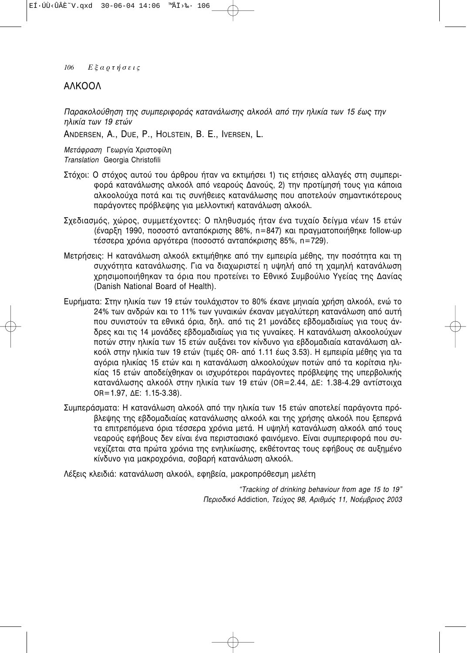# ∞§KOO§

*Παρακολούθηση της συμπεριφοράς κατανάλωσης αλκοόλ από την ηλικία των 15 έως την nλικία των 19 ετών* 

ANDERSEN, A., DUE, P., HOLSTEIN, B. E., IVERSEN, L.

*Μετάφραση* Γεωργία Χριστοφίλη *Translation* Georgia Christofili

- Στόχοι: Ο στόχος αυτού του άρθρου ήταν να εκτιμήσει 1) τις ετήσιες αλλαγές στη συμπεριφορά κατανάλωσης αλκοόλ από νεαρούς Δανούς, 2) την προτίμησή τους για κάποια αλκοολούχα ποτά και τις συνήθειες κατανάλωσης που αποτελούν σημαντικότερους παράγοντες πρόβλεψης για μελλοντική κατανάλωση αλκοόλ.
- Σχεδιασμός, χώρος, συμμετέχοντες: Ο πληθυσμός ήταν ένα τυχαίο δείγμα νέων 15 ετών  $($ έναρξη 1990, ποσοστό ανταπόκρισης 86%, n=847) και πραγματοποιήθηκε follow-up τέσσερα χρόνια αρνότερα (ποσοστό ανταπόκρισης 85%, n=729).
- Μετρήσεις: Η κατανάλωση αλκοόλ εκτιμήθηκε από την εμπειρία μέθης, την ποσότητα και τη συχνότητα κατανάλωσης. Για να διαχωριστεί η υψηλή από τη χαμηλή κατανάλωση χρησιμοποιήθηκαν τα όρια που προτείνει το Εθνικό Συμβούλιο Υγείας της Δανίας (Danish National Board of Health).
- Ευρήματα: Στην ηλικία των 19 ετών τουλάχιστον το 80% έκανε μηνιαία χρήση αλκοόλ, ενώ το 24% των ανδρών και το 11% των γυναικών έκαναν μεγαλύτερη κατανάλωση από αυτή που συνιστούν τα εθνικά όρια, δηλ. από τις 21 μονάδες εβδομαδιαίως για τους άνδρες και τις 14 μονάδες εβδομαδιαίως για τις γυναίκες. Η κατανάλωση αλκοολούχων ποτών στην ηλικία των 15 ετών αυξάνει τον κίνδυνο για εβδομαδιαία κατανάλωση αλ-ΚΟΟλ στην ηλικία των 19 ετών (τιμές OR- από 1.11 έως 3.53). Η εμπειρία μέθης για τα ανόρια ηλικίας 15 ετών και η κατανάλωση αλκοολούχων ποτών από τα κορίτσια ηλικίας 15 ετών αποδείχθηκαν οι ισχυρότεροι παράγοντες πρόβλεψης της υπερβολικής κατανάλωσης αλκοόλ στην ηλικία των 19 ετών (OR=2.44, ΔΕ: 1.38-4.29 αντίστοιχα OR=1.97, ΔE: 1.15-3.38).
- Συμπεράσματα: Η κατανάλωση αλκοόλ από την ηλικία των 15 ετών αποτελεί παράγοντα πρόβλεψης της εβδομαδιαίας κατανάλωσης αλκοόλ και της χρήσης αλκοόλ που ξεπερνά τα επιτρεπόμενα όρια τέσσερα χρόνια μετά. Η υψηλή κατανάλωση αλκοόλ από τους νεαρούς εφήβους δεν είναι ένα περιστασιακό φαινόμενο. Είναι συμπεριφορά που συνεχίζεται στα πρώτα χρόνια της ενηλικίωσης, εκθέτοντας τους εφήβους σε αυξημένο κίνδυνο για μακροχρόνια, σοβαρή κατανάλωση αλκοόλ.

Λέξεις κλειδιά: κατανάλωση αλκοόλ, εφηβεία, μακροπρόθεσμη μελέτη

*"Tracking of drinking behaviour from age 15 to 19"*  $\Pi$ εριοδικό Addiction, *Τεύχος 98, Αριθμός 11, Νοέμβριος 2003*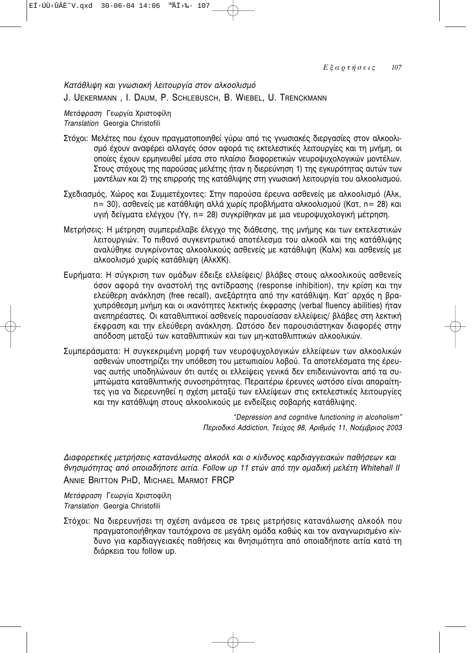*Κατάθλιψη και γνωσιακή λειτουργία στον αλκοολισμό* J. UEKERMANN , I. DAUM, P. SCHLEBUSCH, B. WIEBEL, U. TRENCKMANN

*Μετάφραση* Γεωργία Χριστοφίλη *Translation* Georgia Christofili

- Στόχοι: Μελέτες που έχουν πραγματοποιηθεί γύρω από τις γνωσιακές διεργασίες στον αλκοολισμό έχουν αναφέρει αλλαγές όσον αφορά τις εκτελεστικές λειτουργίες και τη μνήμη, οι οποίες έχουν ερμηνευθεί μέσα στο πλαίσιο διαφορετικών νευροψυχολογικών μοντέλων. Στους στόχους της παρούσας μελέτης ήταν η διερεύνηση 1) της εγκυρότητας αυτών των μοντέλων και 2) της επιρροής της κατάθλιψης στη γνωσιακή λειτουργία του αλκοολισμού.
- Σχεδιασμός, Χώρος και Συμμετέχοντες: Στην παρούσα έρευνα ασθενείς με αλκοολισμό (Αλκ, n= 30), ασθενείς με κατάθλιψη αλλά χωρίς προβλήματα αλκοολισμού (Κατ, n= 28) και υγιή δείγματα ελέγχου (Yy, n= 28) συγκρίθηκαν με μια νευροψυχολογική μέτρηση.
- Μετρήσεις: Η μέτρηση συμπεριέλαβε έλεγχο της διάθεσης, της μνήμης και των εκτελεστικών λειτουργιών. Το πιθανό συγκεντρωτικό αποτέλεσμα του αλκοόλ και της κατάθλιψης αναλύθηκε συγκρίνοντας αλκοολικούς ασθενείς με κατάθλιψη (Καλκ) και ασθενείς με αλκοολισμό χωρίς κατάθλιψη (ΑλκΧΚ).
- Ευρήματα: Η σύγκριση των ομάδων έδειξε ελλείψεις/ βλάβες στους αλκοολικούς ασθενείς όσον αφορά την αναστολή της αντίδρασης (response inhibition), την κρίση και την ελεύθερη ανάκληση (free recall), ανεξάρτητα από την κατάθλιψη. Κατ' αρχάς η βραχυπρόθεσμη μνήμη και οι ικανότητες λεκτικής έκφρασης (verbal fluency abilities) ήταν ανεπηρέαστες. Οι καταθλιπτικοί ασθενείς παρουσίασαν ελλείψεις/ βλάβες στη λεκτική έκφραση και την ελεύθερη ανάκληση. Ωστόσο δεν παρουσιάστηκαν διαφορές στην απόδοση μεταξύ των καταθλιπτικών και των μη-καταθλιπτικών αλκοολικών.
- Συμπεράσματα: Η συγκεκριμένη μορφή των νευροψυχολογικών ελλείψεων των αλκοολικών ασθενών υποστηρίζει την υπόθεση του μετωπιαίου λοβού. Τα αποτελέσματα της έρευνας αυτής υποδηλώνουν ότι αυτές οι ελλείψεις γενικά δεν επιδεινώνονται από τα συμπτώματα καταθλιπτικής συνοσηρότητας. Περαιτέρω έρευνες ωστόσο είναι απαραίτητες για να διερευνηθεί η σχέση μεταξύ των ελλείψεων στις εκτελεστικές λειτουργίες και την κατάθλιψη στους αλκοολικούς με ενδείξεις σοβαρής κατάθλιψης.

*"Depression and cognitive functioning in alcoholism"*  $\Pi$ εριοδικό Addiction, Τεύχος 98, Αριθμός 11, Νοέμβριος 2003

Διαφορετικές μετρήσεις κατανάλωσης αλκοόλ και ο κίνδυνος καρδιαγγειακών παθήσεων και θνησιμότητας από οποιαδήποτε αιτία. Follow up 11 ετών από την ομαδική μελέτη Whitehall II ANNIE BRITTON PHD, MICHAEL MARMOT FRCP

*Μετάφραση* Γεωργία Χριστοφίλη *Translation* Georgia Christofili

Στόχοι: Να διερευνήσει τη σχέση ανάμεσα σε τρεις μετρήσεις κατανάλωσης αλκοόλ που πραγματοποιήθηκαν ταυτόχρονα σε μεγάλη ομάδα καθώς και τον αναγνωρισμένο κίνδυνο για καρδιαγγειακές παθήσεις και θνησιμότητα από οποιαδήποτε αιτία κατά τη διάρκεια του follow up.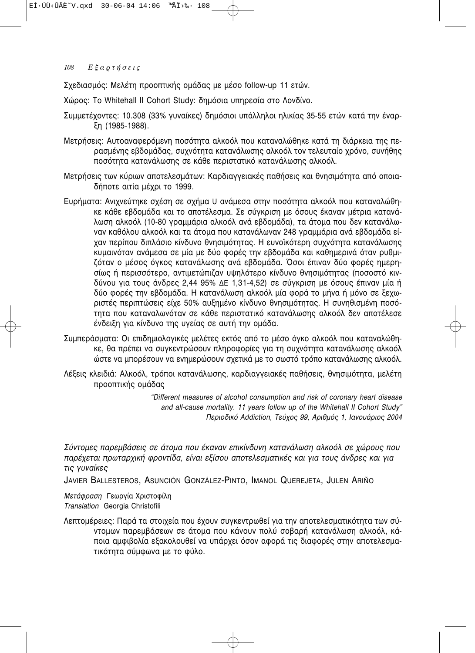Σχεδιασμός: Μελέτη προοπτικής ομάδας με μέσο follow-up 11 ετών.

Χώρος: Το Whitehall II Cohort Study: δημόσια υπηρεσία στο Λονδίνο.

- Συμμετέχοντες: 10.308 (33% γυναίκες) δημόσιοι υπάλληλοι ηλικίας 35-55 ετών κατά την έναρ-En (1985-1988).
- Μετρήσεις: Αυτοαναφερόμενη ποσότητα αλκοόλ που καταναλώθηκε κατά τη διάρκεια της περασμένης εβδομάδας, συχνότητα κατανάλωσης αλκοόλ τον τελευταίο χρόνο, συνήθης ποσότητα κατανάλωσης σε κάθε περιστατικό κατανάλωσης αλκοόλ.
- Μετρήσεις των κύριων αποτελεσμάτων: Καρδιαγγειακές παθήσεις και θνησιμότητα από οποιαδήποτε αιτία μέχρι το 1999.
- Ευρήματα: Ανιχνεύτηκε σχέση σε σχήμα U ανάμεσα στην ποσότητα αλκοόλ που καταναλώθηκε κάθε εβδομάδα και το αποτέλεσμα. Σε σύγκριση με όσους έκαναν μέτρια κατανάλωση αλκοόλ (10-80 γραμμάρια αλκοόλ ανά εβδομάδα), τα άτομα που δεν κατανάλωvαν καθόλου αλκοόλ και τα άτομα που κατανάλωναν 248 γραμμάρια ανά εβδομάδα είχαν περίπου διπλάσιο κίνδυνο θνησιμότητας. Η ευνοϊκότερη συχνότητα κατανάλωσης κυμαινόταν ανάμεσα σε μία με δύο φορές την εβδομάδα και καθημερινά όταν ρυθμιζόταν ο μέσος όγκος κατανάλωσης ανά εβδομάδα. Όσοι έπιναν δύο φορές ημερησίως ή περισσότερο, αντιμετώπιζαν υψηλότερο κίνδυνο θνησιμότητας (ποσοστό κινδύνου για τους άνδρες 2,44 95% ΔΕ 1,31-4,52) σε σύγκριση με όσους έπιναν μία ή δύο φορές την εβδομάδα. Η κατανάλωση αλκοόλ μία φορά το μήνα ή μόνο σε ξεχωριστές περιπτώσεις είχε 50% αυξημένο κίνδυνο θνησιμότητας. Η συνηθισμένη ποσότητα που καταναλωνόταν σε κάθε περιστατικό κατανάλωσης αλκοόλ δεν αποτέλεσε ένδειξη για κίνδυνο της υγείας σε αυτή την ομάδα.
- Συμπεράσματα: Οι επιδημιολογικές μελέτες εκτός από το μέσο όγκο αλκοόλ που καταναλώθηκε, θα πρέπει να συγκεντρώσουν πληροφορίες για τη συχνότητα κατανάλωσης αλκοόλ ώστε να μπορέσουν να ενημερώσουν σχετικά με το σωστό τρόπο κατανάλωσης αλκοόλ.
- Λέξεις κλειδιά: Αλκοόλ, τρόποι κατανάλωσης, καρδιαγγειακές παθήσεις, θνησιμότητα, μελέτη προοπτικής ομάδας

*"Different measures of alcohol consumption and risk of coronary heart disease and all-cause mortality. 11 years follow up of the Whitehall II Cohort Study"* Περιοδικό Addiction, Τεύχος 99, Αριθμός 1, Ιανουάριος 2004

Σύντομες παρεμβάσεις σε άτομα που έκαναν επικίνδυνη κατανάλωση αλκοόλ σε χώρους που rαρέχεται πρωταρχική φροντίδα, είναι εξίσου αποτελεσματικές και για τους άνδρες και για *τις γυναίκες* 

JAVIER BALLESTEROS, ASUNCIÓN GONZÁLEZ-PINTO, IMANOL QUEREJETA, JULEN ARIÑO

*Μετάφραση* Γεωργία Χριστοφίλη *Translation* Georgia Christofili

Δεπτομέρειες: Παρά τα στοιχεία που έχουν συγκεντρωθεί για την αποτελεσματικότητα των σύντομων παρεμβάσεων σε άτομα που κάνουν πολύ σοβαρή κατανάλωση αλκοόλ, κάποια αμφιβολία εξακολουθεί να υπάρχει όσον αφορά τις διαφορές στην αποτελεσματικότητα σύμφωνα με το φύλο.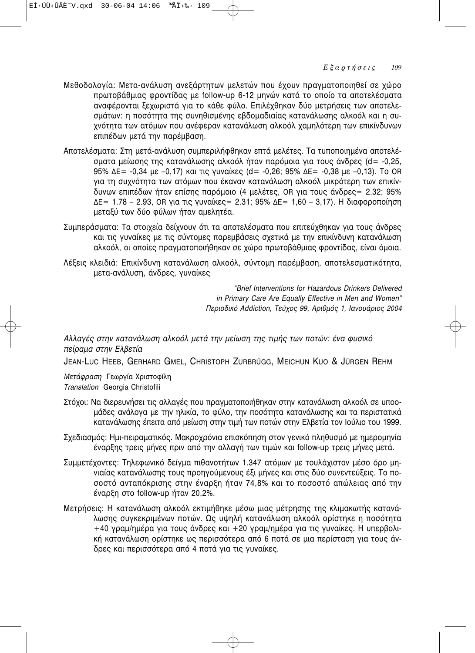- Μεθοδολογία: Μετα-ανάλυση ανεξάρτητων μελετών που έχουν πραγματοποιηθεί σε χώρο πρωτοβάθμιας φροντίδας με follow-up 6-12 μηνών κατά το οποίο τα αποτελέσματα αναφέρονται ξεχωριστά για το κάθε φύλο. Επιλέχθηκαν δύο μετρήσεις των αποτελεσμάτων: η ποσότητα της συνηθισμένης εβδομαδιαίας κατανάλωσης αλκοόλ και η συχνότητα των ατόμων που ανέφεραν κατανάλωση αλκοόλ χαμηλότερη των επικίνδυνων επιπέδων μετά την παρέμβαση.
- Αποτελέσματα: Στη μετά-ανάλυση συμπεριλήφθηκαν επτά μελέτες. Τα τυποποιημένα αποτελέσματα μείωσης της κατανάλωσης αλκοόλ ήταν παρόμοια για τους άνδρες (d= -0,25, 95%  $ΔE = -0.34$  με  $-0.17$ ) και τις γυναίκες (d= -0,26; 95%  $ΔE = -0.38$  με  $-0.13$ ). Το OR για τη συχνότητα των ατόμων που έκαναν κατανάλωση αλκοόλ μικρότερη των επικίνδυνων επιπέδων ήταν επίσης παρόμοιο (4 μελέτες, OR για τους άνδρες= 2.32; 95% ΔΕ= 1.78 – 2.93, ΟR για τις γυναίκες= 2.31; 95% ΔΕ= 1,60 – 3,17). Η διαφοροποίηση μεταξύ των δύο φύλων ήταν αμελητέα.
- Συμπεράσματα: Τα στοιχεία δείχνουν ότι τα αποτελέσματα που επιτεύχθηκαν για τους άνδρες και τις γυναίκες με τις σύντομες παρεμβάσεις σχετικά με την επικίνδυνη κατανάλωση αλκοόλ, οι οποίες πραγματοποιήθηκαν σε χώρο πρωτοβάθμιας φροντίδας, είναι όμοια.
- Λέξεις κλειδιά: Επικίνδυνη κατανάλωση αλκοόλ, σύντομη παρέμβαση, αποτελεσματικότητα, μετα-ανάλυση, άνδρες, γυναίκες

*"Brief Interventions for Hazardous Drinkers Delivered in Primary Care Are Equally Effective in Men and Women"* Περιοδικό Addiction, Τεύχος 99, Αριθμός 1, Ιανουάριος 2004

*Aλλαγές στην κατανάλωση αλκοόλ μετά την μείωση της τιμής των ποτών: ένα φυσικό* πείραμα στην Ελβετία

JEAN-LUC HEEB, GERHARD GMEL, CHRISTOPH ZURBRÜGG, MEICHUN KUO & JÜRGEN REHM

*Μετάφραση* Γεωργία Χριστοφίλη *Translation* Georgia Christofili

- Στόχοι: Να διερευνήσει τις αλλαγές που πραγματοποιήθηκαν στην κατανάλωση αλκοόλ σε υποομάδες ανάλογα με την ηλικία, το φύλο, την ποσότητα κατανάλωσης και τα περιστατικά κατανάλωσης έπειτα από μείωση στην τιμή των ποτών στην Ελβετία τον Ιούλιο του 1999.
- Σχεδιασμός: Ημι-πειραματικός. Μακροχρόνια επισκόπηση στον γενικό πληθυσμό με ημερομηνία έναρξης τρεις μήνες πριν από την αλλαγή των τιμών και follow-up τρεις μήνες μετά.
- Συμμετέχοντες: Τηλεφωνικό δείγμα πιθανοτήτων 1.347 ατόμων με τουλάχιστον μέσο όρο μηνιαίας κατανάλωσης τους προηγούμενους έξι μήνες και στις δύο συνεντεύξεις. Το ποσοστό ανταπόκρισης στην έναρξη ήταν 74,8% και το ποσοστό απώλειας από την έναρξη στο follow-up ήταν 20,2%.
- Μετρήσεις: Η κατανάλωση αλκοόλ εκτιμήθηκε μέσω μιας μέτρησης της κλιμακωτής κατανάλωσης συγκεκριμένων ποτών. Ως υψηλή κατανάλωση αλκοόλ ορίστηκε η ποσότητα +40 γραμ/ημέρα για τους άνδρες και +20 γραμ/ημέρα για τις γυναίκες. Η υπερβολική κατανάλωση ορίστηκε ως περισσότερα από 6 ποτά σε μια περίσταση για τους άνδρες και περισσότερα από 4 ποτά για τις γυναίκες.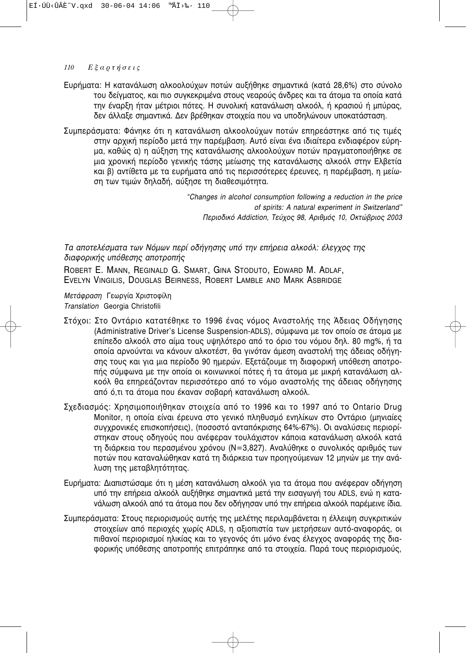- Ευρήματα: Η κατανάλωση αλκοολούχων ποτών αυξήθηκε σημαντικά (κατά 28,6%) στο σύνολο του δείγματος, και πιο συγκεκριμένα στους νεαρούς άνδρες και τα άτομα τα οποία κατά την έναρξη ήταν μέτριοι πότες. Η συνολική κατανάλωση αλκοόλ, ή κρασιού ή μπύρας. δεν άλλαξε σημαντικά. Δεν βρέθηκαν στοιχεία που να υποδηλώνουν υποκατάσταση.
- Συμπεράσματα: Φάνηκε ότι η κατανάλωση αλκοολούχων ποτών επηρεάστηκε από τις τιμές στην αρχική περίοδο μετά την παρέμβαση. Αυτό είναι ένα ιδιαίτερα ενδιαφέρον εύρημα, καθώς α) η αύξηση της κατανάλωσης αλκοολούχων ποτών πραγματοποιήθηκε σε μια χρονική περίοδο γενικής τάσης μείωσης της κατανάλωσης αλκοόλ στην Ελβετία και β) αντίθετα με τα ευρήματα από τις περισσότερες έρευνες, η παρέμβαση, η μείωση των τιμών δηλαδή, αύξησε τη διαθεσιμότητα.

*"Changes in alcohol consumption following a reduction in the price of spirits: A natural experiment in Switzerland"* Περιοδικό Addiction, Τεύχος 98, Αριθμός 10, Οκτώβριος 2003

*Τα αποτελέσματα των Νόμων περί οδήγησης υπό την επήρεια αλκοόλ: έλεγχος της* διαφορικής υπόθεσης αποτροπής

ROBERT E. MANN, REGINALD G. SMART, GINA STODUTO, EDWARD M. ADLAF, EVELYN VINGILIS, DOUGLAS BEIRNESS, ROBERT LAMBLE AND MARK ASBRIDGE

*Μετάφραση* Γεωργία Χριστοφίλη *Translation* Georgia Christofili

- Στόχοι: Στο Οντάριο κατατέθηκε το 1996 ένας νόμος Αναστολής της Άδειας Οδήγησης (Administrative Driver's License Suspension-ADLS), σύμφωνα με τον οποίο σε άτομα με επίπεδο αλκοόλ στο αίμα τους υψηλότερο από το όριο του νόμου δηλ. 80 mg%, ή τα οποία αρνούνται να κάνουν αλκοτέστ, θα γινόταν άμεση αναστολή της άδειας οδήγησης τους και για μια περίοδο 90 ημερών. Εξετάζουμε τη διαφορική υπόθεση αποτροπής σύμφωνα με την οποία οι κοινωνικοί πότες ή τα άτομα με μικρή κατανάλωση αλκοόλ θα επηρεάζονταν περισσότερο από το νόμο αναστολής της άδειας οδήγησης από ό,τι τα άτομα που έκαναν σοβαρή κατανάλωση αλκοόλ.
- Σχεδιασμός: Χρησιμοποιήθηκαν στοιχεία από το 1996 και το 1997 από το Ontario Drug Monitor, η οποία είναι έρευνα στο γενικό πληθυσμό ενηλίκων στο Οντάριο (μηνιαίες συγχρονικές επισκοπήσεις), (ποσοστό ανταπόκρισης 64%-67%). Οι αναλύσεις περιορίστηκαν στους οδηγούς που ανέφεραν τουλάχιστον κάποια κατανάλωση αλκοόλ κατά τη διάρκεια του περασμένου χρόνου (N=3,827). Αναλύθηκε ο συνολικός αριθμός των ποτών που καταναλώθηκαν κατά τη διάρκεια των προηγούμενων 12 μηνών με την ανάλυση της μεταβλητότητας.
- Ευρήματα: Διαπιστώσαμε ότι η μέση κατανάλωση αλκοόλ για τα άτομα που ανέφεραν οδήγηση υπό την επήρεια αλκοόλ αυξήθηκε σημαντικά μετά την εισαγωγή του ADLS, ενώ η κατανάλωση αλκοόλ από τα άτομα που δεν οδήγησαν υπό την επήρεια αλκοόλ παρέμεινε ίδια.
- Συμπεράσματα: Στους περιορισμούς αυτής της μελέτης περιλαμβάνεται η έλλειψη συγκριτικών στοιχείων από περιοχές χωρίς ADLS, η αξιοπιστία των μετρήσεων αυτό-αναφοράς, οι πιθανοί περιορισμοί ηλικίας και το γεγονός ότι μόνο ένας έλεγχος αναφοράς της διαφορικής υπόθεσης αποτροπής επιτράπηκε από τα στοιχεία. Παρά τους περιορισμούς,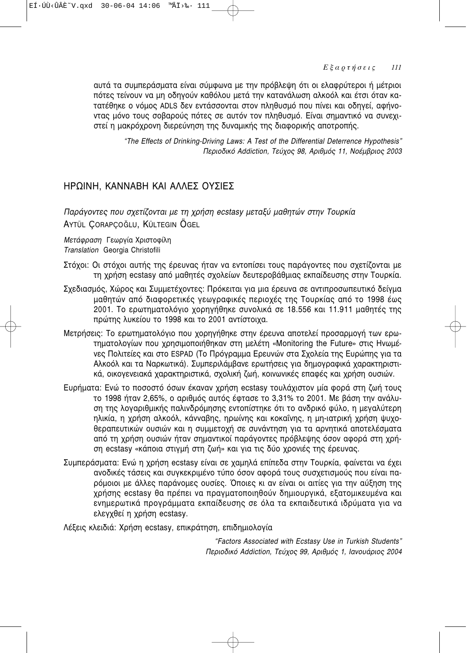αυτά τα συμπεράσματα είναι σύμφωνα με την πρόβλεψη ότι οι ελαφρύτεροι ή μέτριοι πότες τείνουν να μη οδηγούν καθόλου μετά την κατανάλωση αλκοόλ και έτσι όταν κατατέθηκε ο νόμος ADLS δεν εντάσσονται στον πληθυσμό που πίνει και οδηνεί, αφήνοντας μόνο τους σοβαρούς πότες σε αυτόν τον πληθυσμό. Είναι σημαντικό να συνεχιστεί η μακρόχρονη διερεύνηση της δυναμικής της διαφορικής αποτροπής.

"The Effects of Drinking-Driving Laws: A Test of the Differential Deterrence Hypothesis" Περιοδικό Addiction, Τεύχος 98, Αριθμός 11, Νοέμβριος 2003

# ΗΡΩΙΝΗ, ΚΑΝΝΑΒΗ ΚΑΙ ΑΛΛΕΣ ΟΥΣΙΕΣ

Παράγοντες που σχετίζονται με τη χρήση ecstasy μεταξύ μαθητών στην Τουρκία AYTÜL CORAPCOĞLU. KÜLTEGIN ÖGEL

Μετάφραση Γεωργία Χριστοφίλη Translation Georgia Christofili

- Στόχοι: Οι στόχοι αυτής της έρευνας ήταν να εντοπίσει τους παράνοντες που σχετίζονται με τη χρήση ecstasy από μαθητές σχολείων δευτεροβάθμιας εκπαίδευσης στην Τουρκία.
- Σχεδιασμός, Χώρος και Συμμετέχοντες: Πρόκειται για μια έρευνα σε αντιπροσωπευτικό δείγμα μαθητών από διαφορετικές γεωγραφικές περιοχές της Τουρκίας από το 1998 έως 2001. Το ερωτηματολόγιο χορηγήθηκε συνολικά σε 18.556 και 11.911 μαθητές της πρώτης λυκείου το 1998 και το 2001 αντίστοιχα.
- Μετρήσεις: Το ερωτηματολόγιο που χορηγήθηκε στην έρευνα αποτελεί προσαρμογή των ερωτηματολογίων που χρησιμοποιήθηκαν στη μελέτη «Monitoring the Future» στις Ηνωμένες Πολιτείες και στο ESPAD (Το Πρόνραμμα Ερευνών στα Σχολεία της Ευρώπης για τα Αλκοόλ και τα Ναρκωτικά). Συμπεριλάμβανε ερωτήσεις για δημογραφικά χαρακτηριστικά, οικογενειακά χαρακτηριστικά, σχολική ζωή, κοινωνικές επαφές και χρήση ουσιών.
- Ευρήματα: Ενώ το ποσοστό όσων έκαναν χρήση ecstasy τουλάχιστον μία φορά στη ζωή τους το 1998 ήταν 2,65%, ο αριθμός αυτός έφτασε το 3,31% το 2001. Με βάση την ανάλυση της λογαριθμικής παλινδρόμησης εντοπίστηκε ότι το ανδρικό φύλο, η μεγαλύτερη ηλικία, η χρήση αλκοόλ, κάνναβης, ηρωίνης και κοκαΐνης, η μη-ιατρική χρήση ψυχοθεραπευτικών ουσιών και η συμμετοχή σε συνάντηση για τα αρνητικά αποτελέσματα από τη χρήση ουσιών ήταν σημαντικοί παράγοντες πρόβλεψης όσον αφορά στη χρήση ecstasy «κάποια στιγμή στη ζωή» και για τις δύο χρονιές της έρευνας.
- Συμπεράσματα: Ενώ η χρήση ecstasy είναι σε χαμηλά επίπεδα στην Τουρκία, φαίνεται να έχει ανοδικές τάσεις και συγκεκριμένο τύπο όσον αφορά τους συσχετισμούς που είναι παρόμοιοι με άλλες παράνομες ουσίες. Όποιες κι αν είναι οι αιτίες για την αύξηση της χρήσης ecstasy θα πρέπει να πραγματοποιηθούν δημιουργικά, εξατομικευμένα και ενημερωτικά προγράμματα εκπαίδευσης σε όλα τα εκπαιδευτικά ιδρύματα για να ελεγχθεί η χρήση ecstasy.

Λέξεις κλειδιά: Χρήση ecstasy, επικράτηση, επιδημιολογία

"Factors Associated with Ecstasy Use in Turkish Students" Περιοδικό Addiction, Τεύχος 99, Αριθμός 1, Ιανουάριος 2004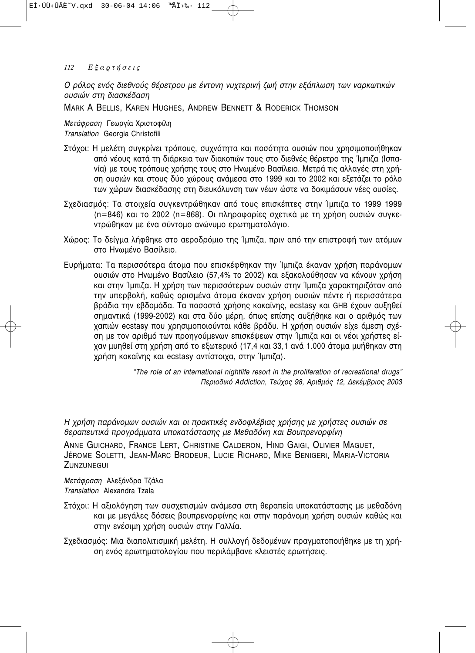Ο ρόλος ενός διεθνούς θέρετρου με έντονη νυχτερινή ζωή στην εξάπλωση των ναρκωτικών ουσιών στη διασκέδαση

MARK A BELLIS, KAREN HUGHES, ANDREW BENNETT & RODERICK THOMSON

*Μετάφραση* Γεωργία Χριστοφίλη *Translation* Georgia Christofili

- Στόχοι: Η μελέτη συγκρίνει τρόπους, συχνότητα και ποσότητα ουσιών που χρησιμοποιήθηκαν από νέους κατά τη διάρκεια των διακοπών τους στο διεθνές θέρετρο της Ίμπιζα (Ισπανία) με τους τρόπους χρήσης τους στο Ηνωμένο Βασίλειο. Μετρά τις αλλαγές στη χρήση ουσιών και στους δύο χώρους ανάμεσα στο 1999 και το 2002 και εξετάζει το ρόλο των χώρων διασκέδασης στη διευκόλυνση των νέων ώστε να δοκιμάσουν νέες ουσίες.
- Σχεδιασμός: Τα στοιχεία συγκεντρώθηκαν από τους επισκέπτες στην Ίμπιζα το 1999 1999  $(n=846)$  και το 2002 (n=868). Οι πληροφορίες σχετικά με τη χρήση ουσιών συγκεντρώθηκαν με ένα σύντομο ανώνυμο ερωτηματολόγιο.
- Χώρος: Το δείγμα λήφθηκε στο αεροδρόμιο της Ίμπιζα, πριν από την επιστροφή των ατόμων στο Ηνωμένο Βασίλειο.
- Ευρήματα: Τα περισσότερα άτομα που επισκέφθηκαν την Ίμπιζα έκαναν χρήση παράνομων ουσιών στο Ηνωμένο Βασίλειο (57,4% το 2002) και εξακολούθησαν να κάνουν χρήση και στην Ίμπιζα. Η χρήση των περισσότερων ουσιών στην Ίμπιζα χαρακτηριζόταν από την υπερβολή, καθώς ορισμένα άτομα έκαναν χρήση ουσιών πέντε ή περισσότερα βράδια την εβδομάδα. Τα ποσοστά χρήσης κοκαΐνης, ecstasy και GHB έχουν αυξηθεί σημαντικά (1999-2002) και στα δύο μέρη, όπως επίσης αυξήθηκε και ο αριθμός των χαπιών ecstasy που χρησιμοποιούνται κάθε βράδυ. Η χρήση ουσιών είχε άμεση σχέση με τον αριθμό των προηγούμενων επισκέψεων στην Ίμπιζα και οι νέοι χρήστες είγαν μυηθεί στη χρήση από το εξωτερικό (17,4 και 33,1 ανά 1.000 άτομα μυήθηκαν στη χρήση κοκαΐνης και ecstasy αντίστοιχα, στην Ίμπιζα).

*"The role of an international nightlife resort in the proliferation of recreational drugs"* Περιοδικό Addiction, Τεύχος 98, Αριθμός 12, Δεκέμβριος 2003

*Η χρήση παράνομων ουσιών και οι πρακτικές ενδοφλέβιας χρήσης με χρήστες ουσιών σε* θεραπευτικά προγράμματα υποκατάστασης με Μεθαδόνη και Βουπρενορφίνη

ANNE GUICHARD, FRANCE LERT, CHRISTINE CALDERON, HIND GAIGI, OLIVIER MAGUET, JÉROME SOLETTI, JEAN-MARC BRODEUR, LUCIE RICHARD, MIKE BENIGERI, MARIA-VICTORIA **ZUNZUNEGUI** 

- Στόχοι: Η αξιολόγηση των συσχετισμών ανάμεσα στη θεραπεία υποκατάστασης με μεθαδόνη και με μεγάλες δόσεις βουπρενορφίνης και στην παράνομη χρήση ουσιών καθώς και στην ενέσιμη χρήση ουσιών στην Γαλλία.
- Σχεδιασμός: Μια διαπολιτισμική μελέτη. Η συλλογή δεδομένων πραγματοποιήθηκε με τη χρήση ενός ερωτηματολογίου που περιλάμβανε κλειστές ερωτήσεις.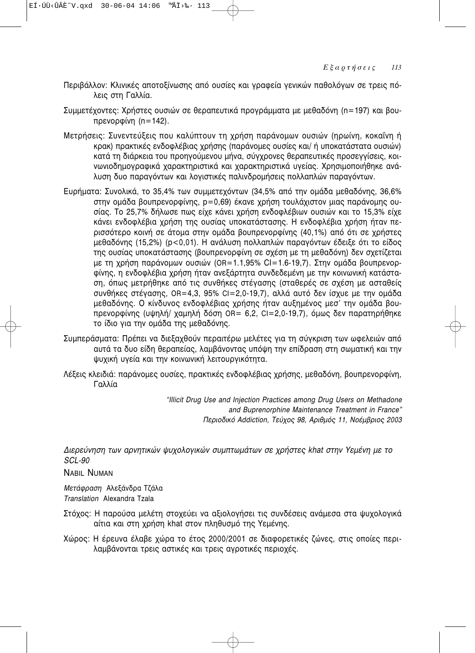- Περιβάλλον: Κλινικές αποτοξίνωσης από ουσίες και γραφεία γενικών παθολόγων σε τρεις πόλεις στη Γαλλία.
- Συμμετέχοντες: Χρήστες ουσιών σε θεραπευτικά προγράμματα με μεθαδόνη (n=197) και βου- $\pi$ ρενορφίνη (n=142).
- Μετρήσεις: Συνεντεύξεις που καλύπτουν τη χρήση παράνομων ουσιών (ηρωίνη, κοκαΐνη ή κρακ) πρακτικές ενδοφλέβιας χρήσης (παράνομες ουσίες και/ ή υποκατάστατα ουσιών) κατά τη διάρκεια του προηγούμενου μήνα, σύγχρονες θεραπευτικές προσεγγίσεις, κοινωνιοδημογραφικά χαρακτηριστικά και χαρακτηριστικά υγείας. Χρησιμοποιήθηκε ανάλυση δυο παραγόντων και λογιστικές παλινδρομήσεις πολλαπλών παραγόντων.
- Ευρήματα: Συνολικά, το 35,4% των συμμετεχόντων (34,5% από την ομάδα μεθαδόνης, 36,6% στην ομάδα βουπρενορφίνης, p=0,69) έκανε χρήση τουλάχιστον μιας παράνομης ουσίας. Το 25,7% δήλωσε πως είχε κάνει χρήση ενδοφλέβιων ουσιών και το 15,3% είχε κάνει ενδοφλέβια χρήση της ουσίας υποκατάστασης. Η ενδοφλέβια χρήση ήταν περισσότερο κοινή σε άτομα στην ομάδα βουπρενορφίνης (40,1%) από ότι σε χρήστες μεθαδόνης (15,2%) (p<0,01). Η ανάλυση πολλαπλών παραγόντων έδειξε ότι το είδος της ουσίας υποκατάστασης (βουπρενορφίνη σε σχέση με τη μεθαδόνη) δεν σχετίζεται με τη χρήση παράνομων ουσιών (OR=1.1,95% CI=1.6-19,7). Στην ομάδα βουπρενορφίνης, η ενδοφλέβια χρήση ήταν ανεξάρτητα συνδεδεμένη με την κοινωνική κατάσταση, όπως μετρήθηκε από τις συνθήκες στέγασης (σταθερές σε σχέση με ασταθείς συνθήκες στέγασης, OR=4,3, 95% CI=2,0-19,7), αλλά αυτό δεν ίσχυε με την ομάδα μεθαδόνης. Ο κίνδυνος ενδοφλέβιας χρήσης ήταν αυξημένος μεσ' την ομάδα βουπρενορφίνης (υψηλή/ χαμηλή δόση OR= 6,2, CI=2,0-19,7), όμως δεν παρατηρήθηκε το ίδιο για την ομάδα της μεθαδόνης.
- Συμπεράσματα: Πρέπει να διεξαχθούν περαιτέρω μελέτες για τη σύγκριση των ωφελειών από αυτά τα δυο είδη θεραπείας, λαμβάνοντας υπόψη την επίδραση στη σωματική και την ψυχική υγεία και την κοινωνική λειτουργικότητα.
- Λέξεις κλειδιά: παράνομες ουσίες, πρακτικές ενδοφλέβιας χρήσης, μεθαδόνη, βουπρενορφίνη, Γαλλία

*"Illicit Drug Use and Injection Practices among Drug Users on Methadone and Buprenorphine Maintenance Treatment in France"*  $\Pi$ εριοδικό Addiction, Τεύχος 98, Αριθμός 11, Νοέμβριος 2003

*Διερεύνηση των αρνητικών ψυχολογικών συμπτωμάτων σε χρήστες khat στην Υεμένη με το SCL-90*

NABIL NUMAN

- Στόχος: Η παρούσα μελέτη στοχεύει να αξιολογήσει τις συνδέσεις ανάμεσα στα ψυχολογικά αίτια και στη χρήση khat στον πληθυσμό της Υεμένης.
- Χώρος: Η έρευνα έλαβε χώρα το έτος 2000/2001 σε διαφορετικές ζώνες, στις οποίες περιλαμβάνονται τρεις αστικές και τρεις αγροτικές περιοχές.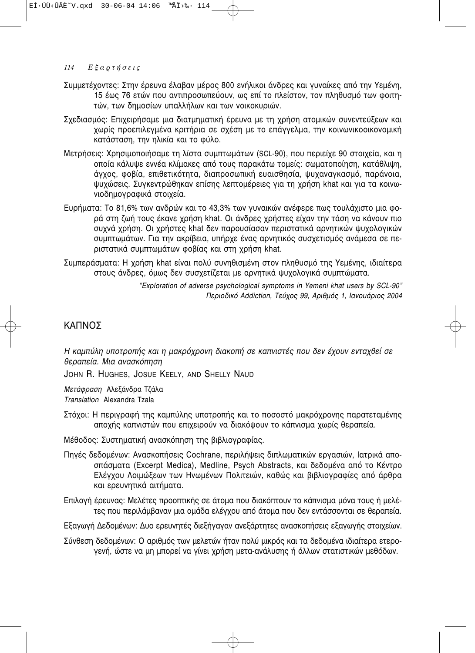#### $114$ Εξαρτήσεις

- Συμμετέχοντες: Στην έρευνα έλαβαν μέρος 800 ενήλικοι άνδρες και γυναίκες από την Υεμένη, 15 έως 76 ετών που αντιπροσωπεύουν, ως επί το πλείστον, τον πληθυσμό των φοιτητών, των δημοσίων υπαλλήλων και των νοικοκυριών,
- Σχεδιασμός: Επιχειρήσαμε μια διατμηματική έρευνα με τη χρήση ατομικών συνεντεύξεων και χωρίς προεπιλεγμένα κριτήρια σε σχέση με το επάγγελμα, την κοινωνικοοικονομική κατάσταση, την ηλικία και το φύλο.
- Μετρήσεις: Χρησιμοποιήσαμε τη λίστα συμπτωμάτων (SCL-90), που περιείχε 90 στοιχεία, και η οποία κάλυψε εννέα κλίμακες από τους παρακάτω τομείς: σωματοποίηση, κατάθλιψη, άγχος, φοβία, επιθετικότητα, διαπροσωπική ευαισθησία, ψυχαναγκασμό, παράνοια, ψυχώσεις. Συγκεντρώθηκαν επίσης λεπτομέρειες για τη χρήση khat και για τα κοινωνιοδημονραφικά στοιχεία.
- Ευρήματα: Το 81.6% των ανδρών και το 43.3% των γυναικών ανέφερε πως τουλάχιστο μια φορά στη ζωή τους έκανε χρήση khat. Οι άνδρες χρήστες είχαν την τάση να κάνουν πιο συχνά χρήση. Οι χρήστες khat δεν παρουσίασαν περιστατικά αρνητικών ψυχολογικών συμπτωμάτων. Για την ακρίβεια, υπήρχε ένας αρνητικός συσχετισμός ανάμεσα σε περιστατικά συμπτωμάτων φοβίας και στη χρήση khat.
- Συμπεράσματα: Η χρήση khat είναι πολύ συνηθισμένη στον πληθυσμό της Υεμένης, ιδιαίτερα στους άνδρες, όμως δεν συσχετίζεται με αρνητικά ψυχολογικά συμπτώματα.

"Exploration of adverse psychological symptoms in Yemeni khat users by SCL-90" Περιοδικό Addiction, Τεύχος 99, Αριθμός 1, Ιανουάριος 2004

# ΚΑΠΝΟΣ

Η καμπύλη υποτροπής και η μακρόχρονη διακοπή σε καπνιστές που δεν έχουν ενταχθεί σε θεραπεία. Μια ανασκόπηση

JOHN R. HUGHES, JOSUE KEELY, AND SHELLY NAUD

- Στόχοι: Η περιγραφή της καμπύλης υποτροπής και το ποσοστό μακρόχρονης παρατεταμένης αποχής καπνιστών που επιχειρούν να διακόψουν το κάπνισμα χωρίς θεραπεία.
- Μέθοδος: Συστηματική ανασκόπηση της βιβλιογραφίας.
- Πηγές δεδομένων: Ανασκοπήσεις Cochrane, περιλήψεις διπλωματικών εργασιών, Ιατρικά αποσπάσματα (Excerpt Medica), Medline, Psych Abstracts, και δεδομένα από το Κέντρο Ελέγχου Λοιμώξεων των Ηνωμένων Πολιτειών, καθώς και βιβλιογραφίες από άρθρα και ερευνητικά αιτήματα.
- Επιλογή έρευνας: Μελέτες προοπτικής σε άτομα που διακόπτουν το κάπνισμα μόνα τους ή μελέτες που περιλάμβαναν μια ομάδα ελέγχου από άτομα που δεν εντάσσονται σε θεραπεία.
- Εξαγωγή Δεδομένων: Δυο ερευνητές διεξήγαγαν ανεξάρτητες ανασκοπήσεις εξαγωγής στοιχείων.
- Σύνθεση δεδομένων: Ο αριθμός των μελετών ήταν πολύ μικρός και τα δεδομένα ιδιαίτερα ετερογενή, ώστε να μη μπορεί να γίνει χρήση μετα-ανάλυσης ή άλλων στατιστικών μεθόδων.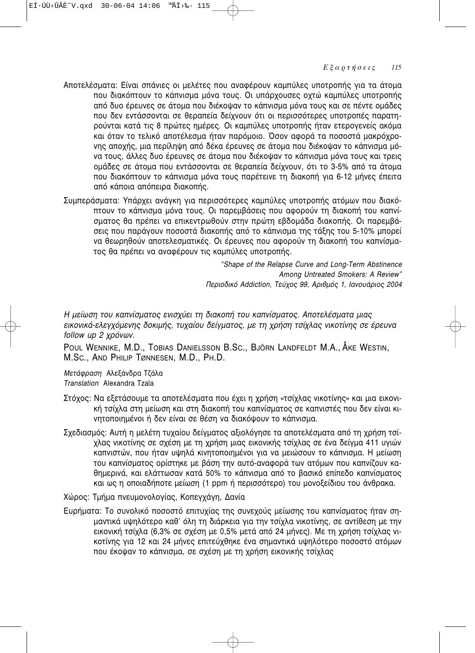- Αποτελέσματα: Είναι σπάνιες οι μελέτες που αναφέρουν καμπύλες υποτροπής για τα άτομα που διακόπτουν το κάπνισμα μόνα τους. Οι υπάρχουσες οχτώ καμπύλες υποτροπής από δυο έρευνες σε άτομα που διέκοψαν το κάπνισμα μόνα τους και σε πέντε ομάδες που δεν εντάσσονται σε θεραπεία δείχνουν ότι οι περισσότερες υποτροπές παρατηρούνται κατά τις 8 πρώτες ημέρες. Οι καμπύλες υποτροπής ήταν ετερογενείς ακόμα και όταν το τελικό αποτέλεσμα ήταν παρόμοιο. Όσον αφορά τα ποσοστά μακρόχρονης αποχής, μια περίληψη από δέκα έρευνες σε άτομα που διέκοψαν το κάπνισμα μόνα τους, άλλες δυο έρευνες σε άτομα που διέκοψαν το κάπνισμα μόνα τους και τρεις ομάδες σε άτομα που εντάσσονται σε θεραπεία δείχνουν, ότι το 3-5% από τα άτομα που διακόπτουν το κάπνισμα μόνα τους παρέτεινε τη διακοπή για 6-12 μήνες έπειτα από κάποια απόπειρα διακοπής.
- Συμπεράσματα: Υπάρχει ανάγκη για περισσότερες καμπύλες υποτροπής ατόμων που διακόπτουν το κάπνισμα μόνα τους. Οι παρεμβάσεις που αφορούν τη διακοπή του καπνίσματος θα πρέπει να επικεντρωθούν στην πρώτη εβδομάδα διακοπής. Οι παρεμβάσεις που παράγουν ποσοστά διακοπής από το κάπνισμα της τάξης του 5-10% μπορεί να θεωρηθούν αποτελεσματικές. Οι έρευνες που αφορούν τη διακοπή του καπνίσματος θα πρέπει να αναφέρουν τις καμπύλες υποτροπής.

"Shape of the Relapse Curve and Long-Term Abstinence Among Untreated Smokers: A Review" Περιοδικό Addiction, Τεύχος 99, Αριθμός 1, Ιανουάριος 2004

Η μείωση του καπνίσματος ενισχύει τη διακοπή του καπνίσματος. Αποτελέσματα μιας εικονικά-ελεγχόμενης δοκιμής, τυχαίου δείγματος, με τη χρήση τσίχλας νικοτίνης σε έρευνα follow up 2 χρόνων.

POUL WENNIKE, M.D., TOBIAS DANIELSSON B.SC., BJÖRN LANDFELDT M.A., ÅKE WESTIN, M.Sc., AND PHILIP TØNNESEN, M.D., PH.D.

Μετάφραση Αλεξάνδρα Τζάλα Translation Alexandra Tzala

- Στόχος: Να εξετάσουμε τα αποτελέσματα που έχει η χρήση «τσίχλας νικοτίνης» και μια εικονική τσίχλα στη μείωση και στη διακοπή του καπνίσματος σε καπνιστές που δεν είναι κινητοποιημένοι ή δεν είναι σε θέση να διακόψουν το κάπνισμα.
- Σχεδιασμός: Αυτή η μελέτη τυχαίου δείγματος αξιολόγησε τα αποτελέσματα από τη χρήση τσίχλας νικοτίνης σε σχέση με τη χρήση μιας εικονικής τσίχλας σε ένα δείγμα 411 υγιών καπνιστών, που ήταν υψηλά κινητοποιημένοι για να μειώσουν το κάπνισμα. Η μείωση του καπνίσματος ορίστηκε με βάση την αυτό-αναφορά των ατόμων που καπνίζουν καθημερινά, και ελάττωσαν κατά 50% το κάπνισμα από το βασικό επίπεδο καπνίσματος και ως η οποιαδήποτε μείωση (1 ppm ή περισσότερο) του μονοξείδιου του άνθρακα.

Χώρος: Τμήμα πνευμονολογίας, Κοπεγχάγη, Δανία

Ευρήματα: Το συνολικό ποσοστό επιτυχίας της συνεχούς μείωσης του καπνίσματος ήταν σημαντικά υψηλότερο καθ' όλη τη διάρκεια για την τσίχλα νικοτίνης, σε αντίθεση με την εικονική τσίχλα (6,3% σε σχέση με 0,5% μετά από 24 μήνες). Με τη χρήση τσίχλας νικοτίνης για 12 και 24 μήνες επιτεύχθηκε ένα σημαντικά υψηλότερο ποσοστό ατόμων που έκοψαν το κάπνισμα, σε σχέση με τη χρήση εικονικής τσίχλας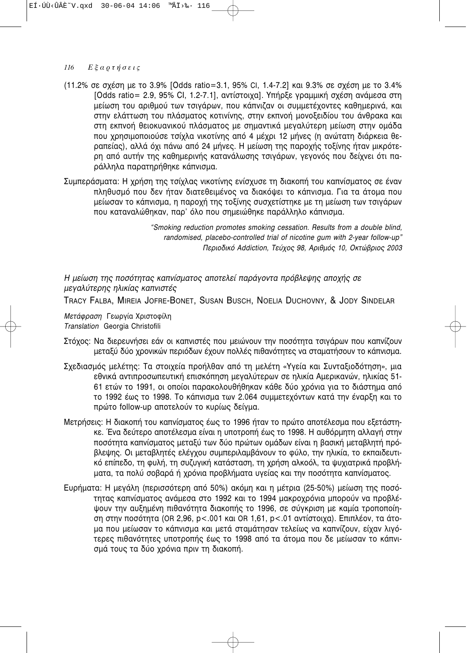#### *116 <i>Eξαρτήσεις*

- (11.2% σε σχέση με το 3.9% [Odds ratio=3.1, 95% Cl, 1.4-7.2] και 9.3% σε σχέση με το 3.4%  $[O$ dds ratio= 2.9, 95% CI, 1.2-7.1], αντίστοιχα]. Υπήρξε γραμμική σχέση ανάμεσα στη μείωση του αριθμού των τσινάρων, που κάπνιζαν οι συμμετέχοντες καθημερινά, και στην ελάττωση του πλάσματος κοτινίνης, στην εκπνοή μονοξειδίου του άνθρακα και στη εκπνοή θειοκυανικού πλάσματος με σημαντικά μεγαλύτερη μείωση στην ομάδα που χρησιμοποιούσε τσίχλα νικοτίνης από 4 μέχρι 12 μήνες (η ανώτατη διάρκεια θεραπείας), αλλά όχι πάνω από 24 μήνες. Η μείωση της παροχής τοξίνης ήταν μικρότεon από αυτήν της καθημερινής κατανάλωσης τσιγάρων, γεγονός που δείχνει ότι παράλληλα παρατηρήθηκε κάπνισμα.
- Συμπεράσματα: Η χρήση της τσίχλας νικοτίνης ενίσχυσε τη διακοπή του καπνίσματος σε έναν πληθυσμό που δεν ήταν διατεθειμένος να διακόψει το κάπνισμα. Για τα άτομα που μείωσαν το κάπνισμα, η παροχή της τοξίνης συσχετίστηκε με τη μείωση των τσιγάρων που καταναλώθηκαν, παρ' όλο που σημειώθηκε παράλληλο κάπνισμα.

*"Smoking reduction promotes smoking cessation. Results from a double blind, randomised, placebo-controlled trial of nicotine gum with 2-year follow-up"*  $\Pi$ εριοδικό Addiction, Τεύχος 98, Αριθμός 10, Οκτώβριος 2003

*Η μείωση της ποσότητας καπνίσματος αποτελεί παράγοντα πρόβλεψης αποχής σε*  $\mu$ εγαλύτερης ηλικίας καπνιστές

TRACY FALBA, MIREIA JOFRE-BONET, SUSAN BUSCH, NOELIA DUCHOVNY, & JODY SINDELAR

*Μετάφραση* Γεωργία Χριστοφίλη *Translation* Georgia Christofili

- Στόχος: Να διερευνήσει εάν οι καπνιστές που μειώνουν την ποσότητα τσιγάρων που καπνίζουν μεταξύ δύο χρονικών περιόδων έχουν πολλές πιθανότητες να σταματήσουν το κάπνισμα.
- Σχεδιασμός μελέτης: Τα στοιχεία προήλθαν από τη μελέτη «Υγεία και Συνταξιοδότηση», μια εθνικά αντιπροσωπευτική επισκόπηση μεγαλύτερων σε ηλικία Αμερικανών, ηλικίας 51-61 ετών το 1991, οι οποίοι παρακολουθήθηκαν κάθε δύο χρόνια για το διάστημα από το 1992 έως το 1998. Το κάπνισμα των 2.064 συμμετεχόντων κατά την έναρξη και το πρώτο follow-up αποτελούν το κυρίως δείγμα.
- Μετρήσεις: Η διακοπή του καπνίσματος έως το 1996 ήταν το πρώτο αποτέλεσμα που εξετάστη-Κε. Ένα δεύτερο αποτέλεσμα είναι η υποτροπή έως το 1998. Η αυθόρμητη αλλαγή στην ποσότητα καπνίσματος μεταξύ των δύο πρώτων ομάδων είναι η βασική μεταβλητή πρόβλεψης. Οι μεταβλητές ελέγχου συμπεριλαμβάνουν το φύλο, την ηλικία, το εκπαιδευτι-KÓ επίπεδο, τη φυλή, τη συζυγική κατάσταση, τη χρήση αλκοόλ, τα ψυχιατρικά προβλήματα, τα πολύ σοβαρά ή χρόνια προβλήματα υγείας και την ποσότητα καπνίσματος.
- Ευρήματα: Η μεγάλη (περισσότερη από 50%) ακόμη και η μέτρια (25-50%) μείωση της ποσότητας καπνίσματος ανάμεσα στο 1992 και το 1994 μακροχρόνια μπορούν να προβλέψουν την αυξημένη πιθανότητα διακοπής το 1996, σε σύγκριση με καμία τροποποίηση στην ποσότητα (OR 2,96, p<.001 και OR 1,61, p<.01 αντίστοιχα). Επιπλέον, τα άτομα που μείωσαν το κάπνισμα και μετά σταμάτησαν τελείως να καπνίζουν, είχαν λιγότερες πιθανότητες υποτροπής έως το 1998 από τα άτομα που δε μείωσαν το κάπνισμά τους τα δύο χρόνια πριν τη διακοπή.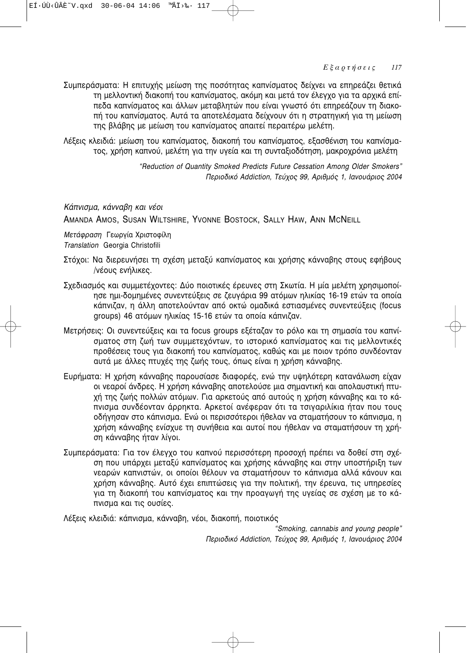- Συμπεράσματα: Η επιτυχής μείωση της ποσότητας καπνίσματος δείχνει να επηρεάζει θετικά τη μελλοντική διακοπή του καπνίσματος, ακόμη και μετά τον έλεγχο για τα αρχικά επίπεδα καπνίσματος και άλλων μεταβλητών που είναι γνωστό ότι επηρεάζουν τη διακοπή του καπνίσματος. Αυτά τα αποτελέσματα δείχνουν ότι η στρατηγική για τη μείωση της βλάβης με μείωση του καπνίσματος απαιτεί περαιτέρω μελέτη.
- Λέξεις κλειδιά: μείωση του καπνίσματος, διακοπή του καπνίσματος, εξασθένιση του καπνίσματος, χρήση καπνού, μελέτη για την υγεία και τη συνταξιοδότηση, μακροχρόνια μελέτη

*"Reduction of Quantity Smoked Predicts Future Cessation Among Older Smokers"* Περιοδικό Addiction, Τεύχος 99, Αριθμός 1, Ιανουάριος 2004

*Kάπνισμα, κάνναβη και νέοι* 

AMANDA AMOS, SUSAN WILTSHIRE, YVONNE BOSTOCK, SALLY HAW, ANN MCNEILL

*Μετάφραση* Γεωργία Χριστοφίλη *Translation* Georgia Christofili

- Στόχοι: Να διερευνήσει τη σχέση μεταξύ καπνίσματος και χρήσης κάνναβης στους εφήβους /νέους ενήλικες.
- Σχεδιασμός και συμμετέχοντες: Δύο ποιοτικές έρευνες στη Σκωτία. Η μία μελέτη χρησιμοποίησε ημι-δομημένες συνεντεύξεις σε ζευγάρια 99 ατόμων ηλικίας 16-19 ετών τα οποία κάπνιζαν, η άλλη αποτελούνταν από οκτώ ομαδικά εστιασμένες συνεντεύξεις (focus groups) 46 ατόμων ηλικίας 15-16 ετών τα οποία κάπνιζαν.
- Μετρήσεις: Οι συνεντεύξεις και τα focus groups εξέταζαν το ρόλο και τη σημασία του καπνίσματος στη ζωή των συμμετεχόντων, το ιστορικό καπνίσματος και τις μελλοντικές προθέσεις τους για διακοπή του καπνίσματος, καθώς και με ποιον τρόπο συνδέονταν αυτά με άλλες πτυχές της ζωής τους, όπως είναι η χρήση κάνναβης.
- Ευρήματα: Η χρήση κάνναβης παρουσίασε διαφορές, ενώ την υψηλότερη κατανάλωση είχαν οι νεαροί άνδρες. Η χρήση κάνναβης αποτελούσε μια σημαντική και απολαυστική πτυχή της ζωής πολλών ατόμων. Για αρκετούς από αυτούς η χρήση κάνναβης και το κάπνισμα συνδέονταν άρρηκτα. Αρκετοί ανέφεραν ότι τα τσιγαριλίκια ήταν που τους οδήγησαν στο κάπνισμα. Ενώ οι περισσότεροι ήθελαν να σταματήσουν το κάπνισμα, η χρήση κάνναβης ενίσχυε τη συνήθεια και αυτοί που ήθελαν να σταματήσουν τη χρήση κάνναβης ήταν λίγοι.
- Συμπεράσματα: Για τον έλεγχο του καπνού περισσότερη προσοχή πρέπει να δοθεί στη σχέση που υπάρχει μεταξύ καπνίσματος και χρήσης κάνναβης και στην υποστήριξη των νεαρών καπνιστών, οι οποίοι θέλουν να σταματήσουν το κάπνισμα αλλά κάνουν και χρήση κάνναβης. Αυτό έχει επιπτώσεις για την πολιτική, την έρευνα, τις υπηρεσίες για τη διακοπή του καπνίσματος και την προαγωγή της υγείας σε σχέση με το κάπνισμα και τις ουσίες.

Λέξεις κλειδιά: κάπνισμα, κάνναβη, νέοι, διακοπή, ποιοτικός

*"Smoking, cannabis and young people"* Περιοδικό Addiction, Τεύχος 99, Αριθμός 1, Ιανουάριος 2004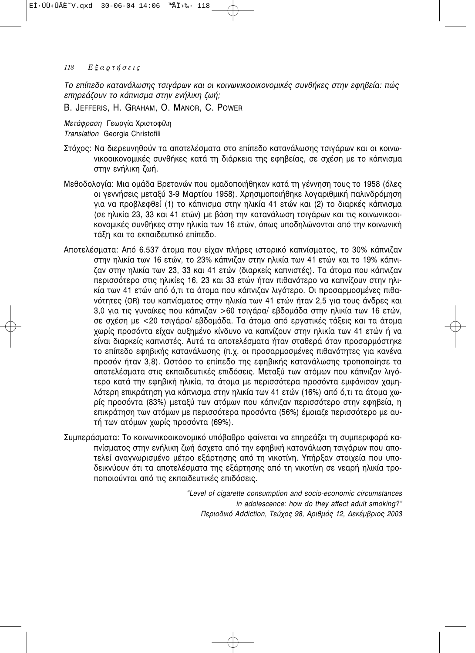*Το επίπεδο κατανάλωσης τσιγάρων και οι κοινωνικοοικονομικές συνθήκες στην εφηβεία: πώς* επηρεάζουν το κάπνισμα στην ενήλικη ζωή;

B. JEFFERIS, H. GRAHAM, O. MANOR, C. POWER

*Μετάφραση* Γεωργία Χριστοφίλη *Translation* Georgia Christofili

- Στόχος: Να διερευνηθούν τα αποτελέσματα στο επίπεδο κατανάλωσης τσιγάρων και οι κοινωνικοοικονομικές συνθήκες κατά τη διάρκεια της εφηβείας, σε σχέση με το κάπνισμα στην ενήλικη ζωή.
- Μεθοδολογία: Μια ομάδα Βρετανών που ομαδοποιήθηκαν κατά τη γέννηση τους το 1958 (όλες οι γεννήσεις μεταξύ 3-9 Μαρτίου 1958). Χρησιμοποιήθηκε λογαριθμική παλινδρόμηση για να προβλεφθεί (1) το κάπνισμα στην ηλικία 41 ετών και (2) το διαρκές κάπνισμα (σε ηλικία 23, 33 και 41 ετών) με βάση την κατανάλωση τσιγάρων και τις κοινωνικοοικονομικές συνθήκες στην ηλικία των 16 ετών, όπως υποδηλώνονται από την κοινωνική τάξη και το εκπαιδευτικό επίπεδο.
- Αποτελέσματα: Από 6.537 άτομα που είχαν πλήρες ιστορικό καπνίσματος, το 30% κάπνιζαν στην ηλικία των 16 ετών, το 23% κάπνιζαν στην ηλικία των 41 ετών και το 19% κάπνιζαν στην ηλικία των 23, 33 και 41 ετών (διαρκείς καπνιστές). Τα άτομα που κάπνιζαν περισσότερο στις ηλικίες 16, 23 και 33 ετών ήταν πιθανότερο να καπνίζουν στην ηλικία των 41 ετών από ό,τι τα άτομα που κάπνιζαν λιγότερο. Οι προσαρμοσμένες πιθανότητες (OR) του καπνίσματος στην ηλικία των 41 ετών ήταν 2,5 για τους άνδρες και 3,0 για τις γυναίκες που κάπνιζαν >60 τσιγάρα/ εβδομάδα στην ηλικία των 16 ετών, σε σχέση με <20 τσιγάρα/ εβδομάδα. Τα άτομα από εργατικές τάξεις και τα άτομα χωρίς προσόντα είχαν αυξημένο κίνδυνο να καπνίζουν στην ηλικία των 41 ετών ή να είναι διαρκείς καπνιστές. Αυτά τα αποτελέσματα ήταν σταθερά όταν προσαρμόστηκε το επίπεδο εφηβικής κατανάλωσης (π.χ. οι προσαρμοσμένες πιθανότητες για κανένα προσόν ήταν 3,8). Ωστόσο το επίπεδο της εφηβικής κατανάλωσης τροποποίησε τα αποτελέσματα στις εκπαιδευτικές επιδόσεις. Μεταξύ των ατόμων που κάπνιζαν λιγότερο κατά την εφηβική ηλικία, τα άτομα με περισσότερα προσόντα εμφάνισαν χαμηλότερη επικράτηση για κάπνισμα στην ηλικία των 41 ετών (16%) από ό,τι τα άτομα χωρίς προσόντα (83%) μεταξύ των ατόμων που κάπνιζαν περισσότερο στην εφηβεία, η επικράτηση των ατόμων με περισσότερα προσόντα (56%) έμοιαζε περισσότερο με αυτή των ατόμων χωρίς προσόντα (69%).
- Συμπεράσματα: Το κοινωνικοοικονομικό υπόβαθρο φαίνεται να επηρεάζει τη συμπεριφορά καπνίσματος στην ενήλικη ζωή άσχετα από την εφηβική κατανάλωση τσιγάρων που αποτελεί αναγνωρισμένο μέτρο εξάρτησης από τη νικοτίνη. Υπήρξαν στοιχεία που υποδεικνύουν ότι τα αποτελέσματα της εξάρτησης από τη νικοτίνη σε νεαρή ηλικία τροποποιούνται από τις εκπαιδευτικές επιδόσεις.

*"Level of cigarette consumption and socio-economic circumstances in adolescence: how do they affect adult smoking?"* Περιοδικό Addiction, Τεύχος 98, Αριθμός 12, Δεκέμβριος 2003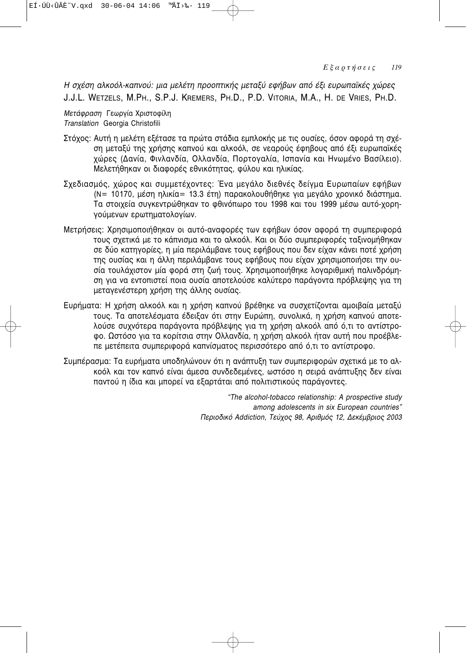Η σχέση αλκοόλ-καπνού: μια μελέτη προοπτικής μεταξύ εφήβων από έξι ευρωπαϊκές χώρες J.J.L. WETZELS, M.PH., S.P.J. KREMERS, PH.D., P.D. VITORIA, M.A., H. DE VRIES, PH.D.

Μετάφραση Γεωργία Χριστοφίλη Translation Georgia Christofili

- Στόχος: Αυτή η μελέτη εξέτασε τα πρώτα στάδια εμπλοκής με τις ουσίες, όσον αφορά τη σχέση μεταξύ της χρήσης καπνού και αλκοόλ, σε νεαρούς έφηβους από έξι ευρωπαϊκές χώρες (Δανία, Φινλανδία, Ολλανδία, Πορτογαλία, Ισπανία και Ηνωμένο Βασίλειο). Μελετήθηκαν οι διαφορές εθνικότητας, φύλου και ηλικίας.
- Σχεδιασμός, χώρος και συμμετέχοντες: Ένα μεγάλο διεθνές δείγμα Ευρωπαίων εφήβων (Ν= 10170, μέση ηλικία= 13.3 έτη) παρακολουθήθηκε για μεγάλο χρονικό διάστημα. Τα στοιχεία συγκεντρώθηκαν το φθινόπωρο του 1998 και του 1999 μέσω αυτό-χορηγούμενων ερωτηματολογίων.
- Μετρήσεις: Χρησιμοποιήθηκαν οι αυτό-αναφορές των εφήβων όσον αφορά τη συμπεριφορά τους σχετικά με το κάπνισμα και το αλκοόλ. Και οι δύο συμπεριφορές ταξινομήθηκαν σε δύο κατηγορίες, η μία περιλάμβανε τους εφήβους που δεν είχαν κάνει ποτέ χρήση της ουσίας και η άλλη περιλάμβανε τους εφήβους που είχαν χρησιμοποιήσει την ουσία τουλάχιστον μία φορά στη ζωή τους. Χρησιμοποιήθηκε λογαριθμική παλινδρόμηση για να εντοπιστεί ποια ουσία αποτελούσε καλύτερο παράγοντα πρόβλεψης για τη μεταγενέστερη χρήση της άλλης ουσίας.
- Ευρήματα: Η χρήση αλκοόλ και η χρήση καπνού βρέθηκε να συσχετίζονται αμοιβαία μεταξύ τους. Τα αποτελέσματα έδειξαν ότι στην Ευρώπη, συνολικά, η χρήση καπνού αποτελούσε συχνότερα παράγοντα πρόβλεψης για τη χρήση αλκοόλ από ό,τι το αντίστροφο. Ωστόσο για τα κορίτσια στην Ολλανδία, η χρήση αλκοόλ ήταν αυτή που προέβλεπε μετέπειτα συμπεριφορά καπνίσματος περισσότερο από ό,τι το αντίστροφο.
- Συμπέρασμα: Τα ευρήματα υποδηλώνουν ότι η ανάπτυξη των συμπεριφορών σχετικά με το αλκοόλ και τον καπνό είναι άμεσα συνδεδεμένες, ωστόσο η σειρά ανάπτυξης δεν είναι παντού η ίδια και μπορεί να εξαρτάται από πολιτιστικούς παράγοντες.

"The alcohol-tobacco relationship: A prospective study among adolescents in six European countries" Περιοδικό Addiction, Τεύχος 98, Αριθμός 12, Δεκέμβριος 2003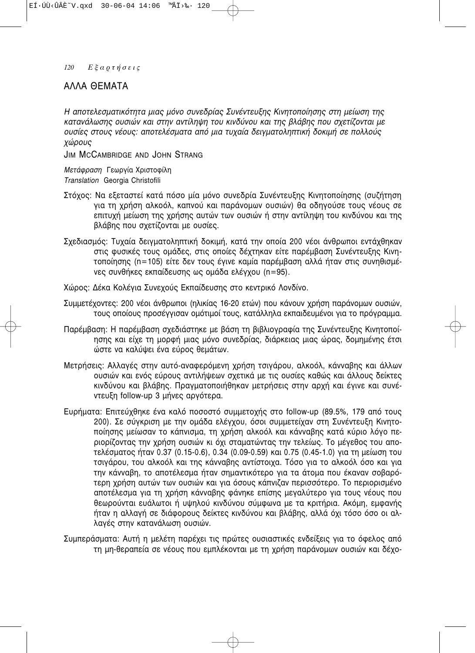#### *120 Eξαρτήσεις*

# AAAA OFMATA

*Η αποτελεσματικότητα μιας μόνο συνεδρίας Συνέντευξης Κινητοποίησης στη μείωση της* κατανάλωσης ουσιών και στην αντίληψη του κινδύνου και της βλάβης που σχετίζονται με ουσίες στους νέους: αποτελέσματα από μια τυχαία δειγματοληπτική δοκιμή σε πολλούς χώρους

**JIM MCCAMBRIDGE AND JOHN STRANG** 

*Μετάφραση* Γεωργία Χριστοφίλη *Translation* Georgia Christofili

- Στόχος: Να εξεταστεί κατά πόσο μία μόνο συνεδρία Συνέντευξης Κινητοποίησης (συζήτηση για τη χρήση αλκοόλ, καπνού και παράνομων ουσιών) θα οδηγούσε τους νέους σε επιτυχή μείωση της χρήσης αυτών των ουσιών ή στην αντίληψη του κινδύνου και της βλάβης που σχετίζονται με ουσίες.
- Σχεδιασμός: Τυχαία δειγματοληπτική δοκιμή, κατά την οποία 200 νέοι άνθρωποι εντάχθηκαν στις φυσικές τους ομάδες, στις οποίες δέχτηκαν είτε παρέμβαση Συνέντευξης Κινητοποίησης (n=105) είτε δεν τους έγινε καμία παρέμβαση αλλά ήταν στις συνηθισμέvες συνθήκες εκπαίδευσης ως ομάδα ελέγχου (n=95).
- Χώρος: Δέκα Κολέγια Συνεχούς Εκπαίδευσης στο κεντρικό Λονδίνο.
- Συμμετέχοντες: 200 νέοι άνθρωποι (ηλικίας 16-20 ετών) που κάνουν χρήση παράνομων ουσιών. τους οποίους προσέγγισαν ομότιμοί τους, κατάλληλα εκπαιδευμένοι για το πρόγραμμα.
- Παρέμβαση: Η παρέμβαση σχεδιάστηκε με βάση τη βιβλιογραφία της Συνέντευξης Κινητοποίησης και είχε τη μορφή μιας μόνο συνεδρίας, διάρκειας μιας ώρας, δομημένης έτσι ώστε να καλύψει ένα εύρος θεμάτων.
- Μετρήσεις: Αλλαγές στην αυτό-αναφερόμενη χρήση τσιγάρου, αλκοόλ, κάνναβης και άλλων ουσιών και ενός εύρους αντιλήψεων σχετικά με τις ουσίες καθώς και άλλους δείκτες κινδύνου και βλάβης. Πραγματοποιήθηκαν μετρήσεις στην αρχή και έγινε και συνέντευξη follow-up 3 μήνες αργότερα.
- Ευρήματα: Επιτεύχθηκε ένα καλό ποσοστό συμμετοχής στο follow-up (89.5%, 179 από τους 200). Σε σύγκριση με την ομάδα ελέγχου, όσοι συμμετείχαν στη Συνέντευξη Κινητοποίησης μείωσαν το κάπνισμα, τη χρήση αλκοόλ και κάνναβης κατά κύριο λόγο περιορίζοντας την χρήση ουσιών κι όχι σταματώντας την τελείως. Το μέγεθος του αποτελέσματος ήταν 0.37 (0.15-0.6), 0.34 (0.09-0.59) και 0.75 (0.45-1.0) για τη μείωση του τσιγάρου, του αλκοόλ και της κάνναβης αντίστοιχα. Τόσο για το αλκοόλ όσο και για την κάνναβη, το αποτέλεσμα ήταν σημαντικότερο για τα άτομα που έκαναν σοβαρότερη χρήση αυτών των ουσιών και για όσους κάπνιζαν περισσότερο. Το περιορισμένο αποτέλεσμα για τη χρήση κάνναβης φάνηκε επίσης μεγαλύτερο για τους νέους που θεωρούνται ευάλωτοι ή υψηλού κινδύνου σύμφωνα με τα κριτήρια. Ακόμη, εμφανής ήταν η αλλαγή σε διάφορους δείκτες κινδύνου και βλάβης, αλλά όχι τόσο όσο οι αλλαγές στην κατανάλωση ουσιών.
- Συμπεράσματα: Αυτή η μελέτη παρέχει τις πρώτες ουσιαστικές ενδείξεις για το όφελος από τη μη-θεραπεία σε νέους που εμπλέκονται με τη χρήση παράνομων ουσιών και δέχο-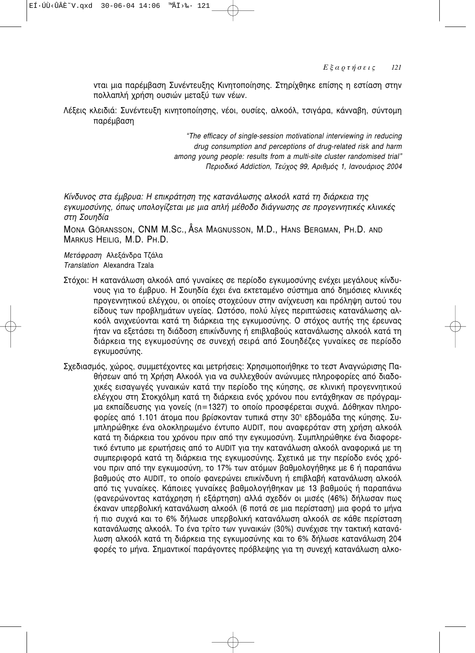νται μια παρέμβαση Συνέντευξης Κινητοποίησης. Στηρίχθηκε επίσης η εστίαση στην πολλαπλή χρήση ουσιών μεταξύ των νέων.

Λέξεις κλειδιά: Συνέντευξη κινητοποίησης, νέοι, ουσίες, αλκοόλ, τσιγάρα, κάνναβη, σύντομη παρέμβαση

> *"The efficacy of single-session motivational interviewing in reducing drug consumption and perceptions of drug-related risk and harm among young people: results from a multi-site cluster randomised trial"* Περιοδικό Addiction, Τεύχος 99, Αριθμός 1, Ιανουάριος 2004

*Κίνδυνος στα έμβρυα: Η επικράτηση της κατανάλωσης αλκοόλ κατά τη διάρκεια της* εγκυμοσύνης, όπως υπολογίζεται με μια απλή μέθοδο διάγνωσης σε προγεννητικές κλινικές  $στη$  Σουηδία

MONA GÖRANSSON, CNM M.Sc., ÅSA MAGNUSSON, M.D., HANS BERGMAN, PH.D. AND MARKUS HEILIG, M.D. PH.D.

- Στόχοι: Η κατανάλωση αλκοόλ από γυναίκες σε περίοδο εγκυμοσύνης ενέχει μεγάλους κίνδυνους για το έμβρυο. Η Σουηδία έχει ένα εκτεταμένο σύστημα από δημόσιες κλινικές προγεννητικού ελέγχου, οι οποίες στοχεύουν στην ανίχνευση και πρόληψη αυτού του είδους των προβλημάτων υγείας. Ωστόσο, πολύ λίγες περιπτώσεις κατανάλωσης αλκοόλ ανιχνεύονται κατά τη διάρκεια της εγκυμοσύνης. Ο στόχος αυτής της έρευνας ήταν να εξετάσει τη διάδοση επικίνδυνης ή επιβλαβούς κατανάλωσης αλκοόλ κατά τη διάρκεια της εγκυμοσύνης σε συνεχή σειρά από Σουηδέζες γυναίκες σε περίοδο εγκυμοσύνης.
- Σχεδιασμός, χώρος, συμμετέχοντες και μετρήσεις: Χρησιμοποιήθηκε το τεστ Αναγνώρισης Παθήσεων από τη Χρήση Αλκοόλ για να συλλεχθούν ανώνυμες πληροφορίες από διαδοχικές εισαγωγές γυναικών κατά την περίοδο της κύησης, σε κλινική προγεννητικού ελέγχου στη Στοκχόλμη κατά τη διάρκεια ενός χρόνου που εντάχθηκαν σε πρόγραμμα εκπαίδευσης για γονείς (n=1327) το οποίο προσφέρεται συχνά. Δόθηκαν πληροφορίες από 1.101 άτομα που βρίσκονταν τυπικά στην 30<sup>η</sup> εβδομάδα της κύησης. Συμπληρώθηκε ένα ολοκληρωμένο έντυπο AUDIT, που αναφερόταν στη χρήση αλκοόλ κατά τη διάρκεια του χρόνου πριν από την εγκυμοσύνη. Συμπληρώθηκε ένα διαφορετικό έντυπο με ερωτήσεις από το AUDIT για την κατανάλωση αλκοόλ αναφορικά με τη συμπεριφορά κατά τη διάρκεια της εγκυμοσύνης. Σχετικά με την περίοδο ενός χρόνου πριν από την εγκυμοσύνη, το 17% των ατόμων βαθμολογήθηκε με 6 ή παραπάνω βαθμούς στο AUDIT, το οποίο φανερώνει επικίνδυνη ή επιβλαβή κατανάλωση αλκοόλ από τις γυναίκες. Κάποιες γυναίκες βαθμολογήθηκαν με 13 βαθμούς ή παραπάνω (φανερώνοντας κατάχρηση ή εξάρτηση) αλλά σχεδόν οι μισές (46%) δήλωσαν πως έκαναν υπερβολική κατανάλωση αλκοόλ (6 ποτά σε μια περίσταση) μια φορά το μήνα ή πιο συχνά και το 6% δήλωσε υπερβολική κατανάλωση αλκοόλ σε κάθε περίσταση κατανάλωσης αλκοόλ. Το ένα τρίτο των γυναικών (30%) συνέχισε την τακτική κατανάλωση αλκοόλ κατά τη διάρκεια της εγκυμοσύνης και το 6% δήλωσε κατανάλωση 204 φορές το μήνα. Σημαντικοί παράγοντες πρόβλεψης για τη συνεχή κατανάλωση αλκο-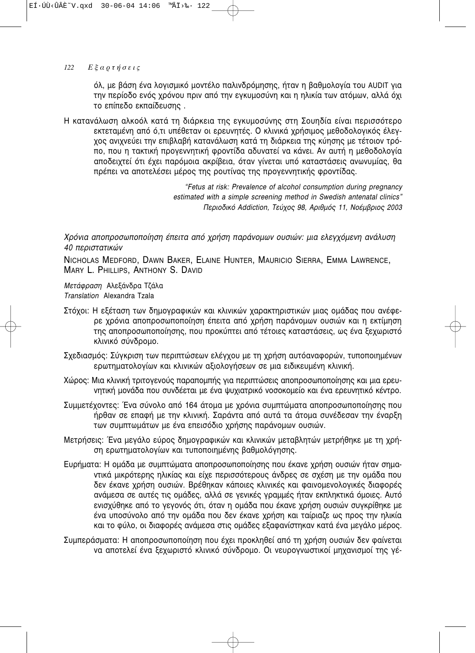όλ, με βάση ένα λογισμικό μοντέλο παλινδρόμησης, ήταν η βαθμολογία του AUDIT για την περίοδο ενός χρόνου πριν από την εγκυμοσύνη και η ηλικία των ατόμων, αλλά όχι το επίπεδο εκπαίδευσης.

Η κατανάλωση αλκοόλ κατά τη διάρκεια της εγκυμοσύνης στη Σουηδία είναι περισσότερο εκτεταμένη από ό,τι υπέθεταν οι ερευνητές. Ο κλινικά χρήσιμος μεθοδολογικός έλεγχος ανιχνεύει την επιβλαβή κατανάλωση κατά τη διάρκεια της κύησης με τέτοιον τρόπο, που η τακτική προγεννητική φροντίδα αδυνατεί να κάνει. Αν αυτή η μεθοδολογία αποδειχτεί ότι έχει παρόμοια ακρίβεια, όταν γίνεται υπό καταστάσεις ανωνυμίας, θα πρέπει να αποτελέσει μέρος της ρουτίνας της προγεννητικής φροντίδας.

> *"Fetus at risk: Prevalence of alcohol consumption during pregnancy estimated with a simple screening method in Swedish antenatal clinics"*  $\Pi$ εριοδικό Addiction, Τεύχος 98, Αριθμός 11, Νοέμβριος 2003

*Xρόνια αποπροσωποποίηση έπειτα από χρήση παράνομων ουσιών: μια ελεγχόμενη ανάλυση 40 περιστατικών* 

NICHOLAS MEDFORD, DAWN BAKER, ELAINE HUNTER, MAURICIO SIERRA, EMMA LAWRENCE, MARY L. PHILLIPS, ANTHONY S. DAVID

- Στόχοι: Η εξέταση των δημογραφικών και κλινικών χαρακτηριστικών μιας ομάδας που ανέφερε χρόνια αποπροσωποποίηση έπειτα από χρήση παράνομων ουσιών και η εκτίμηση της αποπροσωποποίησης, που προκύπτει από τέτοιες καταστάσεις, ως ένα ξεχωριστό κλινικό σύνδρομο.
- Σχεδιασμός: Σύγκριση των περιπτώσεων ελέγχου με τη χρήση αυτόαναφορών, τυποποιημένων ερωτηματολογίων και κλινικών αξιολογήσεων σε μια ειδικευμένη κλινική.
- Χώρος: Μια κλινική τριτογενούς παραπομπής για περιπτώσεις αποπροσωποποίησης και μια ερευνητική μονάδα που συνδέεται με ένα ψυχιατρικό νοσοκομείο και ένα ερευνητικό κέντρο.
- Συμμετέχοντες: Ένα σύνολο από 164 άτομα με χρόνια συμπτώματα αποπροσωποποίησης που ήρθαν σε επαφή με την κλινική. Σαράντα από αυτά τα άτομα συνέδεσαν την έναρξη των συμπτωμάτων με ένα επεισόδιο χρήσης παράνομων ουσιών.
- Μετρήσεις: Ένα μεγάλο εύρος δημογραφικών και κλινικών μεταβλητών μετρήθηκε με τη χρήση ερωτηματολογίων και τυποποιημένης βαθμολόγησης.
- Ευρήματα: Η ομάδα με συμπτώματα αποπροσωποποίησης που έκανε χρήση ουσιών ήταν σημαντικά μικρότερης ηλικίας και είχε περισσότερους άνδρες σε σχέση με την ομάδα που δεν έκανε χρήση ουσιών. Βρέθηκαν κάποιες κλινικές και φαινομενολογικές διαφορές ανάμεσα σε αυτές τις ομάδες, αλλά σε γενικές γραμμές ήταν εκπληκτικά όμοιες. Αυτό ενισχύθηκε από το γεγονός ότι, όταν η ομάδα που έκανε χρήση ουσιών συγκρίθηκε με ένα υποσύνολο από την ομάδα που δεν έκανε χρήση και ταίριαζε ως προς την ηλικία και το φύλο, οι διαφορές ανάμεσα στις ομάδες εξαφανίστηκαν κατά ένα μεγάλο μέρος.
- Συμπεράσματα: Η αποπροσωποποίηση που έχει προκληθεί από τη χρήση ουσιών δεν φαίνεται να αποτελεί ένα ξεχωριστό κλινικό σύνδρομο. Οι νευρογνωστικοί μηχανισμοί της γέ-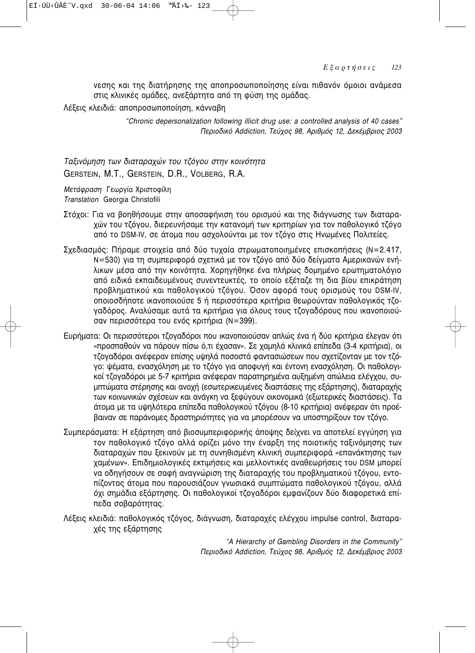νεσης και της διατήρησης της αποπροσωποποίησης είναι πιθανόν όμοιοι ανάμεσα στις κλινικές ομάδες, ανεξάρτητα από τη φύση της ομάδας.

Λέξεις κλειδιά: αποπροσωποποίηση, κάνναβη

"Chronic depersonalization following illicit drug use: a controlled analysis of 40 cases" Περιοδικό Addiction, Τεύχος 98, Αριθμός 12, Δεκέμβριος 2003

Ταξινόμηση των διαταραχών του τζόγου στην κοινότητα GERSTEIN, M.T., GERSTEIN, D.R., VOLBERG, R.A.

Μετάφραση Γεωργία Χριστοφίλη Translation Georgia Christofili

- Στόχοι: Για να βοηθήσουμε στην αποσαφήνιση του ορισμού και της διάγνωσης των διαταραχών του τζόγου, διερευνήσαμε την κατανομή των κριτηρίων για τον παθολογικό τζόγο από το DSM-IV, σε άτομα που ασχολούνται με τον τζόγο στις Ηνωμένες Πολιτείες.
- Σχεδιασμός: Πήραμε στοιχεία από δύο τυχαία στρωματοποιημένες επισκοπήσεις (N=2.417, N=530) για τη συμπεριφορά σχετικά με τον τζόγο από δύο δείγματα Αμερικανών ενήλικων μέσα από την κοινότητα. Χορηγήθηκε ένα πλήρως δομημένο ερωτηματολόγιο από ειδικά εκπαιδευμένους συνεντευκτές, το οποίο εξέταζε τη δια βίου επικράτηση προβληματικού και παθολογικού τζόγου. Όσον αφορά τους ορισμούς του DSM-IV, οποιοσδήποτε ικανοποιούσε 5 ή περισσότερα κριτήρια θεωρούνταν παθολογικός τζογαδόρος. Αναλύσαμε αυτά τα κριτήρια για όλους τους τζογαδόρους που ικανοποιούσαν περισσότερα του ενός κριτήρια (N=399).
- Ευρήματα: Οι περισσότεροι τζογαδόροι που ικανοποιούσαν απλώς ένα ή δύο κριτήρια έλεγαν ότι «προσπαθούν να πάρουν πίσω ό,τι έχασαν». Σε χαμηλά κλινικά επίπεδα (3-4 κριτήρια), οι τζοναδόροι ανέφεραν επίσης υψηλά ποσοστά φαντασιώσεων που σχετίζονταν με τον τζόγο: ψέματα, ενασχόληση με το τζόγο για αποφυγή και έντονη ενασχόληση. Οι παθολογικοί τζογαδόροι με 5-7 κριτήρια ανέφεραν παρατηρημένα αυξημένη απώλεια ελέγχου, συμπτώματα στέρησης και ανοχή (εσωτερικευμένες διαστάσεις της εξάρτησης), διαταραχής των κοινωνικών σχέσεων και ανάγκη να ξεφύγουν οικονομικά (εξωτερικές διαστάσεις). Τα άτομα με τα υψηλότερα επίπεδα παθολογικού τζόγου (8-10 κριτήρια) ανέφεραν ότι προέβαιναν σε παράνομες δραστηριότητες για να μπορέσουν να υποστηρίξουν τον τζόγο.
- Συμπεράσματα: Η εξάρτηση από βιοσυμπεριφορικής άποψης δείχνει να αποτελεί εγγύηση για τον παθολογικό τζόγο αλλά ορίζει μόνο την έναρξη της ποιοτικής ταξινόμησης των διαταραχών που ξεκινούν με τη συνηθισμένη κλινική συμπεριφορά «επανάκτησης των χαμένων». Επιδημιολογικές εκτιμήσεις και μελλοντικές αναθεωρήσεις του DSM μπορεί να οδηγήσουν σε σαφή αναγνώριση της διαταραχής του προβληματικού τζόγου, εντοπίζοντας άτομα που παρουσιάζουν γνωσιακά συμπτώματα παθολογικού τζόγου, αλλά όχι σημάδια εξάρτησης. Οι παθολογικοί τζογαδόροι εμφανίζουν δύο διαφορετικά επίπεδα σοβαρότητας.
- Λέξεις κλειδιά: παθολογικός τζόγος, διάγνωση, διαταραχές ελέγχου impulse control, διαταραχές της εξάρτησης

"A Hierarchy of Gambling Disorders in the Community" Περιοδικό Addiction, Τεύχος 98, Αριθμός 12, Δεκέμβριος 2003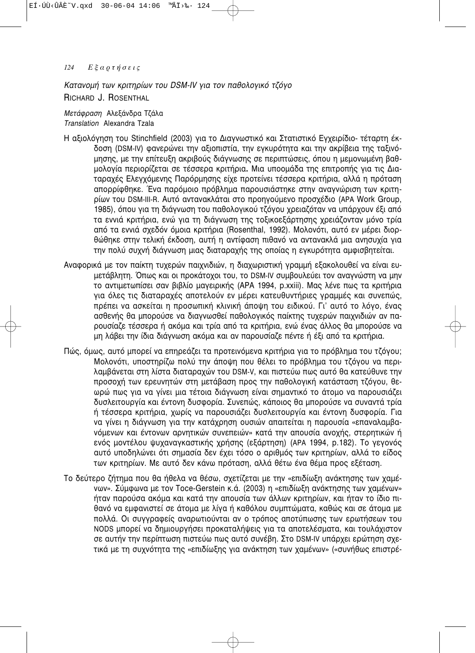*Kaτανομή των κριτηρίων του DSM-IV για τον παθολογικό τζόγο* RICHARD J. ROSENTHAL

- Η αξιολόγηση του Stinchfield (2003) για το Διαγνωστικό και Στατιστικό Εγχειρίδιο- τέταρτη έκδοση (DSM-IV) φανερώνει την αξιοπιστία, την εγκυρότητα και την ακρίβεια της ταξινόμησης, με την επίτευξη ακριβούς διάγνωσης σε περιπτώσεις, όπου η μεμονωμένη βαθιιολογία περιορίζεται σε τέσσερα κριτήρια. Μια υποριιάδα της επιτροπής για τις Διαταραχές Ελεγχόμενης Παρόρμησης είχε προτείνει τέσσερα κριτήρια, αλλά η πρόταση απορρίφθηκε. Ένα παρόμοιο πρόβλημα παρουσιάστηκε στην αναγνώριση των κριτηρίων του DSM-III-R. Αυτό αντανακλάται στο προηγούμενο προσχέδιο (APA Work Group, 1985), όπου για τη διάγνωση του παθολογικού τζόγου χρειαζόταν να υπάρχουν έξι από τα εννιά κριτήρια, ενώ για τη διάγνωση της τοξικοεξάρτησης χρειάζονταν μόνο τρία από τα εννιά σχεδόν όμοια κριτήρια (Rosenthal, 1992). Μολονότι, αυτό εν μέρει διορθώθηκε στην τελική έκδοση, αυτή η αντίφαση πιθανό να αντανακλά μια ανησυχία για την πολύ συχνή διάγνωση μιας διαταραχής της οποίας η εγκυρότητα αμφισβητείται.
- Αναφορικά με τον παίκτη τυχερών παιχνιδιών, η διαχωριστική γραμμή εξακολουθεί να είναι ευμετάβλητη. Όπως και οι προκάτοχοι του, το DSM-IV συμβουλεύει τον αναγνώστη να μην το αντιμετωπίσει σαν βιβλίο μαγειρικής (APA 1994, p.xxiii). Μας λένε πως τα κριτήρια για όλες τις διαταραχές αποτελούν εν μέρει κατευθυντήριες γραμμές και συνεπώς, πρέπει να ασκείται η προσωπική κλινική άποψη του ειδικού. Γι' αυτό το λόγο, ένας ασθενής θα μπορούσε να διαγνωσθεί παθολογικός παίκτης τυχερών παιχνιδιών αν παρουσίαζε τέσσερα ή ακόμα και τρία από τα κριτήρια, ενώ ένας άλλος θα μπορούσε να μη λάβει την ίδια διάγνωση ακόμα και αν παρουσίαζε πέντε ή έξι από τα κριτήρια.
- Πώς, όμως, αυτό μπορεί να επηρεάζει τα προτεινόμενα κριτήρια για το πρόβλημα του τζόγου; Μολονότι, υποστηρίζω πολύ την άποψη που θέλει το πρόβλημα του τζόγου να περιλαμβάνεται στη λίστα διαταραχών του DSM-V, και πιστεύω πως αυτό θα κατεύθυνε την προσοχή των ερευνητών στη μετάβαση προς την παθολογική κατάσταση τζόγου, θεωρώ πως για να γίνει μια τέτοια διάγνωση είναι σημαντικό το άτομο να παρουσιάζει δυσλειτουργία και έντονη δυσφορία. Συνεπώς, κάποιος θα μπορούσε να συναντά τρία ή τέσσερα κριτήρια, χωρίς να παρουσιάζει δυσλειτουργία και έντονη δυσφορία. Για vα γίνει η διάγνωση για την κατάχρηση ουσιών απαιτείται η παρουσία «επαναλαμβαvóμενων και έντονων αρνητικών συνεπειών» κατά την απουσία ανοχής, στερητικών ή ενός μοντέλου ψυχαναγκαστικής χρήσης (εξάρτηση) (APA 1994, p.182). Το γεγονός αυτό υποδηλώνει ότι σημασία δεν έχει τόσο ο αριθμός των κριτηρίων, αλλά το είδος των κριτηρίων. Με αυτό δεν κάνω πρόταση, αλλά θέτω ένα θέμα προς εξέταση.
- Το δεύτερο ζήτημα που θα ήθελα να θέσω, σχετίζεται με την «επιδίωξη ανάκτησης των χαμέ-Vων». Σύμφωνα με τον Toce-Gerstein κ.ά. (2003) η «επιδίωξη ανάκτησης των χαμένων» ήταν παρούσα ακόμα και κατά την απουσία των άλλων κριτηρίων, και ήταν το ίδιο πιθανό να εμφανιστεί σε άτομα με λίνα ή καθόλου συμπτώματα, καθώς και σε άτομα με πολλά. Οι συγγραφείς αναρωτιούνται αν ο τρόπος αποτύπωσης των ερωτήσεων του NODS μπορεί να δημιουργήσει προκαταλήψεις για τα αποτελέσματα, και τουλάχιστον σε αυτήν την περίπτωση πιστεύω πως αυτό συνέβη. Στο DSM-IV υπάρχει ερώτηση σχετικά με τη συχνότητα της «επιδίωξης για ανάκτηση των χαμένων» («συνήθως επιστρέ-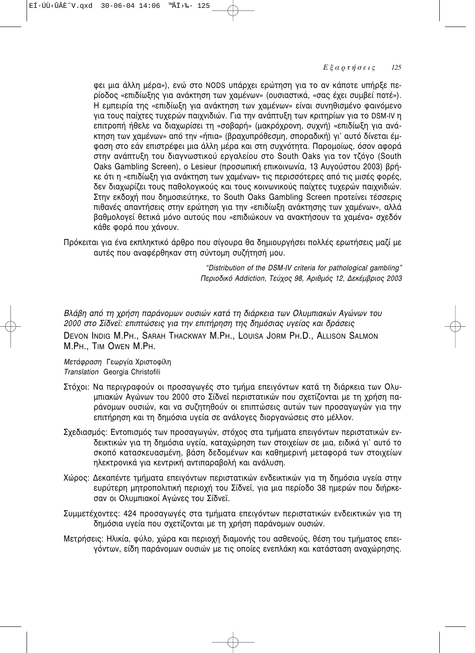φει μια άλλη μέρα»), ενώ στο NODS υπάρχει ερώτηση για το αν κάποτε υπήρξε περίοδος «επιδίωξης για ανάκτηση των χαμένων» (ουσιαστικά, «σας έχει συμβεί ποτέ»). Η εμπειρία της «επιδίωξη για ανάκτηση των χαμένων» είναι συνηθισμένο φαινόμενο για τους παίχτες τυχερών παιχνιδιών. Για την ανάπτυξη των κριτηρίων για το DSM-IV η επιτροπή ήθελε να διαχωρίσει τη «σοβαρή» (μακρόχρονη, συχνή) «επιδίωξη για ανά-Kτηση των χαμένων» από την «ήπια» (βραχυπρόθεσμη, σποραδική) γι' αυτό δίνεται έμ-Φαση στο εάν επιστρέφει μια άλλη μέρα και στη συχνότητα. Παρομοίως, όσον αφορά στην ανάπτυξη του διαγνωστικού εργαλείου στο South Oaks για τον τζόγο (South Oaks Gambling Screen), ο Lesieur (προσωπική επικοινωνία, 13 Αυγούστου 2003) βρήκε ότι η «επιδίωξη για ανάκτηση των χαμένων» τις περισσότερες από τις μισές φορές, δεν διαχωρίζει τους παθολογικούς και τους κοινωνικούς παίχτες τυχερών παιχνιδιών. Στην εκδοχή που δημοσιεύτηκε, το South Oaks Gambling Screen προτείνει τέσσερις πιθανές απαντήσεις στην ερώτηση για την «επιδίωξη ανάκτησης των χαμένων», αλλά Βαθμολογεί θετικά μόνο αυτούς που «επιδιώκουν να ανακτήσουν τα χαμένα» σχεδόν κάθε φορά που χάνουν.

Πρόκειται για ένα εκπληκτικό άρθρο που σίγουρα θα δημιουργήσει πολλές ερωτήσεις μαζί με αυτές που αναφέρθηκαν στη σύντομη συζήτησή μου.

> *"Distribution of the DSM-IV criteria for pathological gambling"*  $\Pi$ εριοδικό Addiction, Τεύχος 98, Αριθμός 12, Δεκέμβριος 2003

*Bλάβη από τη χρήση παράνομων ουσιών κατά τη διάρκεια των Ολυμπιακών Αγώνων του* 2000 στο Σίδνεϊ: επιπτώσεις για την επιτήρηση της δημόσιας υγείας και δράσεις DEVON INDIG M.PH., SARAH THACKWAY M.PH., LOUISA JORM PH.D., ALLISON SALMON M.PH., TIM OWEN M.PH.

*Μετάφραση* Γεωργία Χριστοφίλη *Translation* Georgia Christofili

- Στόχοι: Να περιγραφούν οι προσαγωγές στο τμήμα επειγόντων κατά τη διάρκεια των Ολυμπιακών Αγώνων του 2000 στο Σίδνεϊ περιστατικών που σχετίζονται με τη χρήση παράνομων ουσιών, και να συζητηθούν οι επιπτώσεις αυτών των προσαγωγών για την επιτήρηση και τη δημόσια υγεία σε ανάλογες διοργανώσεις στο μέλλον.
- Σχεδιασμός: Εντοπισμός των προσαγωγών, στόχος στα τμήματα επειγόντων περιστατικών ενδεικτικών για τη δημόσια υγεία, καταχώρηση των στοιχείων σε μια, ειδικά γι' αυτό το σκοπό κατασκευασμένη, βάση δεδομένων και καθημερινή μεταφορά των στοιχείων ηλεκτρονικά για κεντρική αντιπαραβολή και ανάλυση.
- Χώρος: Δεκαπέντε τμήματα επειγόντων περιστατικών ενδεικτικών για τη δημόσια υγεία στην ευρύτερη μητροπολιτική περιοχή του Σίδνεϊ, για μια περίοδο 38 ημερών που διήρκεσαν οι Ολυμπιακοί Αγώνες του Σίδνεϊ.
- Συμμετέχοντες: 424 προσαγωγές στα τμήματα επειγόντων περιστατικών ενδεικτικών για τη δημόσια υγεία που σχετίζονται με τη χρήση παράνομων ουσιών.
- Μετρήσεις: Ηλικία, φύλο, χώρα και περιοχή διαμονής του ασθενούς, θέση του τμήματος επειγόντων, είδη παράνομων ουσιών με τις οποίες ενεπλάκη και κατάσταση αναχώρησης.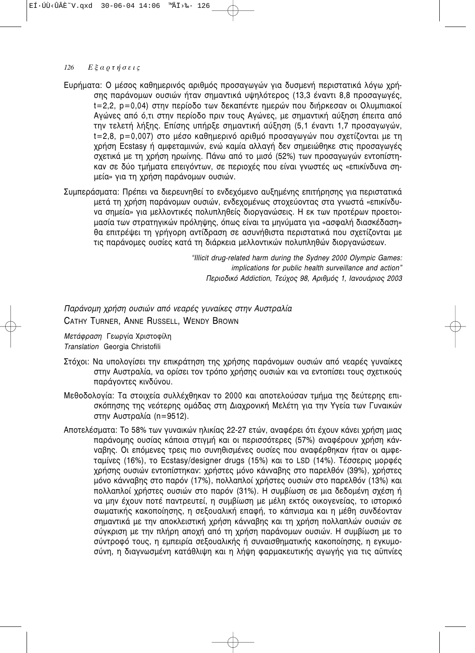#### *126 Eξαρτήσεις*

- Ευρήματα: Ο μέσος καθημερινός αριθμός προσαγωγών για δυσμενή περιστατικά λόγω χρήσης παράνομων ουσιών ήταν σημαντικά υψηλότερος (13,3 έναντι 8,8 προσαγωγές,  $t=2.2$ ,  $p=0.04$ ) στην περίοδο των δεκαπέντε ημερών που διήρκεσαν οι Ολυμπιακοί Aγώνες από ό.τι στην περίοδο πριν τους Ανώνες, με σημαντική αύξηση έπειτα από την τελετή λήξης. Επίσης υπήρξε σημαντική αύξηση (5,1 έναντι 1,7 προσανωνών, t=2,8, p=0,007) στο μέσο καθημερινό αριθμό προσανωνών που σχετίζονται με τη χρήση Ecstasy ή αμφεταμινών, ενώ καμία αλλανή δεν σημειώθηκε στις προσαγωνές σχετικά με τη χρήση ηρωίνης. Πάνω από το μισό (52%) των προσαγωγών εντοπίστη-Καν σε δύο τμήματα επεινόντων, σε περιοχές που είναι γνωστές ως «επικίνδυνα σημεία» για τη χρήση παράνομων ουσιών.
- Συμπεράσματα: Πρέπει να διερευνηθεί το ενδεχόμενο αυξημένης επιτήρησης για περιστατικά μετά τη χρήση παράνομων ουσιών, ενδεχομένως στοχεύοντας στα γνωστά «επικίνδυνα σημεία» για μελλοντικές πολυπληθείς διοργανώσεις. Η εκ των προτέρων προετοιμασία των στρατηνικών πρόληψης, όπως είναι τα μηνύματα για «ασφαλή διασκέδαση» θα επιτρέψει τη γρήγορη αντίδραση σε ασυνήθιστα περιστατικά που σχετίζονται με τις παράνομες ουσίες κατά τη διάρκεια μελλοντικών πολυπληθών διοργανώσεων.

*"Illicit drug-related harm during the Sydney 2000 Olympic Games: implications for public health surveillance and action"*  $\Pi$ εριοδικό Addiction, Τεύχος 98, Αριθμός 1, Ιανουάριος 2003

*Παράνομη χρήση ουσιών από νεαρές γυναίκες στην Αυστραλία* CATHY TURNER, ANNE RUSSELL, WENDY BROWN

*Μετάφραση* Γεωργία Χριστοφίλη *Translation* Georgia Christofili

- Στόχοι: Να υπολογίσει την επικράτηση της χρήσης παράνομων ουσιών από νεαρές γυναίκες στην Αυστραλία, να ορίσει τον τρόπο χρήσης ουσιών και να εντοπίσει τους σχετικούς παράγοντες κινδύνου.
- Μεθοδολογία: Τα στοιχεία συλλέχθηκαν το 2000 και αποτελούσαν τμήμα της δεύτερης επισκόπησης της νεότερης ομάδας στη Διαχρονική Μελέτη για την Υγεία των Γυναικών στην Αυστραλία (n=9512).
- Αποτελέσματα: Το 58% των γυναικών ηλικίας 22-27 ετών, αναφέρει ότι έχουν κάνει χρήση μιας παράνομης ουσίας κάποια στιγμή και οι περισσότερες (57%) αναφέρουν χρήση κάνναβης. Οι επόμενες τρεις πιο συνηθισμένες ουσίες που αναφέρθηκαν ήταν οι αμφεταμίνες (16%), το Ecstasy/designer drugs (15%) και το LSD (14%). Τέσσερις μορφές χρήσης ουσιών εντοπίστηκαν: χρήστες μόνο κάνναβης στο παρελθόν (39%), χρήστες μόνο κάνναβης στο παρόν (17%), πολλαπλοί χρήστες ουσιών στο παρελθόν (13%) και πολλαπλοί χρήστες ουσιών στο παρόν (31%). Η συμβίωση σε μια δεδομένη σχέση ή να μην έχουν ποτέ παντρευτεί, η συμβίωση με μέλη εκτός οικογενείας, το ιστορικό σωματικής κακοποίησης, η σεξουαλική επαφή, το κάπνισμα και η μέθη συνδέονταν σημαντικά με την αποκλειστική χρήση κάνναβης και τη χρήση πολλαπλών ουσιών σε σύγκριση με την πλήρη αποχή από τη χρήση παράνομων ουσιών. Η συμβίωση με το σύντροφό τους, η εμπειρία σεξουαλικής ή συναισθηματικής κακοποίησης, η εγκυμοσύνη, η διαγνωσμένη κατάθλιψη και η λήψη φαρμακευτικής αγωγής για τις αϋπνίες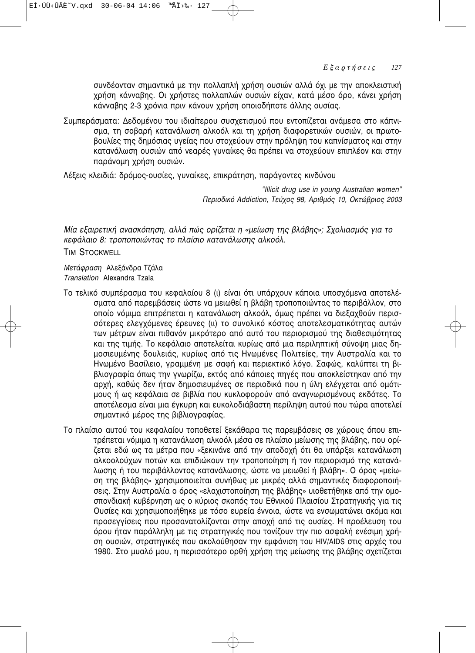συνδέονταν σημαντικά με την πολλαπλή χρήση ουσιών αλλά όχι με την αποκλειστική χρήση κάνναβης. Οι χρήστες πολλαπλών ουσιών είχαν, κατά μέσο όρο, κάνει χρήση κάνναβης 2-3 χρόνια πριν κάνουν χρήση οποιοδήποτε άλλης ουσίας.

Συμπεράσματα: Δεδομένου του ιδιαίτερου συσχετισμού που εντοπίζεται ανάμεσα στο κάπνισμα, τη σοβαρή κατανάλωση αλκοόλ και τη χρήση διαφορετικών ουσιών, οι πρωτο-Bουλίες της δημόσιας υγείας που στοχεύουν στην πρόληψη του καπνίσματος και στην κατανάλωση ουσιών από νεαρές γυναίκες θα πρέπει να στοχεύουν επιπλέον και στην παράνομη χρήση ουσιών.

Λέξεις κλειδιά: δρόμος-ουσίες, γυναίκες, επικράτηση, παράγοντες κινδύνου

*"Illicit drug use in young Australian women"*  $\Pi$ εριοδικό Addiction, Τεύχος 98, Αριθμός 10, Οκτώβριος 2003

*Μία εξαιρετική ανασκόπηση, αλλά πώς ορίζεται η «μείωση της βλάβης»; Σχολιασμός για το K*εφάλαιο 8: τροποποιώντας το πλαίσιο κατανάλωσης αλκοόλ.

TIM STOCKWELL

- Το τελικό συμπέρασμα του κεφαλαίου 8 (ι) είναι ότι υπάρχουν κάποια υποσχόμενα αποτελέσματα από παρεμβάσεις ώστε να μειωθεί η βλάβη τροποποιώντας το περιβάλλον, στο οποίο νόμιμα επιτρέπεται η κατανάλωση αλκοόλ, όμως πρέπει να διεξαχθούν περισσότερες ελεγχόμενες έρευνες (ιι) το συνολικό κόστος αποτελεσματικότητας αυτών των μέτρων είναι πιθανόν μικρότερο από αυτό του περιορισμού της διαθεσιμότητας και της τιμής. Το κεφάλαιο αποτελείται κυρίως από μια περιληπτική σύνοψη μιας δημοσιευμένης δουλειάς, κυρίως από τις Ηνωμένες Πολιτείες, την Αυστραλία και το Ηνωμένο Βασίλειο, γραμμένη με σαφή και περιεκτικό λόγο. Σαφώς, καλύπτει τη βιβλιογραφία όπως την γνωρίζω, εκτός από κάποιες πηγές που αποκλείστηκαν από την αρχή, καθώς δεν ήταν δημοσιευμένες σε περιοδικά που η ύλη ελέγχεται από ομότιμους ή ως κεφάλαια σε βιβλία που κυκλοφορούν από αναγνωρισμένους εκδότες. Το αποτέλεσμα είναι μια έγκυρη και ευκολοδιάβαστη περίληψη αυτού που τώρα αποτελεί σημαντικό μέρος της βιβλιογραφίας.
- Το πλαίσιο αυτού του κεφαλαίου τοποθετεί ξεκάθαρα τις παρεμβάσεις σε χώρους όπου επιτρέπεται νόμιμα η κατανάλωση αλκοόλ μέσα σε πλαίσιο μείωσης της βλάβης, που ορίζεται εδώ ως τα μέτρα που «ξεκινάνε από την αποδοχή ότι θα υπάρξει κατανάλωση αλκοολούχων ποτών και επιδιώκουν την τροποποίηση ή τον περιορισμό της κατανάλωσης ή του περιβάλλοντος κατανάλωσης, ώστε να μειωθεί ή βλάβη». Ο όρος «μείωση της βλάβης» χρησιμοποιείται συνήθως με μικρές αλλά σημαντικές διαφοροποιήσεις. Στην Αυστραλία ο όρος «ελαχιστοποίηση της βλάβης» υιοθετήθηκε από την ομοσπονδιακή κυβέρνηση ως ο κύριος σκοπός του Εθνικού Πλαισίου Στρατηγικής για τις Ουσίες και χρησιμοποιήθηκε με τόσο ευρεία έννοια, ώστε να ενσωματώνει ακόμα και προσεγγίσεις που προσανατολίζονται στην αποχή από τις ουσίες. Η προέλευση του όρου ήταν παράλληλη με τις στρατηγικές που τονίζουν την πιο ασφαλή ενέσιμη χρήση ουσιών, στρατηγικές που ακολούθησαν την εμφάνιση του HIV/AIDS στις αρχές του 1980. Στο μυαλό μου, η περισσότερο ορθή χρήση της μείωσης της βλάβης σχετίζεται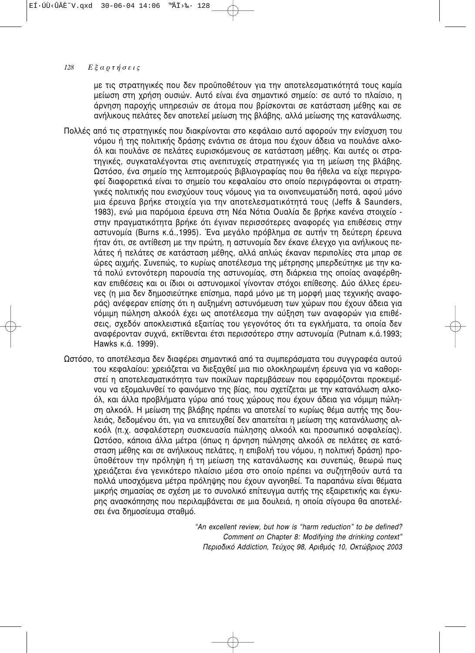#### *128 Eξαρτήσεις*

με τις στρατηγικές που δεν προϋποθέτουν για την αποτελεσματικότητά τους καμία μείωση στη χρήση ουσιών. Αυτό είναι ένα σημαντικό σημείο: σε αυτό το πλαίσιο, η άργηση παροχής υπηρεσιών σε άτομα που βρίσκονται σε κατάσταση μέθης και σε ανήλικους πελάτες δεν αποτελεί μείωση της βλάβης, αλλά μείωσης της κατανάλωσης.

- Πολλές από τις στρατηγικές που διακρίνονται στο κεφάλαιο αυτό αφορούν την ενίσχυση του νόμου ή της πολιτικής δράσης ενάντια σε άτομα που έχουν άδεια να πουλάνε αλκοόλ και πουλάνε σε πελάτες ευρισκόμενους σε κατάσταση μέθης. Και αυτές οι στρατηγικές, συγκαταλέγονται στις ανεπιτυχείς στρατηγικές για τη μείωση της βλάβης. Ωστόσο, ένα σημείο της λεπτομερούς βιβλιογραφίας που θα ήθελα να είχε περιγρα-Φεί διαφορετικά είναι το σημείο του κεφαλαίου στο οποίο περιγράφονται οι στρατηγικές πολιτικής που ενισχύουν τους νόμους για τα οινοπνευματώδη ποτά, αφού μόνο μια έρευνα βρήκε στοιχεία για την αποτελεσματικότητά τους (Jeffs & Saunders, 1983), ενώ μια παρόμοια έρευνα στη Νέα Νότια Ουαλία δε βρήκε κανένα στοιχείο στην πραγματικότητα βρήκε ότι έγιναν περισσότερες αναφορές για επιθέσεις στην αστυνομία (Burns κ.ά.,1995). Ένα μεγάλο πρόβλημα σε αυτήν τη δεύτερη έρευνα ήταν ότι, σε αντίθεση με την πρώτη, η αστυνομία δεν έκανε έλεγχο για ανήλικους πελάτες ή πελάτες σε κατάσταση μέθης, αλλά απλώς έκαναν περιπολίες στα μπαρ σε ώρες αιχμής. Συνεπώς, το κυρίως αποτέλεσμα της μέτρησης μπερδεύτηκε με την κατά πολύ εντονότερη παρουσία της αστυνομίας, στη διάρκεια της οποίας αναφέρθηκαν επιθέσεις και οι ίδιοι οι αστυνομικοί γίνονταν στόχοι επίθεσης. Δύο άλλες έρευνες (η μια δεν δημοσιεύτηκε επίσημα, παρά μόνο με τη μορφή μιας τεχνικής αναφοράς) ανέφεραν επίσης ότι η αυξημένη αστυνόμευση των χώρων που έχουν άδεια για νόμιμη πώληση αλκοόλ έχει ως αποτέλεσμα την αύξηση των αναφορών για επιθέσεις, σχεδόν αποκλειστικά εξαιτίας του γεγονότος ότι τα εγκλήματα, τα οποία δεν αναφέρονταν συχνά, εκτίθενται έτσι περισσότερο στην αστυνομία (Putnam κ.ά.1993; Hawks k.á. 1999).
- Ωστόσο, το αποτέλεσμα δεν διαφέρει σημαντικά από τα συμπεράσματα του συγγραφέα αυτού του κεφαλαίου: χρειάζεται να διεξαχθεί μια πιο ολοκληρωμένη έρευνα για να καθοριστεί η αποτελεσματικότητα των ποικίλων παρεμβάσεων που εφαρμόζονται προκειμένου να εξομαλυνθεί το φαινόμενο της βίας, που σχετίζεται με την κατανάλωση αλκοόλ, και άλλα προβλήματα γύρω από τους χώρους που έχουν άδεια για νόμιμη πώληση αλκοόλ. Η μείωση της βλάβης πρέπει να αποτελεί το κυρίως θέμα αυτής της δουλειάς, δεδομένου ότι, για να επιτευχθεί δεν απαιτείται η μείωση της κατανάλωσης αλ-ΚΟόλ (π.χ. ασφαλέστερη συσκευασία πώλησης αλκοόλ και προσωπικό ασφαλείας). Ωστόσο, κάποια άλλα μέτρα (όπως η άρνηση πώλησης αλκοόλ σε πελάτες σε κατάσταση μέθης και σε ανήλικους πελάτες, η επιβολή του νόμου, η πολιτική δράση) προϋποθέτουν την πρόληψη ή τη μείωση της κατανάλωσης και συνεπώς, θεωρώ πως χρειάζεται ένα γενικότερο πλαίσιο μέσα στο οποίο πρέπει να συζητηθούν αυτά τα πολλά υποσχόμενα μέτρα πρόληψης που έχουν αγνοηθεί. Τα παραπάνω είναι θέματα μικρής σημασίας σε σχέση με το συνολικό επίτευγμα αυτής της εξαιρετικής και έγκυρης ανασκόπησης που περιλαμβάνεται σε μια δουλειά, η οποία σίγουρα θα αποτελέσει ένα δημοσίευμα σταθμό.

*"An excellent review, but how is "harm reduction" to be defined? Comment on Chapter 8: Modifying the drinking context"* Περιοδικό Addiction, Τεύχος 98, Αριθμός 10, Οκτώβριος 2003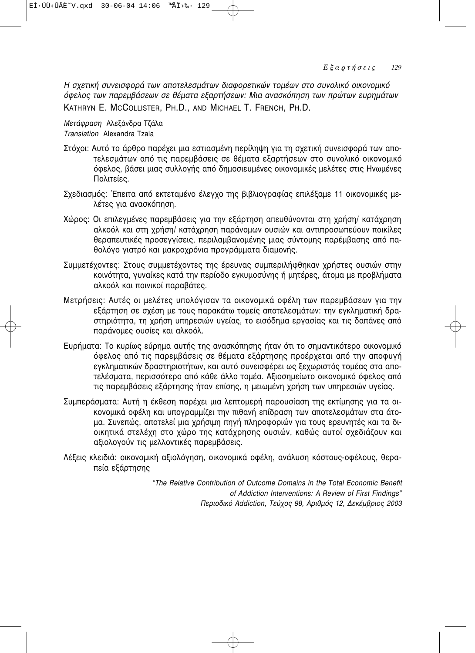Η σχετική συνεισφορά των αποτελεσμάτων διαφορετικών τομέων στο συνολικό οικονομικό *όφελος των παρεμβάσεων σε θέματα εξαρτήσεων: Μια ανασκόπηση των πρώτων ευρημάτων* KATHRYN E. MCCOLLISTER, PH.D., AND MICHAEL T. FRENCH, PH.D.

*Μετάφραση* Αλεξάνδρα Τζάλα *Translation* Alexandra Tzala

- Στόχοι: Αυτό το άρθρο παρέχει μια εστιασμένη περίληψη για τη σχετική συνεισφορά των αποτελεσμάτων από τις παρεμβάσεις σε θέματα εξαρτήσεων στο συνολικό οικονομικό όφελος, βάσει μιας συλλογής από δημοσιευμένες οικονομικές μελέτες στις Ηνωμένες Πολιτείες.
- Σχεδιασμός: Έπειτα από εκτεταμένο έλεγχο της βιβλιογραφίας επιλέξαμε 11 οικονομικές μελέτες για ανασκόπηση.
- Χώρος: Οι επιλεγμένες παρεμβάσεις για την εξάρτηση απευθύνονται στη χρήση/ κατάχρηση αλκοόλ και στη χρήση/ κατάχρηση παράνομων ουσιών και αντιπροσωπεύουν ποικίλες θεραπευτικές προσεγγίσεις, περιλαμβανομένης μιας σύντομης παρέμβασης από παθολόγο γιατρό και μακροχρόνια προγράμματα διαμονής.
- Συμμετέχοντες: Στους συμμετέχοντες της έρευνας συμπεριλήφθηκαν χρήστες ουσιών στην κοινότητα, γυναίκες κατά την περίοδο εγκυμοσύνης ή μητέρες, άτομα με προβλήματα αλκοόλ και ποινικοί παραβάτες.
- Μετρήσεις: Αυτές οι μελέτες υπολόγισαν τα οικονομικά οφέλη των παρεμβάσεων για την εξάρτηση σε σχέση με τους παρακάτω τομείς αποτελεσμάτων: την εγκληματική δραστηριότητα, τη χρήση υπηρεσιών υγείας, το εισόδημα εργασίας και τις δαπάνες από παράνομες ουσίες και αλκοόλ.
- Ευρήματα: Το κυρίως εύρημα αυτής της ανασκόπησης ήταν ότι το σημαντικότερο οικονομικό όφελος από τις παρεμβάσεις σε θέματα εξάρτησης προέρχεται από την αποφυγή ενκληματικών δραστηριοτήτων, και αυτό συνεισφέρει ως ξεχωριστός τομέας στα αποτελέσματα, περισσότερο από κάθε άλλο τομέα. Αξιοσημείωτο οικονομικό όφελος από τις παρεμβάσεις εξάρτησης ήταν επίσης, η μειωμένη χρήση των υπηρεσιών υγείας.
- Συμπεράσματα: Αυτή η έκθεση παρέχει μια λεπτομερή παρουσίαση της εκτίμησης για τα οικονομικά οφέλη και υπογραμμίζει την πιθανή επίδραση των αποτελεσμάτων στα άτομα. Συνεπώς, αποτελεί μια χρήσιμη πηγή πληροφοριών για τους ερευνητές και τα διοικητικά στελέχη στο χώρο της κατάχρησης ουσιών, καθώς αυτοί σχεδιάζουν και αξιολογούν τις μελλοντικές παρεμβάσεις.
- Λέξεις κλειδιά: οικονομική αξιολόγηση, οικονομικά οφέλη, ανάλυση κόστους-οφέλους, θεραπεία εξάρτησης

*"The Relative Contribution of Outcome Domains in the Total Economic Benefit of Addiction Interventions: A Review of First Findings"* ΓΙεριοδικό Addiction, Τεύχος 98, Αριθμός 12, Δεκέμβριος 2003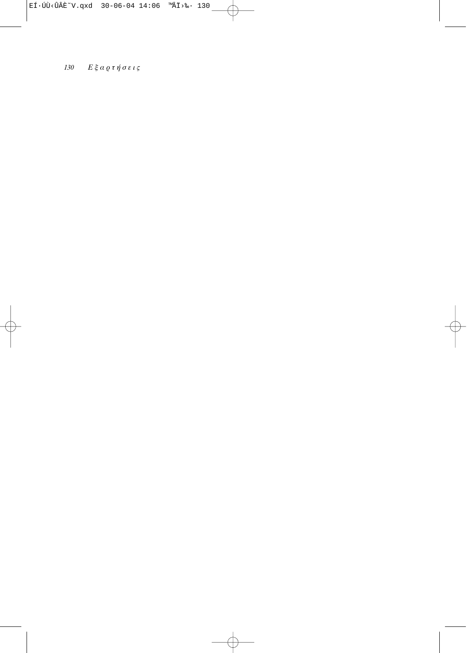$E \xi a \varrho \tau \eta \sigma \varepsilon \iota \varsigma$ 130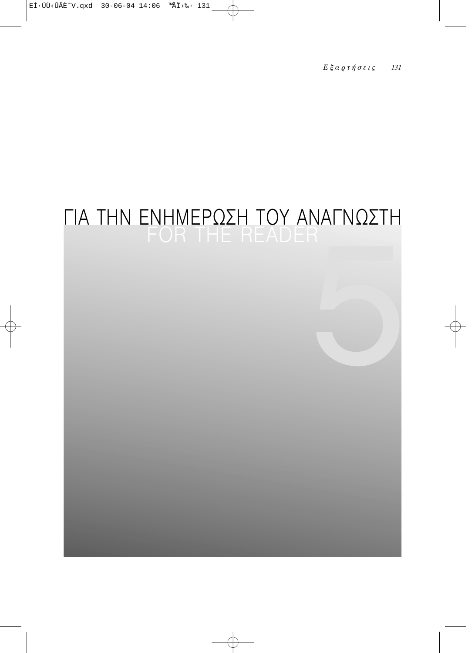# ΓΙΑ ΤΗΝ ΕΝΗΜΕΡΩΣΗ ΤΟΥ ΑΝΑΓΝΩΣΤΗ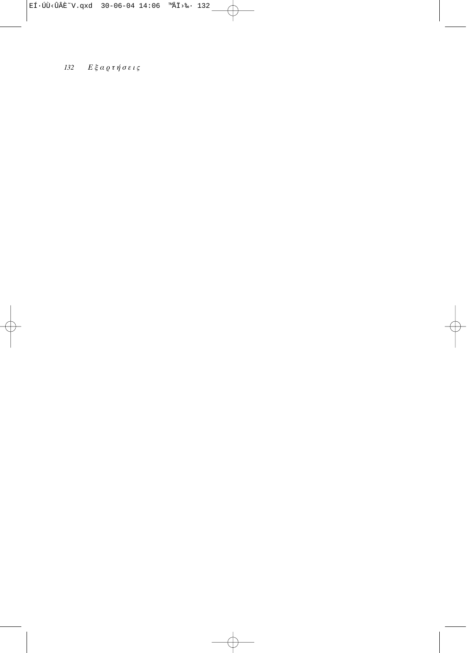#### $E \xi a \varrho \tau \eta \sigma \varepsilon \iota \varsigma$ 132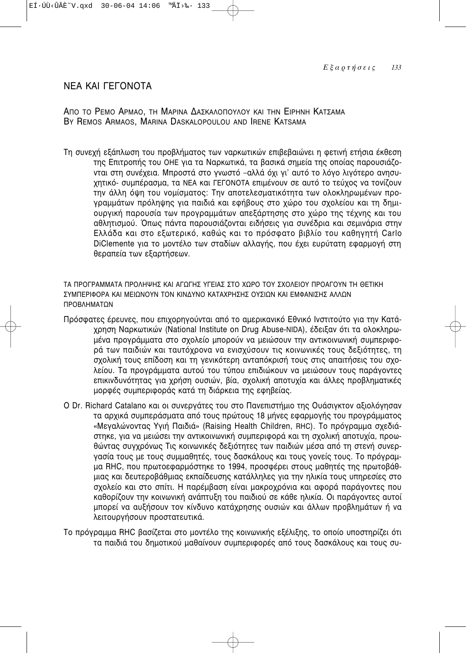# NFA KAI FFFONOTA

ΑΠΟ ΤΟ ΡΕΜΟ ΑΡΜΑΟ, ΤΗ ΜΑΡΙΝΑ ΔΑΣΚΑΛΟΠΟΥΛΟΥ ΚΑΙ ΤΗΝ ΕΙΡΗΝΗ ΚΑΤΣΑΜΑ BY REMOS ARMAOS, MARINA DASKALOPOULOU AND IRENE KATSAMA

Τη συνεχή εξάπλωση του προβλήματος των ναρκωτικών επιβεβαιώνει η φετινή ετήσια έκθεση της Επιτροπής του ΟΗΕ για τα Ναρκωτικά, τα βασικά σημεία της οποίας παρουσιάζονται στη συνέχεια. Μπροστά στο γνωστό -αλλά όχι γι' αυτό το λόγο λιγότερο ανησυχητικό- συμπέρασμα, τα ΝΕΑ και ΓΕΓΟΝΟΤΑ επιμένουν σε αυτό το τεύχος να τονίζουν την άλλη όψη του νομίσματος: Την αποτελεσματικότητα των ολοκληρωμένων προγραμμάτων πρόληψης για παιδιά και εφήβους στο χώρο του σχολείου και τη δημιουονική παρουσία των προγραμμάτων απεξάρτησης στο χώρο της τέχνης και του αθλητισμού. Όπως πάντα παρουσιάζονται ειδήσεις για συνέδρια και σεμινάρια στην Ελλάδα και στο εξωτερικό, καθώς και το πρόσφατο βιβλίο του καθηγητή Carlo DiClemente για το μοντέλο των σταδίων αλλαγής, που έχει ευρύτατη εφαρμογή στη θεραπεία των εξαρτήσεων.

ΤΑ ΠΡΟΓΡΑΜΜΑΤΑ ΠΡΟΛΗΨΗΣ ΚΑΙ ΑΓΩΓΗΣ ΥΓΕΙΑΣ ΣΤΟ ΧΩΡΟ ΤΟΥ ΣΧΟΛΕΙΟΥ ΠΡΟΑΓΟΥΝ ΤΗ ΘΕΤΙΚΗ ΣΥΜΠΕΡΙΦΟΡΑ ΚΑΙ ΜΕΙΩΝΟΥΝ ΤΟΝ ΚΙΝΔΥΝΟ ΚΑΤΑΧΡΗΣΗΣ ΟΥΣΙΩΝ ΚΑΙ ΕΜΦΑΝΙΣΗΣ ΑΛΛΩΝ ΠΡΟΒΛΗΜΑΤΩΝ

- Πρόσφατες έρευνες, που επιχορηγούνται από το αμερικανικό Εθνικό Ινστιτούτο για την Κατάχρηση Ναρκωτικών (National Institute on Drug Abuse-NIDA), έδειξαν ότι τα ολοκληρωμένα προγράμματα στο σχολείο μπορούν να μειώσουν την αντικοινωνική συμπεριφορά των παιδιών και ταυτόχρονα να ενισχύσουν τις κοινωνικές τους δεξιότητες, τη σχολική τους επίδοση και τη γενικότερη ανταπόκρισή τους στις απαιτήσεις του σχολείου. Τα προγράμματα αυτού του τύπου επιδιώκουν να μειώσουν τους παράγοντες επικινδυνότητας για χρήση ουσιών, βία, σχολική αποτυχία και άλλες προβληματικές μορφές συμπεριφοράς κατά τη διάρκεια της εφηβείας.
- O Dr. Richard Catalano και οι συνεργάτες του στο Πανεπιστήμιο της Ουάσιγκτον αξιολόγησαν τα αρχικά συμπεράσματα από τους πρώτους 18 μήνες εφαρμογής του προγράμματος «Μεναλώνοντας Υνιή Παιδιά» (Raising Health Children, RHC). Το πρόνραμμα σχεδιάστηκε, για να μειώσει την αντικοινωνική συμπεριφορά και τη σχολική αποτυχία, προωθώντας συγχρόνως Τις κοινωνικές δεξιότητες των παιδιών μέσα από τη στενή συνεργασία τους με τους συμμαθητές, τους δασκάλους και τους γονείς τους. Το πρόγραμμα RHC, που πρωτοεφαρμόστηκε το 1994, προσφέρει στους μαθητές της πρωτοβάθμιας και δευτεροβάθμιας εκπαίδευσης κατάλληλες για την ηλικία τους υπηρεσίες στο σχολείο και στο σπίτι. Η παρέμβαση είναι μακροχρόνια και αφορά παράγοντες που καθορίζουν την κοινωνική ανάπτυξη του παιδιού σε κάθε ηλικία. Οι παράγοντες αυτοί μπορεί να αυξήσουν τον κίνδυνο κατάχρησης ουσιών και άλλων προβλημάτων ή να λειτουργήσουν προστατευτικά.
- Το πρόγραμμα RHC βασίζεται στο μοντέλο της κοινωνικής εξέλιξης, το οποίο υποστηρίζει ότι τα παιδιά του δημοτικού μαθαίνουν συμπεριφορές από τους δασκάλους και τους συ-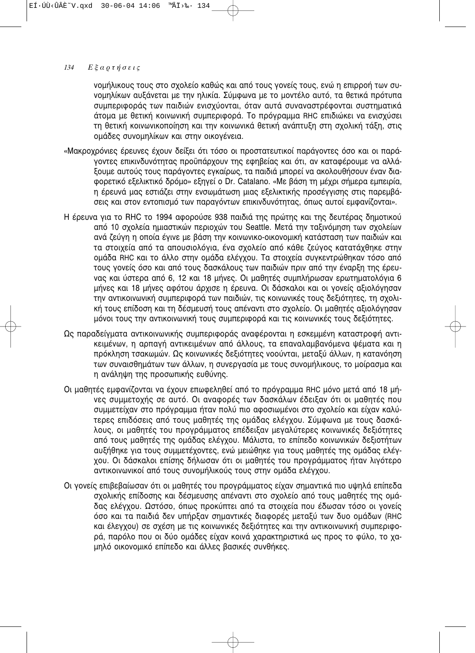#### *134 Eξαρτήσεις*

vομήλικους τους στο σχολείο καθώς και από τους γονείς τους, ενώ η επιρροή των συνομηλίκων αυξάνεται με την ηλικία. Σύμφωνα με το μοντέλο αυτό, τα θετικά πρότυπα συμπεριφοράς των παιδιών ενισχύονται, όταν αυτά συναναστρέφονται συστηματικά άτομα με θετική κοινωνική συμπεριφορά. Το πρόνραμμα RHC επιδιώκει να ενισχύσει τη θετική κοινωνικοποίηση και την κοινωνικά θετική ανάπτυξη στη σχολική τάξη, στις ομάδες συνομηλίκων και στην οικονένεια.

- «Μακροχρόνιες έρευνες έχουν δείξει ότι τόσο οι προστατευτικοί παράγοντες όσο και οι παράγοντες επικινδυνότητας προϋπάρχουν της εφηβείας και ότι, αν καταφέρουμε να αλλάξουμε αυτούς τους παράγοντες εγκαίρως, τα παιδιά μπορεί να ακολουθήσουν έναν δια-ΦΟρετικό εξελικτικό δρόμο» εξηγεί ο Dr. Catalano. «Με βάση τη μέχρι σήμερα εμπειρία, η έρευνά μας εστιάζει στην ενσωμάτωση μιας εξελικτικής προσέννισης στις παρεμβάσεις και στον εντοπισμό των παραγόντων επικινδυνότητας, όπως αυτοί εμφανίζονται».
- Η έρευνα για το RHC το 1994 αφορούσε 938 παιδιά της πρώτης και της δευτέρας δημοτικού από 10 σχολεία ημιαστικών περιοχών του Seattle. Μετά την ταξινόμηση των σχολείων ανά ζεύγη η οποία έγινε με βάση την κοινωνικο-οικονομική κατάσταση των παιδιών και τα στοιχεία από τα απουσιολόγια, ένα σχολείο από κάθε ζεύγος κατατάχθηκε στην ομάδα RHC και το άλλο στην ομάδα ελέγχου. Τα στοιχεία συγκεντρώθηκαν τόσο από τους γονείς όσο και από τους δασκάλους των παιδιών ποιν από την έναρξη της έρευνας και ύστερα από 6, 12 και 18 μήνες. Οι μαθητές συμπλήρωσαν ερωτηματολόγια 6 μήνες και 18 μήνες αφότου άρχισε η έρευνα. Οι δάσκαλοι και οι γονείς αξιολόγησαν την αντικοινωνική συμπεριφορά των παιδιών, τις κοινωνικές τους δεξιότητες, τη σχολική τους επίδοση και τη δέσμευσή τους απέναντι στο σχολείο. Οι μαθητές αξιολόγησαν μόνοι τους την αντικοινωνική τους συμπεριφορά και τις κοινωνικές τους δεξιότητες.
- Ως παραδείγματα αντικοινωνικής συμπεριφοράς αναφέρονται η εσκεμμένη καταστροφή αντι-Κειμένων, η αρπανή αντικειμένων από άλλους, τα επαναλαμβανόμενα ψέματα και η πρόκληση τσακωμών. Ως κοινωνικές δεξιότητες νοούνται, μεταξύ άλλων, η κατανόηση των συναισθημάτων των άλλων, η συνεργασία με τους συνομήλικους, το μοίρασμα και n ανάληψη της προσωπικής ευθύνης.
- Οι μαθητές εμφανίζονται να έχουν επωφεληθεί από το πρόγραμμα RHC μόνο μετά από 18 μήνες συμμετοχής σε αυτό. Οι αναφορές των δασκάλων έδειξαν ότι οι μαθητές που συμμετείχαν στο πρόγραμμα ήταν πολύ πιο αφοσιωμένοι στο σχολείο και είχαν καλύτερες επιδόσεις από τους μαθητές της ομάδας ελέγχου. Σύμφωνα με τους δασκάλους, οι μαθητές του προνράμματος επέδειξαν μεναλύτερες κοινωνικές δεξιότητες από τους μαθητές της ομάδας ελέγχου. Μάλιστα, το επίπεδο κοινωνικών δεξιοτήτων αυξήθηκε για τους συμμετέχοντες, ενώ μειώθηκε για τους μαθητές της ομάδας ελέγχου. Οι δάσκαλοι επίσης δήλωσαν ότι οι μαθητές του προγράμματος ήταν λιγότερο αντικοινωνικοί από τους συνομήλικούς τους στην ομάδα ελέγχου.
- Οι γονείς επιβεβαίωσαν ότι οι μαθητές του προγράμματος είχαν σημαντικά πιο υψηλά επίπεδα σχολικής επίδοσης και δέσμευσης απέναντι στο σχολείο από τους μαθητές της ομάδας ελέγχου. Ωστόσο, όπως προκύπτει από τα στοιχεία που έδωσαν τόσο οι γονείς óσο και τα παιδιά δεν υπήρξαν σημαντικές διαφορές μεταξύ των δυο ομάδων (RHC Και έλεγχου) σε σχέση με τις κοινωνικές δεξιότητες και την αντικοινωνική συμπεριφορά, παρόλο που οι δύο ομάδες είχαν κοινά χαρακτηριστικά ως προς το φύλο, το χαμηλό οικονομικό επίπεδο και άλλες βασικές συνθήκες.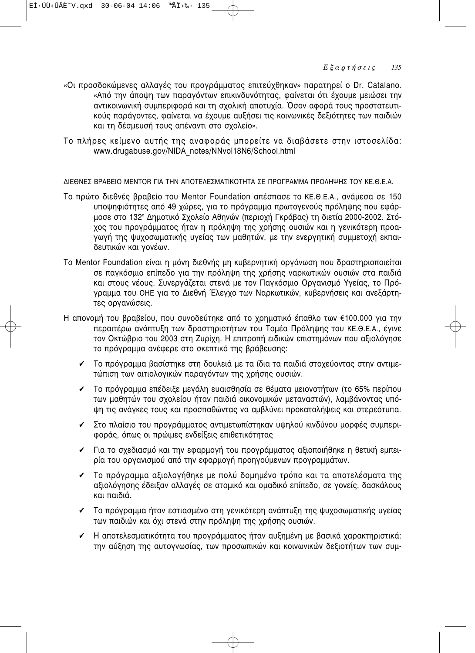- «Οι προσδοκώμενες αλλαγές του προγράμματος επιτεύχθηκαν» παρατηρεί ο Dr. Catalano. «Από την άποψη των παραγόντων επικινδυνότητας, φαίνεται ότι έχουμε μειώσει την αντικοινωνική συμπεριφορά και τη σχολική αποτυχία. Όσον αφορά τους προστατευτι-Κούς παράγοντες, φαίνεται να έχουμε αυξήσει τις κοινωνικές δεξιότητες των παιδιών και τη δέσμευσή τους απέναντι στο σχολείο».
- Tο πλήρες κείμενο αυτής της αναφοράς μπορείτε να διαβάσετε στην ιστοσελίδα: www.drugabuse.gov/NIDA\_notes/NNvol18N6/School.html

¢π∂£¡∂™ µƒ∞µ∂π√ MENTOR °π∞ ∆∏¡ ∞¶√∆∂§∂™ª∞∆π∫√∆∏∆∞ ™∂ ¶ƒ√°ƒ∞ªª∞ ¶ƒ√§∏æ∏™ ∆√À ∫∂.£.∂.∞.

- Το πρώτο διεθνές βραβείο του Mentor Foundation απέσπασε το ΚΕ.Θ.Ε.Α., ανάμεσα σε 150 υποψηφιότητες από 49 χώρες, για το πρόγραμμα πρωτογενούς πρόληψης που εφάρμοσε στο 132° Δημοτικό Σχολείο Αθηνών (περιοχή Γκράβας) τη διετία 2000-2002. Στόχος του προγράμματος ήταν η πρόληψη της χρήσης ουσιών και η γενικότερη προαγωγή της ψυχοσωματικής υγείας των μαθητών, με την ενεργητική συμμετοχή εκπαιδευτικών και γονέων.
- Το Mentor Foundation είναι η μόνη διεθνής μη κυβερνητική οργάνωση που δραστηριοποιείται σε παγκόσμιο επίπεδο για την πρόληψη της χρήσης ναρκωτικών ουσιών στα παιδιά και στους νέους. Συνεργάζεται στενά με τον Παγκόσμιο Οργανισμό Υγείας, το Πρόγραμμα του ΟΗΕ για το Διεθνή Έλεγχο των Ναρκωτικών, κυβερνήσεις και ανεξάρτητες οργανώσεις.
- Η απονομή του βραβείου, που συνοδεύτηκε από το χρηματικό έπαθλο των €100.000 για την περαιτέρω ανάπτυξη των δραστηριοτήτων του Τομέα Πρόληψης του ΚΕ.Θ.Ε.Α., έγινε τον Οκτώβριο του 2003 στη Ζυρίχη. Η επιτροπή ειδικών επιστημόνων που αξιολόγησε το πρόγραμμα ανέφερε στο σκεπτικό της βράβευσης:
	- Το πρόγραμμα βασίστηκε στη δουλειά με τα ίδια τα παιδιά στοχεύοντας στην αντιμετώπιση των αιτιολογικών παραγόντων της χρήσης ουσιών.
	- **Το πρόγραμμα επέδειξε μεγάλη ευαισθησία σε θέματα μειονοτήτων (το 65% περίπου** των μαθητών του σχολείου ήταν παιδιά οικονομικών μεταναστών), λαμβάνοντας υπόψη τις ανάγκες τους και προσπαθώντας να αμβλύνει προκαταλήψεις και στερεότυπα.
	- **Στο πλαίσιο του προγράμματος αντιμετωπίστηκαν υψηλού κινδύνου μορφές συμπερι-**ΦΟράς, όπως οι πρώιμες ενδείξεις επιθετικότητας
	- V Για το σχεδιασμό και την εφαρμογή του προγράμματος αξιοποιήθηκε η θετική εμπειρία του οργανισμού από την εφαρμογή προηγούμενων προγραμμάτων.
	- **<b>∕** $Το πρόγραμμα αξιολογήθηκε με πολύ δομημένο τρόπο και τα αποτελέσματα της$ αξιολόγησης έδειξαν αλλαγές σε ατομικό και ομαδικό επίπεδο, σε γονείς, δασκάλους και παιδιά.
	- **Το πρόγραμμα ήταν εστιασμένο στη γενικότερη ανάπτυξη της ψυχοσωματικής υγείας** των παιδιών και όχι στενά στην πρόληψη της χρήσης ουσιών.
	- v Η αποτελεσματικότητα του προγράμματος ήταν αυξημένη με βασικά χαρακτηριστικά: την αύξηση της αυτογνωσίας, των προσωπικών και κοινωνικών δεξιοτήτων των συμ-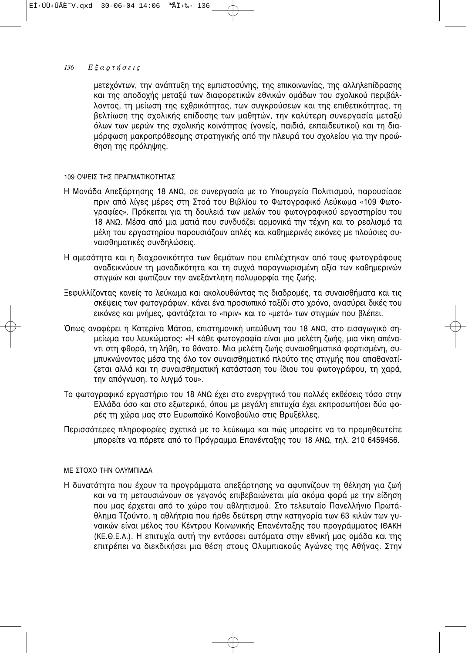#### *136 Eξαρτήσεις*

μετεχόντων, την ανάπτυξη της εμπιστοσύνης, της επικοινωνίας, της αλληλεπίδρασης και της αποδοχής μεταξύ των διαφορετικών εθνικών ομάδων του σχολικού περιβάλλοντος, τη μείωση της εχθρικότητας, των συνκρούσεων και της επιθετικότητας, τη Bελτίωση της σχολικής επίδοσης των μαθητών, την καλύτερη συνεργασία μεταξύ όλων των μερών της σχολικής κοινότητας (νονείς, παιδιά, εκπαιδευτικοί) και τη διαμόρφωση μακροπρόθεσμης στρατηνικής από την πλευρά του σχολείου για την προώθηση της πρόληψης.

#### 109 ΟΨΕΙΣ ΤΗΣ ΠΡΑΓΜΑΤΙΚΟΤΗΤΑΣ

- Η Μονάδα Απεξάρτησης 18 ANΩ, σε συνεργασία με το Υπουργείο Πολιτισμού, παρουσίασε πριν από λίγες μέρες στη Στοά του Βιβλίου το Φωτογραφικό Λεύκωμα «109 Φωτογραφίες». Πρόκειται για τη δουλειά των μελών του φωτογραφικού εργαστηρίου του 18 ΑΝΩ. Μέσα από μια ματιά που συνδυάζει αρμονικά την τέχνη και το ρεαλισμό τα μέλη του εργαστηρίου παρουσιάζουν απλές και καθημερινές εικόνες με πλούσιες συναισθηματικές συνδηλώσεις.
- Η αμεσότητα και η διαχρονικότητα των θεμάτων που επιλέχτηκαν από τους φωτογράφους αναδεικνύουν τη μοναδικότητα και τη συχνά παραννωρισμένη αξία των καθημερινών στιγμών και φωτίζουν την ανεξάντλητη πολυμορφία της ζωής.
- Ξεφυλλίζοντας κανείς το λεύκωμα και ακολουθώντας τις διαδρομές, τα συναισθήματα και τις σκέψεις των φωτογράφων, κάνει ένα προσωπικό ταξίδι στο χρόνο, ανασύρει δικές του εικόνες και μνήμες, φαντάζεται το «πριν» και το «μετά» των στιγμών που βλέπει.
- Όπως αναφέρει η Κατερίνα Μάτσα, επιστημονική υπεύθυνη του 18 ΑΝΩ, στο εισαγωγικό σημείωμα του λευκώματος: «Η κάθε φωτογραφία είναι μια μελέτη ζωής, μια νίκη απένα-Vτι στη φθορά, τη λήθη, το θάνατο. Μια μελέτη ζωής συναισθηματικά φορτισμένη, συμπυκνώνοντας μέσα της όλο τον συναισθηματικό πλούτο της στιγμής που απαθανατίζεται αλλά και τη συναισθηματική κατάσταση του ίδιου του φωτογράφου, τη χαρά, την απόγνωση, το λυγμό του».
- Το φωτογραφικό εργαστήριο του 18 ΑΝΩ έχει στο ενεργητικό του πολλές εκθέσεις τόσο στην Ελλάδα όσο και στο εξωτερικό, όπου με μεγάλη επιτυχία έχει εκπροσωπήσει δύο φορές τη χώρα μας στο Ευρωπαϊκό Κοινοβούλιο στις Βρυξέλλες.
- Περισσότερες πληροφορίες σχετικά με το λεύκωμα και πώς μπορείτε να το προμηθευτείτε μπορείτε να πάρετε από το Πρόγραμμα Επανένταξης του 18 ΑΝΩ, τηλ. 210 6459456.

#### ΜΕ ΣΤΟΧΟ ΤΗΝ ΟΛΥΜΠΙΑΔΑ

Η δυνατότητα που έχουν τα προγράμματα απεξάρτησης να αφυπνίζουν τη θέληση για ζωή και να τη μετουσιώνουν σε γεγονός επιβεβαιώνεται μία ακόμα φορά με την είδηση που μας έρχεται από το χώρο του αθλητισμού. Στο τελευταίο Πανελλήνιο Πρωτάθλημα Τζούντο, η αθλήτρια που ήρθε δεύτερη στην κατηγορία των 63 κιλών των γυναικών είναι μέλος του Κέντρου Κοινωνικής Επανένταξης του προγράμματος ΙΘΑΚΗ (ΚΕ.Θ.Ε.Α.). Η επιτυχία αυτή την εντάσσει αυτόματα στην εθνική μας ομάδα και της επιτρέπει να διεκδικήσει μια θέση στους Ολυμπιακούς Αγώνες της Αθήνας. Στην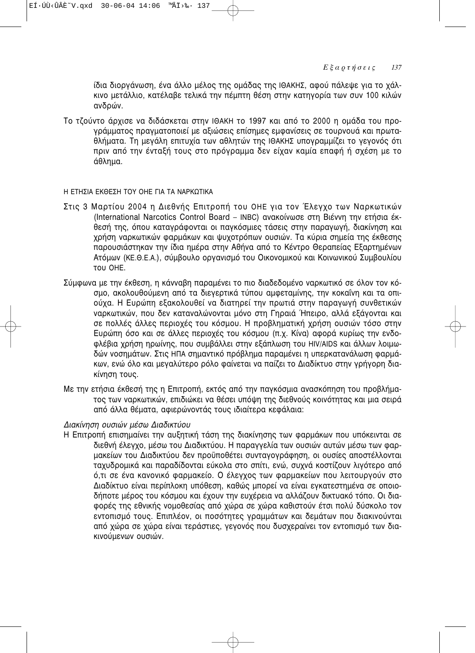ίδια διοργάνωση, ένα άλλο μέλος της ομάδας της ΙΘΑΚΗΣ, αφού πάλεψε για το χάλκινο μετάλλιο, κατέλαβε τελικά την πέμπτη θέση στην κατηγορία των συν 100 κιλών ανδρών.

Το τζούντο άρχισε να διδάσκεται στην ΙΘΑΚΗ το 1997 και από το 2000 η ομάδα του προγράμματος πραγματοποιεί με αξιώσεις επίσημες εμφανίσεις σε τουρνουά και πρωταθλήματα. Τη μεγάλη επιτυχία των αθλητών της ΙΘΑΚΗΣ υπογραμμίζει το γεγονός ότι πριν από την ένταξή τους στο πρόγραμμα δεν είχαν καμία επαφή ή σχέση με το άθλημα.

#### Η ΕΤΗΣΙΑ ΕΚΘΕΣΗ ΤΩΥ ΩΗΕ ΓΙΑ ΤΑ ΝΑΡΚΩΤΙΚΑ

- Στις 3 Μαρτίου 2004 η Διεθνής Επιτροπή του ΟΗΕ για τον Έλεγχο των Ναρκωτικών (International Narcotics Control Board – INBC) ανακοίνωσε στη Βιέννη την ετήσια έκθεσή της, όπου καταγράφονται οι παγκόσμιες τάσεις στην παραγωγή, διακίνηση και χρήση ναρκωτικών φαρμάκων και ψυχοτρόπων ουσιών. Τα κύρια σημεία της έκθεσης παρουσιάστηκαν την ίδια ημέρα στην Αθήνα από το Κέντρο Θεραπείας Εξαρτημένων Aτόμων (ΚΕ.Θ.Ε.Α.), σύμβουλο οργανισμό του Οικονομικού και Κοινωνικού Συμβουλίου TOU OHE.
- Σύμφωνα με την έκθεση, η κάνναβη παραμένει το πιο διαδεδομένο ναρκωτικό σε όλον τον κόσμο, ακολουθούμενη από τα διεγερτικά τύπου αμφεταμίνης, την κοκαΐνη και τα οπιούχα. Η Ευρώπη εξακολουθεί να διατηρεί την πρωτιά στην παραγωγή συνθετικών ναρκωτικών, που δεν καταναλώνονται μόνο στη Γηραιά Ήπειρο, αλλά εξάγονται και σε πολλές άλλες περιοχές του κόσμου. Η προβληματική χρήση ουσιών τόσο στην Ευρώπη όσο και σε άλλες περιοχές του κόσμου (π.χ. Κίνα) αφορά κυρίως την ενδο-Φλέβια χρήση ηρωίνης, που συμβάλλει στην εξάπλωση του HIV/AIDS και άλλων λοιμωδών νοσημάτων. Στις ΗΠΑ σημαντικό πρόβλημα παραμένει η υπερκατανάλωση φαρμάκων, ενώ όλο και μεγαλύτερο ρόλο φαίνεται να παίζει το Διαδίκτυο στην γρήγορη διακίνηση τους.
- Με την ετήσια έκθεσή της η Επιτροπή, εκτός από την παγκόσμια ανασκόπηση του προβλήματος των ναρκωτικών, επιδιώκει να θέσει υπόψη της διεθνούς κοινότητας και μια σειρά από άλλα θέματα, αφιερώνοντάς τους ιδιαίτερα κεφάλαια:

## $\Delta$ ιακίνηση ουσιών μέσω  $\Delta$ ιαδικτύου

Η Επιτροπή επισημαίνει την αυξητική τάση της διακίνησης των φαρμάκων που υπόκεινται σε διεθνή έλεγχο, μέσω του Διαδικτύου. Η παραγγελία των ουσιών αυτών μέσω των φαρμακείων του Διαδικτύου δεν προϋποθέτει συνταγογράφηση, οι ουσίες αποστέλλονται ταχυδρομικά και παραδίδονται εύκολα στο σπίτι, ενώ, συχνά κοστίζουν λιγότερο από ό,τι σε ένα κανονικό φαρμακείο. Ο έλεγχος των φαρμακείων που λειτουργούν στο Διαδίκτυο είναι περίπλοκη υπόθεση, καθώς μπορεί να είναι εγκατεστημένα σε οποιοδήποτε μέρος του κόσμου και έχουν την ευχέρεια να αλλάζουν δικτυακό τόπο. Οι δια-ΦΟρές της εθνικής νομοθεσίας από χώρα σε χώρα καθιστούν έτσι πολύ δύσκολο τον εντοπισμό τους. Επιπλέον, οι ποσότητες γραμμάτων και δεμάτων που διακινούνται από χώρα σε χώρα είναι τεράστιες, γεγονός που δυσχεραίνει τον εντοπισμό των δια-Κινούμενων ουσιών.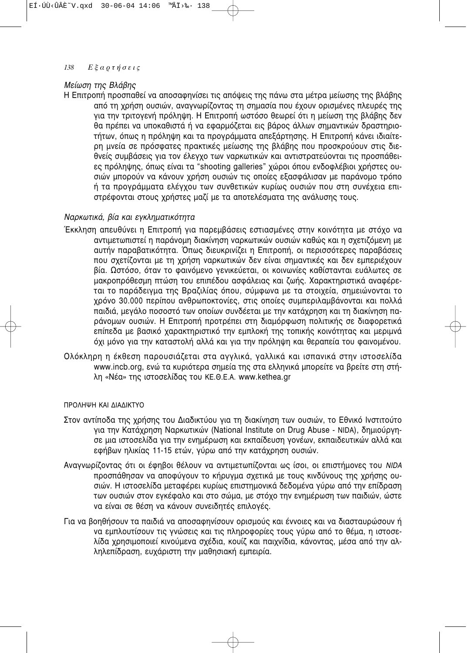#### 138 Εξαρτήσεις

# Μείωση της Βλάβης

Η Επιτροπή προσπαθεί να αποσαφηνίσει τις απόψεις της πάνω στα μέτρα μείωσης της βλάβης από τη χρήση ουσιών, αναγνωρίζοντας τη σημασία που έχουν ορισμένες πλευρές της για την τριτογενή πρόληψη. Η Επιτροπή ωστόσο θεωρεί ότι η μείωση της βλάβης δεν θα πρέπει να υποκαθιστά ή να εφαρμόζεται εις βάρος άλλων σημαντικών δραστηριοτήτων, όπως η πρόληψη και τα προνράμματα απεξάρτησης. Η Επιτροπή κάνει ιδιαίτερη μνεία σε πρόσφατες πρακτικές μείωσης της βλάβης που προσκρούουν στις διεθνείς συμβάσεις για τον έλεγχο των ναρκωτικών και αντιστρατεύονται τις προσπάθειες πρόληψης, όπως είναι τα "shooting galleries" χώροι όπου ενδοφλέβιοι χρήστες ουσιών μπορούν να κάνουν χρήση ουσιών τις οποίες εξασφάλισαν με παράνομο τρόπο ή τα προγράμματα ελέγχου των συνθετικών κυρίως ουσιών που στη συνέχεια επιστρέφονται στους χρήστες μαζί με τα αποτελέσματα της ανάλυσης τους.

# Ναρκωτικά, βία και εγκληματικότητα

- Έκκληση απευθύνει η Επιτροπή για παρεμβάσεις εστιασμένες στην κοινότητα με στόχο να αντιμετωπιστεί η παράνομη διακίνηση ναρκωτικών ουσιών καθώς και η σχετιζόμενη με αυτήν παραβατικότητα. Όπως διευκρινίζει η Επιτροπή, οι περισσότερες παραβάσεις που σχετίζονται με τη χρήση ναρκωτικών δεν είναι σημαντικές και δεν εμπεριέχουν βία, Ωστόσο, όταν το φαινόμενο νενικεύεται, οι κοινωνίες καθίστανται ευάλωτες σε μακροπρόθεσμη πτώση του επιπέδου ασφάλειας και ζωής. Χαρακτηριστικά αναφέρεται το παράδειγμα της Βραζιλίας όπου, σύμφωνα με τα στοιχεία, σημειώνονται το χρόνο 30.000 περίπου ανθρωποκτονίες, στις οποίες συμπεριλαμβάνονται και πολλά παιδιά, μεγάλο ποσοστό των οποίων συνδέεται με την κατάχρηση και τη διακίνηση παράνομων ουσιών. Η Επιτροπή προτρέπει στη διαμόρφωση πολιτικής σε διαφορετικά επίπεδα με βασικό χαρακτηριστικό την εμπλοκή της τοπικής κοινότητας και μεριμνά όχι μόνο για την καταστολή αλλά και για την πρόληψη και θεραπεία του φαινομένου.
- Ολόκληρη η έκθεση παρουσιάζεται στα αγγλικά, γαλλικά και ισπανικά στην ιστοσελίδα www.incb.org, ενώ τα κυριότερα σημεία της στα ελληνικά μπορείτε να βρείτε στη στήλη «Νέα» της ιστοσελίδας του ΚΕ.Θ.Ε.Α. www.kethea.gr

#### ΠΡΟΛΗΨΗ ΚΑΙ ΛΙΑΛΙΚΤΥΩ

- Στον αντίποδα της χρήσης του Διαδικτύου για τη διακίνηση των ουσιών, το Εθνικό Ινστιτούτο για την Κατάχρηση Ναρκωτικών (National Institute on Drug Abuse - NIDA), δημιούργησε μια ιστοσελίδα για την ενημέρωση και εκπαίδευση γονέων, εκπαιδευτικών αλλά και εφήβων ηλικίας 11-15 ετών, γύρω από την κατάχρηση ουσιών.
- Αναγνωρίζοντας ότι οι έφηβοι θέλουν να αντιμετωπίζονται ως ίσοι, οι επιστήμονες του ΝΙDA προσπάθησαν να αποφύγουν το κήρυγμα σχετικά με τους κινδύνους της χρήσης ουσιών. Η ιστοσελίδα μεταφέρει κυρίως επιστημονικά δεδομένα γύρω από την επίδραση των ουσιών στον εγκέφαλο και στο σώμα, με στόχο την ενημέρωση των παιδιών, ώστε να είναι σε θέση να κάνουν συνειδητές επιλογές.
- Για να βοηθήσουν τα παιδιά να αποσαφηνίσουν ορισμούς και έννοιες και να διασταυρώσουν ή να εμπλουτίσουν τις γνώσεις και τις πληροφορίες τους γύρω από το θέμα, η ιστοσελίδα χρησιμοποιεί κινούμενα σχέδια, κουίζ και παιχνίδια, κάνοντας, μέσα από την αλληλεπίδραση, ευχάριστη την μαθησιακή εμπειρία.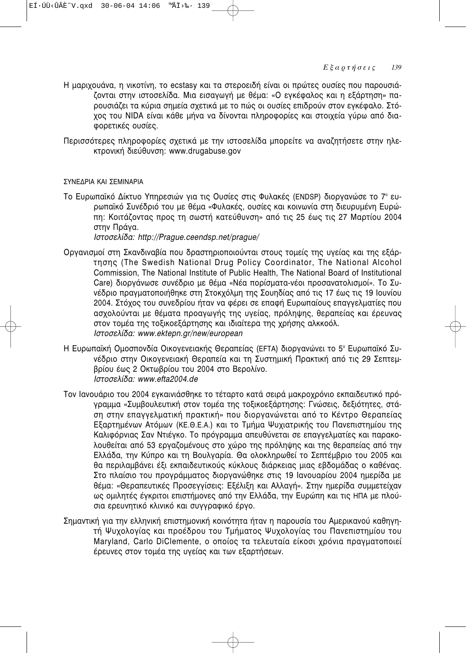- Η μαριχουάνα, η νικοτίνη, το ecstasy και τα στεροειδή είναι οι πρώτες ουσίες που παρουσιάζονται στην ιστοσελίδα. Μια εισαγωγή με θέμα: «Ο εγκέφαλος και η εξάρτηση» παρουσιάζει τα κύρια σημεία σχετικά με το πώς οι ουσίες επιδρούν στον εγκέφαλο. Στόχος του ΝΙDA είναι κάθε μήνα να δίνονται πληροφορίες και στοιχεία γύρω από δια-ΦΟρετικές ουσίες.
- Περισσότερες πληροφορίες σχετικά με την ιστοσελίδα μπορείτε να αναζητήσετε στην ηλεκτρονική διεύθυνση: www.drugabuse.gov

#### ΣΥΝΕΔΡΙΑ ΚΑΙ ΣΕΜΙΝΑΡΙΑ

Το Ευρωπαϊκό Δίκτυο Υπηρεσιών για τις Ουσίες στις Φυλακές (ENDSP) διοργανώσε το 7° ευρωπαϊκό Συνέδριό του με θέμα «Φυλακές, ουσίες και κοινωνία στη διευρυμένη Ευρώπη: Κοιτάζοντας προς τη σωστή κατεύθυνση» από τις 25 έως τις 27 Μαρτίου 2004 στην Πράνα.

 $I$ στοσελίδα: http://Prague.ceendsp.net/prague/

- Οργανισμοί στη Σκανδιναβία που δραστηριοποιούνται στους τομείς της υγείας και της εξάρ-The Swedish National Drug Policy Coordinator, The National Alcohol Commission, The National Institute of Public Health, The National Board of Institutional Care) διοργάνωσε συνέδριο με θέμα «Νέα πορίσματα-νέοι προσανατολισμοί». Το Συνέδριο πραγματοποιήθηκε στη Στοκχόλμη της Σουηδίας από τις 17 έως τις 19 Ιουνίου 2004. Στόχος του συνεδρίου ήταν να φέρει σε επαφή Ευρωπαίους επαγγελματίες που ασχολούνται με θέματα προαγωγής της υγείας, πρόληψης, θεραπείας και έρευνας στον τομέα της τοξικοεξάρτησης και ιδιαίτερα της χρήσης αλκκοόλ.  $I$ στοσελίδα: www.ektepn.gr/new/european
- Η Ευρωπαϊκή Ομοσπονδία Οικογενειακής Θεραπείας (ΕFTA) διοργανώνει το 5° Ευρωπαϊκό Συνέδριο στην Οικογενειακή Θεραπεία και τη Συστημική Πρακτική από τις 29 Σεπτεμ-Βρίου έως 2 Οκτωβρίου του 2004 στο Βερολίνο. *<u>Ιστοσελίδα:</u> www.efta2004.de*
- Τον Ιανουάριο του 2004 εγκαινιάσθηκε το τέταρτο κατά σειρά μακροχρόνιο εκπαιδευτικό πρόγραμμα «Συμβουλευτική στον τομέα της τοξικοεξάρτησης: Γνώσεις, δεξιότητες, στάση στην επαγγελματική πρακτική» που διοργανώνεται από το Κέντρο Θεραπείας Εξαρτημένων Ατόμων (ΚΕ.Θ.Ε.Α.) και το Τμήμα Ψυχιατρικής του Πανεπιστημίου της Καλιφόρνιας Σαν Ντιέγκο. Το πρόγραμμα απευθύνεται σε επαγγελματίες και παρακολουθείται από 53 εργαζομένους στο χώρο της πρόληψης και της θεραπείας από την Ελλάδα, την Κύπρο και τη Βουλγαρία. Θα ολοκληρωθεί το Σεπτέμβριο του 2005 και θα περιλαμβάνει έξι εκπαιδευτικούς κύκλους διάρκειας μιας εβδομάδας ο καθένας. Στο πλαίσιο του προγράμματος διοργανώθηκε στις 19 Ιανουαρίου 2004 ημερίδα με θέμα: «Θεραπευτικές Προσεγγίσεις: Εξέλιξη και Αλλαγή». Στην ημερίδα συμμετείχαν ως ομιλητές έγκριτοι επιστήμονες από την Ελλάδα, την Ευρώπη και τις ΗΠΑ με πλούσια ερευνητικό κλινικό και συννραφικό έρνο.
- Σημαντική για την ελληνική επιστημονική κοινότητα ήταν η παρουσία του Αμερικανού καθηγητή Ψυχολογίας και προέδρου του Τμήματος Ψυχολογίας του Πανεπιστημίου του Maryland, Carlo DiClemente, ο οποίος τα τελευταία είκοσι χρόνια πραγματοποιεί έρευνες στον τομέα της υγείας και των εξαρτήσεων.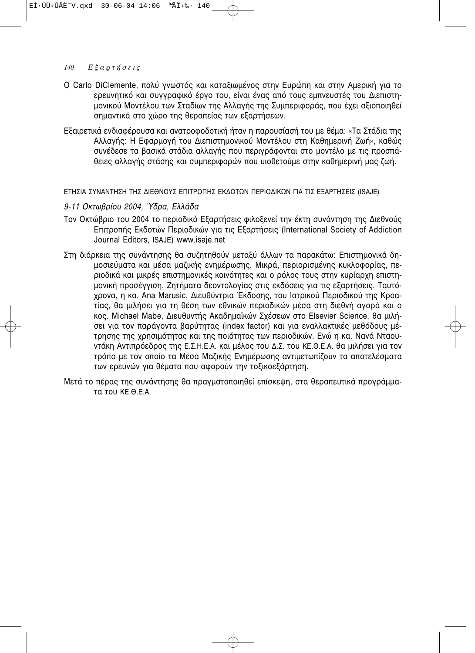#### *140 <i>Eξαρτήσεις*

- Ο Carlo DiClemente, πολύ γνωστός και καταξιωμένος στην Ευρώπη και στην Αμερική για το ερευνητικό και συγγραφικό έργο του, είναι ένας από τους εμπνευστές του Διεπιστημονικού Μοντέλου των Σταδίων της Αλλανής της Συμπεριφοράς, που έχει αξιοποιηθεί σημαντικά στο χώρο της θεραπείας των εξαρτήσεων.
- Εξαιρετικά ενδιαφέρουσα και ανατροφοδοτική ήταν η παρουσίασή του με θέμα: «Τα Στάδια της Αλλαγής: Η Εφαρμογή του Διεπιστημονικού Μοντέλου στη Καθημερινή Ζωή», καθώς συνέδεσε τα βασικά στάδια αλλαγής που περιγράφονται στο μοντέλο με τις προσπάθειες αλλαγής στάσης και συμπεριφορών που υιοθετούμε στην καθημερινή μας ζωή.

<del>Γ</del>ΤΗΣΙΑ ΣΥΝΑΝΤΗΣΗ ΤΗΣ ΛΙΕΘΝΟΥΣ ΕΠΙΤΡΟΠΗΣ ΕΚΛΟΤΟΝ ΠΕΡΙΟΛΙΚΟΝ ΓΙΑ ΤΙΣ ΕΞΑΡΤΗΣΕΙΣ (ISAJE)

## 9-11 Οκτωβρίου 2004, *Ύδρα, Ελλάδα*

- Τον Οκτώβριο του 2004 το περιοδικό Εξαρτήσεις φιλοξενεί την έκτη συνάντηση της Διεθνούς Επιτροπής Εκδοτών Περιοδικών για τις Εξαρτήσεις (International Society of Addiction Journal Editors, ISAJE) www.isaje.net
- Στη διάρκεια της συνάντησης θα συζητηθούν μεταξύ άλλων τα παρακάτω: Επιστημονικά δημοσιεύματα και μέσα μαζικής ενημέρωσης. Μικρά, περιορισμένης κυκλοφορίας, περιοδικά και μικρές επιστημονικές κοινότητες και ο ρόλος τους στην κυρίαρχη επιστημονική προσέγγιση. Ζητήματα δεοντολογίας στις εκδόσεις για τις εξαρτήσεις. Ταυτόχρονα, η κα. Ana Marusic, Διευθύντρια Έκδοσης, του Ιατρικού Περιοδικού της Κροατίας, θα μιλήσει για τη θέση των εθνικών περιοδικών μέσα στη διεθνή αγορά και ο κος. Michael Mabe, Διευθυντής Ακαδημαϊκών Σχέσεων στο Elsevier Science, θα μιλήσει για τον παράγοντα βαρύτητας (index factor) και για εναλλακτικές μεθόδους μέτρησης της χρησιμότητας και της ποιότητας των περιοδικών. Ενώ η κα. Νανά Νταου-VΤάκη Αντιπρόεδρος της Ε.Σ.Η.Ε.Α. και μέλος του Δ.Σ. του ΚΕ.Θ.Ε.Α. θα μιλήσει για τον τρόπο με τον οποίο τα Μέσα Μαζικής Ενημέρωσης αντιμετωπίζουν τα αποτελέσματα των ερευνών για θέματα που αφορούν την τοξικοεξάρτηση.
- Μετά το πέρας της συνάντησης θα πραγματοποιηθεί επίσκεψη, στα θεραπευτικά προγράμματα του ΚΕ.Θ.Ε.Α.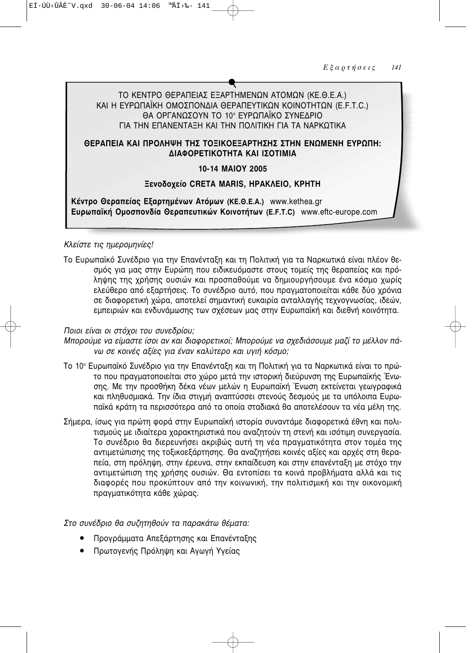# TO KENTPO ΘEPAΠEIAΣ EΞΑΡΤΗΜΕΝΩΝ ΑΤΟΜΩΝ (KE.Θ.Ε.Α.) KAI H EYPOΠAÏKH OMOΣΠONAIA ΘEPAΠEYTIKON KOINOTHTON (E.F.T.C.) ΘΑ ΟΡΓΑΝΩΣΟΥΝ ΤΟ 10<sup>°</sup> ΕΥΡΩΠΑΪΚΟ ΣΥΝΕΔΡΙΟ **ΓΙΑ ΤΗΝ ΕΠΑΝΕΝΤΑΞΗ ΚΑΙ ΤΗΝ ΠΟΛΙΤΙΚΗ ΓΙΑ ΤΑ ΝΑΡΚΩΤΙΚΑ**

#### $\overline{O}$ ΕΡΑΠΕΙΑ ΚΑΙ ΠΡΟΛΗΨΗ ΤΗΣ ΤΟΞΙΚΟΕΞΑΡΤΗΣΗΣ ΣΤΗΝ ΕΝΩΜΕΝΗ ΕΥΡΩΠΗ: **ΔΙΑΦΟΡΕΤΙΚΟΤΗΤΑ ΚΑΙ ΙΣΟΤΙΜΙΑ**

## **10-14 ΜΑΙΟΥ 2005**

#### $E$ ενοδοχείο CRETA MARIS, ΗΡΑΚΛΕΙΟ, ΚΡΗΤΗ

**Κέντρο Θεραπείας Εξαρτημένων Ατόμων (ΚΕ.Θ.Ε.Α.)** www.kethea.gr **Ευρωπαϊκή Ομοσπονδία Θεραπευτικών Κοινοτήτων (Ε.F.T.C)** www.eftc-europe.com

#### *Κλείστε τις ημερομηνίες!*

Το Ευρωπαϊκό Συνέδριο για την Επανένταξη και τη Πολιτική για τα Ναρκωτικά είναι πλέον θεσμός για μας στην Ευρώπη που ειδικευόμαστε στους τομείς της θεραπείας και πρόληψης της χρήσης ουσιών και προσπαθούμε να δημιουργήσουμε ένα κόσμο χωρίς ελεύθερο από εξαρτήσεις. Το συνέδριο αυτό, που πραγματοποιείται κάθε δύο χρόνια σε διαφορετική χώρα, αποτελεί σημαντική ευκαιρία ανταλλανής τεχνοννωσίας, ιδεών, εμπειριών και ενδυνάμωσης των σχέσεων μας στην Ευρωπαϊκή και διεθνή κοινότητα.

#### *Ποιοι είναι οι στόχοι του συνεδρίου;*

- *Μπορούμε να είμαστε ίσοι αν και διαφορετικοί; Μπορούμε να σχεδιάσουμε μαζί το μέλλον πά-Vω σε κοινές αξίες για έναν καλύτερο και υγιή κόσμο;*
- Το 10° Ευρωπαϊκό Συνέδριο για την Επανένταξη και τη Πολιτική για τα Ναρκωτικά είναι το πρώτο που πραγματοποιείται στο χώρο μετά την ιστορική διεύρυνση της Ευρωπαϊκής Ένωσης. Με την προσθήκη δέκα νέων μελών η Ευρωπαϊκή Ένωση εκτείνεται γεωγραφικά και πληθυσμιακά. Την ίδια στιγμή αναπτύσσει στενούς δεσμούς με τα υπόλοιπα Ευρωπαϊκά κράτη τα περισσότερα από τα οποία σταδιακά θα αποτελέσουν τα νέα μέλη της.
- Σήμερα, ίσως για πρώτη φορά στην Ευρωπαϊκή ιστορία συναντάμε διαφορετικά έθνη και πολιτισμούς με ιδιαίτερα χαρακτηριστικά που αναζητούν τη στενή και ισότιμη συνεργασία. Το συνέδριο θα διερευνήσει ακριβώς αυτή τη νέα πραγματικότητα στον τομέα της αντιμετώπισης της τοξικοεξάρτησης. Θα αναζητήσει κοινές αξίες και αρχές στη θεραπεία, στη πρόληψη, στην έρευνα, στην εκπαίδευση και στην επανένταξη με στόχο την αντιμετώπιση της χρήσης ουσιών. Θα εντοπίσει τα κοινά προβλήματα αλλά και τις διαφορές που προκύπτουν από την κοινωνική, την πολιτισμική και την οικονομική πραγματικότητα κάθε χώρας.

Στο συνέδριο θα συζητηθούν τα παρακάτω θέματα:

- Προγράμματα Απεξάρτησης και Επανένταξης
- Πρωτογενής Πρόληψη και Αγωγή Υγείας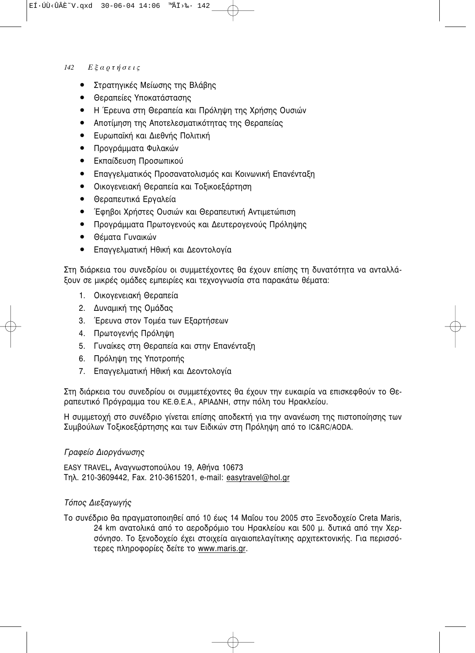## *142 Eξαρτήσεις*

- Στρατηγικές Μείωσης της Βλάβης
- **•** Θεραπείες Υποκατάστασης
- Η Έρευνα στη Θεραπεία και Πρόληψη της Χρήσης Ουσιών
- Αποτίμηση της Αποτελεσματικότητας της Θεραπείας
- Ευρωπαϊκή και Διεθνής Πολιτική
- Προνράμματα Φυλακών
- Εκπαίδευση Προσωπικού
- Επαγγελματικός Προσανατολισμός και Κοινωνική Επανένταξη
- Οικογενειακή Θεραπεία και Τοξικοεξάρτηση
- Θεραπευτικά Εργαλεία
- Έφηβοι Χρήστες Ουσιών και Θεραπευτική Αντιμετώπιση
- Προγράμματα Πρωτογενούς και Δευτερογενούς Πρόληψης
- Θέματα Γυναικών
- Επαγγελματική Ηθική και Δεοντολογία

Στη διάρκεια του συνεδρίου οι συμμετέχοντες θα έχουν επίσης τη δυνατότητα να ανταλλάξουν σε μικρές ομάδες εμπειρίες και τεχνογνωσία στα παρακάτω θέματα:

- 1. Οικογενειακή Θεραπεία
- 2. Δυναμική της Ομάδας
- 3. Έρευνα στον Τομέα των Εξαρτήσεων
- 4. Πρωτογενής Πρόληψη
- 5. Γυναίκες στη Θεραπεία και στην Επανένταξη
- 6. Πρόληψη της Υποτροπής
- 7. Επαγγελματική Ηθική και Δεοντολογία

Στη διάρκεια του συνεδρίου οι συμμετέχοντες θα έχουν την ευκαιρία να επισκεφθούν το Θεραπευτικό Πρόγραμμα του ΚΕ.Θ.Ε.Α., ΑΡΙΑΔΝΗ, στην πόλη του Ηρακλείου.

Η συμμετοχή στο συνέδριο γίνεται επίσης αποδεκτή για την ανανέωση της πιστοποίησης των Συμβούλων Τοξικοεξάρτησης και των Ειδικών στη Πρόληψη από το IC&RC/AODA.

# *Γραφείο Διοργάνωσης*

EASY TRAVEL, Aναγνωστοπούλου 19, Αθήνα 10673 Tn $\lambda$ . 210-3609442, Fax. 210-3615201, e-mail: easytravel@hol.gr

# *Tόπος Διεξαγωγής*

Το συνέδριο θα πραγματοποιηθεί από 10 έως 14 Μαΐου του 2005 στο Ξενοδοχείο Creta Maris, 24 km ανατολικά από το αεροδρόμιο του Ηρακλείου και 500 μ. δυτικά από την Χερσόνησο. Το ξενοδοχείο έχει στοιχεία αιγαιοπελαγίτικης αρχιτεκτονικής. Για περισσότερες πληροφορίες δείτε το www.maris.gr.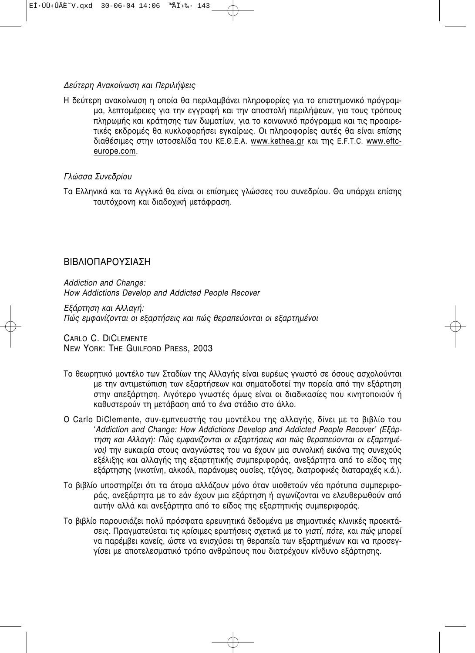# $\Delta$ εύτερη Ανακοίνωση και Περιλήψεις

Η δεύτερη ανακοίνωση η οποία θα περιλαμβάνει πληροφορίες για το επιστημονικό πρόγραμμα, λεπτομέρειες για την εγγραφή και την αποστολή περιλήψεων, για τους τρόπους πληρωμής και κράτησης των δωματίων, για το κοινωνικό πρόγραμμα και τις προαιρετικές εκδρομές θα κυκλοφορήσει εγκαίρως. Οι πληροφορίες αυτές θα είναι επίσης διαθέσιμες στην ιστοσελίδα του KE.Θ.Ε.Α. www.kethea.gr και της Ε.F.T.C. www.eftceurope.com.

# *Γλώσσα Συνεδρίου*

Τα Ελληνικά και τα Αννλικά θα είναι οι επίσημες νλώσσες του συνεδρίου. Θα υπάρχει επίσης ταυτόχρονη και διαδοχική μετάφραση.

# $RI$ ΒΙΒΛΙΟΠΑΡΟΥΣΙΑΣΗ

*Addiction and Change: How Addictions Develop and Addicted People Recover*

*Eξάρτηση και Αλλαγή: Πώς εμφανίζονται οι εξαρτήσεις και πώς θεραπεύονται οι εξαρτημένοι* 

CARLO C. DICLEMENTE NEW YORK: THE GUILFORD PRESS, 2003

- Το θεωρητικό μοντέλο των Σταδίων της Αλλαγής είναι ευρέως γνωστό σε όσους ασχολούνται με την αντιμετώπιση των εξαρτήσεων και σηματοδοτεί την πορεία από την εξάρτηση στην απεξάρτηση. Λιγότερο γνωστές όμως είναι οι διαδικασίες που κινητοποιούν ή καθυστερούν τη μετάβαση από το ένα στάδιο στο άλλο.
- Ο Carlo DiClemente, συν-εμπνευστής του μοντέλου της αλλαγής, δίνει με το βιβλίο του <sup>'</sup>Addiction and Change: How Addictions Develop and Addicted People Recover' (Εξάρτηση και Αλλαγή: Πώς εμφανίζονται οι εξαρτήσεις και πώς θεραπεύονται οι εξαρτημέ-*VOI*) την ευκαιρία στους αναγνώστες του να έχουν μια συνολική εικόνα της συνεχούς εξέλιξης και αλλαγής της εξαρτητικής συμπεριφοράς, ανεξάρτητα από το είδος της εξάρτησης (νικοτίνη, αλκοόλ, παράνομες ουσίες, τζόγος, διατροφικές διαταραχές κ.ά.).
- Το βιβλίο υποστηρίζει ότι τα άτομα αλλάζουν μόνο όταν υιοθετούν νέα πρότυπα συμπεριφοράς, ανεξάρτητα με το εάν έχουν μια εξάρτηση ή αγωνίζονται να ελευθερωθούν από αυτήν αλλά και ανεξάρτητα από το είδος της εξαρτητικής συμπεριφοράς.
- Το βιβλίο παρουσιάζει πολύ πρόσφατα ερευνητικά δεδομένα με σημαντικές κλινικές προεκτάσεις. Πραγματεύεται τις κρίσιμες ερωτήσεις σχετικά με το γιατί, πότε, και πώς μπορεί να παρέμβει κανείς, ώστε να ενισχύσει τη θεραπεία των εξαρτημένων και να προσεγγίσει με αποτελεσματικό τρόπο ανθρώπους που διατρέχουν κίνδυνο εξάρτησης.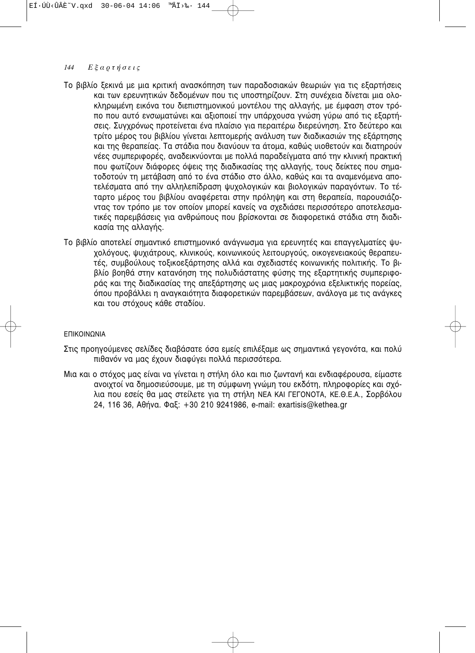#### $144$ Εξαρτήσεις

- Το βιβλίο ξεκινά με μια κριτική ανασκόπηση των παραδοσιακών θεωριών για τις εξαρτήσεις και των ερευνητικών δεδομένων που τις υποστηρίζουν. Στη συνέχεια δίνεται μια ολοκληρωμένη εικόνα του διεπιστημονικού μοντέλου της αλλανής, με έμφαση στον τρόπο που αυτό ενσωματώνει και αξιοποιεί την υπάρχουσα γνώση γύρω από τις εξαρτήσεις. Συγχρόνως προτείνεται ένα πλαίσιο για περαιτέρω διερεύνηση. Στο δεύτερο και τρίτο μέρος του βιβλίου γίνεται λεπτομερής ανάλυση των διαδικασιών της εξάρτησης και της θεραπείας. Τα στάδια που διανύουν τα άτομα, καθώς υιοθετούν και διατηρούν νέες συμπεριφορές, αναδεικνύονται με πολλά παραδείγματα από την κλινική πρακτική που φωτίζουν διάφορες όψεις της διαδικασίας της αλλανής, τους δείκτες που σηματοδοτούν τη μετάβαση από το ένα στάδιο στο άλλο, καθώς και τα αναμενόμενα αποτελέσματα από την αλληλεπίδραση ψυχολογικών και βιολογικών παραγόντων. Το τέταρτο μέρος του βιβλίου αναφέρεται στην πρόληψη και στη θεραπεία, παρουσιάζοντας τον τρόπο με τον οποίον μπορεί κανείς να σχεδιάσει περισσότερο αποτελεσματικές παρεμβάσεις για ανθρώπους που βρίσκονται σε διαφορετικά στάδια στη διαδικασία της αλλαγής.
- Το βιβλίο αποτελεί σημαντικό επιστημονικό ανάγνωσμα για ερευνητές και επαγγελματίες ψυχολόγους, ψυχιάτρους, κλινικούς, κοινωνικούς λειτουργούς, οικογενειακούς θεραπευτές, συμβούλους τοξικοεξάρτησης αλλά και σχεδιαστές κοινωνικής πολιτικής. Το βιβλίο βοηθά στην κατανόηση της πολυδιάστατης φύσης της εξαρτητικής συμπεριφοράς και της διαδικασίας της απεξάρτησης ως μιας μακροχρόνια εξελικτικής πορείας, όπου προβάλλει η αναγκαιότητα διαφορετικών παρεμβάσεων, ανάλογα με τις ανάγκες και του στόχους κάθε σταδίου.

#### ΕΠΙΚΟΙΝΩΝΙΑ

- Στις προηγούμενες σελίδες διαβάσατε όσα εμείς επιλέξαμε ως σημαντικά γεγονότα, και πολύ πιθανόν να μας έχουν διαφύγει πολλά περισσότερα.
- Μια και ο στόχος μας είναι να γίνεται η στήλη όλο και πιο ζωντανή και ενδιαφέρουσα, είμαστε ανοιχτοί να δημοσιεύσουμε, με τη σύμφωνη γνώμη του εκδότη, πληροφορίες και σχόλια που εσείς θα μας στείλετε για τη στήλη ΝΕΑ ΚΑΙ ΓΕΓΟΝΟΤΑ, ΚΕ.Θ.Ε.Α., Σορβόλου 24, 116 36, Αθήνα. Φαξ: +30 210 9241986, e-mail: exartisis@kethea.gr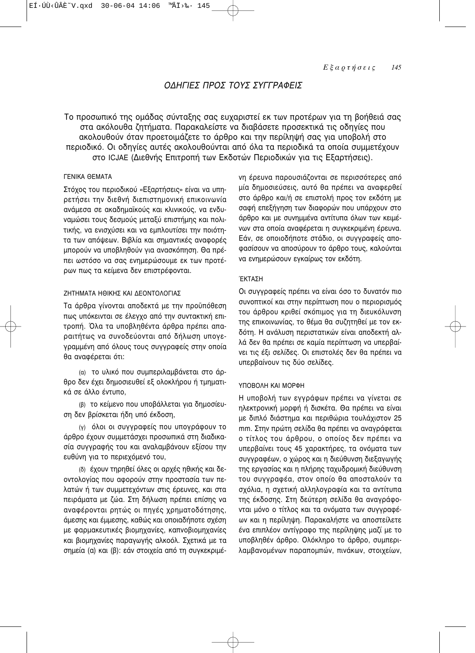### ΟΛΗΓΙΕΣ ΠΡΟΣ ΤΟΥΣ ΣΥΓΓΡΑΦΕΙΣ

Το προσωπικό της ομάδας σύνταξης σας ευχαριστεί εκ των προτέρων για τη βοήθειά σας στα ακόλουθα ζητήματα. Παρακαλείστε να διαβάσετε προσεκτικά τις οδηγίες που ακολουθούν όταν προετοιμάζετε το άρθρο και την περίληψή σας για υποβολή στο περιοδικό. Οι οδηγίες αυτές ακολουθούνται από όλα τα περιοδικά τα οποία συμμετέχουν στο ICJAE (Διεθνής Επιτροπή των Εκδοτών Περιοδικών για τις Εξαρτήσεις).

#### *FFNIKA GEMATA*

Στόχος του περιοδικού «Εξαρτήσεις» είναι να υπηρετήσει την διεθνή διεπιστημονική επικοινωνία ανάμεσα σε ακαδημαϊκούς και κλινικούς, να ενδυναμώσει τους δεσμούς μεταξύ επιστήμης και πολιτικής, να ενισχύσει και να εμπλουτίσει την ποιότητα των απόψεων. Βιβλία και σημαντικές αναφορές μπορούν να υποβληθούν για ανασκόπηση. Θα πρέπει ωστόσο να σας ενημερώσουμε εκ των προτέρων πως τα κείμενα δεν επιστρέφονται.

#### ΖΗΤΗΜΑΤΑ ΗΘΙΚΗΣ ΚΑΙ ΔΕΟΝΤΟΛΟΓΙΑΣ

Τα άρθρα γίνονται αποδεκτά με την προϋπόθεση πως υπόκεινται σε έλεγχο από την συντακτική επιτροπή. Όλα τα υποβληθέντα άρθρα πρέπει απαραιτήτως να συνοδεύονται από δήλωση υπογεγραμμένη από όλους τους συγγραφείς στην οποία θα αναφέρεται ότι:

(α) το υλικό που συμπεριλαμβάνεται στο άρθρο δεν έχει δημοσιευθεί εξ ολοκλήρου ή τμηματικά σε άλλο έντυπο,

(β) το κείμενο που υποβάλλεται για δημοσίευση δεν βρίσκεται ήδη υπό έκδοση,

(γ) όλοι οι συγγραφείς που υπογράφουν το άρθρο έχουν συμμετάσχει προσωπικά στη διαδικασία συγγραφής του και αναλαμβάνουν εξίσου την ευθύνη για το περιεχόμενό του,

(δ) έχουν τηρηθεί όλες οι αρχές ηθικής και δεοντολογίας που αφορούν στην προστασία των πελατών ή των συμμετεχόντων στις έρευνες, και στα πειράματα με ζώα. Στη δήλωση πρέπει επίσης να αναφέρονται ρητώς οι πηγές χρηματοδότησης. άμεσης και έμμεσης, καθώς και οποιαδήποτε σχέση με φαρμακευτικές βιομηχανίες, καπνοβιομηχανίες και βιομηχανίες παραγωγής αλκοόλ. Σχετικά με τα σημεία (α) και (β): εάν στοιχεία από τη συγκεκριμένη έρευνα παρουσιάζονται σε περισσότερες από μία δημοσιεύσεις, αυτό θα πρέπει να αναφερθεί στο άρθρο και/ή σε επιστολή προς τον εκδότη με σαφή επεξήγηση των διαφορών που υπάρχουν στο άρθρο και με συνημμένα αντίτυπα όλων των κειμένων στα οποία αναφέρεται η συγκεκριμένη έρευνα. Εάν, σε οποιοδήποτε στάδιο, οι συγγραφείς αποφασίσουν να αποσύρουν το άρθρο τους, καλούνται να ενημερώσουν εγκαίρως τον εκδότη.

#### **'FKTATH**

Οι συγγραφείς πρέπει να είναι όσο το δυνατόν πιο συνοπτικοί και στην περίπτωση που ο περιορισμός του άρθρου κριθεί σκόπιμος για τη διευκόλυνση της επικοινωνίας, το θέμα θα συζητηθεί με τον εκδότη. Η ανάλυση περιστατικών είναι αποδεκτή αλλά δεν θα πρέπει σε καμία περίπτωση να υπερβαίνει τις έξι σελίδες. Οι επιστολές δεν θα πρέπει να υπερβαίνουν τις δύο σελίδες.

#### YΠOBOAH KAI MOPΦH

Η υποβολή των εγγράφων πρέπει να γίνεται σε ηλεκτρονική μορφή ή δισκέτα. Θα πρέπει να είναι με διπλό διάστημα και περιθώρια τουλάχιστον 25 mm. Στην πρώτη σελίδα θα πρέπει να αναγράφεται ο τίτλος του άρθρου, ο οποίος δεν πρέπει να υπερβαίνει τους 45 χαρακτήρες, τα ονόματα των συγγραφέων, ο χώρος και η διεύθυνση διεξαγωγής της εργασίας και η πλήρης ταχυδρομική διεύθυνση του συγγραφέα, στον οποίο θα αποσταλούν τα σχόλια, η σχετική αλληλογραφία και τα αντίτυπα της έκδοσης. Στη δεύτερη σελίδα θα αναγράφονται μόνο ο τίτλος και τα ονόματα των συγγραφέων και η περίληψη. Παρακαλήστε να αποστείλετε ένα επιπλέον αντίγραφο της περίληψης μαζί με το υποβληθέν άρθρο. Ολόκληρο το άρθρο, συμπεριλαμβανομένων παραπομπών, πινάκων, στοιχείων,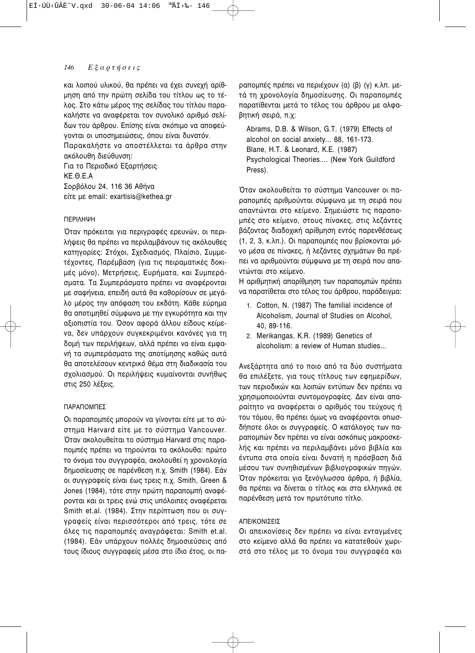και λοιπού υλικού, θα πρέπει να έχει συνεχή αρίθμηση από την πρώτη σελίδα του τίτλου ως το τέλος. Στο κάτω μέρος της σελίδας του τίτλου παρακαλήστε να αναφέρεται τον συνολικό αριθμό σελίδων του άρθρου. Επίσης είναι σκόπιμο να αποφεύγονται οι υποσημειώσεις, όπου είναι δυνατόν.

Παρακαλήστε να αποστέλλεται τα άρθρα στην ακόλουθη διεύθυνση:

Για το Περιοδικό Εξαρτήσεις  $KE. \Theta.E.A$ Σορβόλου 24, 116 36 Αθήνα είτε με email: exartisis@kethea.gr

#### **ПЕРІЛНФН**

Όταν πρόκειται για περιγραφές ερευνών, οι περιλήψεις θα πρέπει να περιλαμβάνουν τις ακόλουθες κατηγορίες: Στόχοι, Σχεδιασμός, Πλαίσιο, Συμμετέχοντες, Παρέμβαση (για τις πειραματικές δοκιμές μόνο), Μετρήσεις, Ευρήματα, και Συμπεράσματα. Τα Συμπεράσματα πρέπει να αναφέρονται με σαφήνεια, επειδή αυτά θα καθορίσουν σε μεγάλο μέρος την απόφαση του εκδότη. Κάθε εύρημα θα αποτιμηθεί σύμφωνα με την εγκυρότητα και την αξιοπιστία του. Όσον αφορά άλλου είδους κείμενα, δεν υπάρχουν συγκεκριμένοι κανόνες για τη δομή των περιλήψεων, αλλά πρέπει να είναι εμφανή τα συμπεράσματα της αποτίμησης καθώς αυτά θα αποτελέσουν κεντρικό θέμα στη διαδικασία του σχολιασμού. Οι περιλήψεις κυμαίνονται συνήθως στις 250 λέξεις.

#### ΠΑΡΑΠΟΜΠΕΣ

Οι παραπομπές μπορούν να γίνονται είτε με το σύστημα Harvard είτε με το σύστημα Vancouver. Όταν ακολουθείται το σύστημα Harvard στις παραπομπές πρέπει να τηρούνται τα ακόλουθα: πρώτο το όνομα του συγγραφέα, ακολουθεί η χρονολογία δημοσίευσης σε παρένθεση π.χ. Smith (1984). Εάν οι συγγραφείς είναι έως τρεις π.χ. Smith, Green & Jones (1984), τότε στην πρώτη παραπομπή αναφέρονται και οι τρεις ενώ στις υπόλοιπες αναφέρεται Smith et.al. (1984). Στην περίπτωση που οι συγγραφείς είναι περισσότεροι από τρεις, τότε σε όλες τις παραπομπές αναγράφεται: Smith et.al. (1984). Εάν υπάρχουν πολλές δημοσιεύσεις από τους ίδιους συγγραφείς μέσα στο ίδιο έτος, οι παραπομπές πρέπει να περιέχουν (α) (β) (γ) κ.λπ. μετά τη χρονολογία δημοσίευσης. Οι παραπομπές παρατίθενται μετά το τέλος του άρθρου με αλφαβητική σειρά, π.χ:

Abrams, D.B. & Wilson, G.T. (1979) Effects of alcohol on social anxiety... 88, 161-173. Blane, H.T. & Leonard, K.E. (1987) Psychological Theories.... (New York Guildford Press).

Όταν ακολουθείται το σύστημα Vancouver οι παραπομπές αριθμούνται σύμφωνα με τη σειρά που απαντώνται στο κείμενο. Σημειώστε τις παραπομπές στο κείμενο, στους πίνακες, στις λεζάντες βάζοντας διαδοχική αρίθμηση εντός παρενθέσεως (1, 2, 3, κ.λπ.). Οι παραπομπές που βρίσκονται μόνο μέσα σε πίνακες, ή λεζάντες σχημάτων θα πρέπει να αριθμούνται σύμφωνα με τη σειρά που απαντώνται στο κείμενο.

Η αριθμητική απαρίθμηση των παραπομπών πρέπει να παρατίθεται στο τέλος του άρθρου, παράδειγμα:

- 1. Cotton, N. (1987) The familial incidence of Alcoholism, Journal of Studies on Alcohol, 40.89-116.
- 2. Merikangas, K.R. (1989) Genetics of alcoholism: a review of Human studies...

Ανεξάρτητα από το ποιο από τα δύο συστήματα θα επιλέξετε, για τους τίτλους των εφημερίδων, των περιοδικών και λοιπών εντύπων δεν πρέπει να χρησιμοποιούνται συντομογραφίες. Δεν είναι απαραίτητο να αναφέρεται ο αριθμός του τεύχους ή του τόμου, θα πρέπει όμως να αναφέρονται οπωσδήποτε όλοι οι συγγραφείς. Ο κατάλογος των παραπομπών δεν πρέπει να είναι ασκόπως μακροσκελής και πρέπει να περιλαμβάνει μόνο βιβλία και έντυπα στα οποία είναι δυνατή η πρόσβαση διά μέσου των συνηθισμένων βιβλιογραφικών πηγών. Όταν πρόκειται για ξενόγλωσσα άρθρα, ή βιβλία, θα πρέπει να δίνεται ο τίτλος και στα ελληνικά σε παρένθεση μετά τον πρωτότυπο τίτλο.

#### ΑΠΕΙΚΟΝΙΣΕΙΣ

Οι απεικονίσεις δεν πρέπει να είναι ενταγμένες στο κείμενο αλλά θα πρέπει να κατατεθούν χωριστά στο τέλος με το όνομα του συγγραφέα και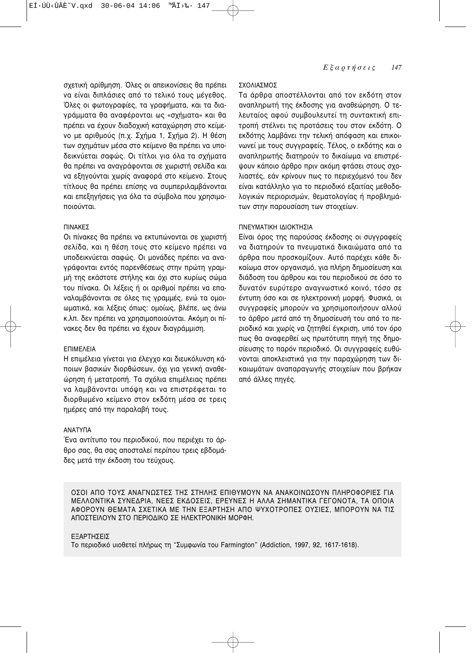σχετική αρίθμηση. Όλες οι απεικονίσεις θα πρέπει να είναι διπλάσιες από το τελικό τους μέγεθος. Όλες οι φωτογραφίες, τα γραφήματα, και τα διαγράμματα θα αναφέρονται ως «σχήματα» και θα πρέπει να έχουν διαδοχική καταχώρηση στο κείμενο με αριθμούς (π.χ. Σχήμα 1, Σχήμα 2). Η θέση των σχημάτων μέσα στο κείμενο θα πρέπει να υποδεικνύεται σαφώς. Οι τίτλοι για όλα τα σχήματα θα πρέπει να αναγράφονται σε χωριστή σελίδα και να εξηγούνται χωρίς αναφορά στο κείμενο. Στους τίτλους θα πρέπει επίσης να συμπεριλαμβάνονται και επεξηγήσεις για όλα τα σύμβολα που χρησιμοποιούνται.

#### **ΠΙΝΑΚΕΣ**

Οι πίνακες θα πρέπει να εκτυπώνονται σε χωριστή σελίδα, και η θέση τους στο κείμενο πρέπει να υποδεικνύεται σαφώς. Οι μονάδες πρέπει να αναγράφονται εντός παρενθέσεως στην πρώτη γραμμή της εκάστοτε στήλης και όχι στο κυρίως σώμα του πίνακα. Οι λέξεις ή οι αριθμοί πρέπει να επαναλαμβάνονται σε όλες τις γραμμές, ενώ τα ομοιωματικά, και λέξεις όπως: ομοίως, βλέπε, ως άνω κ.λπ. δεν πρέπει να χρησιμοποιούνται. Ακόμη οι πίνακες δεν θα πρέπει να έχουν διαγράμμιση.

#### **FUIMFAFIA**

Η επιμέλεια γίνεται για έλεγχο και διευκόλυνση κάποιων βασικών διορθώσεων, όχι για γενική αναθεώρηση ή μετατροπή. Τα σχόλια επιμέλειας πρέπει να λαμβάνονται υπόψη και να επιστρέφεται το διορθωμένο κείμενο στον εκδότη μέσα σε τρεις ημέρες από την παραλαβή τους.

#### ΑΝΑΤΥΠΑ

Ένα αντίτυπο του περιοδικού, που περιέχει το άρθρο σας, θα σας αποσταλεί περίπου τρεις εβδομάδες μετά την έκδοση του τεύχους.

#### ΣΧΟΛΙΑΣΜΟΣ

Τα άρθρα αποστέλλονται από τον εκδότη στον αναπληρωτή της έκδοσης για αναθεώρηση. Ο τελευταίος αφού συμβουλευτεί τη συντακτική επιτροπή στέλνει τις προτάσεις του στον εκδότη. Ο εκδότης λαμβάνει την τελική απόφαση και επικοινωνεί με τους συγγραφείς. Τέλος, ο εκδότης και ο αναπληρωτής διατηρούν το δικαίωμα να επιστρέψουν κάποιο άρθρο πριν ακόμη φτάσει στους σχολιαστές, εάν κρίνουν πως το περιεχόμενό του δεν είναι κατάλληλο για το περιοδικό εξαιτίας μεθοδολογικών περιορισμών, θεματολογίας ή προβλημάτων στην παρουσίαση των στοιχείων.

#### ΠΝΕΥΜΑΤΙΚΗ ΙΛΙΟΚΤΗΣΙΑ

Είναι όρος της παρούσας έκδοσης οι συγγραφείς να διατηρούν τα πνευματικά δικαιώματα από τα άρθρα που προσκομίζουν. Αυτό παρέχει κάθε δικαίωμα στον οργανισμό, για πλήρη δημοσίευση και διάδοση του άρθρου και του περιοδικού σε όσο το δυνατόν ευρύτερο αναγνωστικό κοινό, τόσο σε έντυπη όσο και σε ηλεκτρονική μορφή. Φυσικά, οι συγγραφείς μπορούν να χρησιμοποιήσουν αλλού το άρθρο μετά από τη δημοσίευσή του από το περιοδικό και χωρίς να ζητηθεί έγκριση, υπό τον όρο πως θα αναφερθεί ως πρωτότυπη πηγή της δημοσίευσης το παρόν περιοδικό. Οι συγγραφείς ευθύνονται αποκλειστικά για την παραχώρηση των δικαιωμάτων αναπαραγωγής στοιχείων που βρήκαν από άλλες πηγές.

ΟΣΟΙ ΑΠΟ ΤΟΥΣ ΑΝΑΓΝΩΣΤΕΣ ΤΗΣ ΣΤΗΛΗΣ ΕΠΙΘΥΜΟΥΝ ΝΑ ΑΝΑΚΟΙΝΩΣΟΥΝ ΠΛΗΡΟΦΟΡΙΕΣ ΓΙΑ ΜΕΛΛΟΝΤΙΚΑ ΣΥΝΕΔΡΙΑ, ΝΕΕΣ ΕΚΔΟΣΕΙΣ, ΕΡΕΥΝΕΣ Η ΑΛΛΑ ΣΗΜΑΝΤΙΚΑ ΓΕΓΟΝΟΤΑ, ΤΑ ΟΠΟΙΑ ΑΦΟΡΟΥΝ ΘΕΜΑΤΑ ΣΧΕΤΙΚΑ ΜΕ ΤΗΝ ΕΞΑΡΤΗΣΗ ΑΠΟ ΨΥΧΟΤΡΟΠΕΣ ΟΥΣΙΕΣ, ΜΠΟΡΟΥΝ ΝΑ ΤΙΣ ΑΠΟΣΤΕΙΛΟΥΝ ΣΤΟ ΠΕΡΙΟΔΙΚΟ ΣΕ ΗΛΕΚΤΡΟΝΙΚΗ ΜΟΡΦΗ.

#### ΕΞΑΡΤΗΣΕΙΣ

Το περιοδικό υιοθετεί πλήρως τη "Συμφωνία του Farmington" (Addiction, 1997, 92, 1617-1618).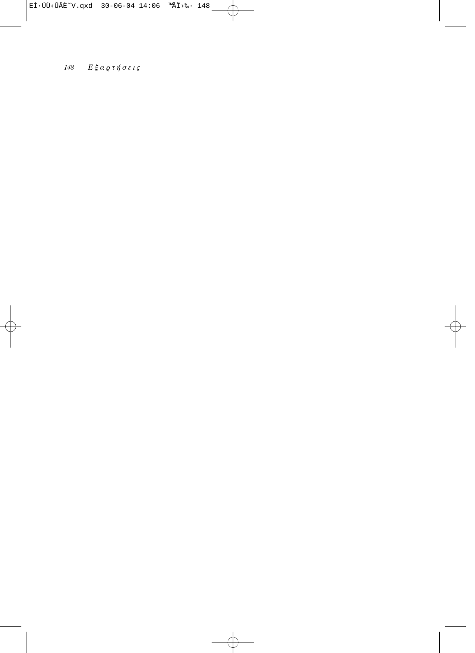$E \xi a \varrho \tau \eta \sigma \varepsilon \iota \varsigma$ 148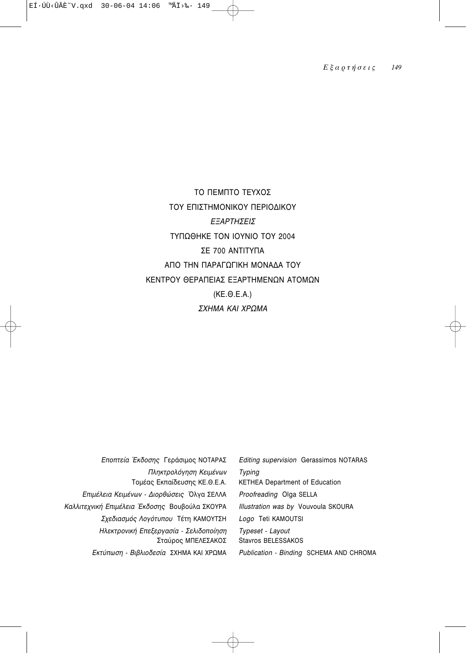ΤΟ ΠΕΜΠΤΟ ΤΕΥΧΟΣ ΤΟΥ ΕΠΙΣΤΗΜΟΝΙΚΟΥ ΠΕΡΙΟΔΙΚΟΥ ΕΞΑΡΤΗΣΕΙΣ ΤΥΠΩΘΗΚΕ ΤΟΝ ΙΟΥΝΙΟ ΤΟΥ 2004 ΣΕ 700 ΑΝΤΙΤΥΠΑ ΑΠΟ ΤΗΝ ΠΑΡΑΓΩΓΙΚΗ ΜΟΝΑΔΑ ΤΟΥ ΚΕΝΤΡΟΥ ΘΕΡΑΠΕΙΑΣ ΕΞΑΡΤΗΜΕΝΩΝ ΑΤΟΜΩΝ  $(KE. \Theta.E.A.)$ ΣΧΗΜΑ ΚΑΙ ΧΡΩΜΑ

Εποπτεία Έκδοσης Γεράσιμος ΝΟΤΑΡΑΣ Editing supervision Gerassimos NOTARAS Πληκτρολόγηση Κειμένων Typing Τομέας Εκπαίδευσης ΚΕ.Θ.Ε.Α. **KETHEA Department of Education** Επιμέλεια Κειμένων - Διορθώσεις Όλγα ΣΕΛΛΑ Proofreading Olga SELLA Καλλιτεχνική Επιμέλεια Έκδοσης Βουβούλα ΣΚΟΥΡΑ Illustration was by Vouvoula SKOURA Σχεδιασμός Λογότυπου Τέτη ΚΑΜΟΥΤΣΗ Logo Teti KAMOUTSI Ηλεκτρονική Επεξεργασία - Σελιδοποίηση Typeset - Layout Σταύρος ΜΠΕΛΕΣΑΚΟΣ Stavros BELESSAKOS Εκτύπωση - Βιβλιοδεσία ΣΧΗΜΑ ΚΑΙ ΧΡΩΜΑ Publication - Binding SCHEMA AND CHROMA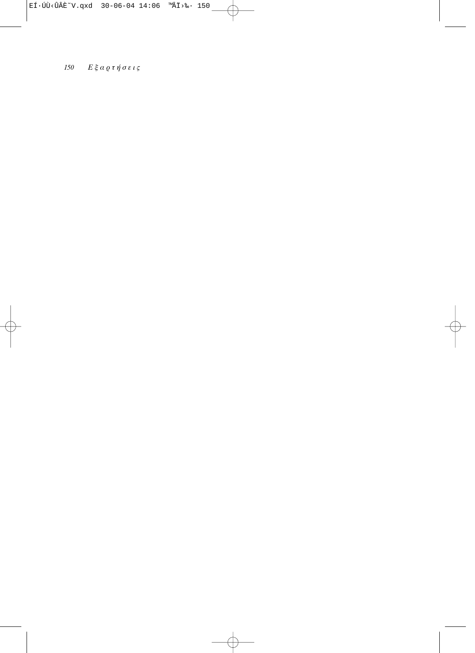$E \xi a \varrho \tau \eta \sigma \varepsilon \iota \varsigma$ 150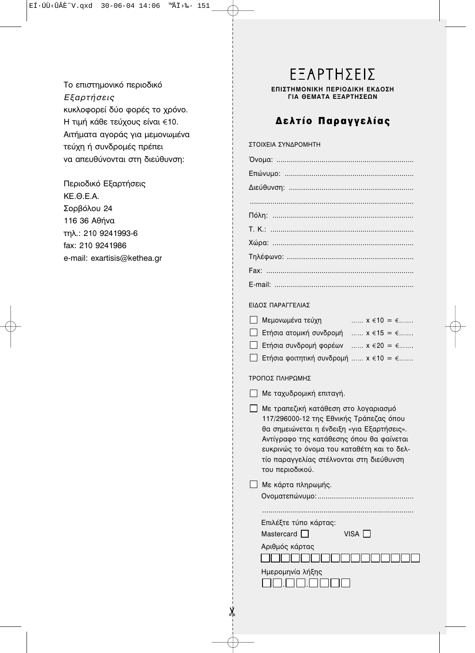Το επιστημονικό περιοδικό Εξαρτήσεις κυκλοφορεί δύο φορές το χρόνο. Η τιμή κάθε τεύχους είναι €10. Αιτήματα αγοράς για μεμονωμένα τεύχη ή συνδρομές πρέπει να απευθύνονται στη διεύθυνση:

Περιοδικό Εξαρτήσεις  $KE. \Theta.E.A.$ Σορβόλου 24 116 36 Αθήνα τηλ.: 210 9241993-6 fax: 210 9241986 e-mail: exartisis@kethea.gr

# ΕΞΑΡΤΗΣΕΙΣ

ΕΠΙΣΤΗΜΟΝΙΚΗ ΠΕΡΙΟΔΙΚΗ ΕΚΔΟΣΗ ΓΙΑ ΘΕΜΑΤΑ ΕΞΑΡΤΗΣΕΩΝ

## Δελτίο Παραγγελίας

ΣΤΟΙΧΕΙΑ ΣΥΝΔΡΟΜΗΤΗ

| $F$ -mail: $\qquad \qquad$ |
|----------------------------|

#### ΕΙΔΟΣ ΠΑΡΑΓΓΕΛΙΑΣ

| <b>Μεμονωμένα τεύχη</b> |  |  |                                                                                                                           |
|-------------------------|--|--|---------------------------------------------------------------------------------------------------------------------------|
| Eτήσια ατομική συνδρομή |  |  |                                                                                                                           |
|                         |  |  |                                                                                                                           |
|                         |  |  |                                                                                                                           |
|                         |  |  | $x \in 10 = $<br>$x \in 15 =$ ∈<br><b>Ετήσια συνδρομή φορέων</b> x €20 = €<br><b>Ετήσια φοιτητική συνδρομή  x</b> €10 = € |

#### ΤΡΟΠΟΣ ΠΛΗΡΩΜΗΣ

**Δ** Με ταχυδρομική επιταγή.

■ Με τραπεζική κατάθεση στο λογαριασμό 117/296000-12 της Εθνικής Τράπεζας όπου θα σημειώνεται η ένδειξη «για Εξαρτήσεις». Αντίγραφο της κατάθεσης όπου θα φαίνεται ευκρινώς το όνομα του καταθέτη και το δελτίο παραγγελίας στέλνονται στη διεύθυνση του περιοδικού.

| Με κάρτα πληρωμής.                     |
|----------------------------------------|
|                                        |
|                                        |
| Επιλέξτε τύπο κάρτας:                  |
| Mastercard $\Box$<br>VISA <sup>I</sup> |
| Αριθμός κάρτας                         |
| Ημερομηνία λήξης                       |

⅂